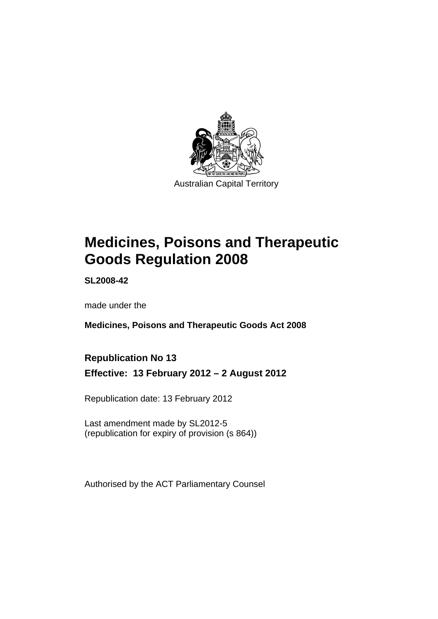

# **Medicines, Poisons and Therapeutic Goods Regulation 2008**

**SL2008-42** 

made under the

**Medicines, Poisons and Therapeutic Goods Act 2008** 

## **Republication No 13**

**Effective: 13 February 2012 – 2 August 2012** 

Republication date: 13 February 2012

Last amendment made by SL2012-5 (republication for expiry of provision (s 864))

Authorised by the ACT Parliamentary Counsel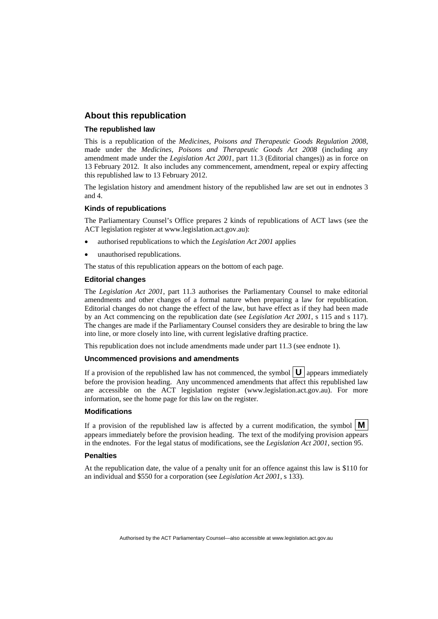### **About this republication**

#### **The republished law**

This is a republication of the *Medicines, Poisons and Therapeutic Goods Regulation 2008*, made under the *Medicines, Poisons and Therapeutic Goods Act 2008* (including any amendment made under the *Legislation Act 2001*, part 11.3 (Editorial changes)) as in force on 13 February 2012*.* It also includes any commencement, amendment, repeal or expiry affecting this republished law to 13 February 2012.

The legislation history and amendment history of the republished law are set out in endnotes 3 and 4.

#### **Kinds of republications**

The Parliamentary Counsel's Office prepares 2 kinds of republications of ACT laws (see the ACT legislation register at www.legislation.act.gov.au):

- authorised republications to which the *Legislation Act 2001* applies
- unauthorised republications.

The status of this republication appears on the bottom of each page.

#### **Editorial changes**

The *Legislation Act 2001*, part 11.3 authorises the Parliamentary Counsel to make editorial amendments and other changes of a formal nature when preparing a law for republication. Editorial changes do not change the effect of the law, but have effect as if they had been made by an Act commencing on the republication date (see *Legislation Act 2001*, s 115 and s 117). The changes are made if the Parliamentary Counsel considers they are desirable to bring the law into line, or more closely into line, with current legislative drafting practice.

This republication does not include amendments made under part 11.3 (see endnote 1).

#### **Uncommenced provisions and amendments**

If a provision of the republished law has not commenced, the symbol  $\mathbf{U}$  appears immediately before the provision heading. Any uncommenced amendments that affect this republished law are accessible on the ACT legislation register (www.legislation.act.gov.au). For more information, see the home page for this law on the register.

#### **Modifications**

If a provision of the republished law is affected by a current modification, the symbol  $\mathbf{M}$ appears immediately before the provision heading. The text of the modifying provision appears in the endnotes. For the legal status of modifications, see the *Legislation Act 2001*, section 95.

#### **Penalties**

At the republication date, the value of a penalty unit for an offence against this law is \$110 for an individual and \$550 for a corporation (see *Legislation Act 2001*, s 133).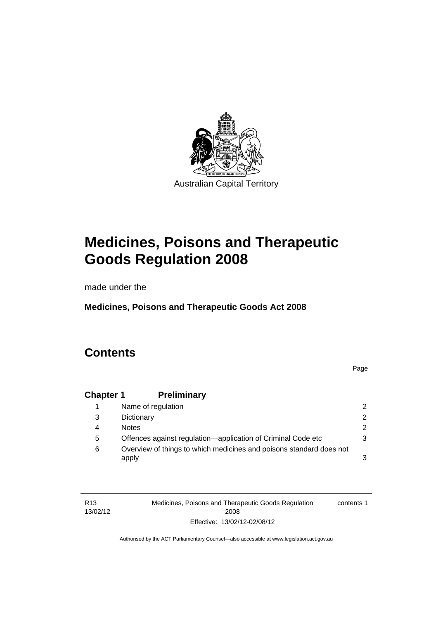

# **Medicines, Poisons and Therapeutic Goods Regulation 2008**

made under the

**Medicines, Poisons and Therapeutic Goods Act 2008** 

## **Contents**

Page

## **Chapter 1 [Preliminary](#page-25-0)**

|   | Name of regulation                                                           | $\mathcal{P}$ |
|---|------------------------------------------------------------------------------|---------------|
| 3 | Dictionary                                                                   | $\mathcal{P}$ |
| 4 | <b>Notes</b>                                                                 | 2.            |
| 5 | Offences against regulation—application of Criminal Code etc                 | 3             |
| 6 | Overview of things to which medicines and poisons standard does not<br>apply | 3             |

| R <sub>13</sub> | Medicines, Poisons and Therapeutic Goods Regulation | contents 1 |
|-----------------|-----------------------------------------------------|------------|
| 13/02/12        | 2008                                                |            |
|                 | Effective: 13/02/12-02/08/12                        |            |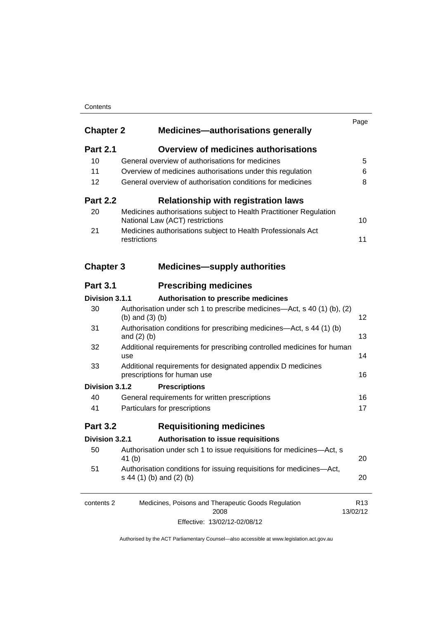### **Contents**

| <b>Chapter 2</b> | <b>Medicines-authorisations generally</b>                                                             | Page                        |
|------------------|-------------------------------------------------------------------------------------------------------|-----------------------------|
| <b>Part 2.1</b>  | <b>Overview of medicines authorisations</b>                                                           |                             |
| 10               | General overview of authorisations for medicines                                                      | 5                           |
| 11               | Overview of medicines authorisations under this regulation                                            | 6                           |
| 12               | General overview of authorisation conditions for medicines                                            | 8                           |
| <b>Part 2.2</b>  | <b>Relationship with registration laws</b>                                                            |                             |
| 20               | Medicines authorisations subject to Health Practitioner Regulation<br>National Law (ACT) restrictions | 10                          |
| 21               | Medicines authorisations subject to Health Professionals Act<br>restrictions                          | 11                          |
| <b>Chapter 3</b> | <b>Medicines-supply authorities</b>                                                                   |                             |
| <b>Part 3.1</b>  | <b>Prescribing medicines</b>                                                                          |                             |
| Division 3.1.1   | Authorisation to prescribe medicines                                                                  |                             |
| 30               | Authorisation under sch 1 to prescribe medicines—Act, s 40 (1) (b), (2)<br>(b) and $(3)$ (b)          | 12                          |
| 31               | Authorisation conditions for prescribing medicines—Act, s 44 (1) (b)<br>and $(2)$ $(b)$               | 13                          |
| 32               | Additional requirements for prescribing controlled medicines for human<br>use                         | 14                          |
| 33               | Additional requirements for designated appendix D medicines<br>prescriptions for human use            | 16                          |
| Division 3.1.2   | <b>Prescriptions</b>                                                                                  |                             |
| 40               | General requirements for written prescriptions                                                        | 16                          |
| 41               | Particulars for prescriptions                                                                         | 17                          |
| <b>Part 3.2</b>  | <b>Requisitioning medicines</b>                                                                       |                             |
| Division 3.2.1   | Authorisation to issue requisitions                                                                   |                             |
| 50               | Authorisation under sch 1 to issue requisitions for medicines-Act, s<br>41 (b)                        | 20                          |
| 51               | Authorisation conditions for issuing requisitions for medicines-Act,<br>s 44 (1) (b) and (2) (b)      | 20                          |
| contents 2       | Medicines, Poisons and Therapeutic Goods Regulation<br>2008                                           | R <sub>13</sub><br>13/02/12 |
|                  |                                                                                                       |                             |

Effective: 13/02/12-02/08/12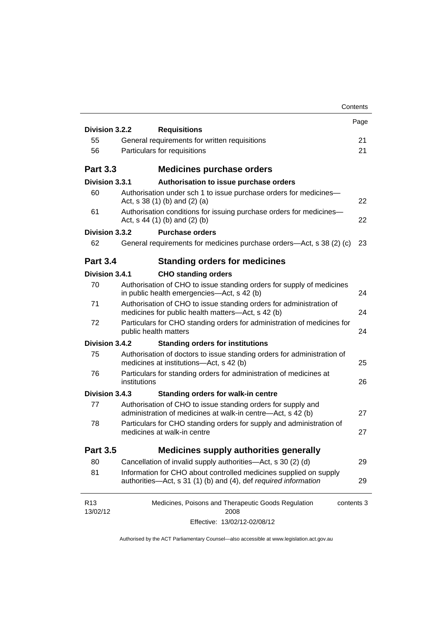|                             |                                                                                                                                      | Contents |
|-----------------------------|--------------------------------------------------------------------------------------------------------------------------------------|----------|
| Division 3.2.2              |                                                                                                                                      | Page     |
| 55                          | <b>Requisitions</b><br>General requirements for written requisitions                                                                 | 21       |
| 56                          | Particulars for requisitions                                                                                                         | 21       |
|                             |                                                                                                                                      |          |
| <b>Part 3.3</b>             | <b>Medicines purchase orders</b>                                                                                                     |          |
| Division 3.3.1              | Authorisation to issue purchase orders                                                                                               |          |
| 60                          | Authorisation under sch 1 to issue purchase orders for medicines-<br>Act, $s$ 38 (1) (b) and (2) (a)                                 | 22       |
| 61                          | Authorisation conditions for issuing purchase orders for medicines-<br>Act, $s$ 44 (1) (b) and (2) (b)                               | 22       |
| Division 3.3.2              | <b>Purchase orders</b>                                                                                                               |          |
| 62                          | General requirements for medicines purchase orders—Act, s 38 (2) (c)                                                                 | 23       |
| <b>Part 3.4</b>             | <b>Standing orders for medicines</b>                                                                                                 |          |
| Division 3.4.1              | <b>CHO standing orders</b>                                                                                                           |          |
| 70                          | Authorisation of CHO to issue standing orders for supply of medicines<br>in public health emergencies—Act, s 42 (b)                  | 24       |
| 71                          | Authorisation of CHO to issue standing orders for administration of<br>medicines for public health matters-Act, s 42 (b)             | 24       |
| 72                          | Particulars for CHO standing orders for administration of medicines for<br>public health matters                                     | 24       |
| Division 3.4.2              | <b>Standing orders for institutions</b>                                                                                              |          |
| 75                          | Authorisation of doctors to issue standing orders for administration of<br>medicines at institutions-Act, s 42 (b)                   | 25       |
| 76                          | Particulars for standing orders for administration of medicines at<br>institutions                                                   | 26       |
| Division 3.4.3              | <b>Standing orders for walk-in centre</b>                                                                                            |          |
| 77                          | Authorisation of CHO to issue standing orders for supply and<br>administration of medicines at walk-in centre-Act, s 42 (b)          | 27       |
| 78                          | Particulars for CHO standing orders for supply and administration of<br>medicines at walk-in centre                                  | 27       |
| <b>Part 3.5</b>             | <b>Medicines supply authorities generally</b>                                                                                        |          |
| 80                          | Cancellation of invalid supply authorities—Act, s 30 (2) (d)                                                                         | 29       |
| 81                          | Information for CHO about controlled medicines supplied on supply<br>authorities—Act, s 31 (1) (b) and (4), def required information | 29       |
| R <sub>13</sub><br>13/02/12 | Medicines, Poisons and Therapeutic Goods Regulation<br>contents 3<br>2008                                                            |          |
|                             | Effective: 13/02/12-02/08/12                                                                                                         |          |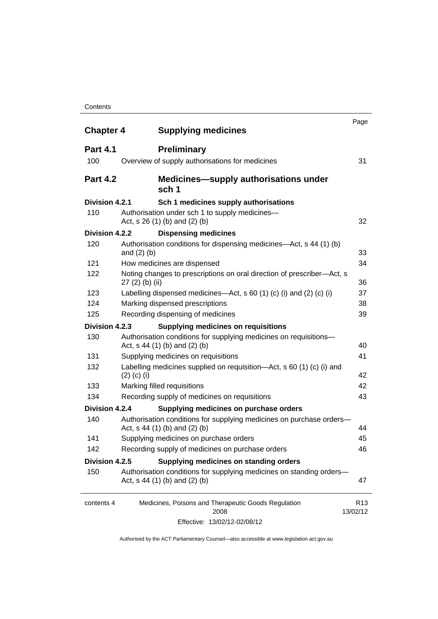#### **Contents**

| <b>Chapter 4</b> | <b>Supplying medicines</b>                                                                              | Page                                         |
|------------------|---------------------------------------------------------------------------------------------------------|----------------------------------------------|
| <b>Part 4.1</b>  | <b>Preliminary</b>                                                                                      |                                              |
| 100              | Overview of supply authorisations for medicines                                                         | 31                                           |
| <b>Part 4.2</b>  | sch 1                                                                                                   | <b>Medicines—supply authorisations under</b> |
| Division 4.2.1   | Sch 1 medicines supply authorisations                                                                   |                                              |
| 110              | Authorisation under sch 1 to supply medicines-<br>Act, s 26 (1) (b) and (2) (b)                         | 32                                           |
| Division 4.2.2   | <b>Dispensing medicines</b>                                                                             |                                              |
| 120              | Authorisation conditions for dispensing medicines—Act, s 44 (1) (b)<br>and $(2)$ $(b)$                  | 33                                           |
| 121              | How medicines are dispensed                                                                             | 34                                           |
| 122              | Noting changes to prescriptions on oral direction of prescriber-Act, s<br>$27(2)$ (b) (ii)              | 36                                           |
| 123              | Labelling dispensed medicines—Act, s 60 (1) (c) (i) and (2) (c) (i)                                     | 37                                           |
| 124              | Marking dispensed prescriptions                                                                         | 38                                           |
| 125              | Recording dispensing of medicines                                                                       | 39                                           |
| Division 4.2.3   | <b>Supplying medicines on requisitions</b>                                                              |                                              |
| 130              | Authorisation conditions for supplying medicines on requisitions-<br>Act, $s$ 44 (1) (b) and (2) (b)    | 40                                           |
| 131              | Supplying medicines on requisitions                                                                     | 41                                           |
| 132              | Labelling medicines supplied on requisition—Act, s 60 (1) (c) (i) and<br>$(2)$ (c) (i)                  | 42                                           |
| 133              | Marking filled requisitions                                                                             | 42                                           |
| 134              | Recording supply of medicines on requisitions                                                           | 43                                           |
| Division 4.2.4   | Supplying medicines on purchase orders                                                                  |                                              |
| 140              | Authorisation conditions for supplying medicines on purchase orders-<br>Act, $s$ 44 (1) (b) and (2) (b) | 44                                           |
| 141              | Supplying medicines on purchase orders                                                                  | 45                                           |
| 142              | Recording supply of medicines on purchase orders                                                        | 46                                           |
| Division 4.2.5   | Supplying medicines on standing orders                                                                  |                                              |
| 150              | Authorisation conditions for supplying medicines on standing orders-<br>Act, $s$ 44 (1) (b) and (2) (b) | 47                                           |
| contents 4       | Medicines, Poisons and Therapeutic Goods Regulation<br>2008                                             | R <sub>13</sub><br>13/02/12                  |
|                  | Effective: 13/02/12-02/08/12                                                                            |                                              |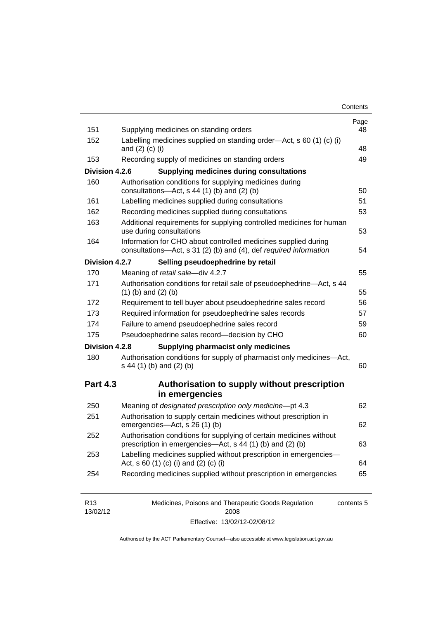| Contents |
|----------|
|----------|

| 151<br>152      | Supplying medicines on standing orders<br>Labelling medicines supplied on standing order-Act, s 60 (1) (c) (i)                      |    |
|-----------------|-------------------------------------------------------------------------------------------------------------------------------------|----|
|                 | and $(2)$ $(c)$ $(i)$                                                                                                               | 48 |
| 153             | Recording supply of medicines on standing orders                                                                                    | 49 |
| Division 4.2.6  | <b>Supplying medicines during consultations</b>                                                                                     |    |
| 160             | Authorisation conditions for supplying medicines during<br>consultations-Act, s 44 (1) (b) and (2) (b)                              | 50 |
| 161             | Labelling medicines supplied during consultations                                                                                   | 51 |
| 162             | Recording medicines supplied during consultations                                                                                   | 53 |
| 163             | Additional requirements for supplying controlled medicines for human<br>use during consultations                                    | 53 |
| 164             | Information for CHO about controlled medicines supplied during<br>consultations-Act, s 31 (2) (b) and (4), def required information | 54 |
| Division 4.2.7  | Selling pseudoephedrine by retail                                                                                                   |    |
| 170             | Meaning of retail sale-div 4.2.7                                                                                                    | 55 |
| 171             | Authorisation conditions for retail sale of pseudoephedrine-Act, s 44<br>$(1)$ (b) and $(2)$ (b)                                    | 55 |
| 172             | Requirement to tell buyer about pseudoephedrine sales record                                                                        | 56 |
| 173             | Required information for pseudoephedrine sales records                                                                              | 57 |
| 174             | Failure to amend pseudoephedrine sales record                                                                                       | 59 |
| 175             | Pseudoephedrine sales record-decision by CHO                                                                                        | 60 |
| Division 4.2.8  | <b>Supplying pharmacist only medicines</b>                                                                                          |    |
| 180             | Authorisation conditions for supply of pharmacist only medicines-Act,<br>s 44 (1) (b) and (2) (b)                                   | 60 |
| <b>Part 4.3</b> | Authorisation to supply without prescription<br>in emergencies                                                                      |    |
| 250             | Meaning of designated prescription only medicine-pt 4.3                                                                             | 62 |
| 251             | Authorisation to supply certain medicines without prescription in<br>emergencies-Act, s 26 (1) (b)                                  | 62 |
| 252             | Authorisation conditions for supplying of certain medicines without<br>prescription in emergencies—Act, s 44 (1) (b) and (2) (b)    | 63 |
| 253             | Labelling medicines supplied without prescription in emergencies-<br>Act, s 60 (1) (c) (i) and (2) (c) (i)                          | 64 |
| 254             | Recording medicines supplied without prescription in emergencies                                                                    | 65 |

| R <sub>13</sub> | Medicines, Poisons and Therapeutic Goods Regulation | contents 5 |
|-----------------|-----------------------------------------------------|------------|
| 13/02/12        | 2008                                                |            |
|                 | Effective: 13/02/12-02/08/12                        |            |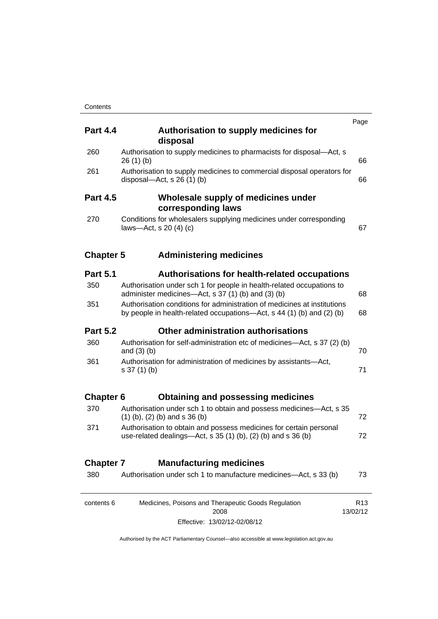| <b>Part 4.4</b>  | Authorisation to supply medicines for<br>disposal                                                                                                 | Page                        |
|------------------|---------------------------------------------------------------------------------------------------------------------------------------------------|-----------------------------|
| 260              | Authorisation to supply medicines to pharmacists for disposal-Act, s<br>26(1)(b)                                                                  | 66                          |
| 261              | Authorisation to supply medicines to commercial disposal operators for<br>disposal—Act, s $26(1)(b)$                                              | 66                          |
| <b>Part 4.5</b>  | Wholesale supply of medicines under<br>corresponding laws                                                                                         |                             |
| 270              | Conditions for wholesalers supplying medicines under corresponding<br>laws-Act, s 20 (4) (c)                                                      | 67                          |
| <b>Chapter 5</b> | <b>Administering medicines</b>                                                                                                                    |                             |
| <b>Part 5.1</b>  | <b>Authorisations for health-related occupations</b>                                                                                              |                             |
| 350              | Authorisation under sch 1 for people in health-related occupations to<br>administer medicines—Act, s 37 (1) (b) and (3) (b)                       | 68                          |
| 351              | Authorisation conditions for administration of medicines at institutions<br>by people in health-related occupations—Act, s 44 (1) (b) and (2) (b) |                             |
| <b>Part 5.2</b>  | Other administration authorisations                                                                                                               |                             |
| 360              | Authorisation for self-administration etc of medicines—Act, s 37 (2) (b)<br>and $(3)$ $(b)$                                                       | 70                          |
| 361              | Authorisation for administration of medicines by assistants-Act,<br>$s 37(1)$ (b)                                                                 | 71                          |
| <b>Chapter 6</b> | <b>Obtaining and possessing medicines</b>                                                                                                         |                             |
| 370              | Authorisation under sch 1 to obtain and possess medicines—Act, s 35<br>$(1)$ (b), (2) (b) and s 36 (b)                                            | 72                          |
| 371              | Authorisation to obtain and possess medicines for certain personal<br>use-related dealings—Act, s 35 (1) (b), (2) (b) and s 36 (b)                | 72                          |
| <b>Chapter 7</b> | <b>Manufacturing medicines</b>                                                                                                                    |                             |
| 380              | Authorisation under sch 1 to manufacture medicines-Act, s 33 (b)                                                                                  | 73                          |
| contents 6       | Medicines, Poisons and Therapeutic Goods Regulation<br>2008                                                                                       | R <sub>13</sub><br>13/02/12 |
|                  | Effective: 13/02/12-02/08/12                                                                                                                      |                             |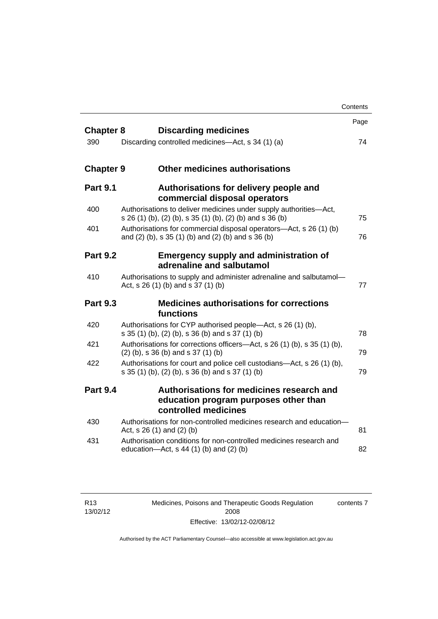|                  |                                                                                                                                | Contents |
|------------------|--------------------------------------------------------------------------------------------------------------------------------|----------|
| <b>Chapter 8</b> | <b>Discarding medicines</b>                                                                                                    | Page     |
| 390              | Discarding controlled medicines—Act, s 34 (1) (a)                                                                              | 74       |
| <b>Chapter 9</b> | <b>Other medicines authorisations</b>                                                                                          |          |
| <b>Part 9.1</b>  | Authorisations for delivery people and<br>commercial disposal operators                                                        |          |
| 400              | Authorisations to deliver medicines under supply authorities-Act,<br>s 26 (1) (b), (2) (b), s 35 (1) (b), (2) (b) and s 36 (b) | 75       |
| 401              | Authorisations for commercial disposal operators-Act, s 26 (1) (b)<br>and (2) (b), s 35 (1) (b) and (2) (b) and s 36 (b)       | 76       |
| <b>Part 9.2</b>  | <b>Emergency supply and administration of</b><br>adrenaline and salbutamol                                                     |          |
| 410              | Authorisations to supply and administer adrenaline and salbutamol-<br>Act, s 26 (1) (b) and s 37 (1) (b)                       | 77       |
| <b>Part 9.3</b>  | <b>Medicines authorisations for corrections</b><br>functions                                                                   |          |
| 420              | Authorisations for CYP authorised people—Act, s 26 (1) (b),<br>s 35 (1) (b), (2) (b), s 36 (b) and s 37 (1) (b)                | 78       |
| 421              | Authorisations for corrections officers—Act, s 26 (1) (b), s 35 (1) (b),<br>$(2)$ (b), s 36 (b) and s 37 (1) (b)               | 79       |
| 422              | Authorisations for court and police cell custodians-Act, s 26 (1) (b),<br>s 35 (1) (b), (2) (b), s 36 (b) and s 37 (1) (b)     | 79       |
| <b>Part 9.4</b>  | Authorisations for medicines research and<br>education program purposes other than<br>controlled medicines                     |          |
| 430              | Authorisations for non-controlled medicines research and education-<br>Act, $s$ 26 (1) and (2) (b)                             | 81       |
| 431              | Authorisation conditions for non-controlled medicines research and<br>education- $Act$ , s 44 (1) (b) and (2) (b)              | 82       |

Medicines, Poisons and Therapeutic Goods Regulation 2008 Effective: 13/02/12-02/08/12 contents 7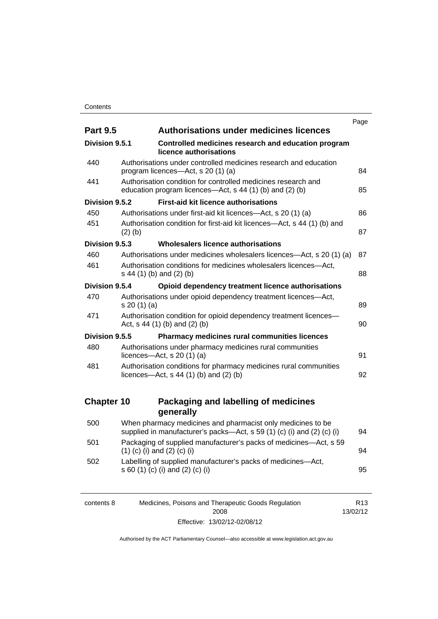|                                                                                                                                       | Page |
|---------------------------------------------------------------------------------------------------------------------------------------|------|
| <b>Authorisations under medicines licences</b><br><b>Part 9.5</b>                                                                     |      |
| Division 9.5.1<br>Controlled medicines research and education program<br>licence authorisations                                       |      |
| Authorisations under controlled medicines research and education<br>program licences-Act, s 20 (1) (a)                                | 84   |
| Authorisation condition for controlled medicines research and<br>education program licences—Act, s 44 (1) (b) and (2) (b)             | 85   |
| <b>First-aid kit licence authorisations</b><br>Division 9.5.2                                                                         |      |
| Authorisations under first-aid kit licences—Act, s 20 (1) (a)                                                                         | 86   |
| Authorisation condition for first-aid kit licences—Act, s 44 (1) (b) and<br>$(2)$ $(b)$                                               | 87   |
| Division 9.5.3<br>Wholesalers licence authorisations                                                                                  |      |
| Authorisations under medicines wholesalers licences—Act, s 20 (1) (a)                                                                 | 87   |
| Authorisation conditions for medicines wholesalers licences-Act,<br>s 44 (1) (b) and (2) (b)                                          | 88   |
| Division 9.5.4<br>Opioid dependency treatment licence authorisations                                                                  |      |
| Authorisations under opioid dependency treatment licences-Act,<br>s 20(1)(a)                                                          | 89   |
| Authorisation condition for opioid dependency treatment licences-<br>Act, $s$ 44 (1) (b) and (2) (b)                                  | 90   |
| Division 9.5.5<br>Pharmacy medicines rural communities licences                                                                       |      |
| Authorisations under pharmacy medicines rural communities<br>licences- $-\text{Act}$ , s 20 (1) (a)                                   | 91   |
| Authorisation conditions for pharmacy medicines rural communities<br>licences- $-\text{Act}$ , s 44 (1) (b) and (2) (b)               | 92   |
| <b>Chapter 10</b><br>Packaging and labelling of medicines                                                                             |      |
| generally                                                                                                                             |      |
| When pharmacy medicines and pharmacist only medicines to be<br>supplied in manufacturer's packs-Act, s 59 (1) (c) (i) and (2) (c) (i) | 94   |
| Packaging of supplied manufacturer's packs of medicines-Act, s 59<br>$(1)$ (c) (i) and (2) (c) (i)                                    | 94   |
| Labelling of supplied manufacturer's packs of medicines-Act,<br>s 60 (1) (c) (i) and (2) (c) (i)                                      | 95   |
|                                                                                                                                       |      |

| contents 8 | Medicines, Poisons and Therapeutic Goods Regulation | R13      |
|------------|-----------------------------------------------------|----------|
|            | 2008                                                | 13/02/12 |
|            | Effective: 13/02/12-02/08/12                        |          |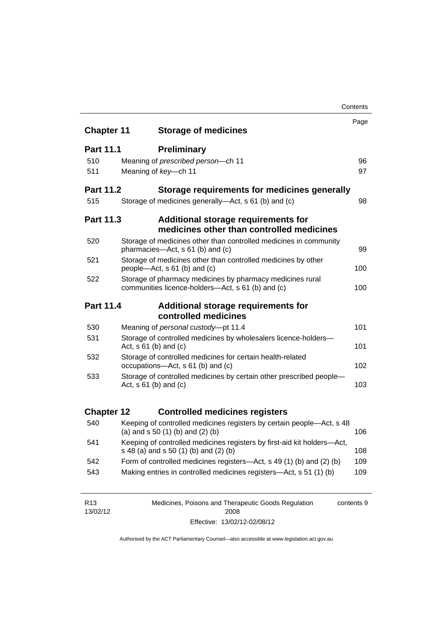|                                                                                                      | Contents                                                                                                         |      |
|------------------------------------------------------------------------------------------------------|------------------------------------------------------------------------------------------------------------------|------|
|                                                                                                      |                                                                                                                  | Page |
| <b>Chapter 11</b>                                                                                    | <b>Storage of medicines</b>                                                                                      |      |
| <b>Part 11.1</b>                                                                                     | <b>Preliminary</b>                                                                                               |      |
| 510                                                                                                  | Meaning of prescribed person-ch 11                                                                               | 96   |
| 511                                                                                                  | Meaning of key-ch 11                                                                                             | 97   |
| <b>Part 11.2</b>                                                                                     | Storage requirements for medicines generally                                                                     |      |
| 515                                                                                                  | Storage of medicines generally—Act, s 61 (b) and (c)                                                             | 98   |
| <b>Part 11.3</b><br>Additional storage requirements for<br>medicines other than controlled medicines |                                                                                                                  |      |
| 520                                                                                                  | Storage of medicines other than controlled medicines in community<br>pharmacies-Act, s 61 (b) and (c)            | 99   |
| 521                                                                                                  | Storage of medicines other than controlled medicines by other<br>people—Act, $s$ 61 (b) and (c)                  | 100  |
| 522                                                                                                  | Storage of pharmacy medicines by pharmacy medicines rural<br>communities licence-holders-Act, s 61 (b) and (c)   | 100  |
| <b>Part 11.4</b>                                                                                     | Additional storage requirements for                                                                              |      |
|                                                                                                      | controlled medicines                                                                                             |      |
| 530                                                                                                  | Meaning of personal custody-pt 11.4                                                                              | 101  |
| 531                                                                                                  | Storage of controlled medicines by wholesalers licence-holders-<br>Act, $s \ 61$ (b) and (c)                     | 101  |
| 532                                                                                                  | Storage of controlled medicines for certain health-related<br>occupations-Act, s 61 (b) and (c)                  | 102  |
| 533                                                                                                  | Storage of controlled medicines by certain other prescribed people-<br>Act, $s \ 61$ (b) and (c)                 | 103  |
|                                                                                                      |                                                                                                                  |      |
| <b>Chapter 12</b>                                                                                    | <b>Controlled medicines registers</b>                                                                            |      |
| 540                                                                                                  | Keeping of controlled medicines registers by certain people-Act, s 48<br>(a) and $s$ 50 (1) (b) and (2) (b)      | 106  |
| 541                                                                                                  | Keeping of controlled medicines registers by first-aid kit holders-Act,<br>s 48 (a) and s 50 (1) (b) and (2) (b) | 108  |
| 542                                                                                                  | Form of controlled medicines registers—Act, s 49 (1) (b) and (2) (b)                                             | 109  |
| 543                                                                                                  | Making entries in controlled medicines registers-Act, s 51 (1) (b)                                               | 109  |
|                                                                                                      |                                                                                                                  |      |

| R13      | Medicines, Poisons and Therapeutic Goods Regulation | contents 9 |
|----------|-----------------------------------------------------|------------|
| 13/02/12 | 2008                                                |            |
|          | Effective: 13/02/12-02/08/12                        |            |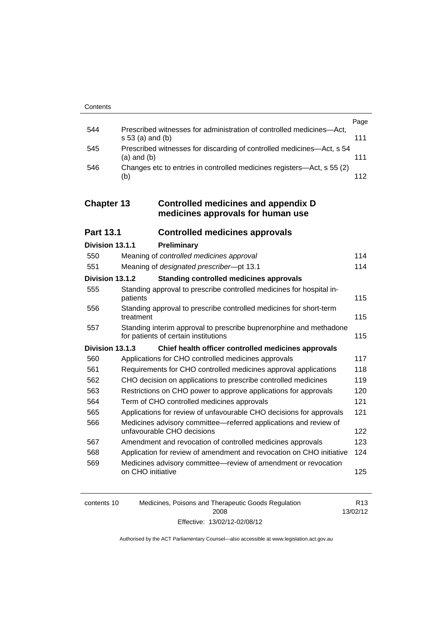|     |                                                                                            | Page |
|-----|--------------------------------------------------------------------------------------------|------|
| 544 | Prescribed witnesses for administration of controlled medicines-Act,<br>$s 53$ (a) and (b) | 111  |
| 545 | Prescribed witnesses for discarding of controlled medicines—Act, s 54<br>$(a)$ and $(b)$   | 111  |
| 546 | Changes etc to entries in controlled medicines registers—Act, s 55 (2)<br>(b)              | 112  |
|     |                                                                                            |      |

### **Chapter 13 [Controlled medicines and appendix D](#page-137-0)  [medicines approvals for human use](#page-137-0)**

| <b>Part 13.1</b> | <b>Controlled medicines approvals</b> |  |
|------------------|---------------------------------------|--|
|------------------|---------------------------------------|--|

| Division 13.1.1 |                   | Preliminary                                                                                                |     |
|-----------------|-------------------|------------------------------------------------------------------------------------------------------------|-----|
| 550             |                   | Meaning of controlled medicines approval                                                                   | 114 |
| 551             |                   | Meaning of designated prescriber-pt 13.1                                                                   | 114 |
| Division 13.1.2 |                   | <b>Standing controlled medicines approvals</b>                                                             |     |
| 555             | patients          | Standing approval to prescribe controlled medicines for hospital in-                                       | 115 |
| 556             | treatment         | Standing approval to prescribe controlled medicines for short-term                                         | 115 |
| 557             |                   | Standing interim approval to prescribe buprenorphine and methadone<br>for patients of certain institutions | 115 |
| Division 13.1.3 |                   | Chief health officer controlled medicines approvals                                                        |     |
| 560             |                   | Applications for CHO controlled medicines approvals                                                        | 117 |
| 561             |                   | Requirements for CHO controlled medicines approval applications                                            | 118 |
| 562             |                   | CHO decision on applications to prescribe controlled medicines                                             | 119 |
| 563             |                   | Restrictions on CHO power to approve applications for approvals                                            | 120 |
| 564             |                   | Term of CHO controlled medicines approvals                                                                 | 121 |
| 565             |                   | Applications for review of unfavourable CHO decisions for approvals                                        | 121 |
| 566             |                   | Medicines advisory committee—referred applications and review of<br>unfavourable CHO decisions             | 122 |
| 567             |                   | Amendment and revocation of controlled medicines approvals                                                 | 123 |
| 568             |                   | Application for review of amendment and revocation on CHO initiative                                       | 124 |
| 569             | on CHO initiative | Medicines advisory committee—review of amendment or revocation                                             | 125 |

| contents 10 | Medicines, Poisons and Therapeutic Goods Regulation | R <sub>13</sub> |
|-------------|-----------------------------------------------------|-----------------|
|             | 2008                                                | 13/02/12        |
|             | Effective: 13/02/12-02/08/12                        |                 |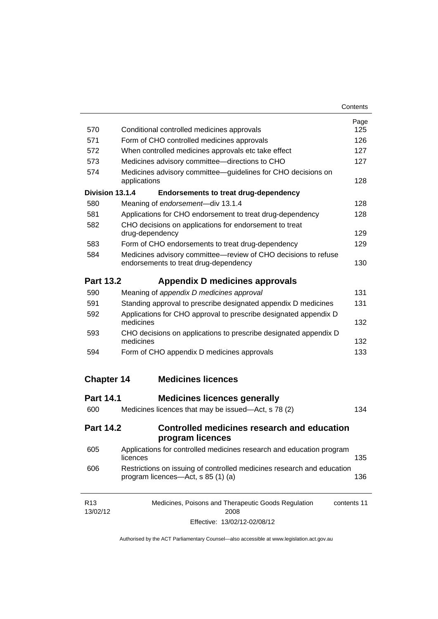| Contents |
|----------|
|----------|

| 570                         | Conditional controlled medicines approvals                                                                          | Page<br>125 |  |  |
|-----------------------------|---------------------------------------------------------------------------------------------------------------------|-------------|--|--|
| 571                         | Form of CHO controlled medicines approvals                                                                          | 126         |  |  |
| 572                         | When controlled medicines approvals etc take effect                                                                 | 127         |  |  |
| 573                         | Medicines advisory committee-directions to CHO                                                                      |             |  |  |
| 574                         | Medicines advisory committee—guidelines for CHO decisions on<br>applications                                        | 127<br>128  |  |  |
| Division 13.1.4             | <b>Endorsements to treat drug-dependency</b>                                                                        |             |  |  |
| 580                         | Meaning of endorsement-div 13.1.4                                                                                   | 128         |  |  |
| 581                         | Applications for CHO endorsement to treat drug-dependency                                                           | 128         |  |  |
| 582                         | CHO decisions on applications for endorsement to treat<br>drug-dependency                                           | 129         |  |  |
| 583                         | Form of CHO endorsements to treat drug-dependency                                                                   | 129         |  |  |
| 584                         | Medicines advisory committee-review of CHO decisions to refuse<br>endorsements to treat drug-dependency             | 130         |  |  |
| <b>Part 13.2</b>            | Appendix D medicines approvals                                                                                      |             |  |  |
| 590                         | Meaning of appendix D medicines approval                                                                            | 131         |  |  |
| 591                         | Standing approval to prescribe designated appendix D medicines                                                      |             |  |  |
| 592                         | Applications for CHO approval to prescribe designated appendix D<br>medicines                                       |             |  |  |
| 593                         | CHO decisions on applications to prescribe designated appendix D<br>medicines                                       | 132         |  |  |
| 594                         | Form of CHO appendix D medicines approvals                                                                          | 133         |  |  |
| <b>Chapter 14</b>           | <b>Medicines licences</b>                                                                                           |             |  |  |
| <b>Part 14.1</b>            | <b>Medicines licences generally</b>                                                                                 |             |  |  |
| 600                         | Medicines licences that may be issued—Act, s 78 (2)                                                                 | 134         |  |  |
| <b>Part 14.2</b>            | Controlled medicines research and education<br>program licences                                                     |             |  |  |
| 605                         | Applications for controlled medicines research and education program<br>licences                                    | 135         |  |  |
| 606                         | Restrictions on issuing of controlled medicines research and education<br>program licences—Act, s 85 (1) (a)<br>136 |             |  |  |
| R <sub>13</sub><br>13/02/12 | Medicines, Poisons and Therapeutic Goods Regulation<br>2008                                                         | contents 11 |  |  |

Effective: 13/02/12-02/08/12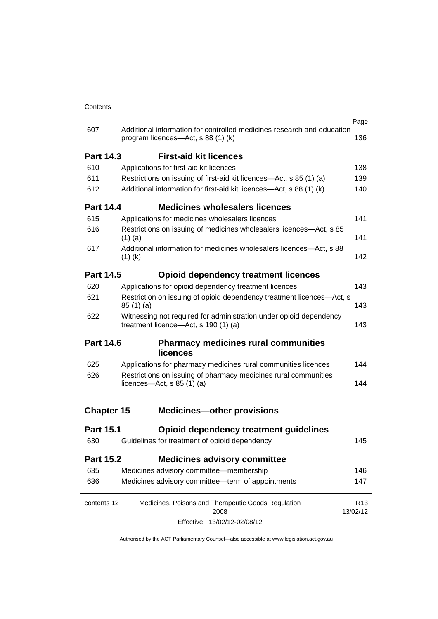|                   |                                                                                                            |                                                                        | Page                        |  |
|-------------------|------------------------------------------------------------------------------------------------------------|------------------------------------------------------------------------|-----------------------------|--|
| 607               | program licences—Act, s 88 (1) (k)                                                                         | Additional information for controlled medicines research and education | 136                         |  |
| <b>Part 14.3</b>  | <b>First-aid kit licences</b>                                                                              |                                                                        |                             |  |
| 610               | Applications for first-aid kit licences                                                                    |                                                                        |                             |  |
| 611               | Restrictions on issuing of first-aid kit licences—Act, s 85 (1) (a)                                        |                                                                        |                             |  |
| 612               |                                                                                                            | Additional information for first-aid kit licences—Act, s 88 (1) (k)    | 140                         |  |
| <b>Part 14.4</b>  |                                                                                                            | <b>Medicines wholesalers licences</b>                                  |                             |  |
| 615               | Applications for medicines wholesalers licences                                                            |                                                                        | 141                         |  |
| 616               | $(1)$ (a)                                                                                                  | Restrictions on issuing of medicines wholesalers licences—Act, s 85    | 141                         |  |
| 617               | $(1)$ (k)                                                                                                  | Additional information for medicines wholesalers licences—Act, s 88    | 142                         |  |
| <b>Part 14.5</b>  |                                                                                                            | <b>Opioid dependency treatment licences</b>                            |                             |  |
| 620               | Applications for opioid dependency treatment licences                                                      |                                                                        | 143                         |  |
| 621               | Restriction on issuing of opioid dependency treatment licences-Act, s<br>85(1)(a)                          |                                                                        | 143                         |  |
| 622               | Witnessing not required for administration under opioid dependency<br>treatment licence-Act, s 190 (1) (a) |                                                                        | 143                         |  |
| <b>Part 14.6</b>  | <b>licences</b>                                                                                            | <b>Pharmacy medicines rural communities</b>                            |                             |  |
| 625               |                                                                                                            | Applications for pharmacy medicines rural communities licences         | 144                         |  |
| 626               | Restrictions on issuing of pharmacy medicines rural communities<br>licences- $-\text{Act}, s 85 (1) (a)$   |                                                                        | 144                         |  |
| <b>Chapter 15</b> |                                                                                                            | <b>Medicines-other provisions</b>                                      |                             |  |
| <b>Part 15.1</b>  |                                                                                                            | <b>Opioid dependency treatment guidelines</b>                          |                             |  |
| 630               | Guidelines for treatment of opioid dependency                                                              |                                                                        | 145                         |  |
| Part 15.2         |                                                                                                            | <b>Medicines advisory committee</b>                                    |                             |  |
| 635               | Medicines advisory committee-membership                                                                    |                                                                        | 146                         |  |
| 636               | Medicines advisory committee-term of appointments                                                          |                                                                        | 147                         |  |
| contents 12       |                                                                                                            | Medicines, Poisons and Therapeutic Goods Regulation<br>2008            | R <sub>13</sub><br>13/02/12 |  |
|                   |                                                                                                            | Effective: 13/02/12-02/08/12                                           |                             |  |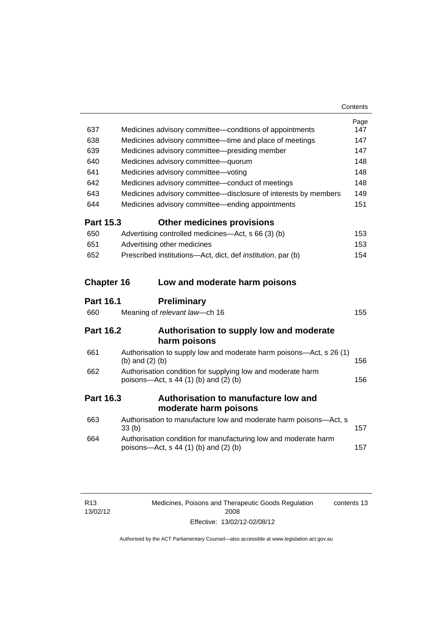| 637              | Medicines advisory committee—conditions of appointments                                                    | Page<br>147 |
|------------------|------------------------------------------------------------------------------------------------------------|-------------|
| 638              | Medicines advisory committee—time and place of meetings                                                    | 147         |
| 639              | Medicines advisory committee-presiding member                                                              | 147         |
| 640              | Medicines advisory committee-quorum                                                                        | 148         |
| 641              | Medicines advisory committee-voting                                                                        | 148         |
| 642              | Medicines advisory committee-conduct of meetings                                                           | 148         |
| 643              | Medicines advisory committee-disclosure of interests by members                                            | 149         |
| 644              | Medicines advisory committee—ending appointments                                                           | 151         |
| <b>Part 15.3</b> | <b>Other medicines provisions</b>                                                                          |             |
| 650              | Advertising controlled medicines—Act, s 66 (3) (b)                                                         | 153         |
| 651              | Advertising other medicines                                                                                | 153         |
| 652              | Prescribed institutions—Act, dict, def <i>institution</i> , par (b)                                        | 154         |
|                  | <b>Chapter 16</b><br>Low and moderate harm poisons                                                         |             |
|                  |                                                                                                            |             |
| <b>Part 16.1</b> | <b>Preliminary</b>                                                                                         |             |
| 660              | Meaning of relevant law-ch 16                                                                              | 155         |
| <b>Part 16.2</b> | Authorisation to supply low and moderate                                                                   |             |
|                  | harm poisons                                                                                               |             |
| 661              | Authorisation to supply low and moderate harm poisons-Act, s 26 (1)<br>(b) and $(2)$ (b)                   | 156         |
| 662              | Authorisation condition for supplying low and moderate harm<br>poisons-Act, s 44 (1) (b) and (2) (b)       | 156         |
| <b>Part 16.3</b> | Authorisation to manufacture low and                                                                       |             |
|                  | moderate harm poisons                                                                                      |             |
| 663              | Authorisation to manufacture low and moderate harm poisons-Act, s<br>33 <sub>(b)</sub>                     | 157         |
| 664              | Authorisation condition for manufacturing low and moderate harm<br>poisons-Act, $s$ 44 (1) (b) and (2) (b) | 157         |

Medicines, Poisons and Therapeutic Goods Regulation 2008 Effective: 13/02/12-02/08/12 contents 13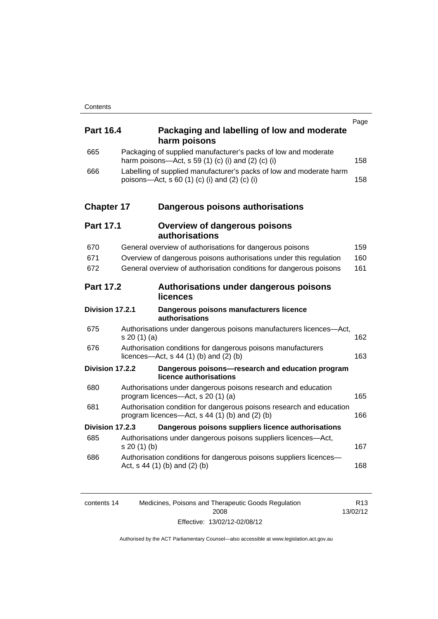| <b>Part 16.4</b>  | Packaging and labelling of low and moderate<br>harm poisons                                                              | Page |
|-------------------|--------------------------------------------------------------------------------------------------------------------------|------|
| 665               | Packaging of supplied manufacturer's packs of low and moderate<br>harm poisons—Act, s 59 (1) (c) (i) and (2) (c) (i)     | 158  |
| 666               | Labelling of supplied manufacturer's packs of low and moderate harm<br>poisons—Act, s 60 (1) (c) (i) and (2) (c) (i)     | 158  |
| <b>Chapter 17</b> | Dangerous poisons authorisations                                                                                         |      |
| <b>Part 17.1</b>  | <b>Overview of dangerous poisons</b><br>authorisations                                                                   |      |
| 670               | General overview of authorisations for dangerous poisons                                                                 | 159  |
| 671               | Overview of dangerous poisons authorisations under this regulation                                                       | 160  |
| 672               | General overview of authorisation conditions for dangerous poisons                                                       | 161  |
| <b>Part 17.2</b>  | Authorisations under dangerous poisons<br>licences                                                                       |      |
| Division 17.2.1   | Dangerous poisons manufacturers licence<br>authorisations                                                                |      |
| 675               | Authorisations under dangerous poisons manufacturers licences-Act,<br>s 20 (1) (a)                                       | 162  |
| 676               | Authorisation conditions for dangerous poisons manufacturers<br>licences—Act, $s$ 44 (1) (b) and (2) (b)                 | 163  |
| Division 17.2.2   | Dangerous poisons-research and education program<br>licence authorisations                                               |      |
| 680               | Authorisations under dangerous poisons research and education<br>program licences-Act, s 20 (1) (a)                      | 165  |
| 681               | Authorisation condition for dangerous poisons research and education<br>program licences—Act, $s$ 44 (1) (b) and (2) (b) | 166  |
| Division 17.2.3   | Dangerous poisons suppliers licence authorisations                                                                       |      |
| 685               | Authorisations under dangerous poisons suppliers licences—Act,<br>s 20(1)(b)                                             | 167  |
| 686               | Authorisation conditions for dangerous poisons suppliers licences-<br>Act, $s$ 44 (1) (b) and (2) (b)                    | 168  |
|                   |                                                                                                                          |      |

| contents 14 | Medicines, Poisons and Therapeutic Goods Regulation | R <sub>13</sub> |
|-------------|-----------------------------------------------------|-----------------|
|             | 2008                                                | 13/02/12        |
|             | Effective: 13/02/12-02/08/12                        |                 |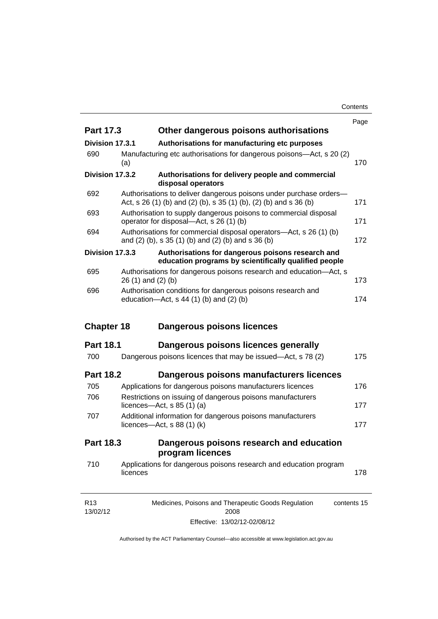**Contents** 

|                             |          |                                                                                                                                         | Page        |
|-----------------------------|----------|-----------------------------------------------------------------------------------------------------------------------------------------|-------------|
| <b>Part 17.3</b>            |          | Other dangerous poisons authorisations                                                                                                  |             |
| Division 17.3.1             |          | Authorisations for manufacturing etc purposes                                                                                           |             |
| 690                         | (a)      | Manufacturing etc authorisations for dangerous poisons-Act, s 20 (2)                                                                    | 170         |
| Division 17.3.2             |          | Authorisations for delivery people and commercial<br>disposal operators                                                                 |             |
| 692                         |          | Authorisations to deliver dangerous poisons under purchase orders-<br>Act, s 26 (1) (b) and (2) (b), s 35 (1) (b), (2) (b) and s 36 (b) | 171         |
| 693                         |          | Authorisation to supply dangerous poisons to commercial disposal<br>operator for disposal—Act, s 26 (1) (b)                             | 171         |
| 694                         |          | Authorisations for commercial disposal operators—Act, s 26 (1) (b)<br>and (2) (b), s 35 (1) (b) and (2) (b) and s 36 (b)                | 172         |
| Division 17.3.3             |          | Authorisations for dangerous poisons research and<br>education programs by scientifically qualified people                              |             |
| 695                         |          | Authorisations for dangerous poisons research and education-Act, s<br>26 (1) and (2) (b)                                                | 173         |
| 696                         |          | Authorisation conditions for dangerous poisons research and<br>education- $Act$ , s 44 (1) (b) and (2) (b)                              | 174         |
| <b>Chapter 18</b>           |          | Dangerous poisons licences                                                                                                              |             |
| <b>Part 18.1</b>            |          | Dangerous poisons licences generally                                                                                                    |             |
| 700                         |          | Dangerous poisons licences that may be issued-Act, s 78 (2)                                                                             | 175         |
| <b>Part 18.2</b>            |          | Dangerous poisons manufacturers licences                                                                                                |             |
| 705                         |          | Applications for dangerous poisons manufacturers licences                                                                               | 176         |
| 706                         |          | Restrictions on issuing of dangerous poisons manufacturers<br>licences—Act, $s$ 85 (1) (a)                                              |             |
| 707                         |          | Additional information for dangerous poisons manufacturers<br>licences-Act, s 88 (1) (k)                                                | 177         |
| <b>Part 18.3</b>            |          | Dangerous poisons research and education<br>program licences                                                                            |             |
| 710                         | licences | Applications for dangerous poisons research and education program                                                                       | 178         |
| R <sub>13</sub><br>13/02/12 |          | Medicines, Poisons and Therapeutic Goods Regulation<br>2008                                                                             | contents 15 |

Effective: 13/02/12-02/08/12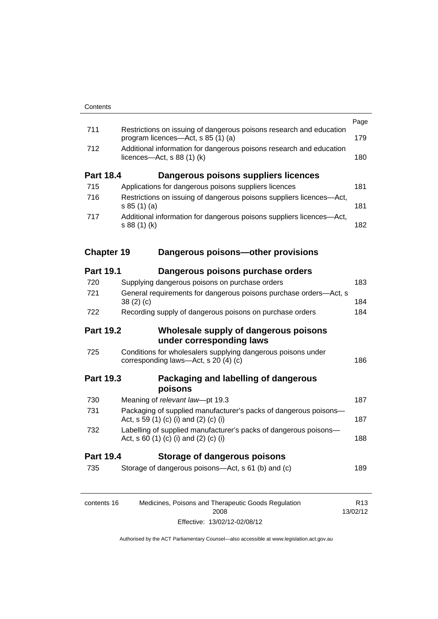| 735               | Storage of dangerous poisons-Act, s 61 (b) and (c)                                                                            | 189  |
|-------------------|-------------------------------------------------------------------------------------------------------------------------------|------|
| <b>Part 19.4</b>  | Storage of dangerous poisons                                                                                                  |      |
| 732               | Labelling of supplied manufacturer's packs of dangerous poisons-<br>Act, s 60 (1) (c) (i) and (2) (c) (i)                     | 188  |
| 731               | Packaging of supplied manufacturer's packs of dangerous poisons-<br>Act, s 59 (1) (c) (i) and (2) (c) (i)                     | 187  |
| 730               | poisons<br>Meaning of relevant law-pt 19.3                                                                                    | 187  |
| <b>Part 19.3</b>  | Packaging and labelling of dangerous                                                                                          |      |
| 725               | Conditions for wholesalers supplying dangerous poisons under<br>corresponding laws—Act, s 20 (4) (c)                          | 186  |
| <b>Part 19.2</b>  | Wholesale supply of dangerous poisons<br>under corresponding laws                                                             |      |
| 722               | Recording supply of dangerous poisons on purchase orders                                                                      | 184  |
| 721               | General requirements for dangerous poisons purchase orders-Act, s<br>38(2)(c)                                                 | 184  |
| 720               | Supplying dangerous poisons on purchase orders                                                                                | 183  |
| <b>Part 19.1</b>  | Dangerous poisons purchase orders                                                                                             |      |
| <b>Chapter 19</b> | Dangerous poisons-other provisions                                                                                            |      |
| 717               | Additional information for dangerous poisons suppliers licences-Act,<br>s 88 (1) (k)                                          | 182  |
|                   | s 85(1)(a)                                                                                                                    | 181  |
| 715<br>716        | Applications for dangerous poisons suppliers licences<br>Restrictions on issuing of dangerous poisons suppliers licences-Act, | 181  |
| <b>Part 18.4</b>  | Dangerous poisons suppliers licences                                                                                          |      |
| 712               | Additional information for dangerous poisons research and education<br>licences- $-\text{Act}, s 88 (1) (k)$                  | 180  |
|                   | Restrictions on issuing of dangerous poisons research and education<br>program licences—Act, s 85 (1) (a)                     | 179  |
| 711               |                                                                                                                               | Page |

| contents 16 | Medicines, Poisons and Therapeutic Goods Regulation | R <sub>13</sub> |
|-------------|-----------------------------------------------------|-----------------|
|             | 2008                                                | 13/02/12        |
|             | Effective: 13/02/12-02/08/12                        |                 |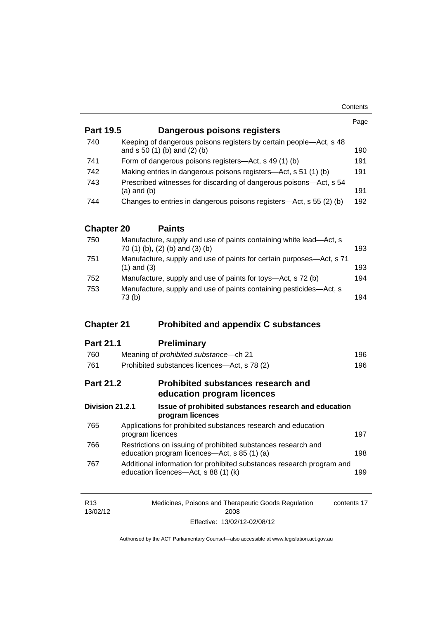| <b>Part 19.5</b>  | Dangerous poisons registers                                                                                   | Page |  |
|-------------------|---------------------------------------------------------------------------------------------------------------|------|--|
| 740               | Keeping of dangerous poisons registers by certain people-Act, s 48                                            |      |  |
|                   | and s 50 (1) (b) and (2) (b)                                                                                  | 190  |  |
| 741               | Form of dangerous poisons registers—Act, s 49 (1) (b)                                                         |      |  |
| 742               | Making entries in dangerous poisons registers—Act, s 51 (1) (b)                                               | 191  |  |
| 743               | Prescribed witnesses for discarding of dangerous poisons-Act, s 54<br>$(a)$ and $(b)$                         | 191  |  |
| 744               | Changes to entries in dangerous poisons registers—Act, s 55 (2) (b)                                           | 192  |  |
| <b>Chapter 20</b> | <b>Paints</b>                                                                                                 |      |  |
| 750               | Manufacture, supply and use of paints containing white lead-Act, s<br>70 (1) (b), (2) (b) and (3) (b)         | 193  |  |
| 751               | Manufacture, supply and use of paints for certain purposes-Act, s 71<br>$(1)$ and $(3)$                       | 193  |  |
| 752               | Manufacture, supply and use of paints for toys—Act, s 72 (b)                                                  | 194  |  |
| 753               | Manufacture, supply and use of paints containing pesticides-Act, s<br>73(b)                                   | 194  |  |
| <b>Chapter 21</b> | <b>Prohibited and appendix C substances</b>                                                                   |      |  |
|                   |                                                                                                               |      |  |
| <b>Part 21.1</b>  | <b>Preliminary</b>                                                                                            |      |  |
| 760               | Meaning of prohibited substance-ch 21                                                                         | 196  |  |
| 761               | Prohibited substances licences-Act, s 78 (2)                                                                  | 196  |  |
| <b>Part 21.2</b>  | Prohibited substances research and<br>education program licences                                              |      |  |
| Division 21.2.1   | Issue of prohibited substances research and education<br>program licences                                     |      |  |
| 765               | Applications for prohibited substances research and education<br>program licences                             | 197  |  |
| 766               | Restrictions on issuing of prohibited substances research and<br>education program licences—Act, s 85 (1) (a) | 198  |  |
|                   |                                                                                                               |      |  |
| 767               | Additional information for prohibited substances research program and<br>education licences-Act, s 88 (1) (k) | 199  |  |

| R13      | Medicines, Poisons and Therapeutic Goods Regulation | contents 17 |
|----------|-----------------------------------------------------|-------------|
| 13/02/12 | 2008                                                |             |
|          | Effective: 13/02/12-02/08/12                        |             |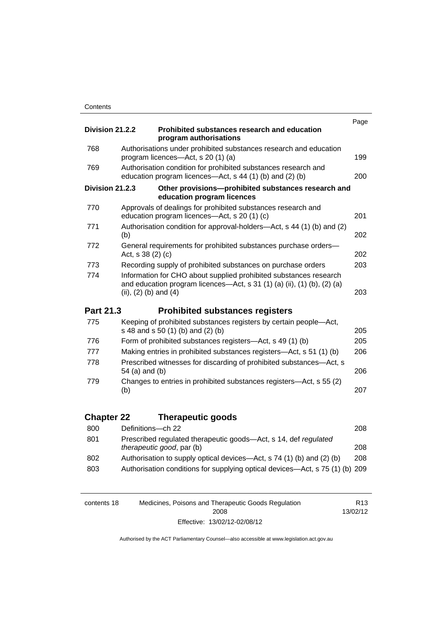|                   |                                                                                                                                                                           | Page |
|-------------------|---------------------------------------------------------------------------------------------------------------------------------------------------------------------------|------|
| Division 21.2.2   | Prohibited substances research and education<br>program authorisations                                                                                                    |      |
| 768               | Authorisations under prohibited substances research and education<br>program licences—Act, s 20 (1) (a)                                                                   | 199  |
| 769               | Authorisation condition for prohibited substances research and<br>education program licences—Act, s 44 (1) (b) and (2) (b)                                                | 200  |
| Division 21.2.3   | Other provisions-prohibited substances research and<br>education program licences                                                                                         |      |
| 770               | Approvals of dealings for prohibited substances research and<br>education program licences—Act, s 20 (1) (c)                                                              | 201  |
| 771               | Authorisation condition for approval-holders-Act, s 44 (1) (b) and (2)<br>(b)                                                                                             | 202  |
| 772               | General requirements for prohibited substances purchase orders-<br>Act, s 38 (2) (c)                                                                                      | 202  |
| 773               | Recording supply of prohibited substances on purchase orders                                                                                                              | 203  |
| 774               | Information for CHO about supplied prohibited substances research<br>and education program licences-Act, s 31 (1) (a) (ii), (1) (b), (2) (a)<br>(ii), $(2)$ (b) and $(4)$ | 203  |
| Part 21.3         | <b>Prohibited substances registers</b>                                                                                                                                    |      |
| 775               | Keeping of prohibited substances registers by certain people-Act,<br>s 48 and s 50 (1) (b) and (2) (b)                                                                    | 205  |
| 776               | Form of prohibited substances registers—Act, s 49 (1) (b)                                                                                                                 | 205  |
| 777               | Making entries in prohibited substances registers—Act, s 51 (1) (b)                                                                                                       | 206  |
| 778               | Prescribed witnesses for discarding of prohibited substances-Act, s<br>54 (a) and (b)                                                                                     | 206  |
| 779               | Changes to entries in prohibited substances registers-Act, s 55 (2)<br>(b)                                                                                                | 207  |
| <b>Chapter 22</b> |                                                                                                                                                                           |      |
|                   |                                                                                                                                                                           |      |
|                   | <b>Therapeutic goods</b>                                                                                                                                                  |      |
| 800               | Definitions-ch 22                                                                                                                                                         | 208  |
| 801               | Prescribed regulated therapeutic goods-Act, s 14, def regulated<br>therapeutic good, par (b)                                                                              | 208  |
| 802<br>803        | Authorisation to supply optical devices—Act, s 74 (1) (b) and (2) (b)<br>Authorisation conditions for supplying optical devices-Act, s 75 (1) (b) 209                     | 208  |

| contents 18 | Medicines, Poisons and Therapeutic Goods Regulation | R <sub>13</sub> |
|-------------|-----------------------------------------------------|-----------------|
|             | 2008                                                | 13/02/12        |
|             | Effective: 13/02/12-02/08/12                        |                 |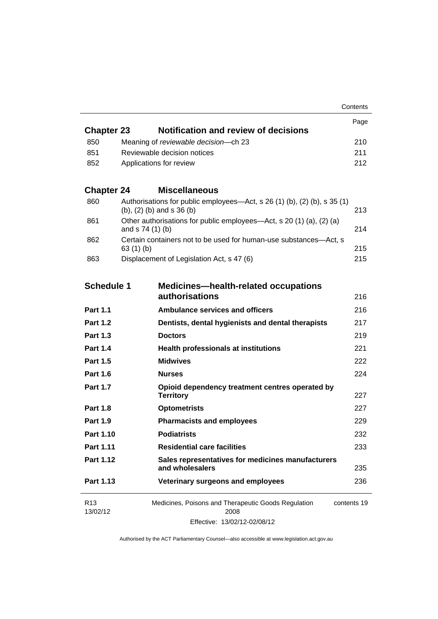Page R13 13/02/12 Medicines, Poisons and Therapeutic Goods Regulation 2008 Effective: 13/02/12-02/08/12 contents 19 **Chapter 23 [Notification and review of decisions](#page-233-0)** 850 Meaning of *reviewable decision—*[ch 23 210](#page-233-1) 851 [Reviewable decision notices 211](#page-234-0) 852 [Applications for review 212](#page-235-0) **Chapter 24 [Miscellaneous](#page-236-0)** 860 [Authorisations for public employees—Act, s 26 \(1\) \(b\), \(2\) \(b\), s 35 \(1\)](#page-236-1)  [\(b\), \(2\) \(b\) and s 36 \(b\) 213](#page-236-1) 861 [Other authorisations for public employees—Act, s 20 \(1\) \(a\), \(2\) \(a\)](#page-237-0)  [and s 74 \(1\) \(b\) 214](#page-237-0) 862 [Certain containers not to be used for human-use substances—Act, s](#page-238-0)  [63 \(1\) \(b\) 215](#page-238-0) 863 [Displacement of Legislation Act, s 47 \(6\) 215](#page-238-1) **Schedule 1 [Medicines—health-related occupations](#page-239-0)  [authorisations](#page-239-0)** [216](#page-239-0) **Part 1.1 [Ambulance services and officers](#page-239-1)** 216 **Part 1.2 [Dentists, dental hygienists and dental therapists](#page-240-0)** 217 **Part 1.3 [Doctors](#page-242-0)** 219 **Part 1.4 [Health professionals at institutions](#page-244-0)** 221 **Part 1.5 [Midwives](#page-245-0)** 222 **Part 1.6 [Nurses](#page-247-0)** 224 **Part 1.7 [Opioid dependency treatment centres operated by](#page-250-0)  [Territory](#page-250-0)** 227 **Part 1.8 [Optometrists](#page-250-1)** 227 **Part 1.9 [Pharmacists and employees](#page-252-0)** 229 **Part 1.10 [Podiatrists](#page-255-0)** 232 **Part 1.11 [Residential care facilities](#page-256-0)** 233 **Part 1.12 [Sales representatives for medicines manufacturers](#page-258-0)  [and wholesalers](#page-258-0)** 235 **Part 1.13 [Veterinary surgeons and employees](#page-259-0)** 236

**Contents**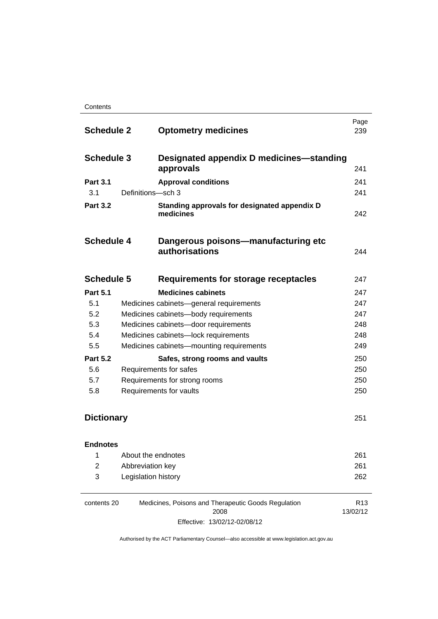**Contents** 

| <b>Schedule 2</b> |                                         | <b>Optometry medicines</b>                                | Page<br>239 |
|-------------------|-----------------------------------------|-----------------------------------------------------------|-------------|
| <b>Schedule 3</b> |                                         | Designated appendix D medicines—standing<br>approvals     | 241         |
| <b>Part 3.1</b>   |                                         | <b>Approval conditions</b>                                | 241         |
| 3.1               | Definitions-sch 3                       |                                                           | 241         |
| <b>Part 3.2</b>   |                                         | Standing approvals for designated appendix D<br>medicines | 242         |
| <b>Schedule 4</b> |                                         | Dangerous poisons—manufacturing etc<br>authorisations     | 244         |
| <b>Schedule 5</b> |                                         | Requirements for storage receptacles                      | 247         |
| <b>Part 5.1</b>   |                                         | <b>Medicines cabinets</b>                                 | 247         |
| 5.1               | Medicines cabinets-general requirements |                                                           | 247         |
| 5.2               | Medicines cabinets-body requirements    |                                                           | 247         |
| 5.3               | Medicines cabinets-door requirements    |                                                           | 248         |
| 5.4               |                                         | Medicines cabinets-lock requirements                      | 248         |
| 5.5               |                                         | Medicines cabinets-mounting requirements                  | 249         |
| <b>Part 5.2</b>   |                                         | Safes, strong rooms and vaults                            | 250         |
| 5.6               |                                         | Requirements for safes                                    | 250         |
| 5.7               | Requirements for strong rooms           |                                                           | 250         |
| 5.8               |                                         | Requirements for vaults                                   | 250         |
| <b>Dictionary</b> |                                         |                                                           | 251         |
| <b>Endnotes</b>   |                                         |                                                           |             |
| 1                 |                                         | About the endnotes                                        | 261         |
| $\overline{2}$    | Abbreviation key                        |                                                           | 261         |
| 3                 | Legislation history                     |                                                           | 262         |
|                   |                                         |                                                           |             |

| contents 20 | Medicines, Poisons and Therapeutic Goods Regulation | R <sub>13</sub> |
|-------------|-----------------------------------------------------|-----------------|
|             | 2008                                                | 13/02/12        |
|             | Effective: 13/02/12-02/08/12                        |                 |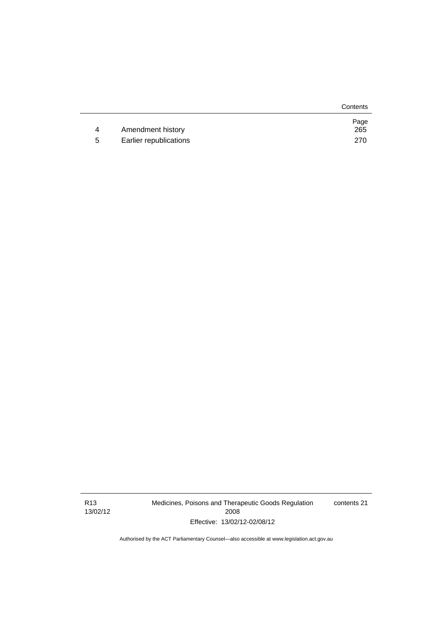|   |                        | Contents    |
|---|------------------------|-------------|
| 4 | Amendment history      | Page<br>265 |
|   |                        |             |
| 5 | Earlier republications | 270         |

R13 13/02/12 Medicines, Poisons and Therapeutic Goods Regulation 2008 Effective: 13/02/12-02/08/12

contents 21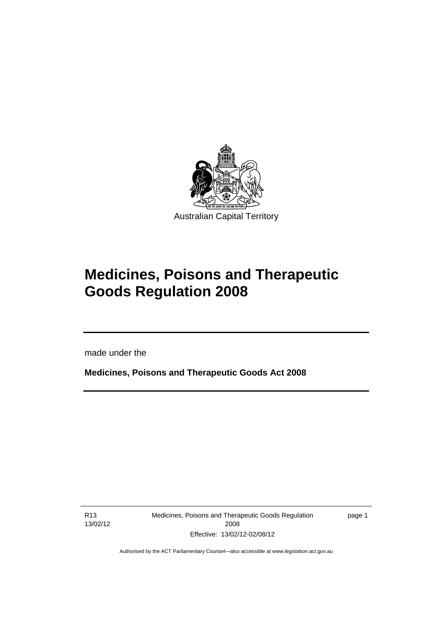

# **Medicines, Poisons and Therapeutic Goods Regulation 2008**

made under the

**Medicines, Poisons and Therapeutic Goods Act 2008** 

R13 13/02/12

Ī

Medicines, Poisons and Therapeutic Goods Regulation 2008 Effective: 13/02/12-02/08/12

page 1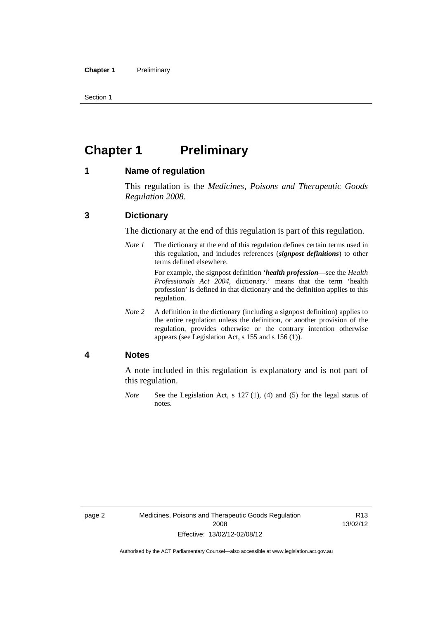Section 1

## <span id="page-25-0"></span>**Chapter 1** Preliminary

#### <span id="page-25-1"></span>**1 Name of regulation**

This regulation is the *Medicines, Poisons and Therapeutic Goods Regulation 2008*.

### <span id="page-25-2"></span>**3 Dictionary**

The dictionary at the end of this regulation is part of this regulation.

*Note 1* The dictionary at the end of this regulation defines certain terms used in this regulation, and includes references (*signpost definitions*) to other terms defined elsewhere.

> For example, the signpost definition '*health profession*—see the *Health Professionals Act 2004*, dictionary.' means that the term 'health profession' is defined in that dictionary and the definition applies to this regulation.

*Note 2* A definition in the dictionary (including a signpost definition) applies to the entire regulation unless the definition, or another provision of the regulation, provides otherwise or the contrary intention otherwise appears (see Legislation Act, s 155 and s 156 (1)).

#### <span id="page-25-3"></span>**4 Notes**

A note included in this regulation is explanatory and is not part of this regulation.

*Note* See the Legislation Act, s 127 (1), (4) and (5) for the legal status of notes.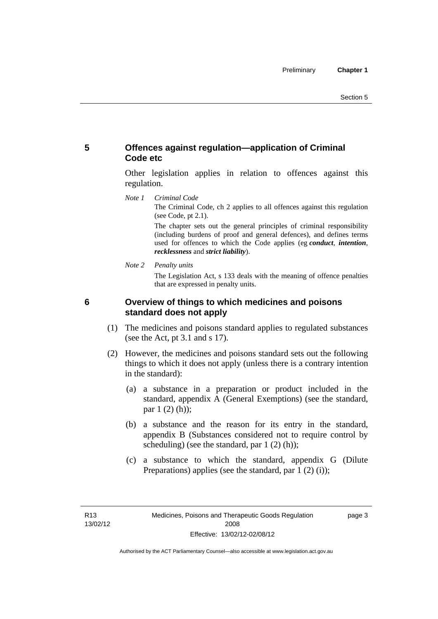## <span id="page-26-0"></span>**5 Offences against regulation—application of Criminal Code etc**

Other legislation applies in relation to offences against this regulation.

*Note 1 Criminal Code*

The Criminal Code, ch 2 applies to all offences against this regulation (see Code, pt 2.1).

The chapter sets out the general principles of criminal responsibility (including burdens of proof and general defences), and defines terms used for offences to which the Code applies (eg *conduct*, *intention*, *recklessness* and *strict liability*).

*Note 2 Penalty units* 

The Legislation Act, s 133 deals with the meaning of offence penalties that are expressed in penalty units.

<span id="page-26-1"></span>

## **6 Overview of things to which medicines and poisons standard does not apply**

- (1) The medicines and poisons standard applies to regulated substances (see the Act, pt 3.1 and s 17).
- (2) However, the medicines and poisons standard sets out the following things to which it does not apply (unless there is a contrary intention in the standard):
	- (a) a substance in a preparation or product included in the standard, appendix A (General Exemptions) (see the standard, par 1 (2) (h));
	- (b) a substance and the reason for its entry in the standard, appendix B (Substances considered not to require control by scheduling) (see the standard, par 1 (2) (h));
	- (c) a substance to which the standard, appendix G (Dilute Preparations) applies (see the standard, par 1 (2) (i));

page 3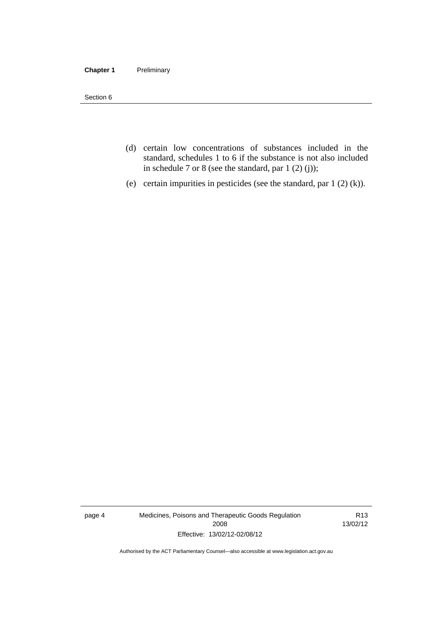#### **Chapter 1** Preliminary

Section 6

- (d) certain low concentrations of substances included in the standard, schedules 1 to 6 if the substance is not also included in schedule 7 or 8 (see the standard, par 1 (2) (j));
- (e) certain impurities in pesticides (see the standard, par 1 (2) (k)).

page 4 Medicines, Poisons and Therapeutic Goods Regulation 2008 Effective: 13/02/12-02/08/12

R13 13/02/12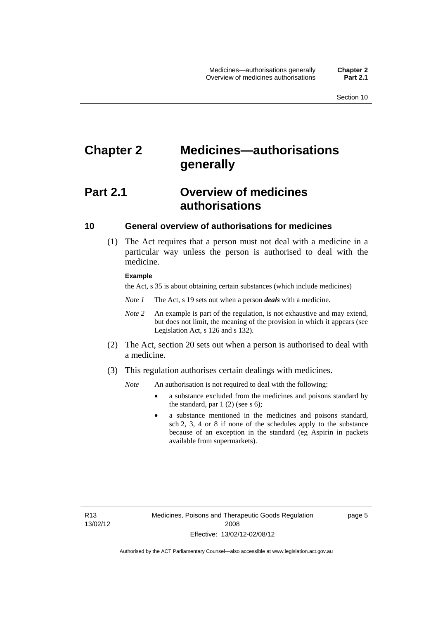## <span id="page-28-0"></span>**Chapter 2 Medicines—authorisations generally**

## <span id="page-28-1"></span>**Part 2.1 Overview of medicines authorisations**

## <span id="page-28-2"></span>**10 General overview of authorisations for medicines**

 (1) The Act requires that a person must not deal with a medicine in a particular way unless the person is authorised to deal with the medicine.

#### **Example**

the Act, s 35 is about obtaining certain substances (which include medicines)

- *Note 1* The Act, s 19 sets out when a person *deals* with a medicine.
- *Note 2* An example is part of the regulation, is not exhaustive and may extend, but does not limit, the meaning of the provision in which it appears (see Legislation Act, s 126 and s 132).
- (2) The Act, section 20 sets out when a person is authorised to deal with a medicine.
- (3) This regulation authorises certain dealings with medicines.

*Note* An authorisation is not required to deal with the following:

- a substance excluded from the medicines and poisons standard by the standard, par  $1(2)$  (see s 6);
- a substance mentioned in the medicines and poisons standard, sch 2, 3, 4 or 8 if none of the schedules apply to the substance because of an exception in the standard (eg Aspirin in packets available from supermarkets).

R13 13/02/12 page 5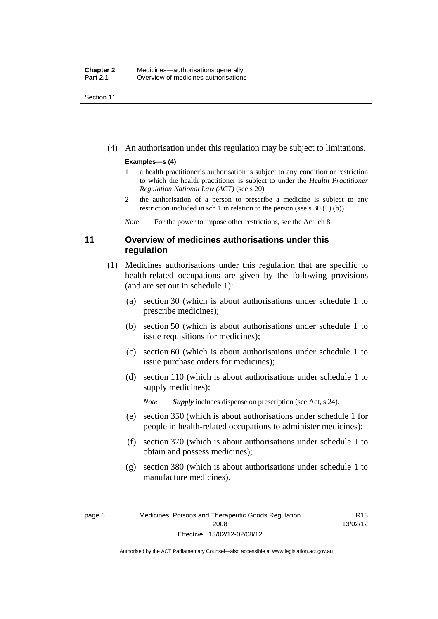Section 11

(4) An authorisation under this regulation may be subject to limitations.

#### **Examples—s (4)**

- 1 a health practitioner's authorisation is subject to any condition or restriction to which the health practitioner is subject to under the *Health Practitioner Regulation National Law (ACT)* (see s 20)
- 2 the authorisation of a person to prescribe a medicine is subject to any restriction included in sch 1 in relation to the person (see s 30 (1) (b))

*Note* For the power to impose other restrictions, see the Act, ch 8.

## <span id="page-29-0"></span>**11 Overview of medicines authorisations under this regulation**

- (1) Medicines authorisations under this regulation that are specific to health-related occupations are given by the following provisions (and are set out in schedule 1):
	- (a) section 30 (which is about authorisations under schedule 1 to prescribe medicines);
	- (b) section 50 (which is about authorisations under schedule 1 to issue requisitions for medicines);
	- (c) section 60 (which is about authorisations under schedule 1 to issue purchase orders for medicines);
	- (d) section 110 (which is about authorisations under schedule 1 to supply medicines);

*Note Supply* includes dispense on prescription (see Act, s 24).

- (e) section 350 (which is about authorisations under schedule 1 for people in health-related occupations to administer medicines);
- (f) section 370 (which is about authorisations under schedule 1 to obtain and possess medicines);
- (g) section 380 (which is about authorisations under schedule 1 to manufacture medicines).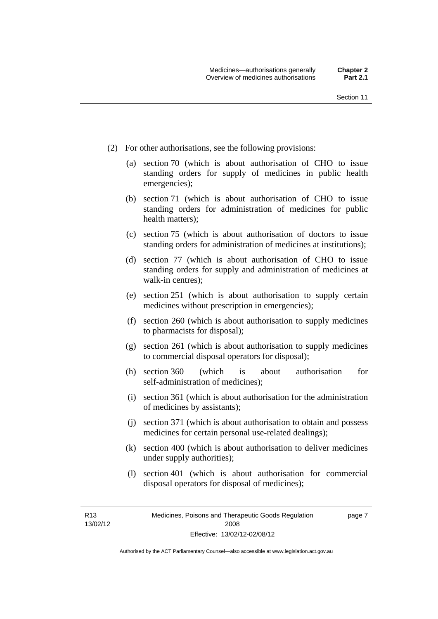page 7

- (2) For other authorisations, see the following provisions:
	- (a) section 70 (which is about authorisation of CHO to issue standing orders for supply of medicines in public health emergencies);
	- (b) section 71 (which is about authorisation of CHO to issue standing orders for administration of medicines for public health matters);
	- (c) section 75 (which is about authorisation of doctors to issue standing orders for administration of medicines at institutions);
	- (d) section 77 (which is about authorisation of CHO to issue standing orders for supply and administration of medicines at walk-in centres);
	- (e) section 251 (which is about authorisation to supply certain medicines without prescription in emergencies);
	- (f) section 260 (which is about authorisation to supply medicines to pharmacists for disposal);
	- (g) section 261 (which is about authorisation to supply medicines to commercial disposal operators for disposal);
	- (h) section 360 (which is about authorisation for self-administration of medicines);
	- (i) section 361 (which is about authorisation for the administration of medicines by assistants);
	- (j) section 371 (which is about authorisation to obtain and possess medicines for certain personal use-related dealings);
	- (k) section 400 (which is about authorisation to deliver medicines under supply authorities);
	- (l) section 401 (which is about authorisation for commercial disposal operators for disposal of medicines);

R13 13/02/12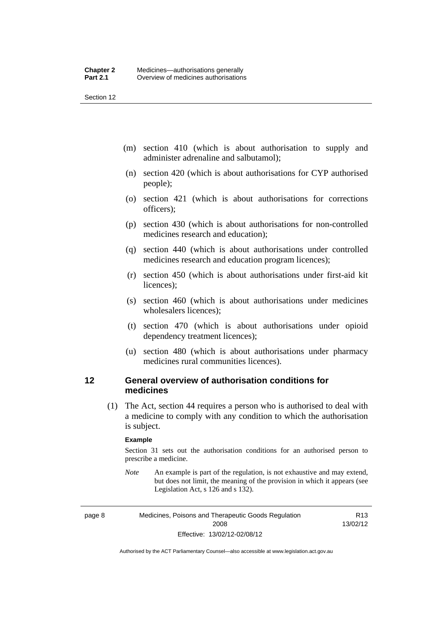Section 12

- (m) section 410 (which is about authorisation to supply and administer adrenaline and salbutamol);
- (n) section 420 (which is about authorisations for CYP authorised people);
- (o) section 421 (which is about authorisations for corrections officers);
- (p) section 430 (which is about authorisations for non-controlled medicines research and education);
- (q) section 440 (which is about authorisations under controlled medicines research and education program licences);
- (r) section 450 (which is about authorisations under first-aid kit licences);
- (s) section 460 (which is about authorisations under medicines wholesalers licences);
- (t) section 470 (which is about authorisations under opioid dependency treatment licences);
- (u) section 480 (which is about authorisations under pharmacy medicines rural communities licences).

## <span id="page-31-0"></span>**12 General overview of authorisation conditions for medicines**

(1) The Act, section 44 requires a person who is authorised to deal with a medicine to comply with any condition to which the authorisation is subject.

#### **Example**

Section 31 sets out the authorisation conditions for an authorised person to prescribe a medicine.

*Note* An example is part of the regulation, is not exhaustive and may extend, but does not limit, the meaning of the provision in which it appears (see Legislation Act, s 126 and s 132).

page 8 Medicines, Poisons and Therapeutic Goods Regulation 2008 Effective: 13/02/12-02/08/12

R13 13/02/12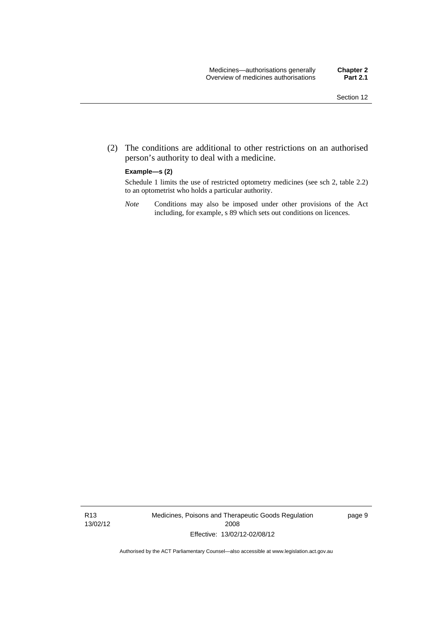(2) The conditions are additional to other restrictions on an authorised person's authority to deal with a medicine.

#### **Example—s (2)**

Schedule 1 limits the use of restricted optometry medicines (see sch 2, table 2.2) to an optometrist who holds a particular authority.

*Note* Conditions may also be imposed under other provisions of the Act including, for example, s 89 which sets out conditions on licences.

R13 13/02/12 Medicines, Poisons and Therapeutic Goods Regulation 2008 Effective: 13/02/12-02/08/12

page 9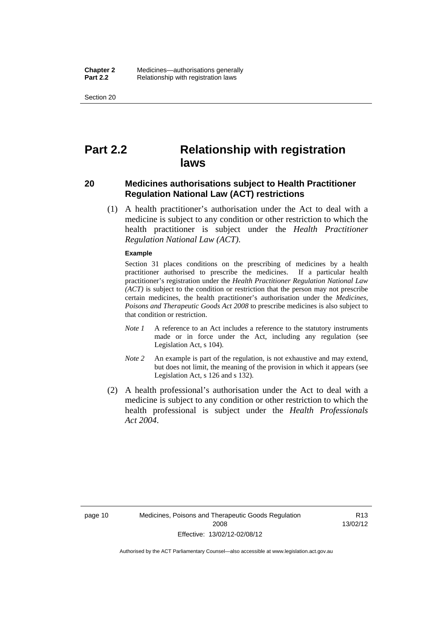Section 20

## <span id="page-33-0"></span>**Part 2.2 Relationship with registration laws**

### <span id="page-33-1"></span>**20 Medicines authorisations subject to Health Practitioner Regulation National Law (ACT) restrictions**

 (1) A health practitioner's authorisation under the Act to deal with a medicine is subject to any condition or other restriction to which the health practitioner is subject under the *Health Practitioner Regulation National Law (ACT)*.

#### **Example**

Section 31 places conditions on the prescribing of medicines by a health practitioner authorised to prescribe the medicines. If a particular health practitioner's registration under the *Health Practitioner Regulation National Law (ACT)* is subject to the condition or restriction that the person may not prescribe certain medicines, the health practitioner's authorisation under the *Medicines, Poisons and Therapeutic Goods Act 2008* to prescribe medicines is also subject to that condition or restriction.

- *Note 1* A reference to an Act includes a reference to the statutory instruments made or in force under the Act, including any regulation (see Legislation Act, s 104).
- *Note 2* An example is part of the regulation, is not exhaustive and may extend, but does not limit, the meaning of the provision in which it appears (see Legislation Act, s 126 and s 132).
- (2) A health professional's authorisation under the Act to deal with a medicine is subject to any condition or other restriction to which the health professional is subject under the *Health Professionals Act 2004*.

R13 13/02/12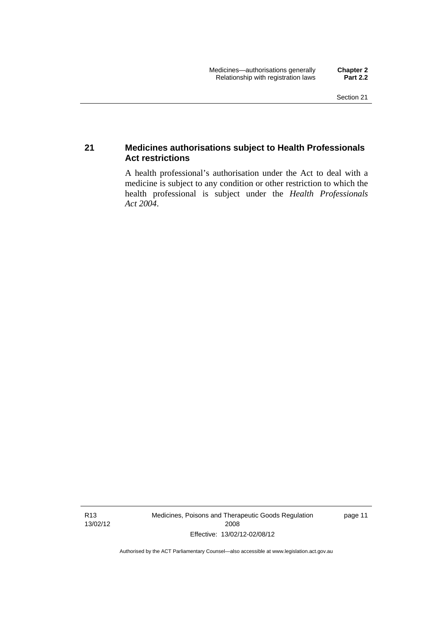## <span id="page-34-0"></span>**21 Medicines authorisations subject to Health Professionals Act restrictions**

A health professional's authorisation under the Act to deal with a medicine is subject to any condition or other restriction to which the health professional is subject under the *Health Professionals Act 2004*.

R13 13/02/12 Medicines, Poisons and Therapeutic Goods Regulation 2008 Effective: 13/02/12-02/08/12

page 11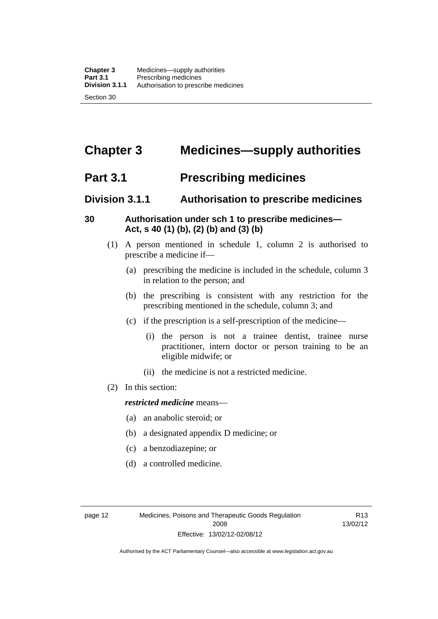## <span id="page-35-0"></span>**Chapter 3 Medicines—supply authorities**

## <span id="page-35-1"></span>**Part 3.1 Prescribing medicines**

## <span id="page-35-2"></span>**Division 3.1.1 Authorisation to prescribe medicines**

## <span id="page-35-3"></span>**30 Authorisation under sch 1 to prescribe medicines— Act, s 40 (1) (b), (2) (b) and (3) (b)**

- (1) A person mentioned in schedule 1, column 2 is authorised to prescribe a medicine if—
	- (a) prescribing the medicine is included in the schedule, column 3 in relation to the person; and
	- (b) the prescribing is consistent with any restriction for the prescribing mentioned in the schedule, column 3; and
	- (c) if the prescription is a self-prescription of the medicine—
		- (i) the person is not a trainee dentist, trainee nurse practitioner, intern doctor or person training to be an eligible midwife; or
		- (ii) the medicine is not a restricted medicine.
- (2) In this section:

### *restricted medicine* means—

- (a) an anabolic steroid; or
- (b) a designated appendix D medicine; or
- (c) a benzodiazepine; or
- (d) a controlled medicine.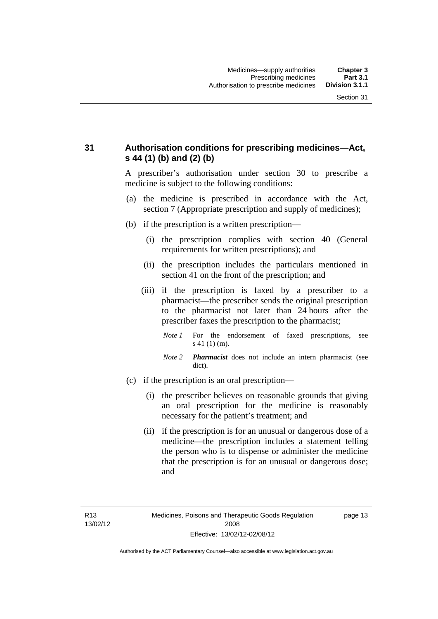## **31 Authorisation conditions for prescribing medicines—Act, s 44 (1) (b) and (2) (b)**

A prescriber's authorisation under section 30 to prescribe a medicine is subject to the following conditions:

- (a) the medicine is prescribed in accordance with the Act, section 7 (Appropriate prescription and supply of medicines);
- (b) if the prescription is a written prescription—
	- (i) the prescription complies with section 40 (General requirements for written prescriptions); and
	- (ii) the prescription includes the particulars mentioned in section 41 on the front of the prescription; and
	- (iii) if the prescription is faxed by a prescriber to a pharmacist—the prescriber sends the original prescription to the pharmacist not later than 24 hours after the prescriber faxes the prescription to the pharmacist;
		- *Note 1* For the endorsement of faxed prescriptions, see s 41 (1) (m).
		- *Note 2 Pharmacist* does not include an intern pharmacist (see dict).
- (c) if the prescription is an oral prescription—
	- (i) the prescriber believes on reasonable grounds that giving an oral prescription for the medicine is reasonably necessary for the patient's treatment; and
	- (ii) if the prescription is for an unusual or dangerous dose of a medicine—the prescription includes a statement telling the person who is to dispense or administer the medicine that the prescription is for an unusual or dangerous dose; and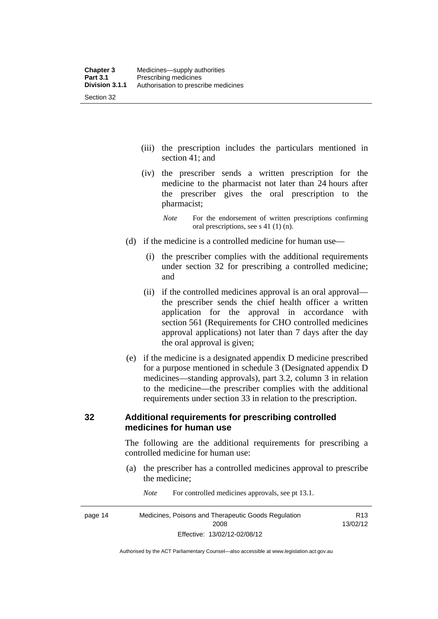- (iii) the prescription includes the particulars mentioned in section 41; and
- (iv) the prescriber sends a written prescription for the medicine to the pharmacist not later than 24 hours after the prescriber gives the oral prescription to the pharmacist;
	- *Note* For the endorsement of written prescriptions confirming oral prescriptions, see s 41 (1) (n).
- (d) if the medicine is a controlled medicine for human use—
	- (i) the prescriber complies with the additional requirements under section 32 for prescribing a controlled medicine; and
	- (ii) if the controlled medicines approval is an oral approval the prescriber sends the chief health officer a written application for the approval in accordance with section 561 (Requirements for CHO controlled medicines approval applications) not later than 7 days after the day the oral approval is given;
- (e) if the medicine is a designated appendix D medicine prescribed for a purpose mentioned in schedule 3 (Designated appendix D medicines—standing approvals), part 3.2, column 3 in relation to the medicine—the prescriber complies with the additional requirements under section 33 in relation to the prescription.

#### **32 Additional requirements for prescribing controlled medicines for human use**

The following are the additional requirements for prescribing a controlled medicine for human use:

- (a) the prescriber has a controlled medicines approval to prescribe the medicine;
- page 14 Medicines, Poisons and Therapeutic Goods Regulation 2008 Effective: 13/02/12-02/08/12 R13 13/02/12
- *Note* For controlled medicines approvals, see pt 13.1.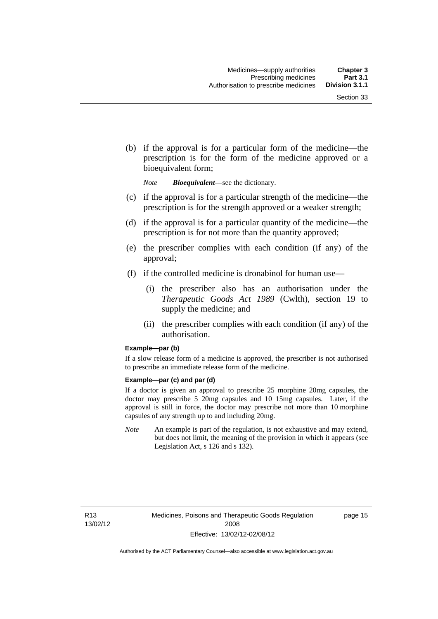(b) if the approval is for a particular form of the medicine—the prescription is for the form of the medicine approved or a bioequivalent form;

*Note Bioequivalent*—see the dictionary.

- (c) if the approval is for a particular strength of the medicine—the prescription is for the strength approved or a weaker strength;
- (d) if the approval is for a particular quantity of the medicine—the prescription is for not more than the quantity approved;
- (e) the prescriber complies with each condition (if any) of the approval;
- (f) if the controlled medicine is dronabinol for human use—
	- (i) the prescriber also has an authorisation under the *Therapeutic Goods Act 1989* (Cwlth), section 19 to supply the medicine; and
	- (ii) the prescriber complies with each condition (if any) of the authorisation.

#### **Example—par (b)**

If a slow release form of a medicine is approved, the prescriber is not authorised to prescribe an immediate release form of the medicine.

#### **Example—par (c) and par (d)**

If a doctor is given an approval to prescribe 25 morphine 20mg capsules, the doctor may prescribe 5 20mg capsules and 10 15mg capsules. Later, if the approval is still in force, the doctor may prescribe not more than 10 morphine capsules of any strength up to and including 20mg.

*Note* An example is part of the regulation, is not exhaustive and may extend, but does not limit, the meaning of the provision in which it appears (see Legislation Act, s 126 and s 132).

R13 13/02/12 page 15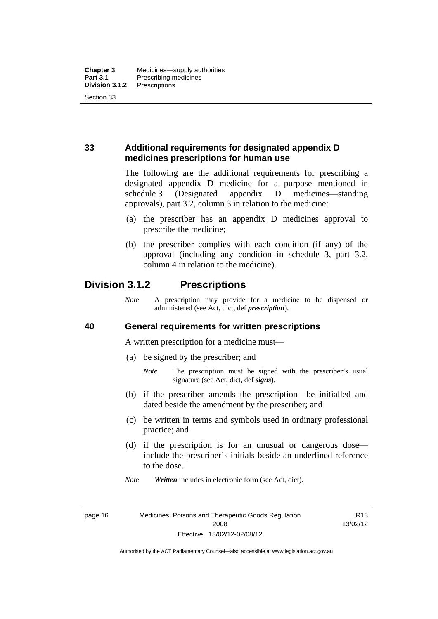## **33 Additional requirements for designated appendix D medicines prescriptions for human use**

The following are the additional requirements for prescribing a designated appendix D medicine for a purpose mentioned in schedule 3 (Designated appendix D medicines—standing approvals), part 3.2, column 3 in relation to the medicine:

- (a) the prescriber has an appendix D medicines approval to prescribe the medicine;
- (b) the prescriber complies with each condition (if any) of the approval (including any condition in schedule 3, part 3.2, column 4 in relation to the medicine).

## **Division 3.1.2 Prescriptions**

*Note* A prescription may provide for a medicine to be dispensed or administered (see Act, dict, def *prescription*).

#### **40 General requirements for written prescriptions**

A written prescription for a medicine must—

- (a) be signed by the prescriber; and
	- *Note* The prescription must be signed with the prescriber's usual signature (see Act, dict, def *signs*).
- (b) if the prescriber amends the prescription—be initialled and dated beside the amendment by the prescriber; and
- (c) be written in terms and symbols used in ordinary professional practice; and
- (d) if the prescription is for an unusual or dangerous dose include the prescriber's initials beside an underlined reference to the dose.
- *Note Written* includes in electronic form (see Act, dict).

page 16 Medicines, Poisons and Therapeutic Goods Regulation 2008 Effective: 13/02/12-02/08/12

R13 13/02/12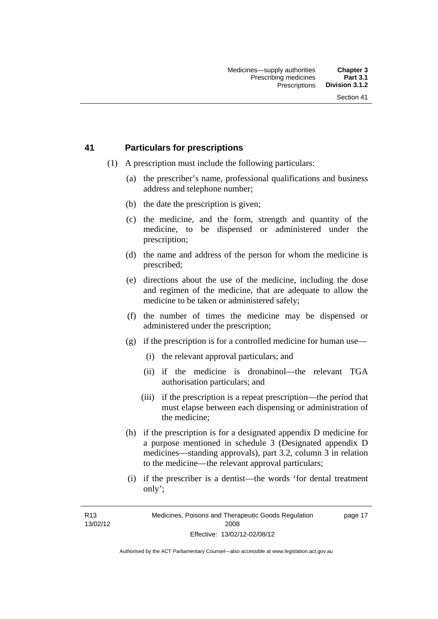#### **41 Particulars for prescriptions**

- (1) A prescription must include the following particulars:
	- (a) the prescriber's name, professional qualifications and business address and telephone number;
	- (b) the date the prescription is given;
	- (c) the medicine, and the form, strength and quantity of the medicine, to be dispensed or administered under the prescription;
	- (d) the name and address of the person for whom the medicine is prescribed;
	- (e) directions about the use of the medicine, including the dose and regimen of the medicine, that are adequate to allow the medicine to be taken or administered safely;
	- (f) the number of times the medicine may be dispensed or administered under the prescription;
	- (g) if the prescription is for a controlled medicine for human use—
		- (i) the relevant approval particulars; and
		- (ii) if the medicine is dronabinol—the relevant TGA authorisation particulars; and
		- (iii) if the prescription is a repeat prescription—the period that must elapse between each dispensing or administration of the medicine;
	- (h) if the prescription is for a designated appendix D medicine for a purpose mentioned in schedule 3 (Designated appendix D medicines—standing approvals), part 3.2, column 3 in relation to the medicine—the relevant approval particulars;
	- (i) if the prescriber is a dentist—the words 'for dental treatment only';

R13 13/02/12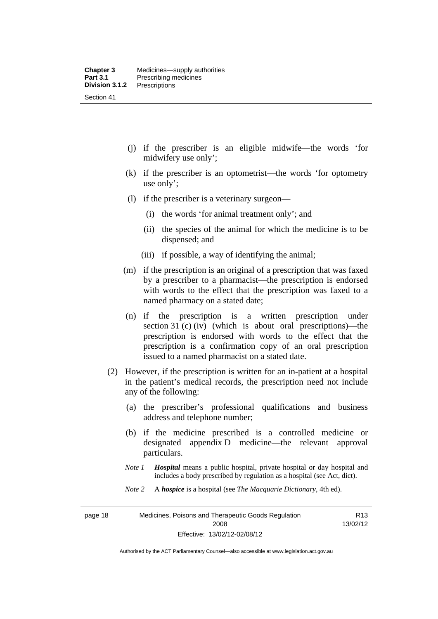- (j) if the prescriber is an eligible midwife—the words 'for midwifery use only';
- (k) if the prescriber is an optometrist—the words 'for optometry use only';
- (l) if the prescriber is a veterinary surgeon—
	- (i) the words 'for animal treatment only'; and
	- (ii) the species of the animal for which the medicine is to be dispensed; and
	- (iii) if possible, a way of identifying the animal;
- (m) if the prescription is an original of a prescription that was faxed by a prescriber to a pharmacist—the prescription is endorsed with words to the effect that the prescription was faxed to a named pharmacy on a stated date;
- (n) if the prescription is a written prescription under section 31 (c) (iv) (which is about oral prescriptions)—the prescription is endorsed with words to the effect that the prescription is a confirmation copy of an oral prescription issued to a named pharmacist on a stated date.
- (2) However, if the prescription is written for an in-patient at a hospital in the patient's medical records, the prescription need not include any of the following:
	- (a) the prescriber's professional qualifications and business address and telephone number;
	- (b) if the medicine prescribed is a controlled medicine or designated appendix D medicine—the relevant approval particulars.
	- *Note 1 Hospital* means a public hospital, private hospital or day hospital and includes a body prescribed by regulation as a hospital (see Act, dict).
	- *Note 2* A *hospice* is a hospital (see *The Macquarie Dictionary*, 4th ed).

page 18 Medicines, Poisons and Therapeutic Goods Regulation 2008 Effective: 13/02/12-02/08/12

R13 13/02/12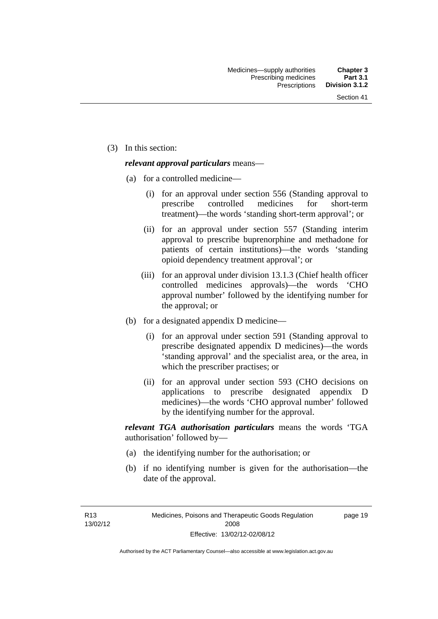(3) In this section:

#### *relevant approval particulars* means—

- (a) for a controlled medicine—
	- (i) for an approval under section 556 (Standing approval to prescribe controlled medicines for short-term treatment)—the words 'standing short-term approval'; or
	- (ii) for an approval under section 557 (Standing interim approval to prescribe buprenorphine and methadone for patients of certain institutions)—the words 'standing opioid dependency treatment approval'; or
	- (iii) for an approval under division 13.1.3 (Chief health officer controlled medicines approvals)—the words 'CHO approval number' followed by the identifying number for the approval; or
- (b) for a designated appendix D medicine—
	- (i) for an approval under section 591 (Standing approval to prescribe designated appendix D medicines)—the words 'standing approval' and the specialist area, or the area, in which the prescriber practises; or
	- (ii) for an approval under section 593 (CHO decisions on applications to prescribe designated appendix D medicines)—the words 'CHO approval number' followed by the identifying number for the approval.

*relevant TGA authorisation particulars* means the words 'TGA authorisation' followed by—

- (a) the identifying number for the authorisation; or
- (b) if no identifying number is given for the authorisation—the date of the approval.

R13 13/02/12 page 19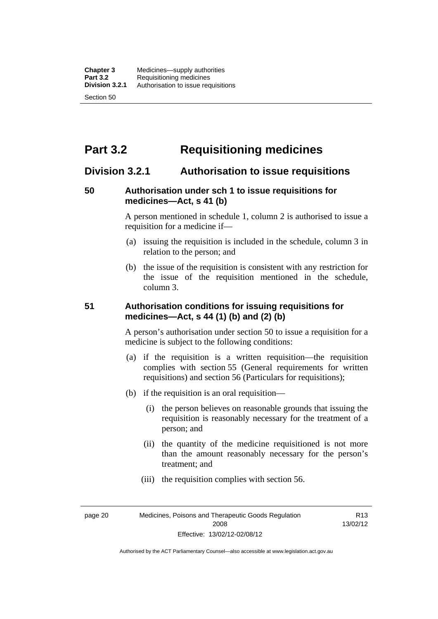# **Part 3.2 Requisitioning medicines**

## **Division 3.2.1 Authorisation to issue requisitions**

#### **50 Authorisation under sch 1 to issue requisitions for medicines—Act, s 41 (b)**

A person mentioned in schedule 1, column 2 is authorised to issue a requisition for a medicine if—

- (a) issuing the requisition is included in the schedule, column 3 in relation to the person; and
- (b) the issue of the requisition is consistent with any restriction for the issue of the requisition mentioned in the schedule, column 3.

#### **51 Authorisation conditions for issuing requisitions for medicines—Act, s 44 (1) (b) and (2) (b)**

A person's authorisation under section 50 to issue a requisition for a medicine is subject to the following conditions:

- (a) if the requisition is a written requisition—the requisition complies with section 55 (General requirements for written requisitions) and section 56 (Particulars for requisitions);
- (b) if the requisition is an oral requisition—
	- (i) the person believes on reasonable grounds that issuing the requisition is reasonably necessary for the treatment of a person; and
	- (ii) the quantity of the medicine requisitioned is not more than the amount reasonably necessary for the person's treatment; and
	- (iii) the requisition complies with section 56.

page 20 Medicines, Poisons and Therapeutic Goods Regulation 2008 Effective: 13/02/12-02/08/12

R13 13/02/12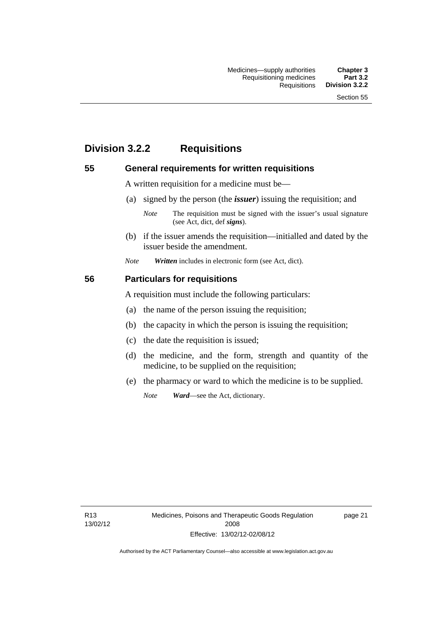# **Division 3.2.2 Requisitions**

#### **55 General requirements for written requisitions**

A written requisition for a medicine must be—

(a) signed by the person (the *issuer*) issuing the requisition; and

 (b) if the issuer amends the requisition—initialled and dated by the issuer beside the amendment.

*Note Written* includes in electronic form (see Act, dict).

#### **56 Particulars for requisitions**

A requisition must include the following particulars:

- (a) the name of the person issuing the requisition;
- (b) the capacity in which the person is issuing the requisition;
- (c) the date the requisition is issued;
- (d) the medicine, and the form, strength and quantity of the medicine, to be supplied on the requisition;
- (e) the pharmacy or ward to which the medicine is to be supplied.

*Note Ward*—see the Act, dictionary.

R13 13/02/12

*Note* The requisition must be signed with the issuer's usual signature (see Act, dict, def *signs*).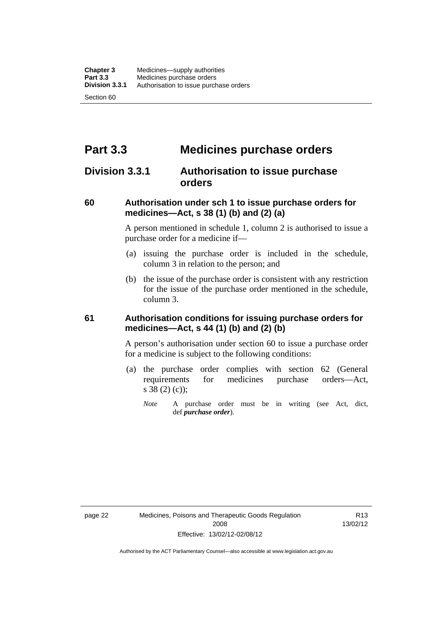# **Part 3.3 Medicines purchase orders**

## **Division 3.3.1 Authorisation to issue purchase orders**

#### **60 Authorisation under sch 1 to issue purchase orders for medicines—Act, s 38 (1) (b) and (2) (a)**

A person mentioned in schedule 1, column 2 is authorised to issue a purchase order for a medicine if—

- (a) issuing the purchase order is included in the schedule, column 3 in relation to the person; and
- (b) the issue of the purchase order is consistent with any restriction for the issue of the purchase order mentioned in the schedule, column 3.

#### **61 Authorisation conditions for issuing purchase orders for medicines—Act, s 44 (1) (b) and (2) (b)**

A person's authorisation under section 60 to issue a purchase order for a medicine is subject to the following conditions:

- (a) the purchase order complies with section 62 (General requirements for medicines purchase orders—Act, s 38 (2) (c));
	- *Note* A purchase order must be in writing (see Act, dict, def *purchase order*).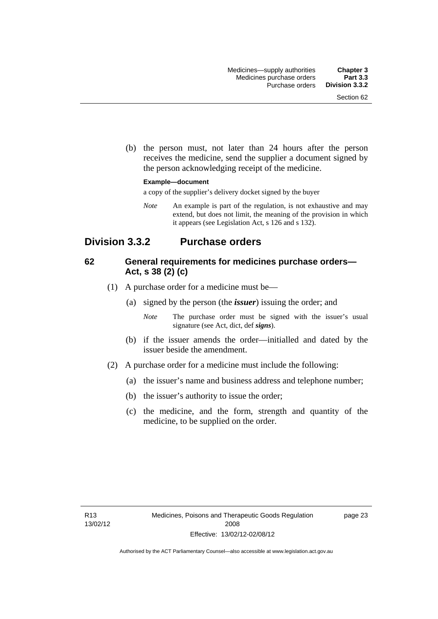(b) the person must, not later than 24 hours after the person receives the medicine, send the supplier a document signed by the person acknowledging receipt of the medicine.

#### **Example—document**

a copy of the supplier's delivery docket signed by the buyer

*Note* An example is part of the regulation, is not exhaustive and may extend, but does not limit, the meaning of the provision in which it appears (see Legislation Act, s 126 and s 132).

## **Division 3.3.2 Purchase orders**

#### **62 General requirements for medicines purchase orders— Act, s 38 (2) (c)**

- (1) A purchase order for a medicine must be—
	- (a) signed by the person (the *issuer*) issuing the order; and
		- *Note* The purchase order must be signed with the issuer's usual signature (see Act, dict, def *signs*).
	- (b) if the issuer amends the order—initialled and dated by the issuer beside the amendment.
- (2) A purchase order for a medicine must include the following:
	- (a) the issuer's name and business address and telephone number;
	- (b) the issuer's authority to issue the order;
	- (c) the medicine, and the form, strength and quantity of the medicine, to be supplied on the order.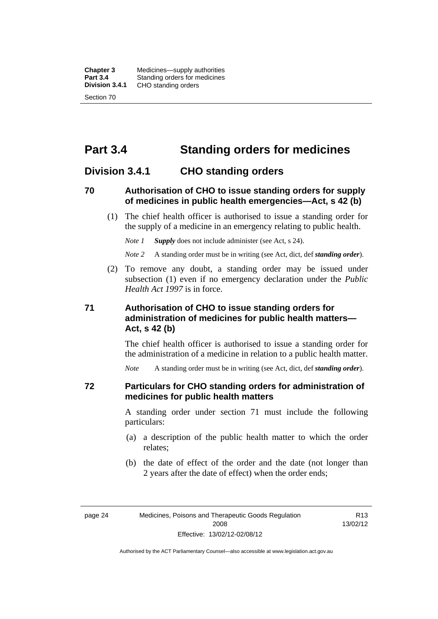**Chapter 3** Medicines—supply authorities<br>**Part 3.4** Standing orders for medicines **Part 3.4 Standing orders for medicines<br>
<b>Division 3.4.1** CHO standing orders **Division 3.4.1** CHO standing orders Section 70

# **Part 3.4 Standing orders for medicines**

## **Division 3.4.1 CHO standing orders**

#### **70 Authorisation of CHO to issue standing orders for supply of medicines in public health emergencies—Act, s 42 (b)**

 (1) The chief health officer is authorised to issue a standing order for the supply of a medicine in an emergency relating to public health.

*Note 1 Supply* does not include administer (see Act, s 24).

*Note 2* A standing order must be in writing (see Act, dict, def *standing order*).

 (2) To remove any doubt, a standing order may be issued under subsection (1) even if no emergency declaration under the *Public Health Act 1997* is in force.

#### **71 Authorisation of CHO to issue standing orders for administration of medicines for public health matters— Act, s 42 (b)**

The chief health officer is authorised to issue a standing order for the administration of a medicine in relation to a public health matter.

*Note* A standing order must be in writing (see Act, dict, def *standing order*).

#### **72 Particulars for CHO standing orders for administration of medicines for public health matters**

A standing order under section 71 must include the following particulars:

- (a) a description of the public health matter to which the order relates;
- (b) the date of effect of the order and the date (not longer than 2 years after the date of effect) when the order ends;

R13 13/02/12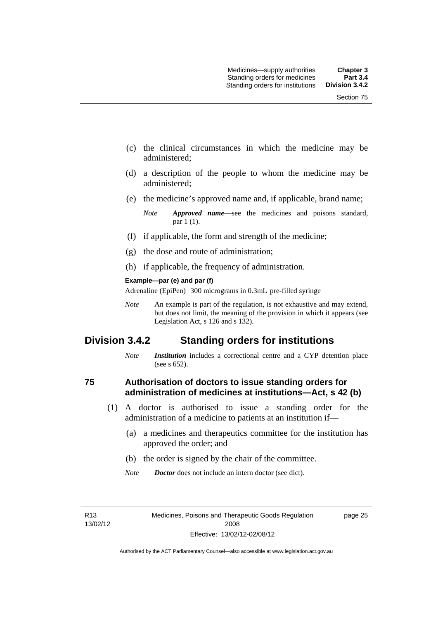- (c) the clinical circumstances in which the medicine may be administered;
- (d) a description of the people to whom the medicine may be administered;
- (e) the medicine's approved name and, if applicable, brand name;

- (f) if applicable, the form and strength of the medicine;
- (g) the dose and route of administration;
- (h) if applicable, the frequency of administration.

#### **Example—par (e) and par (f)**

Adrenaline (EpiPen) 300 micrograms in 0.3mL pre-filled syringe

*Note* An example is part of the regulation, is not exhaustive and may extend, but does not limit, the meaning of the provision in which it appears (see Legislation Act, s 126 and s 132).

## **Division 3.4.2 Standing orders for institutions**

*Note Institution* includes a correctional centre and a CYP detention place (see s 652).

#### **75 Authorisation of doctors to issue standing orders for administration of medicines at institutions—Act, s 42 (b)**

- (1) A doctor is authorised to issue a standing order for the administration of a medicine to patients at an institution if—
	- (a) a medicines and therapeutics committee for the institution has approved the order; and
	- (b) the order is signed by the chair of the committee.
	- *Note Doctor* does not include an intern doctor (see dict).

R13 13/02/12 page 25

*Note Approved name*—see the medicines and poisons standard, par 1 (1).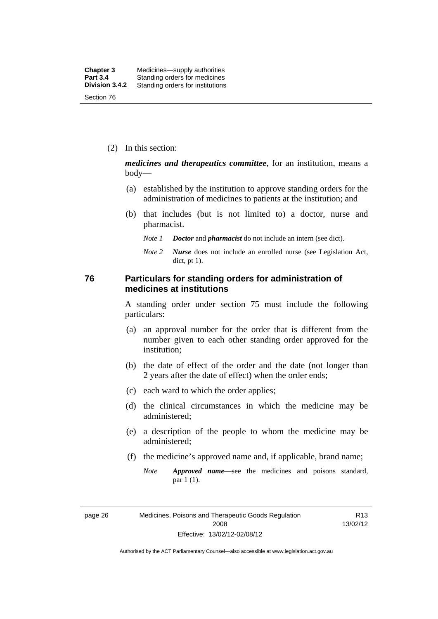(2) In this section:

*medicines and therapeutics committee*, for an institution, means a body—

- (a) established by the institution to approve standing orders for the administration of medicines to patients at the institution; and
- (b) that includes (but is not limited to) a doctor, nurse and pharmacist.
	- *Note 1 Doctor* and *pharmacist* do not include an intern (see dict).
	- *Note 2 Nurse* does not include an enrolled nurse (see Legislation Act, dict, pt 1).

#### **76 Particulars for standing orders for administration of medicines at institutions**

A standing order under section 75 must include the following particulars:

- (a) an approval number for the order that is different from the number given to each other standing order approved for the institution;
- (b) the date of effect of the order and the date (not longer than 2 years after the date of effect) when the order ends;
- (c) each ward to which the order applies;
- (d) the clinical circumstances in which the medicine may be administered;
- (e) a description of the people to whom the medicine may be administered;
- (f) the medicine's approved name and, if applicable, brand name;
	- *Note Approved name*—see the medicines and poisons standard, par 1 (1).

page 26 Medicines, Poisons and Therapeutic Goods Regulation 2008 Effective: 13/02/12-02/08/12

R13 13/02/12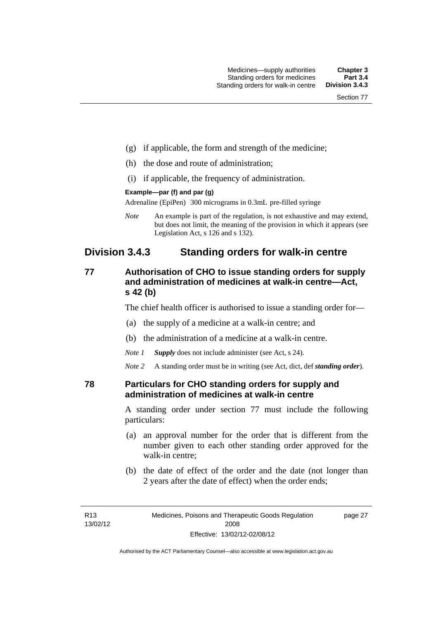- (g) if applicable, the form and strength of the medicine;
- (h) the dose and route of administration;
- (i) if applicable, the frequency of administration.

#### **Example—par (f) and par (g)**

Adrenaline (EpiPen) 300 micrograms in 0.3mL pre-filled syringe

*Note* An example is part of the regulation, is not exhaustive and may extend, but does not limit, the meaning of the provision in which it appears (see Legislation Act, s 126 and s 132).

## **Division 3.4.3 Standing orders for walk-in centre**

#### **77 Authorisation of CHO to issue standing orders for supply and administration of medicines at walk-in centre—Act, s 42 (b)**

The chief health officer is authorised to issue a standing order for—

- (a) the supply of a medicine at a walk-in centre; and
- (b) the administration of a medicine at a walk-in centre.

*Note 1 Supply* does not include administer (see Act, s 24).

*Note 2* A standing order must be in writing (see Act, dict, def *standing order*).

#### **78 Particulars for CHO standing orders for supply and administration of medicines at walk-in centre**

A standing order under section 77 must include the following particulars:

- (a) an approval number for the order that is different from the number given to each other standing order approved for the walk-in centre;
- (b) the date of effect of the order and the date (not longer than 2 years after the date of effect) when the order ends;

page 27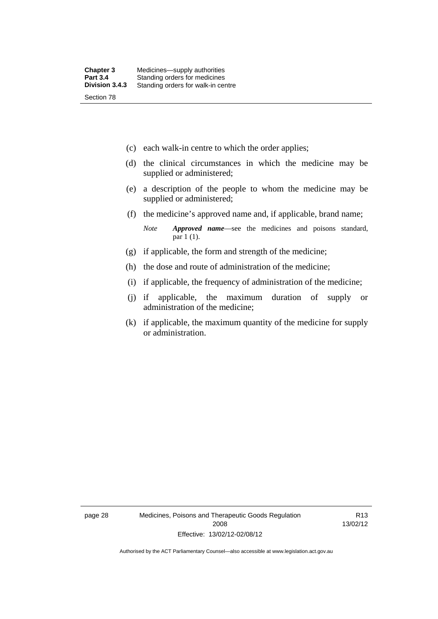- (c) each walk-in centre to which the order applies;
- (d) the clinical circumstances in which the medicine may be supplied or administered;
- (e) a description of the people to whom the medicine may be supplied or administered;
- (f) the medicine's approved name and, if applicable, brand name;

*Note Approved name*—see the medicines and poisons standard, par 1 (1).

- (g) if applicable, the form and strength of the medicine;
- (h) the dose and route of administration of the medicine;
- (i) if applicable, the frequency of administration of the medicine;
- (j) if applicable, the maximum duration of supply or administration of the medicine;
- (k) if applicable, the maximum quantity of the medicine for supply or administration.

page 28 Medicines, Poisons and Therapeutic Goods Regulation 2008 Effective: 13/02/12-02/08/12

R13 13/02/12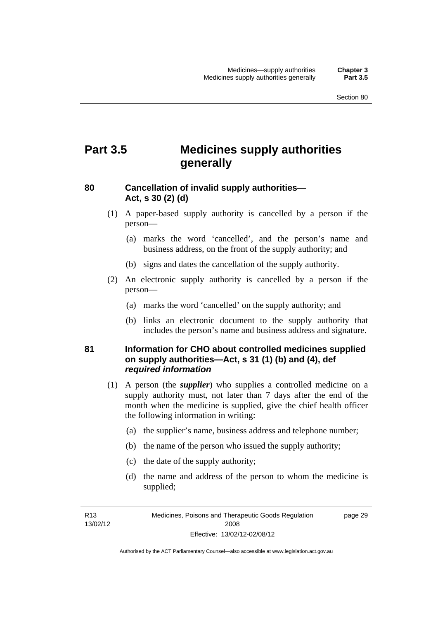# **Part 3.5 Medicines supply authorities generally**

#### **80 Cancellation of invalid supply authorities— Act, s 30 (2) (d)**

- (1) A paper-based supply authority is cancelled by a person if the person—
	- (a) marks the word 'cancelled', and the person's name and business address, on the front of the supply authority; and
	- (b) signs and dates the cancellation of the supply authority.
- (2) An electronic supply authority is cancelled by a person if the person—
	- (a) marks the word 'cancelled' on the supply authority; and
	- (b) links an electronic document to the supply authority that includes the person's name and business address and signature.

#### **81 Information for CHO about controlled medicines supplied on supply authorities—Act, s 31 (1) (b) and (4), def**  *required information*

- (1) A person (the *supplier*) who supplies a controlled medicine on a supply authority must, not later than 7 days after the end of the month when the medicine is supplied, give the chief health officer the following information in writing:
	- (a) the supplier's name, business address and telephone number;
	- (b) the name of the person who issued the supply authority;
	- (c) the date of the supply authority;
	- (d) the name and address of the person to whom the medicine is supplied;

R13 13/02/12 page 29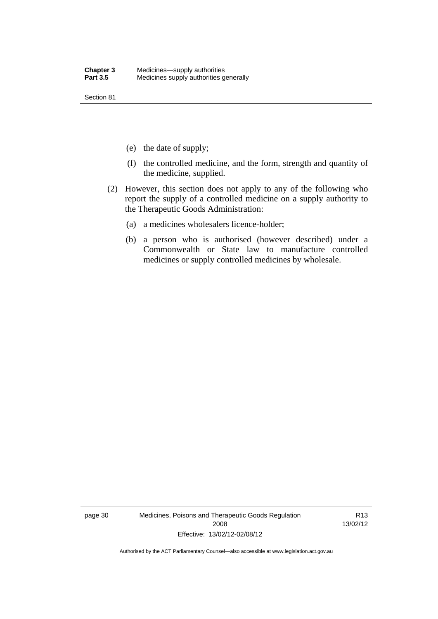Section 81

- (e) the date of supply;
- (f) the controlled medicine, and the form, strength and quantity of the medicine, supplied.
- (2) However, this section does not apply to any of the following who report the supply of a controlled medicine on a supply authority to the Therapeutic Goods Administration:
	- (a) a medicines wholesalers licence-holder;
	- (b) a person who is authorised (however described) under a Commonwealth or State law to manufacture controlled medicines or supply controlled medicines by wholesale.

page 30 Medicines, Poisons and Therapeutic Goods Regulation 2008 Effective: 13/02/12-02/08/12

R13 13/02/12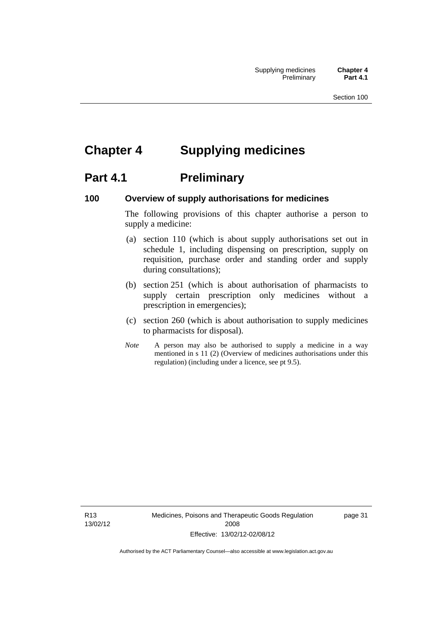# **Chapter 4 Supplying medicines**

# **Part 4.1** Preliminary

#### **100 Overview of supply authorisations for medicines**

The following provisions of this chapter authorise a person to supply a medicine:

- (a) section 110 (which is about supply authorisations set out in schedule 1, including dispensing on prescription, supply on requisition, purchase order and standing order and supply during consultations);
- (b) section 251 (which is about authorisation of pharmacists to supply certain prescription only medicines without a prescription in emergencies);
- (c) section 260 (which is about authorisation to supply medicines to pharmacists for disposal).
- *Note* A person may also be authorised to supply a medicine in a way mentioned in s 11 (2) (Overview of medicines authorisations under this regulation) (including under a licence, see pt 9.5).

R13 13/02/12 Medicines, Poisons and Therapeutic Goods Regulation 2008 Effective: 13/02/12-02/08/12

page 31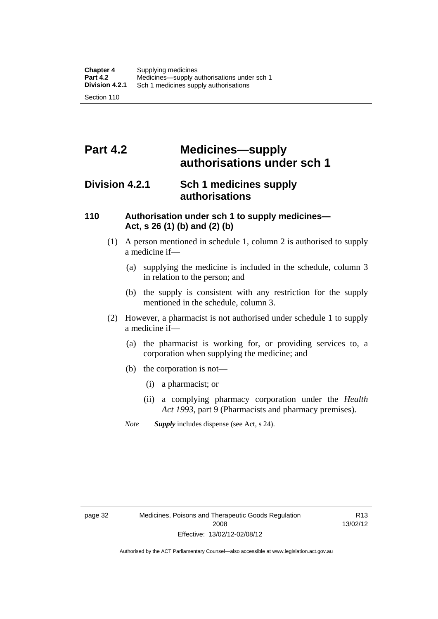# **Part 4.2 Medicines—supply authorisations under sch 1**

## **Division 4.2.1 Sch 1 medicines supply authorisations**

#### **110 Authorisation under sch 1 to supply medicines— Act, s 26 (1) (b) and (2) (b)**

- (1) A person mentioned in schedule 1, column 2 is authorised to supply a medicine if—
	- (a) supplying the medicine is included in the schedule, column 3 in relation to the person; and
	- (b) the supply is consistent with any restriction for the supply mentioned in the schedule, column 3.
- (2) However, a pharmacist is not authorised under schedule 1 to supply a medicine if—
	- (a) the pharmacist is working for, or providing services to, a corporation when supplying the medicine; and
	- (b) the corporation is not—
		- (i) a pharmacist; or
		- (ii) a complying pharmacy corporation under the *Health Act 1993*, part 9 (Pharmacists and pharmacy premises).
	- *Note Supply* includes dispense (see Act, s 24).

R13 13/02/12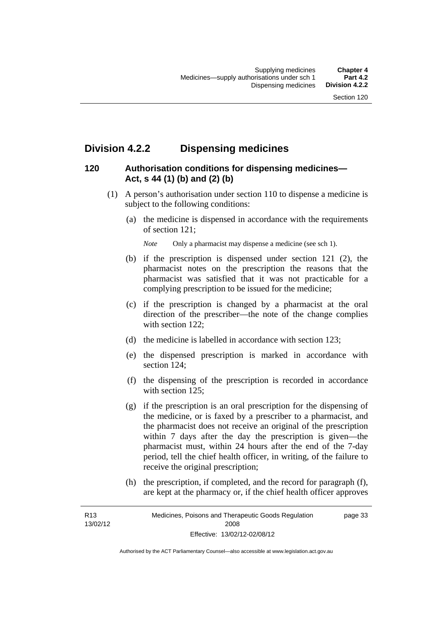# **Division 4.2.2 Dispensing medicines**

## **120 Authorisation conditions for dispensing medicines— Act, s 44 (1) (b) and (2) (b)**

- (1) A person's authorisation under section 110 to dispense a medicine is subject to the following conditions:
	- (a) the medicine is dispensed in accordance with the requirements of section 121;

*Note* Only a pharmacist may dispense a medicine (see sch 1).

- (b) if the prescription is dispensed under section 121 (2), the pharmacist notes on the prescription the reasons that the pharmacist was satisfied that it was not practicable for a complying prescription to be issued for the medicine;
- (c) if the prescription is changed by a pharmacist at the oral direction of the prescriber—the note of the change complies with section 122:
- (d) the medicine is labelled in accordance with section 123;
- (e) the dispensed prescription is marked in accordance with section 124;
- (f) the dispensing of the prescription is recorded in accordance with section 125:
- (g) if the prescription is an oral prescription for the dispensing of the medicine, or is faxed by a prescriber to a pharmacist, and the pharmacist does not receive an original of the prescription within 7 days after the day the prescription is given—the pharmacist must, within 24 hours after the end of the 7-day period, tell the chief health officer, in writing, of the failure to receive the original prescription;
- (h) the prescription, if completed, and the record for paragraph (f), are kept at the pharmacy or, if the chief health officer approves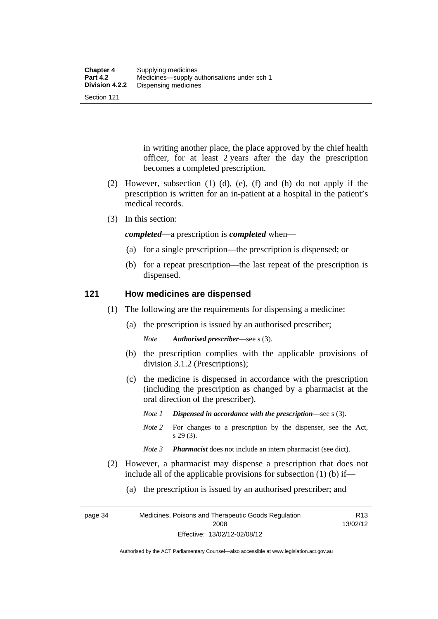Section 121

in writing another place, the place approved by the chief health officer, for at least 2 years after the day the prescription becomes a completed prescription.

- (2) However, subsection (1) (d), (e), (f) and (h) do not apply if the prescription is written for an in-patient at a hospital in the patient's medical records.
- (3) In this section:

*completed*—a prescription is *completed* when—

- (a) for a single prescription—the prescription is dispensed; or
- (b) for a repeat prescription—the last repeat of the prescription is dispensed.

#### **121 How medicines are dispensed**

- (1) The following are the requirements for dispensing a medicine:
	- (a) the prescription is issued by an authorised prescriber;

*Note Authorised prescriber*—see s (3).

- (b) the prescription complies with the applicable provisions of division 3.1.2 (Prescriptions);
- (c) the medicine is dispensed in accordance with the prescription (including the prescription as changed by a pharmacist at the oral direction of the prescriber).
	- *Note 1 Dispensed in accordance with the prescription*—see s (3).
	- *Note* 2 For changes to a prescription by the dispenser, see the Act, s 29 (3).
	- *Note 3 Pharmacist* does not include an intern pharmacist (see dict).
- (2) However, a pharmacist may dispense a prescription that does not include all of the applicable provisions for subsection (1) (b) if—
	- (a) the prescription is issued by an authorised prescriber; and

page 34 Medicines, Poisons and Therapeutic Goods Regulation 2008 Effective: 13/02/12-02/08/12 R13 13/02/12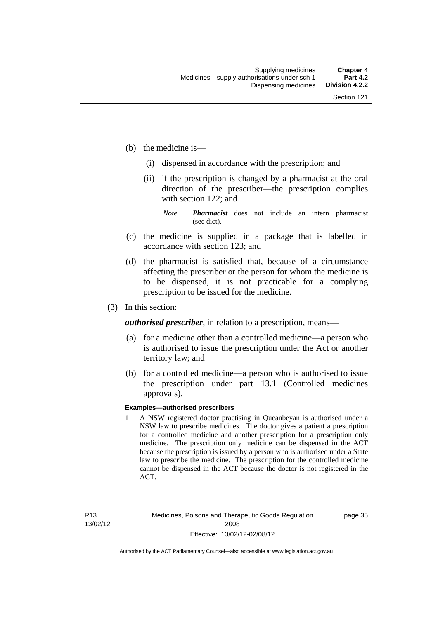- (b) the medicine is—
	- (i) dispensed in accordance with the prescription; and
	- (ii) if the prescription is changed by a pharmacist at the oral direction of the prescriber—the prescription complies with section 122; and

*Note Pharmacist* does not include an intern pharmacist (see dict).

- (c) the medicine is supplied in a package that is labelled in accordance with section 123; and
- (d) the pharmacist is satisfied that, because of a circumstance affecting the prescriber or the person for whom the medicine is to be dispensed, it is not practicable for a complying prescription to be issued for the medicine.
- (3) In this section:

*authorised prescriber*, in relation to a prescription, means—

- (a) for a medicine other than a controlled medicine—a person who is authorised to issue the prescription under the Act or another territory law; and
- (b) for a controlled medicine—a person who is authorised to issue the prescription under part 13.1 (Controlled medicines approvals).

#### **Examples—authorised prescribers**

1 A NSW registered doctor practising in Queanbeyan is authorised under a NSW law to prescribe medicines. The doctor gives a patient a prescription for a controlled medicine and another prescription for a prescription only medicine. The prescription only medicine can be dispensed in the ACT because the prescription is issued by a person who is authorised under a State law to prescribe the medicine. The prescription for the controlled medicine cannot be dispensed in the ACT because the doctor is not registered in the ACT.

page 35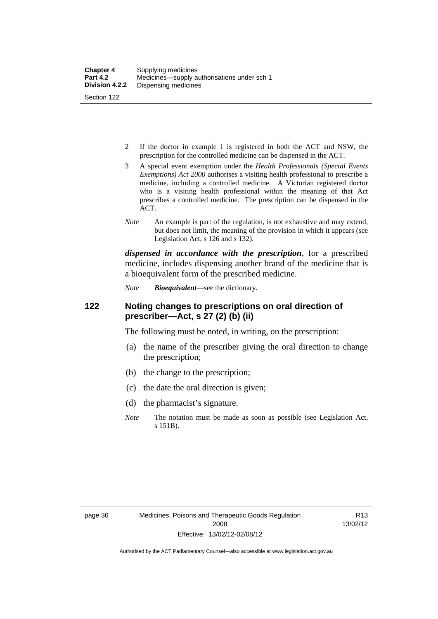- 2 If the doctor in example 1 is registered in both the ACT and NSW, the prescription for the controlled medicine can be dispensed in the ACT.
- 3 A special event exemption under the *Health Professionals (Special Events Exemptions) Act 2000* authorises a visiting health professional to prescribe a medicine, including a controlled medicine. A Victorian registered doctor who is a visiting health professional within the meaning of that Act prescribes a controlled medicine. The prescription can be dispensed in the ACT.
- *Note* An example is part of the regulation, is not exhaustive and may extend, but does not limit, the meaning of the provision in which it appears (see Legislation Act, s 126 and s 132).

*dispensed in accordance with the prescription*, for a prescribed medicine, includes dispensing another brand of the medicine that is a bioequivalent form of the prescribed medicine.

*Note Bioequivalent*—see the dictionary.

#### **122 Noting changes to prescriptions on oral direction of prescriber—Act, s 27 (2) (b) (ii)**

The following must be noted, in writing, on the prescription:

- (a) the name of the prescriber giving the oral direction to change the prescription;
- (b) the change to the prescription;
- (c) the date the oral direction is given;
- (d) the pharmacist's signature.
- *Note* The notation must be made as soon as possible (see Legislation Act, s 151B).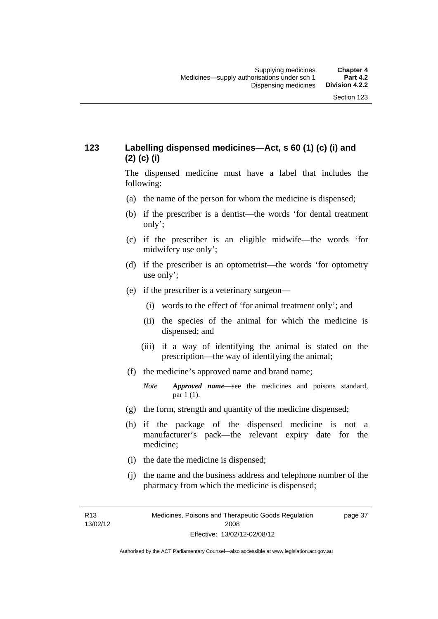## **123 Labelling dispensed medicines—Act, s 60 (1) (c) (i) and (2) (c) (i)**

The dispensed medicine must have a label that includes the following:

- (a) the name of the person for whom the medicine is dispensed;
- (b) if the prescriber is a dentist—the words 'for dental treatment only';
- (c) if the prescriber is an eligible midwife—the words 'for midwifery use only';
- (d) if the prescriber is an optometrist—the words 'for optometry use only';
- (e) if the prescriber is a veterinary surgeon—
	- (i) words to the effect of 'for animal treatment only'; and
	- (ii) the species of the animal for which the medicine is dispensed; and
	- (iii) if a way of identifying the animal is stated on the prescription—the way of identifying the animal;
- (f) the medicine's approved name and brand name;
	- *Note Approved name*—see the medicines and poisons standard, par 1 (1).
- (g) the form, strength and quantity of the medicine dispensed;
- (h) if the package of the dispensed medicine is not a manufacturer's pack—the relevant expiry date for the medicine;
- (i) the date the medicine is dispensed;
- (j) the name and the business address and telephone number of the pharmacy from which the medicine is dispensed;

R13 13/02/12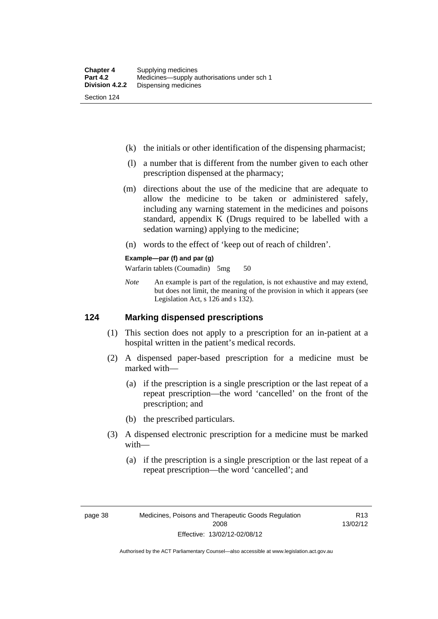- (k) the initials or other identification of the dispensing pharmacist;
- (l) a number that is different from the number given to each other prescription dispensed at the pharmacy;
- (m) directions about the use of the medicine that are adequate to allow the medicine to be taken or administered safely, including any warning statement in the medicines and poisons standard, appendix K (Drugs required to be labelled with a sedation warning) applying to the medicine;
- (n) words to the effect of 'keep out of reach of children'.

#### **Example—par (f) and par (g)**

Warfarin tablets (Coumadin) 5mg 50

*Note* An example is part of the regulation, is not exhaustive and may extend, but does not limit, the meaning of the provision in which it appears (see Legislation Act, s 126 and s 132).

#### **124 Marking dispensed prescriptions**

- (1) This section does not apply to a prescription for an in-patient at a hospital written in the patient's medical records.
- (2) A dispensed paper-based prescription for a medicine must be marked with—
	- (a) if the prescription is a single prescription or the last repeat of a repeat prescription—the word 'cancelled' on the front of the prescription; and
	- (b) the prescribed particulars.
- (3) A dispensed electronic prescription for a medicine must be marked with—
	- (a) if the prescription is a single prescription or the last repeat of a repeat prescription—the word 'cancelled'; and

R13 13/02/12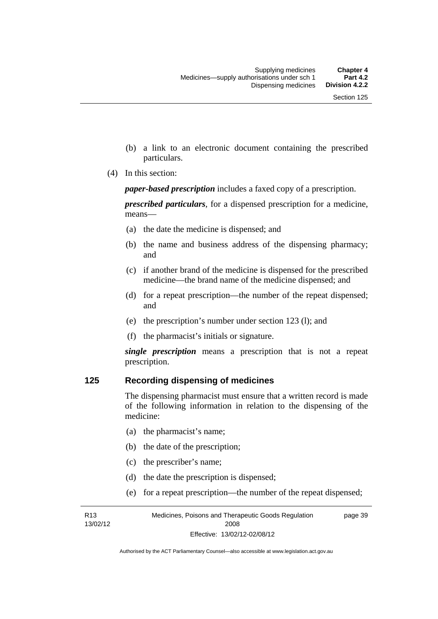- (b) a link to an electronic document containing the prescribed particulars.
- (4) In this section:

*paper-based prescription* includes a faxed copy of a prescription.

*prescribed particulars*, for a dispensed prescription for a medicine, means—

- (a) the date the medicine is dispensed; and
- (b) the name and business address of the dispensing pharmacy; and
- (c) if another brand of the medicine is dispensed for the prescribed medicine—the brand name of the medicine dispensed; and
- (d) for a repeat prescription—the number of the repeat dispensed; and
- (e) the prescription's number under section 123 (l); and
- (f) the pharmacist's initials or signature.

*single prescription* means a prescription that is not a repeat prescription.

#### **125 Recording dispensing of medicines**

The dispensing pharmacist must ensure that a written record is made of the following information in relation to the dispensing of the medicine:

- (a) the pharmacist's name;
- (b) the date of the prescription;
- (c) the prescriber's name;

R13 13/02/12

- (d) the date the prescription is dispensed;
- (e) for a repeat prescription—the number of the repeat dispensed;

Medicines, Poisons and Therapeutic Goods Regulation 2008 Effective: 13/02/12-02/08/12 page 39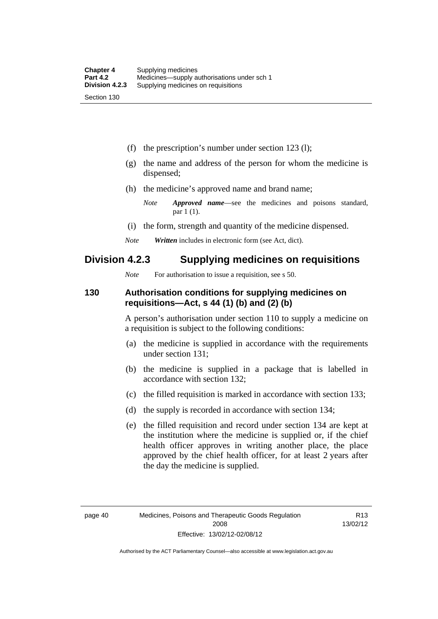(f) the prescription's number under section 123 (l);

- (g) the name and address of the person for whom the medicine is dispensed;
- (h) the medicine's approved name and brand name;
	- *Note Approved name*—see the medicines and poisons standard, par 1 (1).
- (i) the form, strength and quantity of the medicine dispensed.
- *Note Written* includes in electronic form (see Act, dict).

#### **Division 4.2.3 Supplying medicines on requisitions**

*Note* For authorisation to issue a requisition, see s 50.

#### **130 Authorisation conditions for supplying medicines on requisitions—Act, s 44 (1) (b) and (2) (b)**

A person's authorisation under section 110 to supply a medicine on a requisition is subject to the following conditions:

- (a) the medicine is supplied in accordance with the requirements under section 131;
- (b) the medicine is supplied in a package that is labelled in accordance with section 132;
- (c) the filled requisition is marked in accordance with section 133;
- (d) the supply is recorded in accordance with section 134;
- (e) the filled requisition and record under section 134 are kept at the institution where the medicine is supplied or, if the chief health officer approves in writing another place, the place approved by the chief health officer, for at least 2 years after the day the medicine is supplied.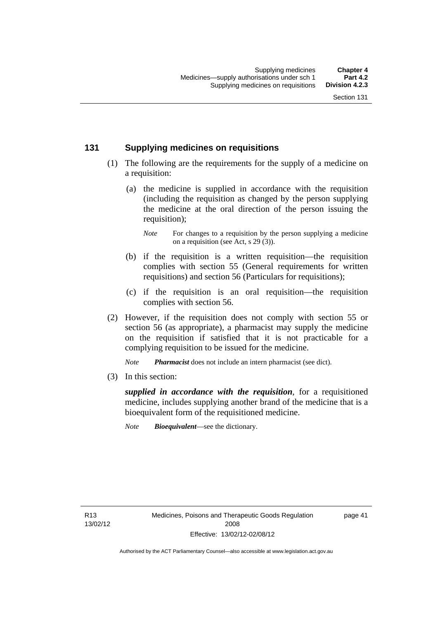#### **131 Supplying medicines on requisitions**

- (1) The following are the requirements for the supply of a medicine on a requisition:
	- (a) the medicine is supplied in accordance with the requisition (including the requisition as changed by the person supplying the medicine at the oral direction of the person issuing the requisition);

- (b) if the requisition is a written requisition—the requisition complies with section 55 (General requirements for written requisitions) and section 56 (Particulars for requisitions);
- (c) if the requisition is an oral requisition—the requisition complies with section 56.
- (2) However, if the requisition does not comply with section 55 or section 56 (as appropriate), a pharmacist may supply the medicine on the requisition if satisfied that it is not practicable for a complying requisition to be issued for the medicine.

*Note Pharmacist* does not include an intern pharmacist (see dict).

(3) In this section:

*supplied in accordance with the requisition*, for a requisitioned medicine, includes supplying another brand of the medicine that is a bioequivalent form of the requisitioned medicine.

*Note Bioequivalent*—see the dictionary.

page 41

*Note* For changes to a requisition by the person supplying a medicine on a requisition (see Act, s 29 (3)).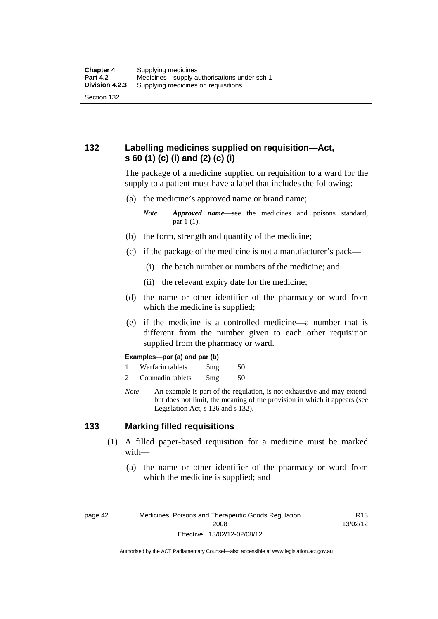## **132 Labelling medicines supplied on requisition—Act, s 60 (1) (c) (i) and (2) (c) (i)**

The package of a medicine supplied on requisition to a ward for the supply to a patient must have a label that includes the following:

(a) the medicine's approved name or brand name;

*Note Approved name*—see the medicines and poisons standard, par 1 (1).

- (b) the form, strength and quantity of the medicine;
- (c) if the package of the medicine is not a manufacturer's pack—
	- (i) the batch number or numbers of the medicine; and
	- (ii) the relevant expiry date for the medicine;
- (d) the name or other identifier of the pharmacy or ward from which the medicine is supplied;
- (e) if the medicine is a controlled medicine—a number that is different from the number given to each other requisition supplied from the pharmacy or ward.

#### **Examples—par (a) and par (b)**

- 1 Warfarin tablets 5mg 50
- 2 Coumadin tablets 5mg 50
- *Note* An example is part of the regulation, is not exhaustive and may extend, but does not limit, the meaning of the provision in which it appears (see Legislation Act, s 126 and s 132).

#### **133 Marking filled requisitions**

- (1) A filled paper-based requisition for a medicine must be marked with—
	- (a) the name or other identifier of the pharmacy or ward from which the medicine is supplied; and

page 42 Medicines, Poisons and Therapeutic Goods Regulation 2008 Effective: 13/02/12-02/08/12

R13 13/02/12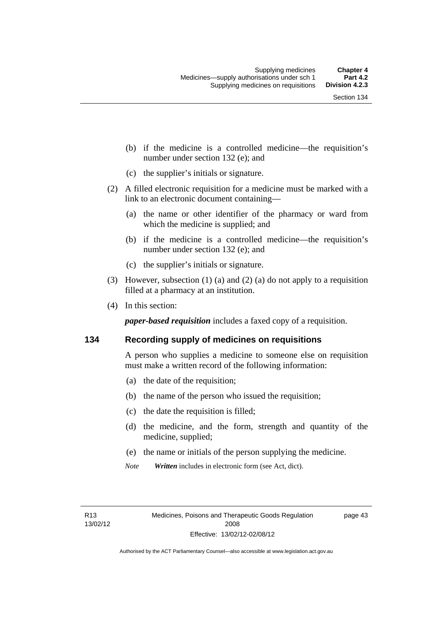- (b) if the medicine is a controlled medicine—the requisition's number under section 132 (e); and
- (c) the supplier's initials or signature.
- (2) A filled electronic requisition for a medicine must be marked with a link to an electronic document containing—
	- (a) the name or other identifier of the pharmacy or ward from which the medicine is supplied; and
	- (b) if the medicine is a controlled medicine—the requisition's number under section 132 (e); and
	- (c) the supplier's initials or signature.
- (3) However, subsection (1) (a) and (2) (a) do not apply to a requisition filled at a pharmacy at an institution.
- (4) In this section:

*paper-based requisition* includes a faxed copy of a requisition.

#### **134 Recording supply of medicines on requisitions**

A person who supplies a medicine to someone else on requisition must make a written record of the following information:

- (a) the date of the requisition;
- (b) the name of the person who issued the requisition;
- (c) the date the requisition is filled;
- (d) the medicine, and the form, strength and quantity of the medicine, supplied;
- (e) the name or initials of the person supplying the medicine.
- *Note Written* includes in electronic form (see Act, dict).

page 43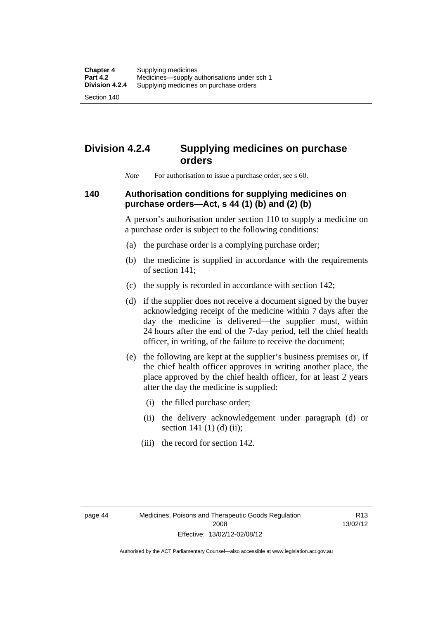Section 140

# **Division 4.2.4 Supplying medicines on purchase orders**

*Note* For authorisation to issue a purchase order, see s 60.

## **140 Authorisation conditions for supplying medicines on purchase orders—Act, s 44 (1) (b) and (2) (b)**

A person's authorisation under section 110 to supply a medicine on a purchase order is subject to the following conditions:

- (a) the purchase order is a complying purchase order;
- (b) the medicine is supplied in accordance with the requirements of section 141;
- (c) the supply is recorded in accordance with section 142;
- (d) if the supplier does not receive a document signed by the buyer acknowledging receipt of the medicine within 7 days after the day the medicine is delivered—the supplier must, within 24 hours after the end of the 7-day period, tell the chief health officer, in writing, of the failure to receive the document;
- (e) the following are kept at the supplier's business premises or, if the chief health officer approves in writing another place, the place approved by the chief health officer, for at least 2 years after the day the medicine is supplied:
	- (i) the filled purchase order;
	- (ii) the delivery acknowledgement under paragraph (d) or section 141 $(1)$  $(d)$  $(ii)$ ;
	- (iii) the record for section 142.

R13 13/02/12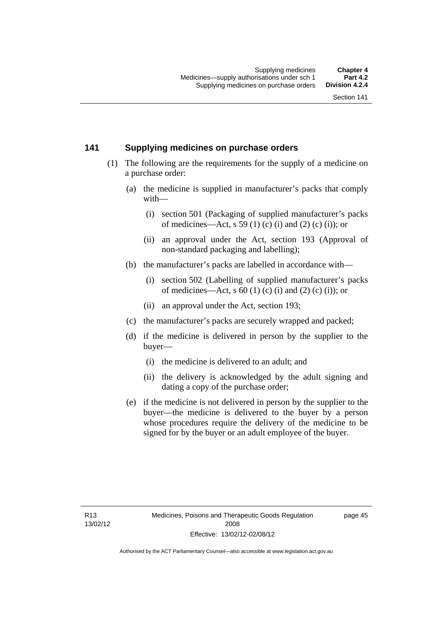#### **141 Supplying medicines on purchase orders**

- (1) The following are the requirements for the supply of a medicine on a purchase order:
	- (a) the medicine is supplied in manufacturer's packs that comply with—
		- (i) section 501 (Packaging of supplied manufacturer's packs of medicines—Act, s 59 (1) (c) (i) and (2) (c) (i)); or
		- (ii) an approval under the Act, section 193 (Approval of non-standard packaging and labelling);
	- (b) the manufacturer's packs are labelled in accordance with—
		- (i) section 502 (Labelling of supplied manufacturer's packs of medicines—Act, s  $60(1)$  (c) (i) and (2) (c) (i)); or
		- (ii) an approval under the Act, section 193;
	- (c) the manufacturer's packs are securely wrapped and packed;
	- (d) if the medicine is delivered in person by the supplier to the buyer—
		- (i) the medicine is delivered to an adult; and
		- (ii) the delivery is acknowledged by the adult signing and dating a copy of the purchase order;
	- (e) if the medicine is not delivered in person by the supplier to the buyer—the medicine is delivered to the buyer by a person whose procedures require the delivery of the medicine to be signed for by the buyer or an adult employee of the buyer.

page 45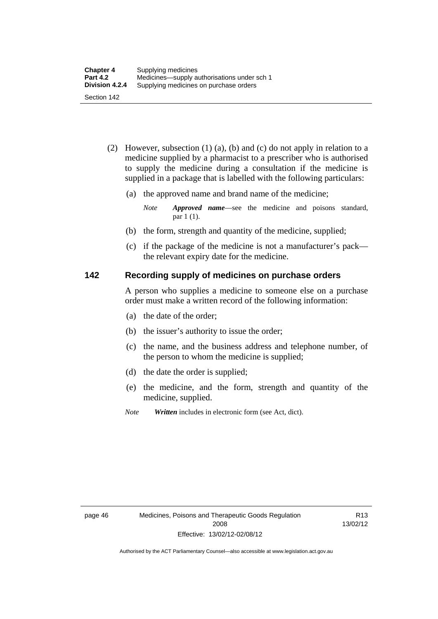- (2) However, subsection (1) (a), (b) and (c) do not apply in relation to a medicine supplied by a pharmacist to a prescriber who is authorised to supply the medicine during a consultation if the medicine is supplied in a package that is labelled with the following particulars:
	- (a) the approved name and brand name of the medicine;

*Note Approved name*—see the medicine and poisons standard, par 1 (1).

- (b) the form, strength and quantity of the medicine, supplied;
- (c) if the package of the medicine is not a manufacturer's pack the relevant expiry date for the medicine.

#### **142 Recording supply of medicines on purchase orders**

A person who supplies a medicine to someone else on a purchase order must make a written record of the following information:

- (a) the date of the order;
- (b) the issuer's authority to issue the order;
- (c) the name, and the business address and telephone number, of the person to whom the medicine is supplied;
- (d) the date the order is supplied;
- (e) the medicine, and the form, strength and quantity of the medicine, supplied.
- *Note Written* includes in electronic form (see Act, dict).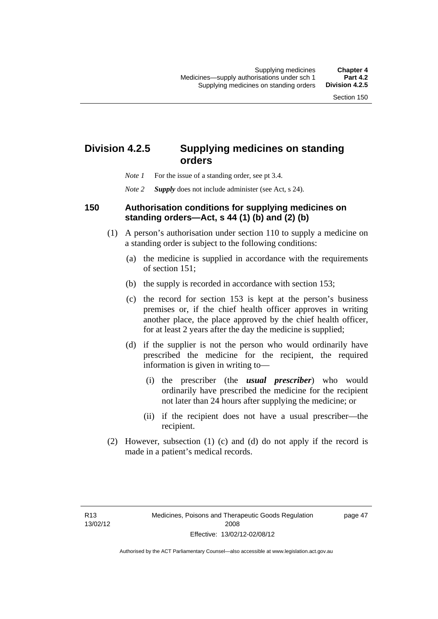## **Division 4.2.5 Supplying medicines on standing orders**

- *Note 1* For the issue of a standing order, see pt 3.4.
- *Note 2 Supply* does not include administer (see Act, s 24).

#### **150 Authorisation conditions for supplying medicines on standing orders—Act, s 44 (1) (b) and (2) (b)**

- (1) A person's authorisation under section 110 to supply a medicine on a standing order is subject to the following conditions:
	- (a) the medicine is supplied in accordance with the requirements of section 151;
	- (b) the supply is recorded in accordance with section 153;
	- (c) the record for section 153 is kept at the person's business premises or, if the chief health officer approves in writing another place, the place approved by the chief health officer, for at least 2 years after the day the medicine is supplied;
	- (d) if the supplier is not the person who would ordinarily have prescribed the medicine for the recipient, the required information is given in writing to—
		- (i) the prescriber (the *usual prescriber*) who would ordinarily have prescribed the medicine for the recipient not later than 24 hours after supplying the medicine; or
		- (ii) if the recipient does not have a usual prescriber—the recipient.
- (2) However, subsection (1) (c) and (d) do not apply if the record is made in a patient's medical records.

page 47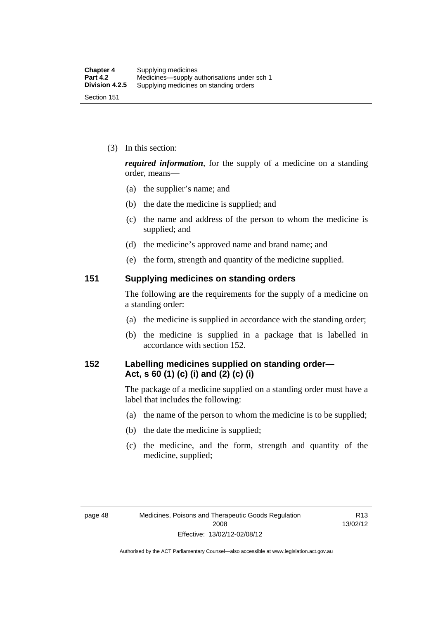(3) In this section:

*required information*, for the supply of a medicine on a standing order, means—

- (a) the supplier's name; and
- (b) the date the medicine is supplied; and
- (c) the name and address of the person to whom the medicine is supplied; and
- (d) the medicine's approved name and brand name; and
- (e) the form, strength and quantity of the medicine supplied.

#### **151 Supplying medicines on standing orders**

The following are the requirements for the supply of a medicine on a standing order:

- (a) the medicine is supplied in accordance with the standing order;
- (b) the medicine is supplied in a package that is labelled in accordance with section 152.

#### **152 Labelling medicines supplied on standing order— Act, s 60 (1) (c) (i) and (2) (c) (i)**

The package of a medicine supplied on a standing order must have a label that includes the following:

- (a) the name of the person to whom the medicine is to be supplied;
- (b) the date the medicine is supplied;
- (c) the medicine, and the form, strength and quantity of the medicine, supplied;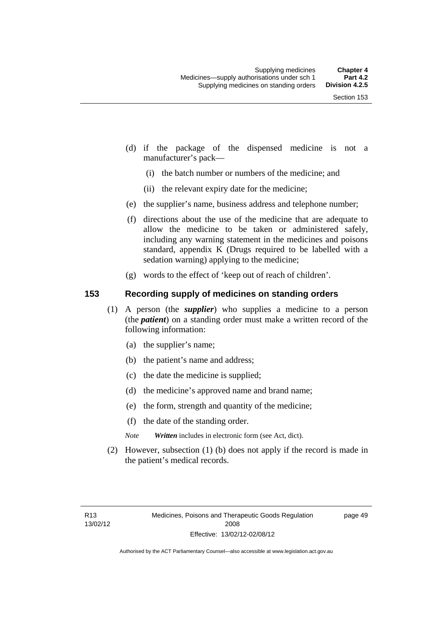- (d) if the package of the dispensed medicine is not a manufacturer's pack—
	- (i) the batch number or numbers of the medicine; and
	- (ii) the relevant expiry date for the medicine;
- (e) the supplier's name, business address and telephone number;
- (f) directions about the use of the medicine that are adequate to allow the medicine to be taken or administered safely, including any warning statement in the medicines and poisons standard, appendix K (Drugs required to be labelled with a sedation warning) applying to the medicine;
- (g) words to the effect of 'keep out of reach of children'.

#### **153 Recording supply of medicines on standing orders**

- (1) A person (the *supplier*) who supplies a medicine to a person (the *patient*) on a standing order must make a written record of the following information:
	- (a) the supplier's name;
	- (b) the patient's name and address;
	- (c) the date the medicine is supplied;
	- (d) the medicine's approved name and brand name;
	- (e) the form, strength and quantity of the medicine;
	- (f) the date of the standing order.
	- *Note Written* includes in electronic form (see Act, dict).
- (2) However, subsection (1) (b) does not apply if the record is made in the patient's medical records.

page 49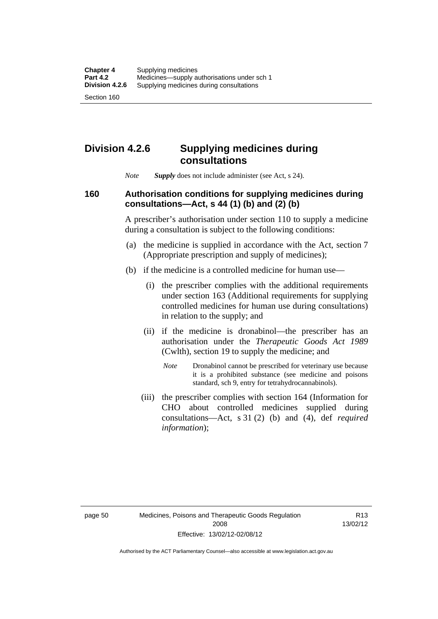### **Division 4.2.6 Supplying medicines during consultations**

*Note Supply* does not include administer (see Act, s 24).

### **160 Authorisation conditions for supplying medicines during consultations—Act, s 44 (1) (b) and (2) (b)**

A prescriber's authorisation under section 110 to supply a medicine during a consultation is subject to the following conditions:

- (a) the medicine is supplied in accordance with the Act, section 7 (Appropriate prescription and supply of medicines);
- (b) if the medicine is a controlled medicine for human use—
	- (i) the prescriber complies with the additional requirements under section 163 (Additional requirements for supplying controlled medicines for human use during consultations) in relation to the supply; and
	- (ii) if the medicine is dronabinol—the prescriber has an authorisation under the *Therapeutic Goods Act 1989* (Cwlth), section 19 to supply the medicine; and
		- *Note* Dronabinol cannot be prescribed for veterinary use because it is a prohibited substance (see medicine and poisons standard, sch 9, entry for tetrahydrocannabinols).
	- (iii) the prescriber complies with section 164 (Information for CHO about controlled medicines supplied during consultations—Act, s 31 (2) (b) and (4), def *required information*);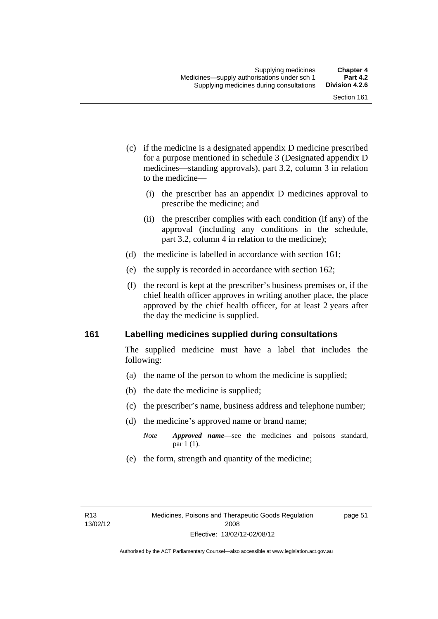- (c) if the medicine is a designated appendix D medicine prescribed for a purpose mentioned in schedule 3 (Designated appendix D medicines—standing approvals), part 3.2, column 3 in relation to the medicine—
	- (i) the prescriber has an appendix D medicines approval to prescribe the medicine; and
	- (ii) the prescriber complies with each condition (if any) of the approval (including any conditions in the schedule, part 3.2, column 4 in relation to the medicine);
- (d) the medicine is labelled in accordance with section 161;
- (e) the supply is recorded in accordance with section 162;
- (f) the record is kept at the prescriber's business premises or, if the chief health officer approves in writing another place, the place approved by the chief health officer, for at least 2 years after the day the medicine is supplied.

#### **161 Labelling medicines supplied during consultations**

The supplied medicine must have a label that includes the following:

- (a) the name of the person to whom the medicine is supplied;
- (b) the date the medicine is supplied;
- (c) the prescriber's name, business address and telephone number;
- (d) the medicine's approved name or brand name;
	- *Note Approved name*—see the medicines and poisons standard, par 1 (1).
- (e) the form, strength and quantity of the medicine;

page 51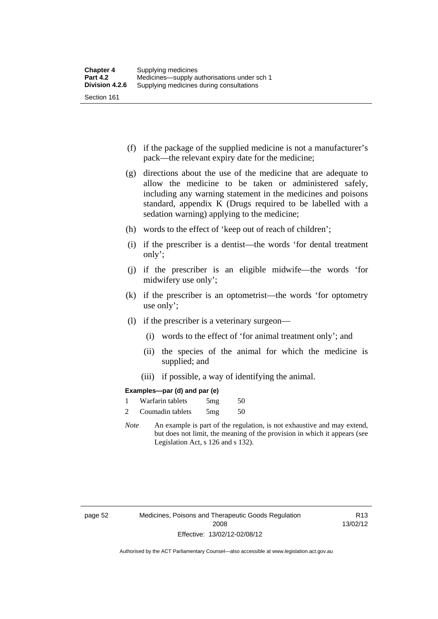- (f) if the package of the supplied medicine is not a manufacturer's pack—the relevant expiry date for the medicine;
- (g) directions about the use of the medicine that are adequate to allow the medicine to be taken or administered safely, including any warning statement in the medicines and poisons standard, appendix K (Drugs required to be labelled with a sedation warning) applying to the medicine;
- (h) words to the effect of 'keep out of reach of children';
- (i) if the prescriber is a dentist—the words 'for dental treatment only';
- (j) if the prescriber is an eligible midwife—the words 'for midwifery use only';
- (k) if the prescriber is an optometrist—the words 'for optometry use only';
- (l) if the prescriber is a veterinary surgeon—
	- (i) words to the effect of 'for animal treatment only'; and
	- (ii) the species of the animal for which the medicine is supplied; and
	- (iii) if possible, a way of identifying the animal.

#### **Examples—par (d) and par (e)**

| Warfarin tablets | 5mg | 50 |
|------------------|-----|----|
| Coumadin tablets | 5mg | 50 |

*Note* An example is part of the regulation, is not exhaustive and may extend, but does not limit, the meaning of the provision in which it appears (see Legislation Act, s 126 and s 132).

page 52 Medicines, Poisons and Therapeutic Goods Regulation 2008 Effective: 13/02/12-02/08/12

R13 13/02/12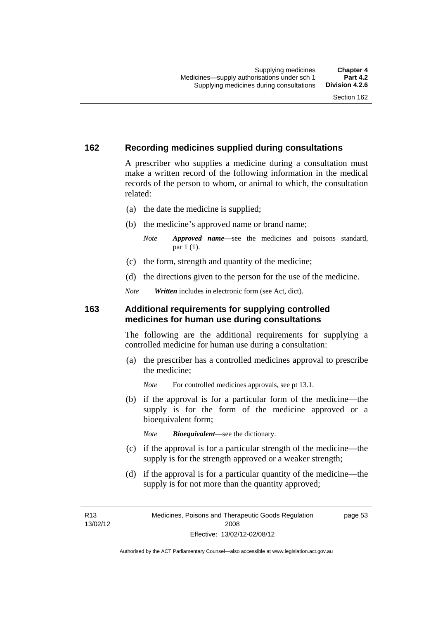#### **162 Recording medicines supplied during consultations**

A prescriber who supplies a medicine during a consultation must make a written record of the following information in the medical records of the person to whom, or animal to which, the consultation related:

- (a) the date the medicine is supplied;
- (b) the medicine's approved name or brand name;

*Note Approved name*—see the medicines and poisons standard, par 1 (1).

- (c) the form, strength and quantity of the medicine;
- (d) the directions given to the person for the use of the medicine.

*Note Written* includes in electronic form (see Act, dict).

#### **163 Additional requirements for supplying controlled medicines for human use during consultations**

The following are the additional requirements for supplying a controlled medicine for human use during a consultation:

- (a) the prescriber has a controlled medicines approval to prescribe the medicine;
	- *Note* For controlled medicines approvals, see pt 13.1.
- (b) if the approval is for a particular form of the medicine—the supply is for the form of the medicine approved or a bioequivalent form;

*Note Bioequivalent*—see the dictionary.

- (c) if the approval is for a particular strength of the medicine—the supply is for the strength approved or a weaker strength;
- (d) if the approval is for a particular quantity of the medicine—the supply is for not more than the quantity approved;

R13 13/02/12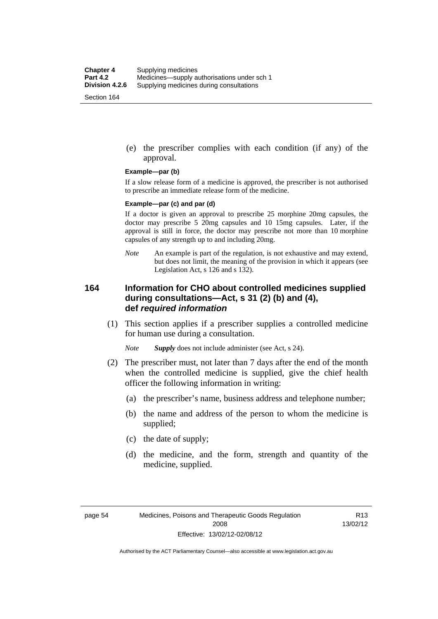(e) the prescriber complies with each condition (if any) of the approval.

#### **Example—par (b)**

If a slow release form of a medicine is approved, the prescriber is not authorised to prescribe an immediate release form of the medicine.

#### **Example—par (c) and par (d)**

If a doctor is given an approval to prescribe 25 morphine 20mg capsules, the doctor may prescribe 5 20mg capsules and 10 15mg capsules. Later, if the approval is still in force, the doctor may prescribe not more than 10 morphine capsules of any strength up to and including 20mg.

*Note* An example is part of the regulation, is not exhaustive and may extend, but does not limit, the meaning of the provision in which it appears (see Legislation Act, s 126 and s 132).

#### **164 Information for CHO about controlled medicines supplied during consultations—Act, s 31 (2) (b) and (4), def** *required information*

 (1) This section applies if a prescriber supplies a controlled medicine for human use during a consultation.

*Note Supply* does not include administer (see Act, s 24).

- (2) The prescriber must, not later than 7 days after the end of the month when the controlled medicine is supplied, give the chief health officer the following information in writing:
	- (a) the prescriber's name, business address and telephone number;
	- (b) the name and address of the person to whom the medicine is supplied;
	- (c) the date of supply;
	- (d) the medicine, and the form, strength and quantity of the medicine, supplied.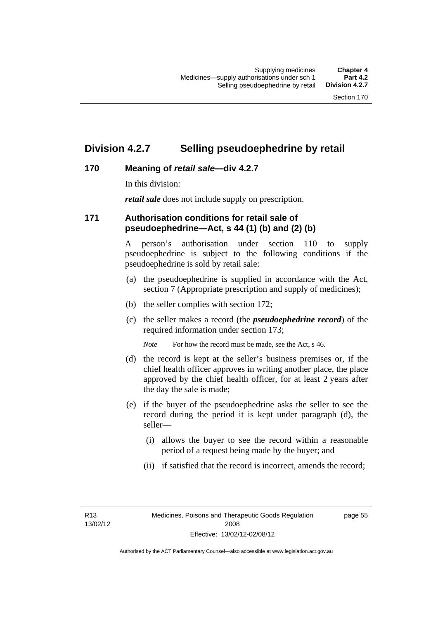### **Division 4.2.7 Selling pseudoephedrine by retail**

#### **170 Meaning of** *retail sale***—div 4.2.7**

In this division:

*retail sale* does not include supply on prescription.

#### **171 Authorisation conditions for retail sale of pseudoephedrine—Act, s 44 (1) (b) and (2) (b)**

A person's authorisation under section 110 to supply pseudoephedrine is subject to the following conditions if the pseudoephedrine is sold by retail sale:

- (a) the pseudoephedrine is supplied in accordance with the Act, section 7 (Appropriate prescription and supply of medicines);
- (b) the seller complies with section 172;
- (c) the seller makes a record (the *pseudoephedrine record*) of the required information under section 173;

*Note* For how the record must be made, see the Act, s 46.

- (d) the record is kept at the seller's business premises or, if the chief health officer approves in writing another place, the place approved by the chief health officer, for at least 2 years after the day the sale is made;
- (e) if the buyer of the pseudoephedrine asks the seller to see the record during the period it is kept under paragraph (d), the seller—
	- (i) allows the buyer to see the record within a reasonable period of a request being made by the buyer; and
	- (ii) if satisfied that the record is incorrect, amends the record;

R13 13/02/12 page 55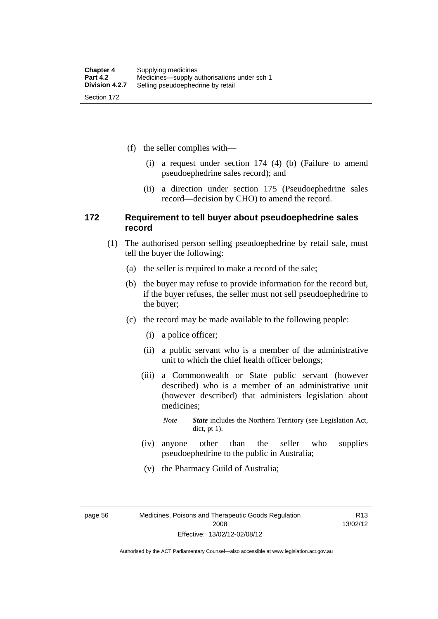(f) the seller complies with—

- (i) a request under section 174 (4) (b) (Failure to amend pseudoephedrine sales record); and
- (ii) a direction under section 175 (Pseudoephedrine sales record—decision by CHO) to amend the record.

#### **172 Requirement to tell buyer about pseudoephedrine sales record**

- (1) The authorised person selling pseudoephedrine by retail sale, must tell the buyer the following:
	- (a) the seller is required to make a record of the sale;
	- (b) the buyer may refuse to provide information for the record but, if the buyer refuses, the seller must not sell pseudoephedrine to the buyer;
	- (c) the record may be made available to the following people:
		- (i) a police officer;
		- (ii) a public servant who is a member of the administrative unit to which the chief health officer belongs;
		- (iii) a Commonwealth or State public servant (however described) who is a member of an administrative unit (however described) that administers legislation about medicines;
			- *Note State* includes the Northern Territory (see Legislation Act, dict, pt 1).
		- (iv) anyone other than the seller who supplies pseudoephedrine to the public in Australia;
		- (v) the Pharmacy Guild of Australia;

page 56 Medicines, Poisons and Therapeutic Goods Regulation 2008 Effective: 13/02/12-02/08/12

R13 13/02/12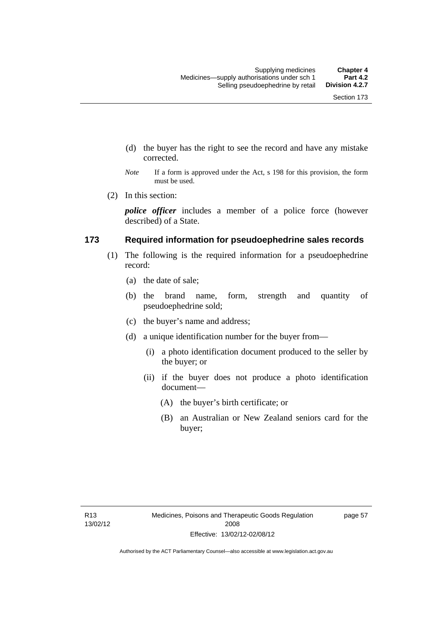- (d) the buyer has the right to see the record and have any mistake corrected.
- *Note* If a form is approved under the Act, s 198 for this provision, the form must be used.
- (2) In this section:

*police officer* includes a member of a police force (however described) of a State.

#### **173 Required information for pseudoephedrine sales records**

- (1) The following is the required information for a pseudoephedrine record:
	- (a) the date of sale;
	- (b) the brand name, form, strength and quantity of pseudoephedrine sold;
	- (c) the buyer's name and address;
	- (d) a unique identification number for the buyer from—
		- (i) a photo identification document produced to the seller by the buyer; or
		- (ii) if the buyer does not produce a photo identification document—
			- (A) the buyer's birth certificate; or
			- (B) an Australian or New Zealand seniors card for the buyer;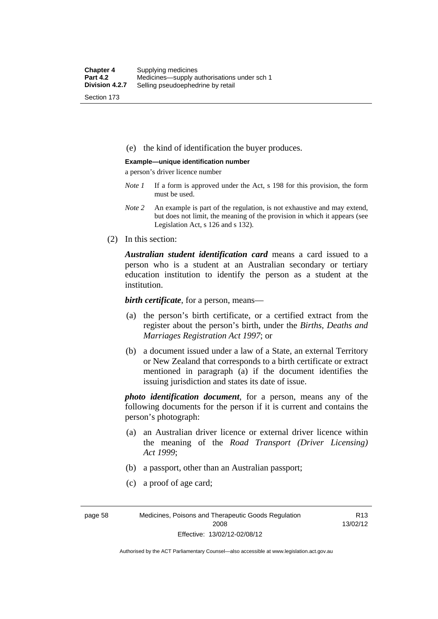(e) the kind of identification the buyer produces.

#### **Example—unique identification number**

a person's driver licence number

- *Note 1* If a form is approved under the Act, s 198 for this provision, the form must be used.
- *Note 2* An example is part of the regulation, is not exhaustive and may extend, but does not limit, the meaning of the provision in which it appears (see Legislation Act, s 126 and s 132).
- (2) In this section:

*Australian student identification card* means a card issued to a person who is a student at an Australian secondary or tertiary education institution to identify the person as a student at the institution.

*birth certificate*, for a person, means—

- (a) the person's birth certificate, or a certified extract from the register about the person's birth, under the *Births, Deaths and Marriages Registration Act 1997*; or
- (b) a document issued under a law of a State, an external Territory or New Zealand that corresponds to a birth certificate or extract mentioned in paragraph (a) if the document identifies the issuing jurisdiction and states its date of issue.

*photo identification document*, for a person, means any of the following documents for the person if it is current and contains the person's photograph:

- (a) an Australian driver licence or external driver licence within the meaning of the *Road Transport (Driver Licensing) Act 1999*;
- (b) a passport, other than an Australian passport;
- (c) a proof of age card;

page 58 Medicines, Poisons and Therapeutic Goods Regulation 2008 Effective: 13/02/12-02/08/12

R13 13/02/12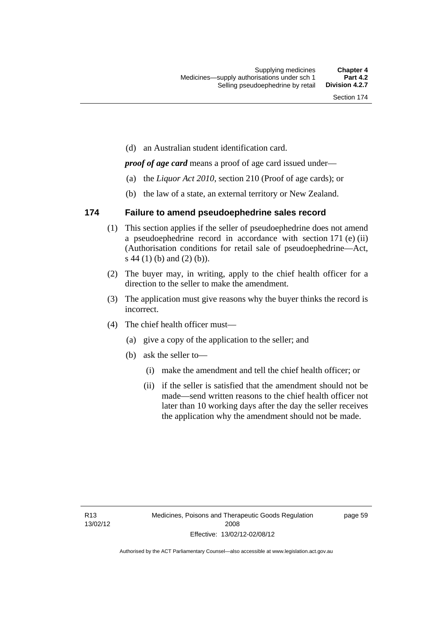(d) an Australian student identification card.

*proof of age card* means a proof of age card issued under—

- (a) the *Liquor Act 2010*, section 210 (Proof of age cards); or
- (b) the law of a state, an external territory or New Zealand.

### **174 Failure to amend pseudoephedrine sales record**

- (1) This section applies if the seller of pseudoephedrine does not amend a pseudoephedrine record in accordance with section 171 (e) (ii) (Authorisation conditions for retail sale of pseudoephedrine—Act, s 44 (1) (b) and (2) (b)).
- (2) The buyer may, in writing, apply to the chief health officer for a direction to the seller to make the amendment.
- (3) The application must give reasons why the buyer thinks the record is incorrect.
- (4) The chief health officer must—
	- (a) give a copy of the application to the seller; and
	- (b) ask the seller to—
		- (i) make the amendment and tell the chief health officer; or
		- (ii) if the seller is satisfied that the amendment should not be made—send written reasons to the chief health officer not later than 10 working days after the day the seller receives the application why the amendment should not be made.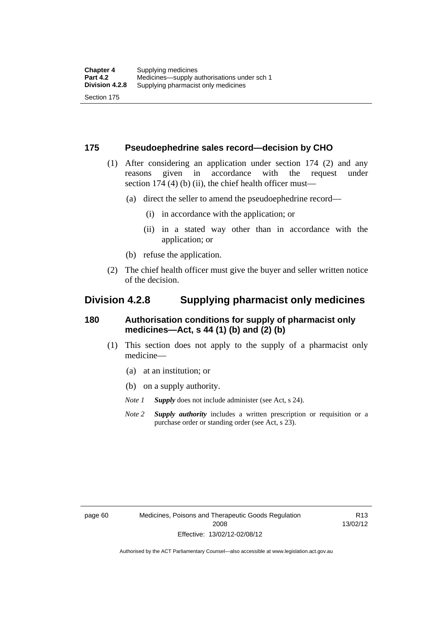#### **175 Pseudoephedrine sales record—decision by CHO**

- (1) After considering an application under section 174 (2) and any reasons given in accordance with the request under section 174  $(4)$  (b)  $(ii)$ , the chief health officer must—
	- (a) direct the seller to amend the pseudoephedrine record—
		- (i) in accordance with the application; or
		- (ii) in a stated way other than in accordance with the application; or
	- (b) refuse the application.
- (2) The chief health officer must give the buyer and seller written notice of the decision.

### **Division 4.2.8 Supplying pharmacist only medicines**

#### **180 Authorisation conditions for supply of pharmacist only medicines—Act, s 44 (1) (b) and (2) (b)**

- (1) This section does not apply to the supply of a pharmacist only medicine—
	- (a) at an institution; or
	- (b) on a supply authority.
	- *Note 1 Supply* does not include administer (see Act, s 24).
	- *Note 2 Supply authority* includes a written prescription or requisition or a purchase order or standing order (see Act, s 23).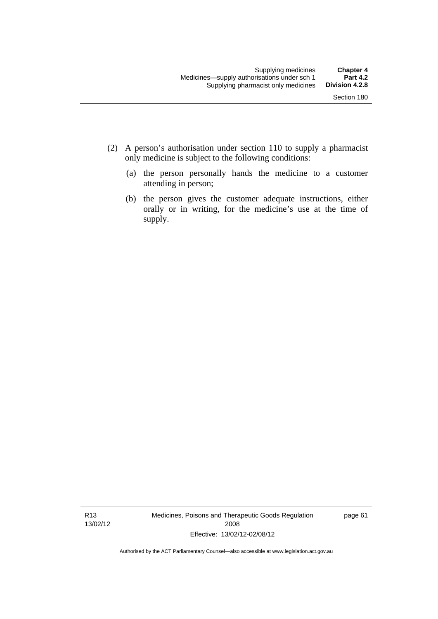- (2) A person's authorisation under section 110 to supply a pharmacist only medicine is subject to the following conditions:
	- (a) the person personally hands the medicine to a customer attending in person;
	- (b) the person gives the customer adequate instructions, either orally or in writing, for the medicine's use at the time of supply.

R13 13/02/12 Medicines, Poisons and Therapeutic Goods Regulation 2008 Effective: 13/02/12-02/08/12

page 61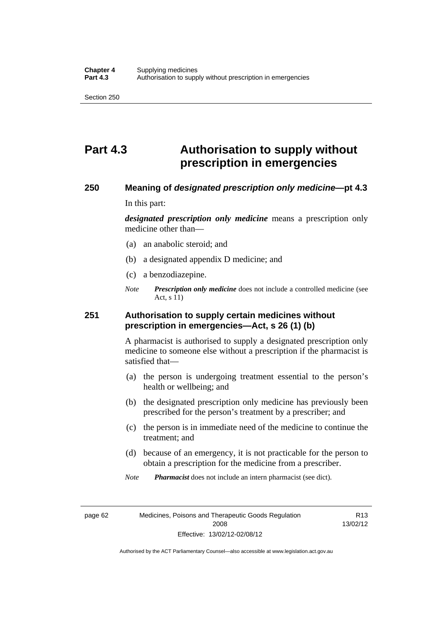# **Part 4.3 Authorisation to supply without prescription in emergencies**

#### **250 Meaning of** *designated prescription only medicine***—pt 4.3**

In this part:

*designated prescription only medicine* means a prescription only medicine other than—

- (a) an anabolic steroid; and
- (b) a designated appendix D medicine; and
- (c) a benzodiazepine.
- *Note Prescription only medicine* does not include a controlled medicine (see Act, s 11)

#### **251 Authorisation to supply certain medicines without prescription in emergencies—Act, s 26 (1) (b)**

A pharmacist is authorised to supply a designated prescription only medicine to someone else without a prescription if the pharmacist is satisfied that—

- (a) the person is undergoing treatment essential to the person's health or wellbeing; and
- (b) the designated prescription only medicine has previously been prescribed for the person's treatment by a prescriber; and
- (c) the person is in immediate need of the medicine to continue the treatment; and
- (d) because of an emergency, it is not practicable for the person to obtain a prescription for the medicine from a prescriber.

*Note Pharmacist* does not include an intern pharmacist (see dict).

page 62 Medicines, Poisons and Therapeutic Goods Regulation 2008 Effective: 13/02/12-02/08/12

R13 13/02/12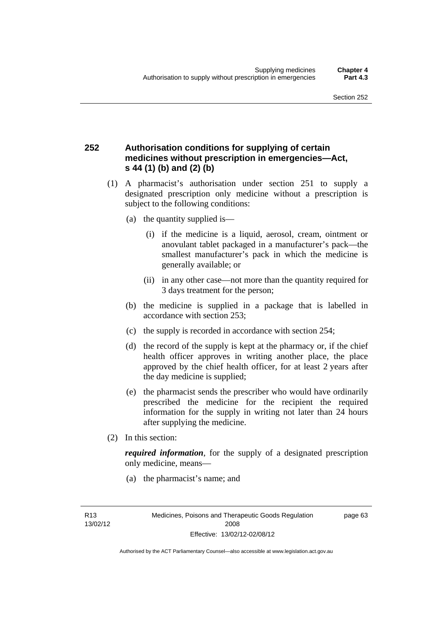### **252 Authorisation conditions for supplying of certain medicines without prescription in emergencies—Act, s 44 (1) (b) and (2) (b)**

- (1) A pharmacist's authorisation under section 251 to supply a designated prescription only medicine without a prescription is subject to the following conditions:
	- (a) the quantity supplied is—
		- (i) if the medicine is a liquid, aerosol, cream, ointment or anovulant tablet packaged in a manufacturer's pack—the smallest manufacturer's pack in which the medicine is generally available; or
		- (ii) in any other case—not more than the quantity required for 3 days treatment for the person;
	- (b) the medicine is supplied in a package that is labelled in accordance with section 253;
	- (c) the supply is recorded in accordance with section 254;
	- (d) the record of the supply is kept at the pharmacy or, if the chief health officer approves in writing another place, the place approved by the chief health officer, for at least 2 years after the day medicine is supplied;
	- (e) the pharmacist sends the prescriber who would have ordinarily prescribed the medicine for the recipient the required information for the supply in writing not later than 24 hours after supplying the medicine.
- (2) In this section:

*required information*, for the supply of a designated prescription only medicine, means—

(a) the pharmacist's name; and

page 63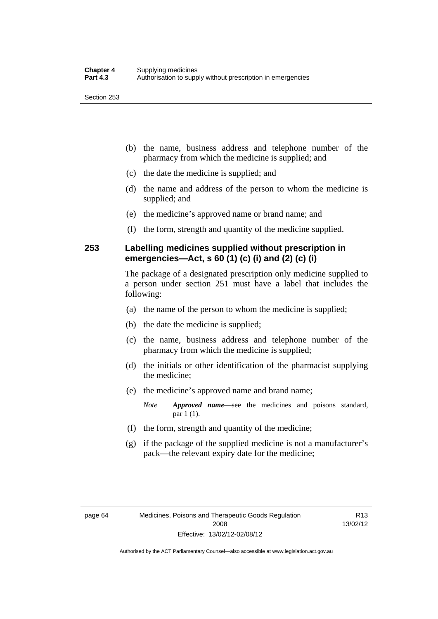- (b) the name, business address and telephone number of the pharmacy from which the medicine is supplied; and
- (c) the date the medicine is supplied; and
- (d) the name and address of the person to whom the medicine is supplied; and
- (e) the medicine's approved name or brand name; and
- (f) the form, strength and quantity of the medicine supplied.

### **253 Labelling medicines supplied without prescription in emergencies—Act, s 60 (1) (c) (i) and (2) (c) (i)**

The package of a designated prescription only medicine supplied to a person under section 251 must have a label that includes the following:

- (a) the name of the person to whom the medicine is supplied;
- (b) the date the medicine is supplied;
- (c) the name, business address and telephone number of the pharmacy from which the medicine is supplied;
- (d) the initials or other identification of the pharmacist supplying the medicine;
- (e) the medicine's approved name and brand name;

*Note Approved name*—see the medicines and poisons standard, par 1 (1).

- (f) the form, strength and quantity of the medicine;
- (g) if the package of the supplied medicine is not a manufacturer's pack—the relevant expiry date for the medicine;

R13 13/02/12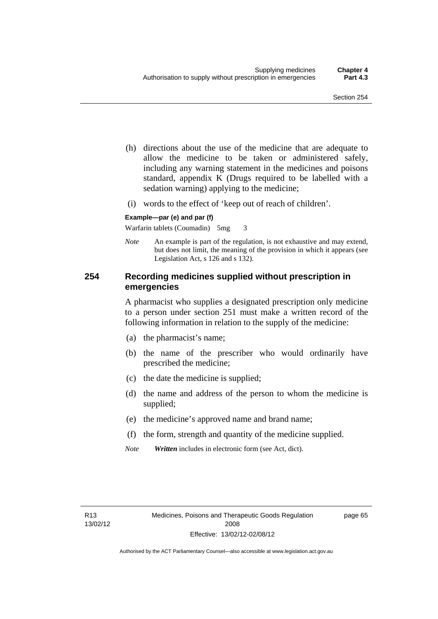- (h) directions about the use of the medicine that are adequate to allow the medicine to be taken or administered safely, including any warning statement in the medicines and poisons standard, appendix K (Drugs required to be labelled with a sedation warning) applying to the medicine;
- (i) words to the effect of 'keep out of reach of children'.

#### **Example—par (e) and par (f)**

Warfarin tablets (Coumadin) 5mg 3

*Note* An example is part of the regulation, is not exhaustive and may extend, but does not limit, the meaning of the provision in which it appears (see Legislation Act, s 126 and s 132).

#### **254 Recording medicines supplied without prescription in emergencies**

A pharmacist who supplies a designated prescription only medicine to a person under section 251 must make a written record of the following information in relation to the supply of the medicine:

- (a) the pharmacist's name;
- (b) the name of the prescriber who would ordinarily have prescribed the medicine;
- (c) the date the medicine is supplied;
- (d) the name and address of the person to whom the medicine is supplied;
- (e) the medicine's approved name and brand name;
- (f) the form, strength and quantity of the medicine supplied.
- *Note Written* includes in electronic form (see Act, dict).

page 65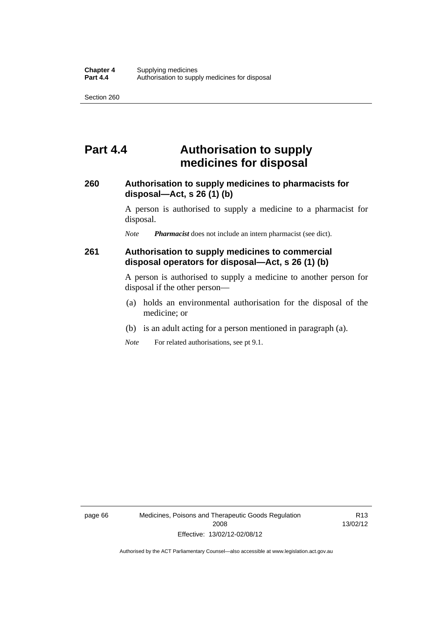## **Part 4.4 Authorisation to supply medicines for disposal**

#### **260 Authorisation to supply medicines to pharmacists for disposal—Act, s 26 (1) (b)**

A person is authorised to supply a medicine to a pharmacist for disposal.

*Note Pharmacist* does not include an intern pharmacist (see dict).

#### **261 Authorisation to supply medicines to commercial disposal operators for disposal—Act, s 26 (1) (b)**

A person is authorised to supply a medicine to another person for disposal if the other person—

- (a) holds an environmental authorisation for the disposal of the medicine; or
- (b) is an adult acting for a person mentioned in paragraph (a).
- *Note* For related authorisations, see pt 9.1.

page 66 Medicines, Poisons and Therapeutic Goods Regulation 2008 Effective: 13/02/12-02/08/12

R13 13/02/12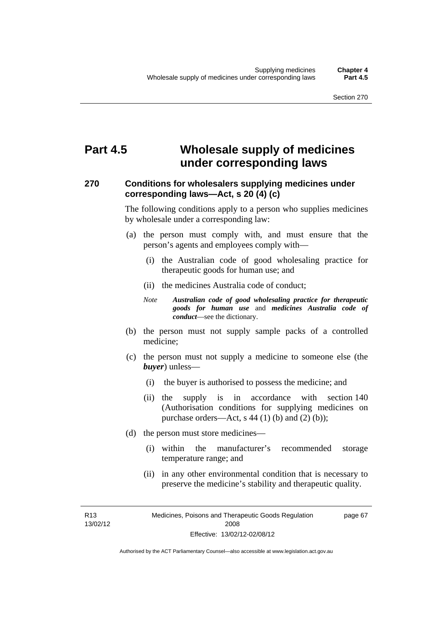# **Part 4.5 Wholesale supply of medicines under corresponding laws**

### **270 Conditions for wholesalers supplying medicines under corresponding laws—Act, s 20 (4) (c)**

The following conditions apply to a person who supplies medicines by wholesale under a corresponding law:

- (a) the person must comply with, and must ensure that the person's agents and employees comply with—
	- (i) the Australian code of good wholesaling practice for therapeutic goods for human use; and
	- (ii) the medicines Australia code of conduct;
	- *Note Australian code of good wholesaling practice for therapeutic goods for human use* and *medicines Australia code of conduct*—see the dictionary.
- (b) the person must not supply sample packs of a controlled medicine;
- (c) the person must not supply a medicine to someone else (the *buyer*) unless—
	- (i) the buyer is authorised to possess the medicine; and
	- (ii) the supply is in accordance with section 140 (Authorisation conditions for supplying medicines on purchase orders—Act, s  $44$  (1) (b) and (2) (b));
- (d) the person must store medicines—
	- (i) within the manufacturer's recommended storage temperature range; and
	- (ii) in any other environmental condition that is necessary to preserve the medicine's stability and therapeutic quality.

R13 13/02/12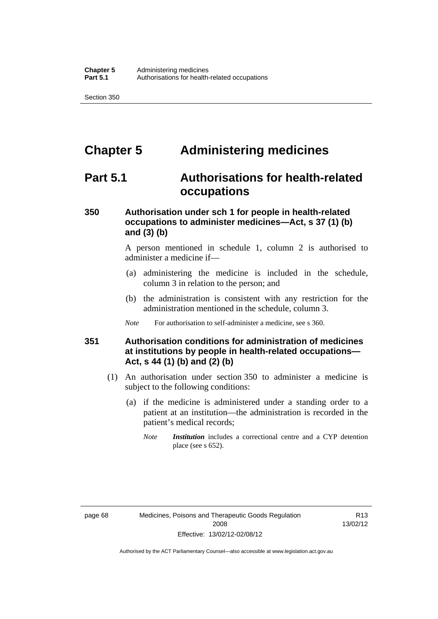# **Chapter 5 Administering medicines**

## **Part 5.1 Authorisations for health-related occupations**

### **350 Authorisation under sch 1 for people in health-related occupations to administer medicines—Act, s 37 (1) (b) and (3) (b)**

A person mentioned in schedule 1, column 2 is authorised to administer a medicine if—

- (a) administering the medicine is included in the schedule, column 3 in relation to the person; and
- (b) the administration is consistent with any restriction for the administration mentioned in the schedule, column 3.
- *Note* For authorisation to self-administer a medicine, see s 360.

#### **351 Authorisation conditions for administration of medicines at institutions by people in health-related occupations— Act, s 44 (1) (b) and (2) (b)**

- (1) An authorisation under section 350 to administer a medicine is subject to the following conditions:
	- (a) if the medicine is administered under a standing order to a patient at an institution—the administration is recorded in the patient's medical records;
		- *Note Institution* includes a correctional centre and a CYP detention place (see s 652).

R13 13/02/12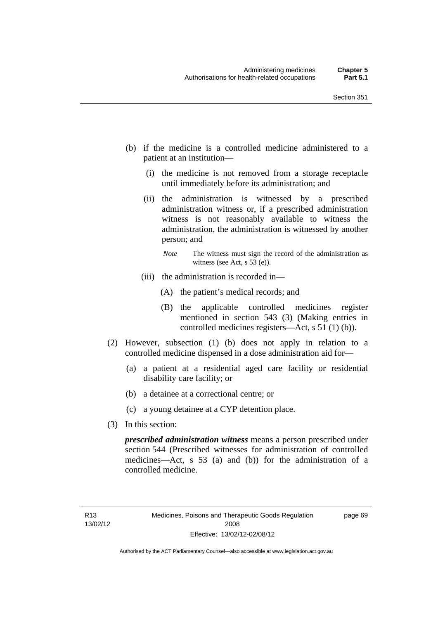- (b) if the medicine is a controlled medicine administered to a patient at an institution—
	- (i) the medicine is not removed from a storage receptacle until immediately before its administration; and
	- (ii) the administration is witnessed by a prescribed administration witness or, if a prescribed administration witness is not reasonably available to witness the administration, the administration is witnessed by another person; and
		- *Note* The witness must sign the record of the administration as witness (see Act, s 53 (e)).
	- (iii) the administration is recorded in—
		- (A) the patient's medical records; and
		- (B) the applicable controlled medicines register mentioned in section 543 (3) (Making entries in controlled medicines registers—Act, s 51 (1) (b)).
- (2) However, subsection (1) (b) does not apply in relation to a controlled medicine dispensed in a dose administration aid for—
	- (a) a patient at a residential aged care facility or residential disability care facility; or
	- (b) a detainee at a correctional centre; or
	- (c) a young detainee at a CYP detention place.
- (3) In this section:

*prescribed administration witness* means a person prescribed under section 544 (Prescribed witnesses for administration of controlled medicines—Act, s 53 (a) and (b)) for the administration of a controlled medicine.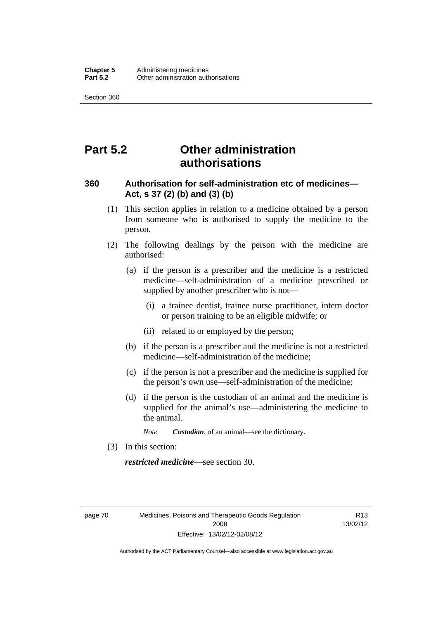# **Part 5.2 Other administration authorisations**

#### **360 Authorisation for self-administration etc of medicines— Act, s 37 (2) (b) and (3) (b)**

- (1) This section applies in relation to a medicine obtained by a person from someone who is authorised to supply the medicine to the person.
- (2) The following dealings by the person with the medicine are authorised:
	- (a) if the person is a prescriber and the medicine is a restricted medicine—self-administration of a medicine prescribed or supplied by another prescriber who is not—
		- (i) a trainee dentist, trainee nurse practitioner, intern doctor or person training to be an eligible midwife; or
		- (ii) related to or employed by the person;
	- (b) if the person is a prescriber and the medicine is not a restricted medicine—self-administration of the medicine;
	- (c) if the person is not a prescriber and the medicine is supplied for the person's own use—self-administration of the medicine;
	- (d) if the person is the custodian of an animal and the medicine is supplied for the animal's use—administering the medicine to the animal.
		- *Note Custodian*, of an animal—see the dictionary.
- (3) In this section:

*restricted medicine*—see section 30.

page 70 Medicines, Poisons and Therapeutic Goods Regulation 2008 Effective: 13/02/12-02/08/12

R13 13/02/12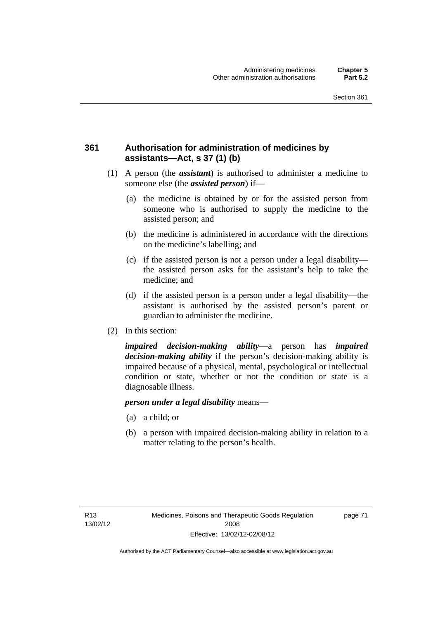### **361 Authorisation for administration of medicines by assistants—Act, s 37 (1) (b)**

- (1) A person (the *assistant*) is authorised to administer a medicine to someone else (the *assisted person*) if—
	- (a) the medicine is obtained by or for the assisted person from someone who is authorised to supply the medicine to the assisted person; and
	- (b) the medicine is administered in accordance with the directions on the medicine's labelling; and
	- (c) if the assisted person is not a person under a legal disability the assisted person asks for the assistant's help to take the medicine; and
	- (d) if the assisted person is a person under a legal disability—the assistant is authorised by the assisted person's parent or guardian to administer the medicine.
- (2) In this section:

*impaired decision-making ability*—a person has *impaired decision-making ability* if the person's decision-making ability is impaired because of a physical, mental, psychological or intellectual condition or state, whether or not the condition or state is a diagnosable illness.

#### *person under a legal disability* means—

- (a) a child; or
- (b) a person with impaired decision-making ability in relation to a matter relating to the person's health.

page 71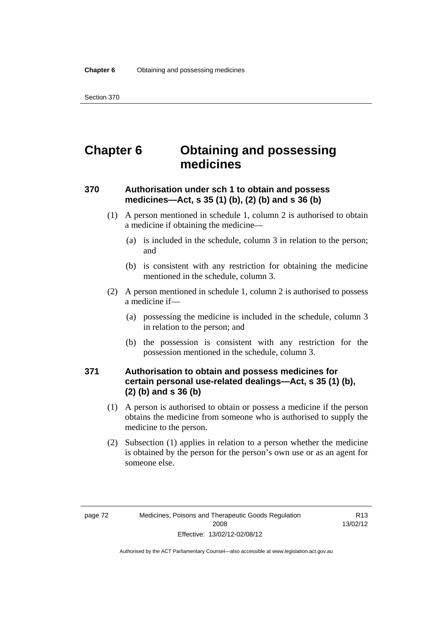# **Chapter 6 Obtaining and possessing medicines**

### **370 Authorisation under sch 1 to obtain and possess medicines—Act, s 35 (1) (b), (2) (b) and s 36 (b)**

- (1) A person mentioned in schedule 1, column 2 is authorised to obtain a medicine if obtaining the medicine—
	- (a) is included in the schedule, column 3 in relation to the person; and
	- (b) is consistent with any restriction for obtaining the medicine mentioned in the schedule, column 3.
- (2) A person mentioned in schedule 1, column 2 is authorised to possess a medicine if—
	- (a) possessing the medicine is included in the schedule, column 3 in relation to the person; and
	- (b) the possession is consistent with any restriction for the possession mentioned in the schedule, column 3.

### **371 Authorisation to obtain and possess medicines for certain personal use-related dealings—Act, s 35 (1) (b), (2) (b) and s 36 (b)**

- (1) A person is authorised to obtain or possess a medicine if the person obtains the medicine from someone who is authorised to supply the medicine to the person.
- (2) Subsection (1) applies in relation to a person whether the medicine is obtained by the person for the person's own use or as an agent for someone else.

R13 13/02/12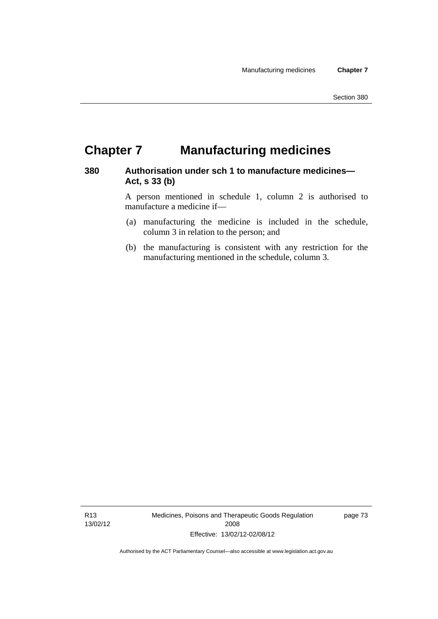# **Chapter 7 Manufacturing medicines**

#### **380 Authorisation under sch 1 to manufacture medicines— Act, s 33 (b)**

A person mentioned in schedule 1, column 2 is authorised to manufacture a medicine if—

- (a) manufacturing the medicine is included in the schedule, column 3 in relation to the person; and
- (b) the manufacturing is consistent with any restriction for the manufacturing mentioned in the schedule, column 3.

R13 13/02/12 Medicines, Poisons and Therapeutic Goods Regulation 2008 Effective: 13/02/12-02/08/12

page 73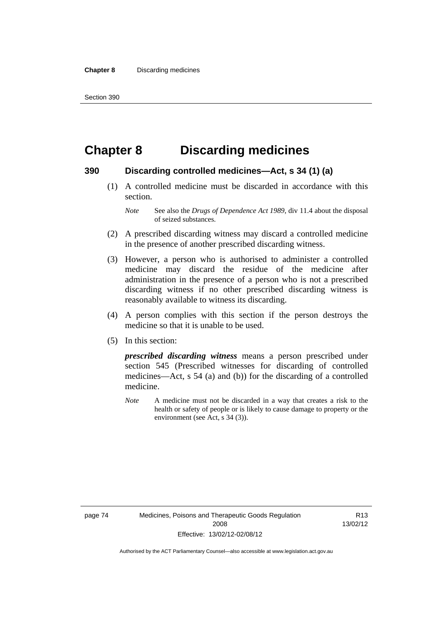# **Chapter 8 Discarding medicines**

#### **390 Discarding controlled medicines—Act, s 34 (1) (a)**

 (1) A controlled medicine must be discarded in accordance with this section.

- (2) A prescribed discarding witness may discard a controlled medicine in the presence of another prescribed discarding witness.
- (3) However, a person who is authorised to administer a controlled medicine may discard the residue of the medicine after administration in the presence of a person who is not a prescribed discarding witness if no other prescribed discarding witness is reasonably available to witness its discarding.
- (4) A person complies with this section if the person destroys the medicine so that it is unable to be used.
- (5) In this section:

*prescribed discarding witness* means a person prescribed under section 545 (Prescribed witnesses for discarding of controlled medicines—Act, s 54 (a) and (b)) for the discarding of a controlled medicine.

*Note* A medicine must not be discarded in a way that creates a risk to the health or safety of people or is likely to cause damage to property or the environment (see Act, s 34 (3)).

R13 13/02/12

*Note* See also the *Drugs of Dependence Act 1989*, div 11.4 about the disposal of seized substances.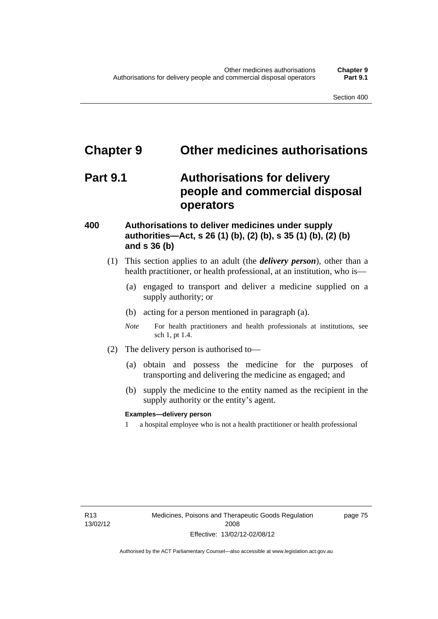# **Chapter 9 Other medicines authorisations**

## **Part 9.1 Authorisations for delivery people and commercial disposal operators**

#### **400 Authorisations to deliver medicines under supply authorities—Act, s 26 (1) (b), (2) (b), s 35 (1) (b), (2) (b) and s 36 (b)**

- (1) This section applies to an adult (the *delivery person*), other than a health practitioner, or health professional, at an institution, who is—
	- (a) engaged to transport and deliver a medicine supplied on a supply authority; or
	- (b) acting for a person mentioned in paragraph (a).
	- *Note* For health practitioners and health professionals at institutions, see sch 1, pt 1.4.
- (2) The delivery person is authorised to—
	- (a) obtain and possess the medicine for the purposes of transporting and delivering the medicine as engaged; and
	- (b) supply the medicine to the entity named as the recipient in the supply authority or the entity's agent.

#### **Examples—delivery person**

1 a hospital employee who is not a health practitioner or health professional

page 75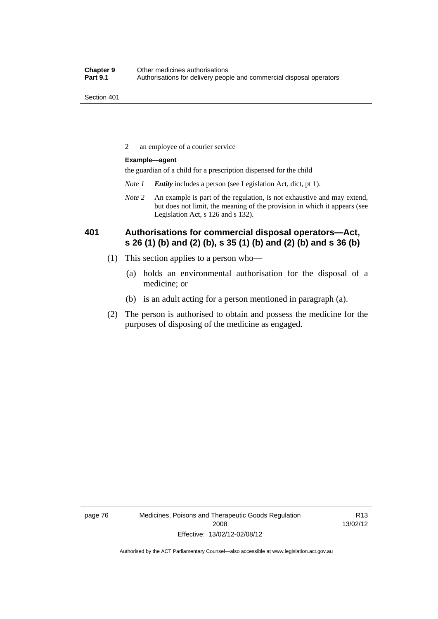2 an employee of a courier service

#### **Example—agent**

the guardian of a child for a prescription dispensed for the child

- *Note 1 Entity* includes a person (see Legislation Act, dict, pt 1).
- *Note 2* An example is part of the regulation, is not exhaustive and may extend, but does not limit, the meaning of the provision in which it appears (see Legislation Act, s 126 and s 132).

### **401 Authorisations for commercial disposal operators—Act, s 26 (1) (b) and (2) (b), s 35 (1) (b) and (2) (b) and s 36 (b)**

- (1) This section applies to a person who—
	- (a) holds an environmental authorisation for the disposal of a medicine; or
	- (b) is an adult acting for a person mentioned in paragraph (a).
- (2) The person is authorised to obtain and possess the medicine for the purposes of disposing of the medicine as engaged.

page 76 Medicines, Poisons and Therapeutic Goods Regulation 2008 Effective: 13/02/12-02/08/12

R13 13/02/12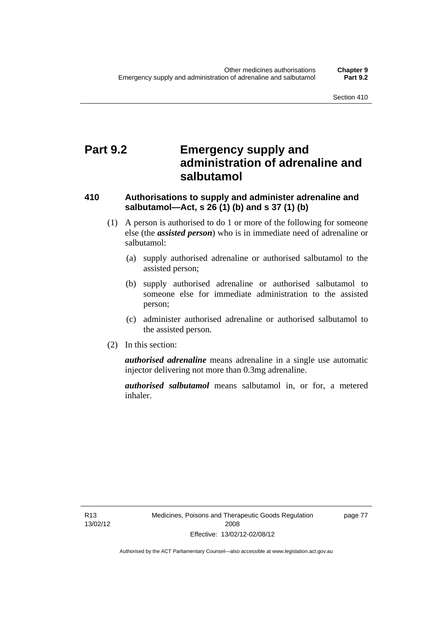# **Part 9.2 Emergency supply and administration of adrenaline and salbutamol**

### **410 Authorisations to supply and administer adrenaline and salbutamol—Act, s 26 (1) (b) and s 37 (1) (b)**

- (1) A person is authorised to do 1 or more of the following for someone else (the *assisted person*) who is in immediate need of adrenaline or salbutamol:
	- (a) supply authorised adrenaline or authorised salbutamol to the assisted person;
	- (b) supply authorised adrenaline or authorised salbutamol to someone else for immediate administration to the assisted person;
	- (c) administer authorised adrenaline or authorised salbutamol to the assisted person.
- (2) In this section:

*authorised adrenaline* means adrenaline in a single use automatic injector delivering not more than 0.3mg adrenaline.

*authorised salbutamol* means salbutamol in, or for, a metered inhaler.

page 77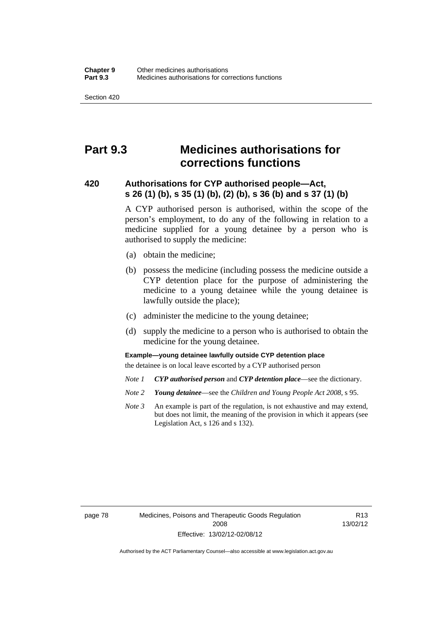# **Part 9.3 Medicines authorisations for corrections functions**

#### **420 Authorisations for CYP authorised people—Act, s 26 (1) (b), s 35 (1) (b), (2) (b), s 36 (b) and s 37 (1) (b)**

A CYP authorised person is authorised, within the scope of the person's employment, to do any of the following in relation to a medicine supplied for a young detainee by a person who is authorised to supply the medicine:

- (a) obtain the medicine;
- (b) possess the medicine (including possess the medicine outside a CYP detention place for the purpose of administering the medicine to a young detainee while the young detainee is lawfully outside the place);
- (c) administer the medicine to the young detainee;
- (d) supply the medicine to a person who is authorised to obtain the medicine for the young detainee.

#### **Example—young detainee lawfully outside CYP detention place**

the detainee is on local leave escorted by a CYP authorised person

- *Note 1 CYP authorised person* and *CYP detention place*—see the dictionary.
- *Note 2 Young detainee*—see the *Children and Young People Act 2008*, s 95.
- *Note 3* An example is part of the regulation, is not exhaustive and may extend, but does not limit, the meaning of the provision in which it appears (see Legislation Act, s 126 and s 132).

page 78 Medicines, Poisons and Therapeutic Goods Regulation 2008 Effective: 13/02/12-02/08/12

R13 13/02/12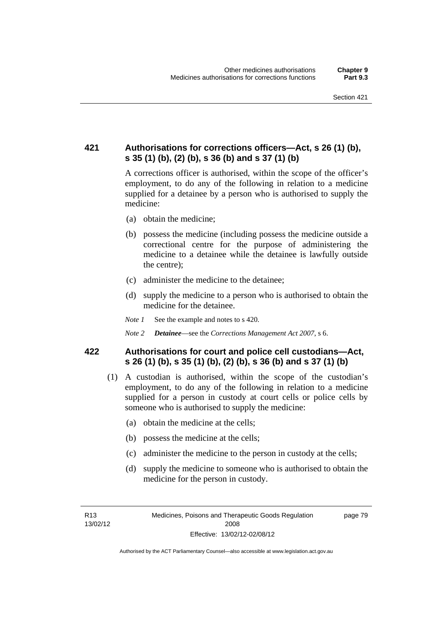### **421 Authorisations for corrections officers—Act, s 26 (1) (b), s 35 (1) (b), (2) (b), s 36 (b) and s 37 (1) (b)**

A corrections officer is authorised, within the scope of the officer's employment, to do any of the following in relation to a medicine supplied for a detainee by a person who is authorised to supply the medicine:

- (a) obtain the medicine;
- (b) possess the medicine (including possess the medicine outside a correctional centre for the purpose of administering the medicine to a detainee while the detainee is lawfully outside the centre);
- (c) administer the medicine to the detainee;
- (d) supply the medicine to a person who is authorised to obtain the medicine for the detainee.
- *Note 1* See the example and notes to s 420.
- *Note 2 Detainee*—see the *Corrections Management Act 2007*, s 6.

#### **422 Authorisations for court and police cell custodians—Act, s 26 (1) (b), s 35 (1) (b), (2) (b), s 36 (b) and s 37 (1) (b)**

- (1) A custodian is authorised, within the scope of the custodian's employment, to do any of the following in relation to a medicine supplied for a person in custody at court cells or police cells by someone who is authorised to supply the medicine:
	- (a) obtain the medicine at the cells;
	- (b) possess the medicine at the cells;
	- (c) administer the medicine to the person in custody at the cells;
	- (d) supply the medicine to someone who is authorised to obtain the medicine for the person in custody.

R13 13/02/12 page 79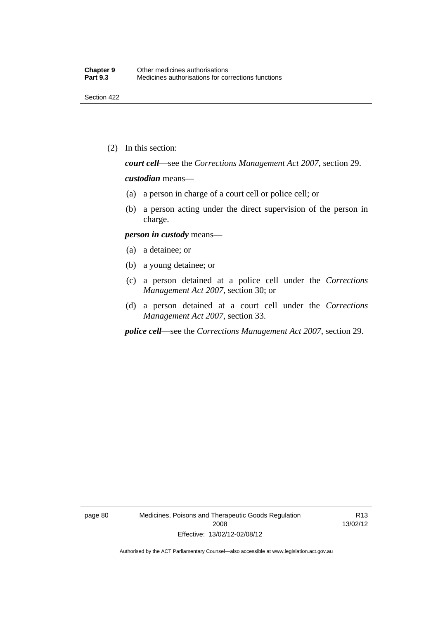(2) In this section:

*court cell*—see the *Corrections Management Act 2007*, section 29.

#### *custodian* means—

- (a) a person in charge of a court cell or police cell; or
- (b) a person acting under the direct supervision of the person in charge.

#### *person in custody* means—

- (a) a detainee; or
- (b) a young detainee; or
- (c) a person detained at a police cell under the *Corrections Management Act 2007*, section 30; or
- (d) a person detained at a court cell under the *Corrections Management Act 2007*, section 33.

*police cell*—see the *Corrections Management Act 2007*, section 29.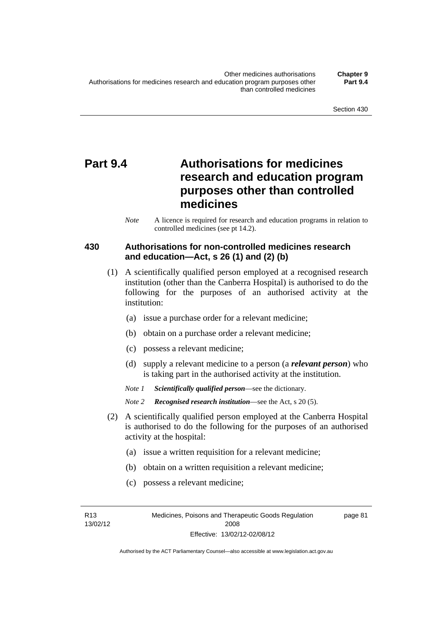# **Part 9.4 Authorisations for medicines research and education program purposes other than controlled medicines**

*Note* A licence is required for research and education programs in relation to controlled medicines (see pt 14.2).

### **430 Authorisations for non-controlled medicines research and education—Act, s 26 (1) and (2) (b)**

- (1) A scientifically qualified person employed at a recognised research institution (other than the Canberra Hospital) is authorised to do the following for the purposes of an authorised activity at the institution:
	- (a) issue a purchase order for a relevant medicine;
	- (b) obtain on a purchase order a relevant medicine;
	- (c) possess a relevant medicine;
	- (d) supply a relevant medicine to a person (a *relevant person*) who is taking part in the authorised activity at the institution.
	- *Note 1 Scientifically qualified person*—see the dictionary.

*Note 2 Recognised research institution*—see the Act, s 20 (5).

- (2) A scientifically qualified person employed at the Canberra Hospital is authorised to do the following for the purposes of an authorised activity at the hospital:
	- (a) issue a written requisition for a relevant medicine;
	- (b) obtain on a written requisition a relevant medicine;
	- (c) possess a relevant medicine;

R13 13/02/12 page 81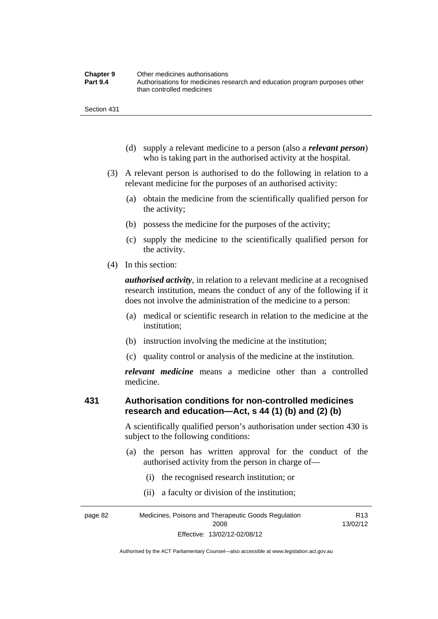| <b>Chapter 9</b> | Other medicines authorisations                                             |
|------------------|----------------------------------------------------------------------------|
| <b>Part 9.4</b>  | Authorisations for medicines research and education program purposes other |
|                  | than controlled medicines                                                  |

- (d) supply a relevant medicine to a person (also a *relevant person*) who is taking part in the authorised activity at the hospital.
- (3) A relevant person is authorised to do the following in relation to a relevant medicine for the purposes of an authorised activity:
	- (a) obtain the medicine from the scientifically qualified person for the activity;
	- (b) possess the medicine for the purposes of the activity;
	- (c) supply the medicine to the scientifically qualified person for the activity.
- (4) In this section:

*authorised activity*, in relation to a relevant medicine at a recognised research institution, means the conduct of any of the following if it does not involve the administration of the medicine to a person:

- (a) medical or scientific research in relation to the medicine at the institution;
- (b) instruction involving the medicine at the institution;
- (c) quality control or analysis of the medicine at the institution.

*relevant medicine* means a medicine other than a controlled medicine.

#### **431 Authorisation conditions for non-controlled medicines research and education—Act, s 44 (1) (b) and (2) (b)**

A scientifically qualified person's authorisation under section 430 is subject to the following conditions:

- (a) the person has written approval for the conduct of the authorised activity from the person in charge of—
	- (i) the recognised research institution; or
	- (ii) a faculty or division of the institution;

page 82 Medicines, Poisons and Therapeutic Goods Regulation 2008 Effective: 13/02/12-02/08/12 R13 13/02/12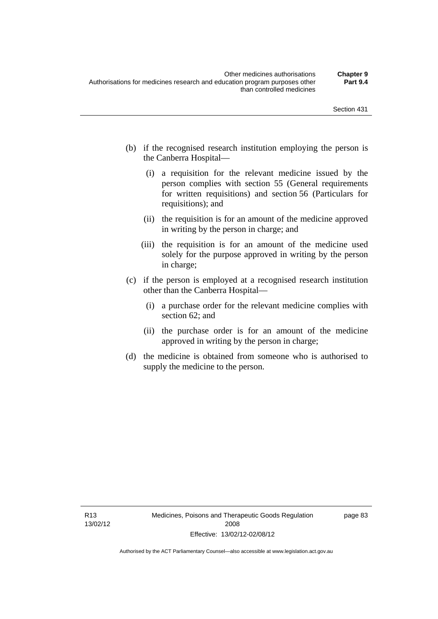- (b) if the recognised research institution employing the person is the Canberra Hospital—
	- (i) a requisition for the relevant medicine issued by the person complies with section 55 (General requirements for written requisitions) and section 56 (Particulars for requisitions); and
	- (ii) the requisition is for an amount of the medicine approved in writing by the person in charge; and
	- (iii) the requisition is for an amount of the medicine used solely for the purpose approved in writing by the person in charge;
- (c) if the person is employed at a recognised research institution other than the Canberra Hospital—
	- (i) a purchase order for the relevant medicine complies with section 62; and
	- (ii) the purchase order is for an amount of the medicine approved in writing by the person in charge;
- (d) the medicine is obtained from someone who is authorised to supply the medicine to the person.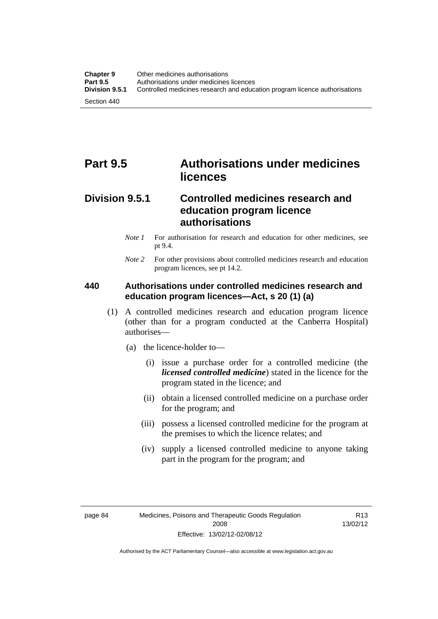# **Part 9.5 Authorisations under medicines licences**

### **Division 9.5.1 Controlled medicines research and education program licence authorisations**

- *Note 1* For authorisation for research and education for other medicines, see pt 9.4.
- *Note 2* For other provisions about controlled medicines research and education program licences, see pt 14.2.

### **440 Authorisations under controlled medicines research and education program licences—Act, s 20 (1) (a)**

- (1) A controlled medicines research and education program licence (other than for a program conducted at the Canberra Hospital) authorises—
	- (a) the licence-holder to—
		- (i) issue a purchase order for a controlled medicine (the *licensed controlled medicine*) stated in the licence for the program stated in the licence; and
		- (ii) obtain a licensed controlled medicine on a purchase order for the program; and
		- (iii) possess a licensed controlled medicine for the program at the premises to which the licence relates; and
		- (iv) supply a licensed controlled medicine to anyone taking part in the program for the program; and

R13 13/02/12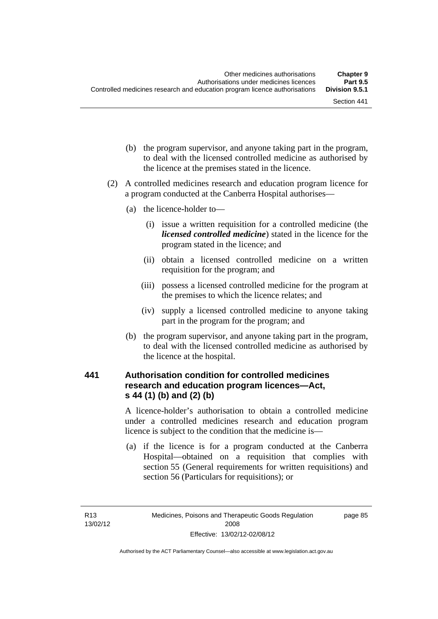- (b) the program supervisor, and anyone taking part in the program, to deal with the licensed controlled medicine as authorised by the licence at the premises stated in the licence.
- (2) A controlled medicines research and education program licence for a program conducted at the Canberra Hospital authorises—
	- (a) the licence-holder to—
		- (i) issue a written requisition for a controlled medicine (the *licensed controlled medicine*) stated in the licence for the program stated in the licence; and
		- (ii) obtain a licensed controlled medicine on a written requisition for the program; and
		- (iii) possess a licensed controlled medicine for the program at the premises to which the licence relates; and
		- (iv) supply a licensed controlled medicine to anyone taking part in the program for the program; and
	- (b) the program supervisor, and anyone taking part in the program, to deal with the licensed controlled medicine as authorised by the licence at the hospital.

# **441 Authorisation condition for controlled medicines research and education program licences—Act, s 44 (1) (b) and (2) (b)**

A licence-holder's authorisation to obtain a controlled medicine under a controlled medicines research and education program licence is subject to the condition that the medicine is—

 (a) if the licence is for a program conducted at the Canberra Hospital—obtained on a requisition that complies with section 55 (General requirements for written requisitions) and section 56 (Particulars for requisitions); or

page 85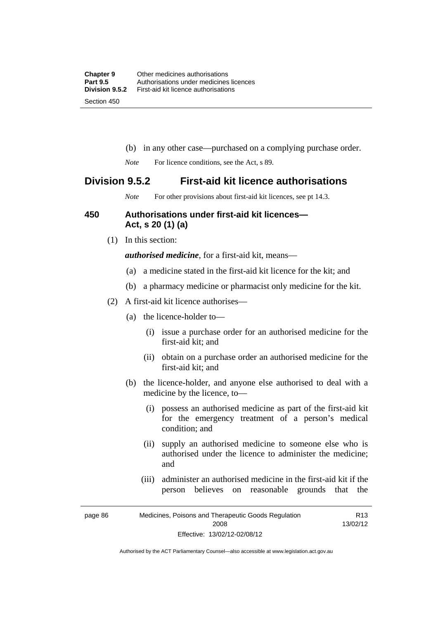- (b) in any other case—purchased on a complying purchase order.
- *Note* For licence conditions, see the Act, s 89.

# **Division 9.5.2 First-aid kit licence authorisations**

*Note* For other provisions about first-aid kit licences, see pt 14.3.

# **450 Authorisations under first-aid kit licences— Act, s 20 (1) (a)**

(1) In this section:

*authorised medicine*, for a first-aid kit, means—

- (a) a medicine stated in the first-aid kit licence for the kit; and
- (b) a pharmacy medicine or pharmacist only medicine for the kit.
- (2) A first-aid kit licence authorises—
	- (a) the licence-holder to—
		- (i) issue a purchase order for an authorised medicine for the first-aid kit; and
		- (ii) obtain on a purchase order an authorised medicine for the first-aid kit; and
	- (b) the licence-holder, and anyone else authorised to deal with a medicine by the licence, to—
		- (i) possess an authorised medicine as part of the first-aid kit for the emergency treatment of a person's medical condition; and
		- (ii) supply an authorised medicine to someone else who is authorised under the licence to administer the medicine; and
		- (iii) administer an authorised medicine in the first-aid kit if the person believes on reasonable grounds that the

page 86 Medicines, Poisons and Therapeutic Goods Regulation 2008 Effective: 13/02/12-02/08/12 R13 13/02/12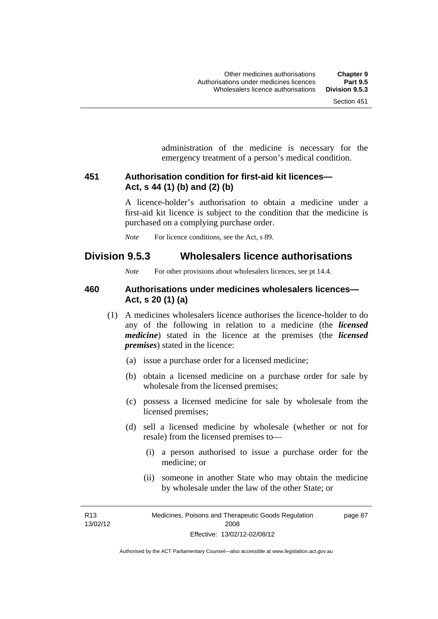administration of the medicine is necessary for the emergency treatment of a person's medical condition.

# **451 Authorisation condition for first-aid kit licences— Act, s 44 (1) (b) and (2) (b)**

A licence-holder's authorisation to obtain a medicine under a first-aid kit licence is subject to the condition that the medicine is purchased on a complying purchase order.

*Note* For licence conditions, see the Act, s 89.

# **Division 9.5.3 Wholesalers licence authorisations**

*Note* For other provisions about wholesalers licences, see pt 14.4.

## **460 Authorisations under medicines wholesalers licences— Act, s 20 (1) (a)**

- (1) A medicines wholesalers licence authorises the licence-holder to do any of the following in relation to a medicine (the *licensed medicine*) stated in the licence at the premises (the *licensed premises*) stated in the licence:
	- (a) issue a purchase order for a licensed medicine;
	- (b) obtain a licensed medicine on a purchase order for sale by wholesale from the licensed premises;
	- (c) possess a licensed medicine for sale by wholesale from the licensed premises;
	- (d) sell a licensed medicine by wholesale (whether or not for resale) from the licensed premises to—
		- (i) a person authorised to issue a purchase order for the medicine; or
		- (ii) someone in another State who may obtain the medicine by wholesale under the law of the other State; or

R13 13/02/12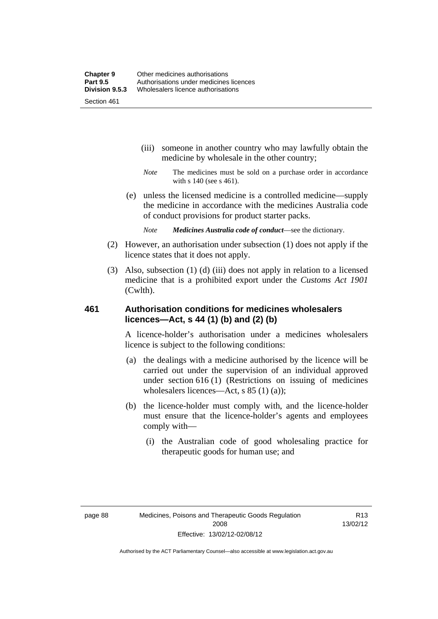- (iii) someone in another country who may lawfully obtain the medicine by wholesale in the other country;
- *Note* The medicines must be sold on a purchase order in accordance with s 140 (see s 461).
- (e) unless the licensed medicine is a controlled medicine—supply the medicine in accordance with the medicines Australia code of conduct provisions for product starter packs.
	- *Note Medicines Australia code of conduct*—see the dictionary.
- (2) However, an authorisation under subsection (1) does not apply if the licence states that it does not apply.
- (3) Also, subsection (1) (d) (iii) does not apply in relation to a licensed medicine that is a prohibited export under the *Customs Act 1901* (Cwlth).

# **461 Authorisation conditions for medicines wholesalers licences—Act, s 44 (1) (b) and (2) (b)**

A licence-holder's authorisation under a medicines wholesalers licence is subject to the following conditions:

- (a) the dealings with a medicine authorised by the licence will be carried out under the supervision of an individual approved under section 616 (1) (Restrictions on issuing of medicines wholesalers licences—Act, s 85 (1) (a));
- (b) the licence-holder must comply with, and the licence-holder must ensure that the licence-holder's agents and employees comply with—
	- (i) the Australian code of good wholesaling practice for therapeutic goods for human use; and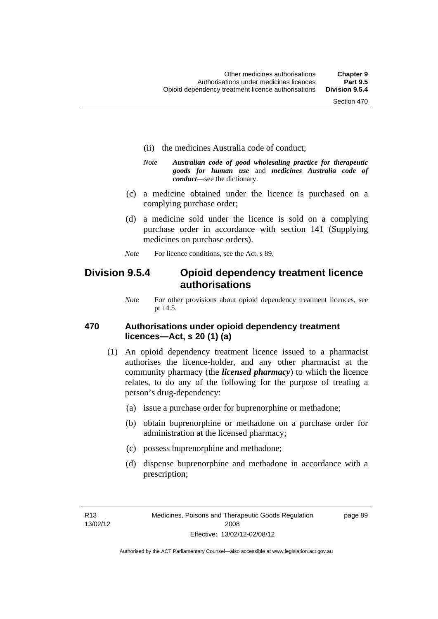- (ii) the medicines Australia code of conduct;
- *Note Australian code of good wholesaling practice for therapeutic goods for human use* and *medicines Australia code of conduct*—see the dictionary.
- (c) a medicine obtained under the licence is purchased on a complying purchase order;
- (d) a medicine sold under the licence is sold on a complying purchase order in accordance with section 141 (Supplying medicines on purchase orders).
- *Note* For licence conditions, see the Act, s 89.

# **Division 9.5.4 Opioid dependency treatment licence authorisations**

*Note* For other provisions about opioid dependency treatment licences, see pt 14.5.

# **470 Authorisations under opioid dependency treatment licences—Act, s 20 (1) (a)**

- (1) An opioid dependency treatment licence issued to a pharmacist authorises the licence-holder, and any other pharmacist at the community pharmacy (the *licensed pharmacy*) to which the licence relates, to do any of the following for the purpose of treating a person's drug-dependency:
	- (a) issue a purchase order for buprenorphine or methadone;
	- (b) obtain buprenorphine or methadone on a purchase order for administration at the licensed pharmacy;
	- (c) possess buprenorphine and methadone;
	- (d) dispense buprenorphine and methadone in accordance with a prescription;

R13 13/02/12 page 89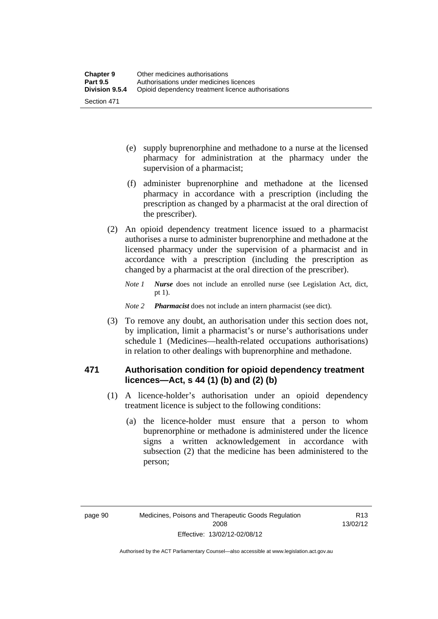- (e) supply buprenorphine and methadone to a nurse at the licensed pharmacy for administration at the pharmacy under the supervision of a pharmacist;
- (f) administer buprenorphine and methadone at the licensed pharmacy in accordance with a prescription (including the prescription as changed by a pharmacist at the oral direction of the prescriber).
- (2) An opioid dependency treatment licence issued to a pharmacist authorises a nurse to administer buprenorphine and methadone at the licensed pharmacy under the supervision of a pharmacist and in accordance with a prescription (including the prescription as changed by a pharmacist at the oral direction of the prescriber).
	- *Note 1 Nurse* does not include an enrolled nurse (see Legislation Act, dict, pt 1).

### *Note 2 Pharmacist* does not include an intern pharmacist (see dict).

 (3) To remove any doubt, an authorisation under this section does not, by implication, limit a pharmacist's or nurse's authorisations under schedule 1 (Medicines—health-related occupations authorisations) in relation to other dealings with buprenorphine and methadone.

# **471 Authorisation condition for opioid dependency treatment licences—Act, s 44 (1) (b) and (2) (b)**

- (1) A licence-holder's authorisation under an opioid dependency treatment licence is subject to the following conditions:
	- (a) the licence-holder must ensure that a person to whom buprenorphine or methadone is administered under the licence signs a written acknowledgement in accordance with subsection (2) that the medicine has been administered to the person;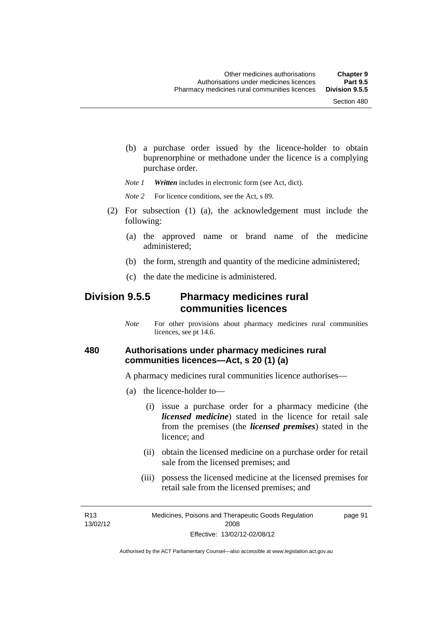(b) a purchase order issued by the licence-holder to obtain buprenorphine or methadone under the licence is a complying purchase order.

*Note 1 Written* includes in electronic form (see Act, dict).

*Note* 2 For licence conditions, see the Act, s 89.

- (2) For subsection (1) (a), the acknowledgement must include the following:
	- (a) the approved name or brand name of the medicine administered;
	- (b) the form, strength and quantity of the medicine administered;
	- (c) the date the medicine is administered.

# **Division 9.5.5 Pharmacy medicines rural communities licences**

*Note* For other provisions about pharmacy medicines rural communities licences, see pt 14.6.

# **480 Authorisations under pharmacy medicines rural communities licences—Act, s 20 (1) (a)**

A pharmacy medicines rural communities licence authorises—

- (a) the licence-holder to—
	- (i) issue a purchase order for a pharmacy medicine (the *licensed medicine*) stated in the licence for retail sale from the premises (the *licensed premises*) stated in the licence; and
	- (ii) obtain the licensed medicine on a purchase order for retail sale from the licensed premises; and
	- (iii) possess the licensed medicine at the licensed premises for retail sale from the licensed premises; and

R13 13/02/12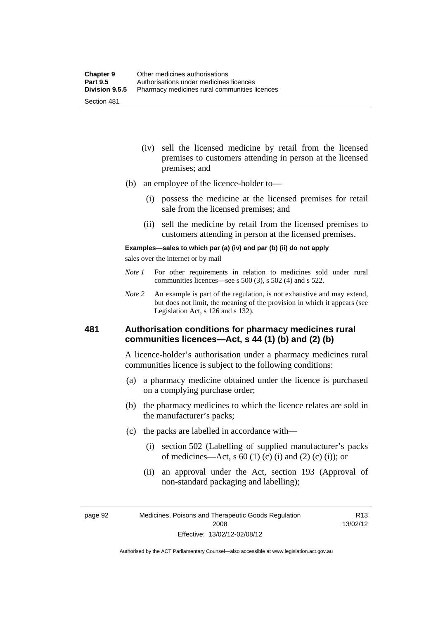- (iv) sell the licensed medicine by retail from the licensed premises to customers attending in person at the licensed premises; and
- (b) an employee of the licence-holder to—
	- (i) possess the medicine at the licensed premises for retail sale from the licensed premises; and
	- (ii) sell the medicine by retail from the licensed premises to customers attending in person at the licensed premises.

#### **Examples—sales to which par (a) (iv) and par (b) (ii) do not apply**

sales over the internet or by mail

- *Note 1* For other requirements in relation to medicines sold under rural communities licences—see s 500 (3), s 502 (4) and s 522.
- *Note 2* An example is part of the regulation, is not exhaustive and may extend, but does not limit, the meaning of the provision in which it appears (see Legislation Act, s 126 and s 132).

# **481 Authorisation conditions for pharmacy medicines rural communities licences—Act, s 44 (1) (b) and (2) (b)**

A licence-holder's authorisation under a pharmacy medicines rural communities licence is subject to the following conditions:

- (a) a pharmacy medicine obtained under the licence is purchased on a complying purchase order;
- (b) the pharmacy medicines to which the licence relates are sold in the manufacturer's packs;
- (c) the packs are labelled in accordance with—
	- (i) section 502 (Labelling of supplied manufacturer's packs of medicines—Act, s  $60(1)$  (c) (i) and (2) (c) (i)); or
	- (ii) an approval under the Act, section 193 (Approval of non-standard packaging and labelling);

page 92 Medicines, Poisons and Therapeutic Goods Regulation 2008 Effective: 13/02/12-02/08/12

R13 13/02/12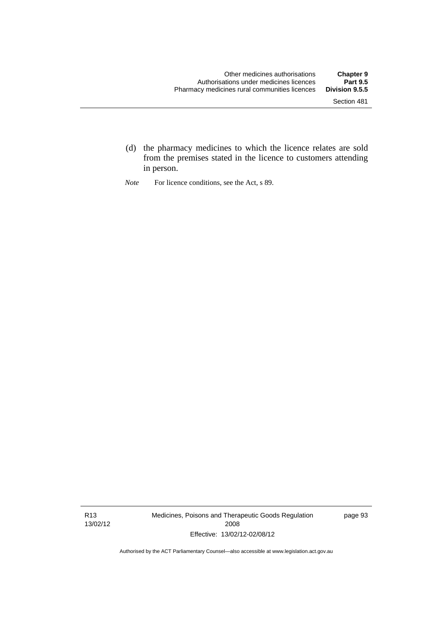- (d) the pharmacy medicines to which the licence relates are sold from the premises stated in the licence to customers attending in person.
- *Note* For licence conditions, see the Act, s 89.

R13 13/02/12 Medicines, Poisons and Therapeutic Goods Regulation 2008 Effective: 13/02/12-02/08/12

page 93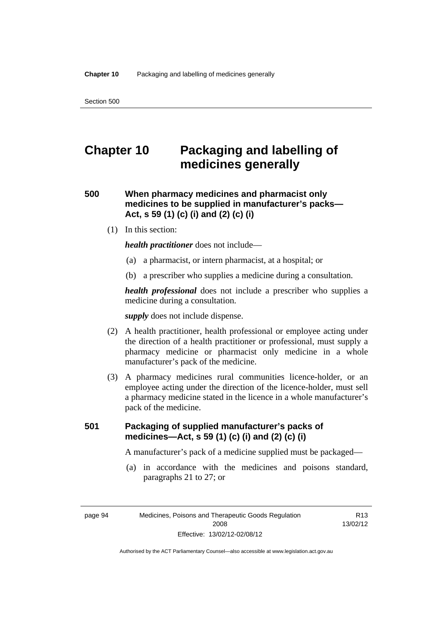# **Chapter 10 Packaging and labelling of medicines generally**

# **500 When pharmacy medicines and pharmacist only medicines to be supplied in manufacturer's packs— Act, s 59 (1) (c) (i) and (2) (c) (i)**

(1) In this section:

*health practitioner* does not include—

- (a) a pharmacist, or intern pharmacist, at a hospital; or
- (b) a prescriber who supplies a medicine during a consultation.

*health professional* does not include a prescriber who supplies a medicine during a consultation.

*supply* does not include dispense.

- (2) A health practitioner, health professional or employee acting under the direction of a health practitioner or professional, must supply a pharmacy medicine or pharmacist only medicine in a whole manufacturer's pack of the medicine.
- (3) A pharmacy medicines rural communities licence-holder, or an employee acting under the direction of the licence-holder, must sell a pharmacy medicine stated in the licence in a whole manufacturer's pack of the medicine.

# **501 Packaging of supplied manufacturer's packs of medicines—Act, s 59 (1) (c) (i) and (2) (c) (i)**

A manufacturer's pack of a medicine supplied must be packaged—

 (a) in accordance with the medicines and poisons standard, paragraphs 21 to 27; or

R13 13/02/12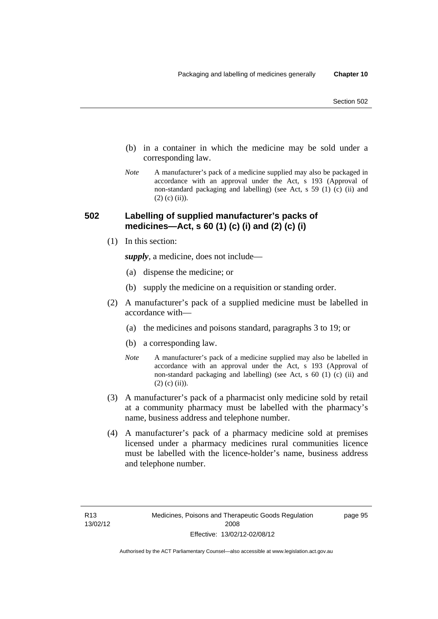- (b) in a container in which the medicine may be sold under a corresponding law.
- *Note* A manufacturer's pack of a medicine supplied may also be packaged in accordance with an approval under the Act, s 193 (Approval of non-standard packaging and labelling) (see Act, s 59 (1) (c) (ii) and  $(2)$  (c) (ii)).

# **502 Labelling of supplied manufacturer's packs of medicines—Act, s 60 (1) (c) (i) and (2) (c) (i)**

(1) In this section:

*supply*, a medicine, does not include—

- (a) dispense the medicine; or
- (b) supply the medicine on a requisition or standing order.
- (2) A manufacturer's pack of a supplied medicine must be labelled in accordance with—
	- (a) the medicines and poisons standard, paragraphs 3 to 19; or
	- (b) a corresponding law.
	- *Note* A manufacturer's pack of a medicine supplied may also be labelled in accordance with an approval under the Act, s 193 (Approval of non-standard packaging and labelling) (see Act, s 60 (1) (c) (ii) and  $(2)$  (c) (ii)).
- (3) A manufacturer's pack of a pharmacist only medicine sold by retail at a community pharmacy must be labelled with the pharmacy's name, business address and telephone number.
- (4) A manufacturer's pack of a pharmacy medicine sold at premises licensed under a pharmacy medicines rural communities licence must be labelled with the licence-holder's name, business address and telephone number.

page 95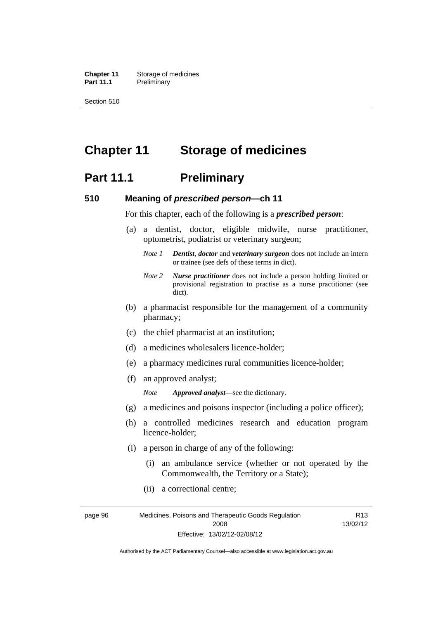**Chapter 11** Storage of medicines Part 11.1 Preliminary

Section 510

# **Chapter 11 Storage of medicines**

# **Part 11.1** Preliminary

## **510 Meaning of** *prescribed person***—ch 11**

For this chapter, each of the following is a *prescribed person*:

- (a) a dentist, doctor, eligible midwife, nurse practitioner, optometrist, podiatrist or veterinary surgeon;
	- *Note 1 Dentist*, *doctor* and *veterinary surgeon* does not include an intern or trainee (see defs of these terms in dict).
	- *Note 2 Nurse practitioner* does not include a person holding limited or provisional registration to practise as a nurse practitioner (see dict).
- (b) a pharmacist responsible for the management of a community pharmacy;
- (c) the chief pharmacist at an institution;
- (d) a medicines wholesalers licence-holder;
- (e) a pharmacy medicines rural communities licence-holder;
- (f) an approved analyst;

*Note Approved analyst*—see the dictionary.

- (g) a medicines and poisons inspector (including a police officer);
- (h) a controlled medicines research and education program licence-holder;
- (i) a person in charge of any of the following:
	- (i) an ambulance service (whether or not operated by the Commonwealth, the Territory or a State);
	- (ii) a correctional centre;

page 96 Medicines, Poisons and Therapeutic Goods Regulation 2008 Effective: 13/02/12-02/08/12 R13 13/02/12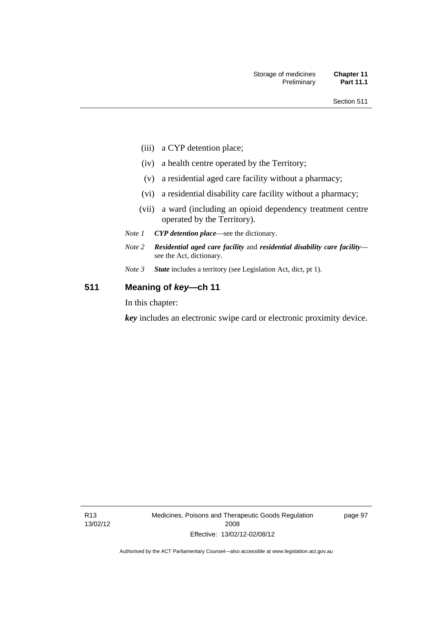- (iii) a CYP detention place;
- (iv) a health centre operated by the Territory;
- (v) a residential aged care facility without a pharmacy;
- (vi) a residential disability care facility without a pharmacy;
- (vii) a ward (including an opioid dependency treatment centre operated by the Territory).
- *Note 1 CYP detention place*—see the dictionary.
- *Note 2 Residential aged care facility* and *residential disability care facility* see the Act, dictionary.
- *Note 3 State* includes a territory (see Legislation Act, dict, pt 1).

# **511 Meaning of** *key***—ch 11**

In this chapter:

*key* includes an electronic swipe card or electronic proximity device.

page 97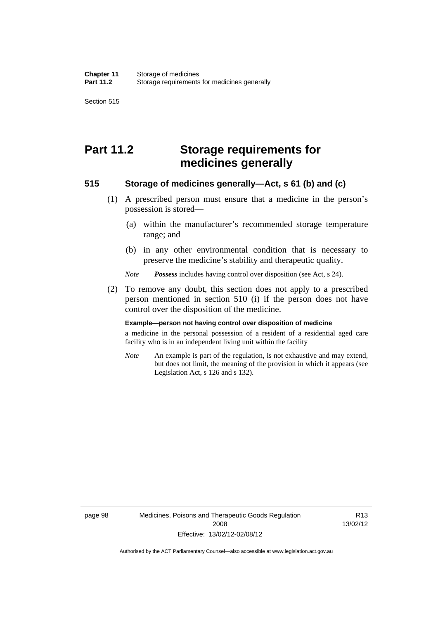Section 515

# **Part 11.2 Storage requirements for medicines generally**

# **515 Storage of medicines generally—Act, s 61 (b) and (c)**

- (1) A prescribed person must ensure that a medicine in the person's possession is stored—
	- (a) within the manufacturer's recommended storage temperature range; and
	- (b) in any other environmental condition that is necessary to preserve the medicine's stability and therapeutic quality.

*Note Possess* includes having control over disposition (see Act, s 24).

 (2) To remove any doubt, this section does not apply to a prescribed person mentioned in section 510 (i) if the person does not have control over the disposition of the medicine.

#### **Example—person not having control over disposition of medicine**

a medicine in the personal possession of a resident of a residential aged care facility who is in an independent living unit within the facility

*Note* An example is part of the regulation, is not exhaustive and may extend, but does not limit, the meaning of the provision in which it appears (see Legislation Act, s 126 and s 132).

R13 13/02/12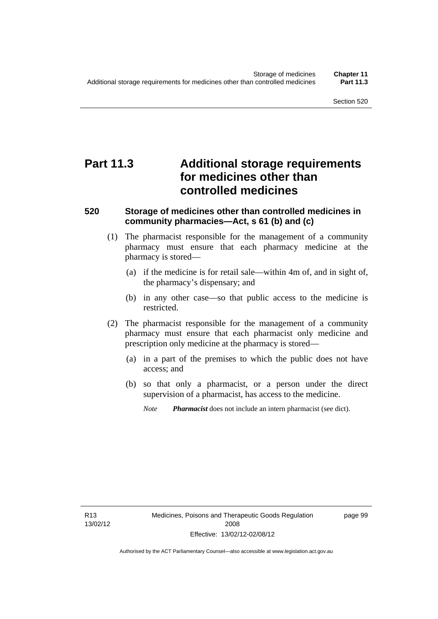# **Part 11.3 Additional storage requirements for medicines other than controlled medicines**

# **520 Storage of medicines other than controlled medicines in community pharmacies—Act, s 61 (b) and (c)**

- (1) The pharmacist responsible for the management of a community pharmacy must ensure that each pharmacy medicine at the pharmacy is stored—
	- (a) if the medicine is for retail sale—within 4m of, and in sight of, the pharmacy's dispensary; and
	- (b) in any other case—so that public access to the medicine is restricted.
- (2) The pharmacist responsible for the management of a community pharmacy must ensure that each pharmacist only medicine and prescription only medicine at the pharmacy is stored—
	- (a) in a part of the premises to which the public does not have access; and
	- (b) so that only a pharmacist, or a person under the direct supervision of a pharmacist, has access to the medicine.

*Note Pharmacist* does not include an intern pharmacist (see dict).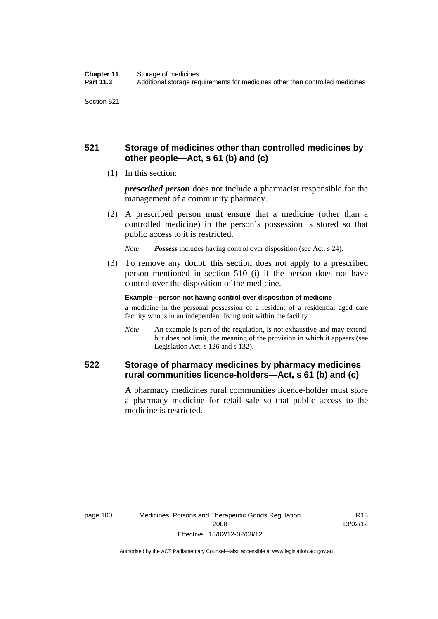# **521 Storage of medicines other than controlled medicines by other people—Act, s 61 (b) and (c)**

(1) In this section:

*prescribed person* does not include a pharmacist responsible for the management of a community pharmacy.

 (2) A prescribed person must ensure that a medicine (other than a controlled medicine) in the person's possession is stored so that public access to it is restricted.

*Note Possess* includes having control over disposition (see Act, s 24).

 (3) To remove any doubt, this section does not apply to a prescribed person mentioned in section 510 (i) if the person does not have control over the disposition of the medicine.

**Example—person not having control over disposition of medicine** 

a medicine in the personal possession of a resident of a residential aged care facility who is in an independent living unit within the facility

*Note* An example is part of the regulation, is not exhaustive and may extend, but does not limit, the meaning of the provision in which it appears (see Legislation Act, s 126 and s 132).

# **522 Storage of pharmacy medicines by pharmacy medicines rural communities licence-holders—Act, s 61 (b) and (c)**

A pharmacy medicines rural communities licence-holder must store a pharmacy medicine for retail sale so that public access to the medicine is restricted.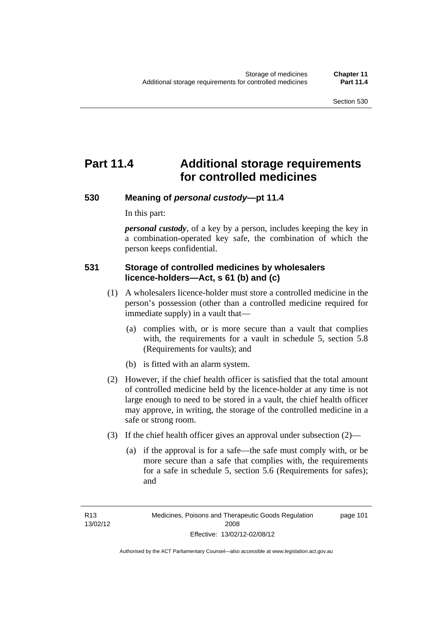# **Part 11.4 Additional storage requirements for controlled medicines**

# **530 Meaning of** *personal custody***—pt 11.4**

In this part:

*personal custody*, of a key by a person, includes keeping the key in a combination-operated key safe, the combination of which the person keeps confidential.

# **531 Storage of controlled medicines by wholesalers licence-holders—Act, s 61 (b) and (c)**

- (1) A wholesalers licence-holder must store a controlled medicine in the person's possession (other than a controlled medicine required for immediate supply) in a vault that—
	- (a) complies with, or is more secure than a vault that complies with, the requirements for a vault in schedule 5, section 5.8 (Requirements for vaults); and
	- (b) is fitted with an alarm system.
- (2) However, if the chief health officer is satisfied that the total amount of controlled medicine held by the licence-holder at any time is not large enough to need to be stored in a vault, the chief health officer may approve, in writing, the storage of the controlled medicine in a safe or strong room.
- (3) If the chief health officer gives an approval under subsection (2)—
	- (a) if the approval is for a safe—the safe must comply with, or be more secure than a safe that complies with, the requirements for a safe in schedule 5, section 5.6 (Requirements for safes); and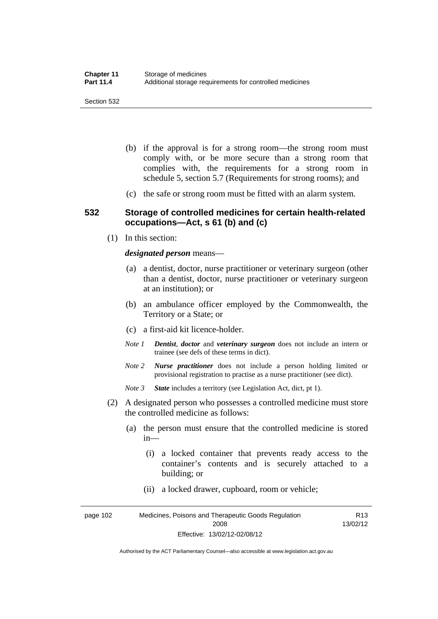- (b) if the approval is for a strong room—the strong room must comply with, or be more secure than a strong room that complies with, the requirements for a strong room in schedule 5, section 5.7 (Requirements for strong rooms); and
- (c) the safe or strong room must be fitted with an alarm system.

### **532 Storage of controlled medicines for certain health-related occupations—Act, s 61 (b) and (c)**

(1) In this section:

#### *designated person* means—

- (a) a dentist, doctor, nurse practitioner or veterinary surgeon (other than a dentist, doctor, nurse practitioner or veterinary surgeon at an institution); or
- (b) an ambulance officer employed by the Commonwealth, the Territory or a State; or
- (c) a first-aid kit licence-holder.
- *Note 1 Dentist*, *doctor* and *veterinary surgeon* does not include an intern or trainee (see defs of these terms in dict).
- *Note 2 Nurse practitioner* does not include a person holding limited or provisional registration to practise as a nurse practitioner (see dict).
- *Note 3 State* includes a territory (see Legislation Act, dict, pt 1).
- (2) A designated person who possesses a controlled medicine must store the controlled medicine as follows:
	- (a) the person must ensure that the controlled medicine is stored in—
		- (i) a locked container that prevents ready access to the container's contents and is securely attached to a building; or
		- (ii) a locked drawer, cupboard, room or vehicle;

page 102 Medicines, Poisons and Therapeutic Goods Regulation 2008 Effective: 13/02/12-02/08/12 R13 13/02/12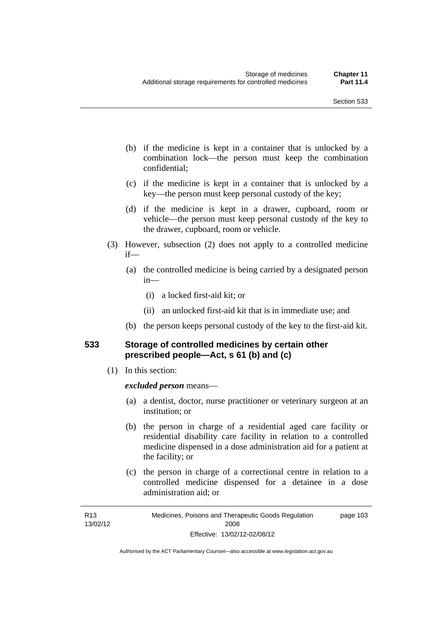- (b) if the medicine is kept in a container that is unlocked by a combination lock—the person must keep the combination confidential;
- (c) if the medicine is kept in a container that is unlocked by a key—the person must keep personal custody of the key;
- (d) if the medicine is kept in a drawer, cupboard, room or vehicle—the person must keep personal custody of the key to the drawer, cupboard, room or vehicle.
- (3) However, subsection (2) does not apply to a controlled medicine if—
	- (a) the controlled medicine is being carried by a designated person in—
		- (i) a locked first-aid kit; or
		- (ii) an unlocked first-aid kit that is in immediate use; and
	- (b) the person keeps personal custody of the key to the first-aid kit.

# **533 Storage of controlled medicines by certain other prescribed people—Act, s 61 (b) and (c)**

(1) In this section:

### *excluded person* means—

- (a) a dentist, doctor, nurse practitioner or veterinary surgeon at an institution; or
- (b) the person in charge of a residential aged care facility or residential disability care facility in relation to a controlled medicine dispensed in a dose administration aid for a patient at the facility; or
- (c) the person in charge of a correctional centre in relation to a controlled medicine dispensed for a detainee in a dose administration aid; or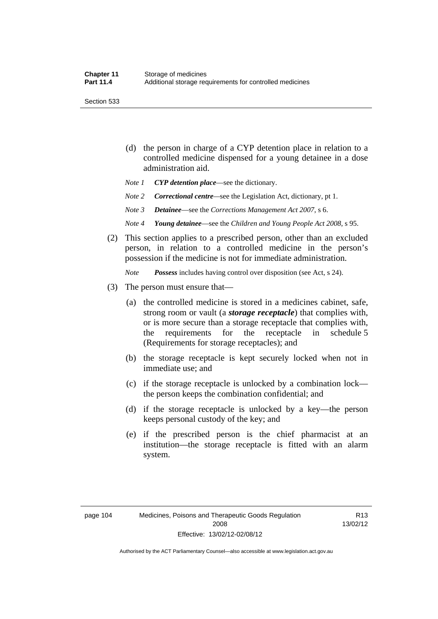Section 533

- (d) the person in charge of a CYP detention place in relation to a controlled medicine dispensed for a young detainee in a dose administration aid.
- *Note 1 CYP detention place*—see the dictionary.
- *Note 2 Correctional centre—see the Legislation Act, dictionary, pt 1.*
- *Note 3 Detainee*—see the *Corrections Management Act 2007*, s 6.
- *Note 4 Young detainee*—see the *Children and Young People Act 2008*, s 95.
- (2) This section applies to a prescribed person, other than an excluded person, in relation to a controlled medicine in the person's possession if the medicine is not for immediate administration.

*Note Possess* includes having control over disposition (see Act, s 24).

- (3) The person must ensure that—
	- (a) the controlled medicine is stored in a medicines cabinet, safe, strong room or vault (a *storage receptacle*) that complies with, or is more secure than a storage receptacle that complies with, the requirements for the receptacle in schedule 5 (Requirements for storage receptacles); and
	- (b) the storage receptacle is kept securely locked when not in immediate use; and
	- (c) if the storage receptacle is unlocked by a combination lock the person keeps the combination confidential; and
	- (d) if the storage receptacle is unlocked by a key—the person keeps personal custody of the key; and
	- (e) if the prescribed person is the chief pharmacist at an institution—the storage receptacle is fitted with an alarm system.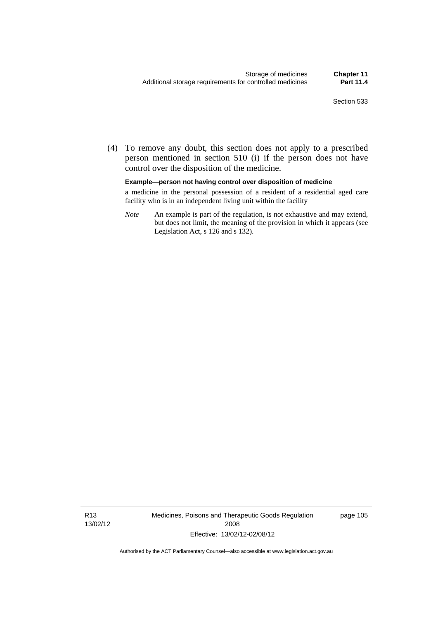(4) To remove any doubt, this section does not apply to a prescribed person mentioned in section 510 (i) if the person does not have control over the disposition of the medicine.

**Example—person not having control over disposition of medicine** 

a medicine in the personal possession of a resident of a residential aged care facility who is in an independent living unit within the facility

*Note* An example is part of the regulation, is not exhaustive and may extend, but does not limit, the meaning of the provision in which it appears (see Legislation Act, s 126 and s 132).

R13 13/02/12 Medicines, Poisons and Therapeutic Goods Regulation 2008 Effective: 13/02/12-02/08/12

page 105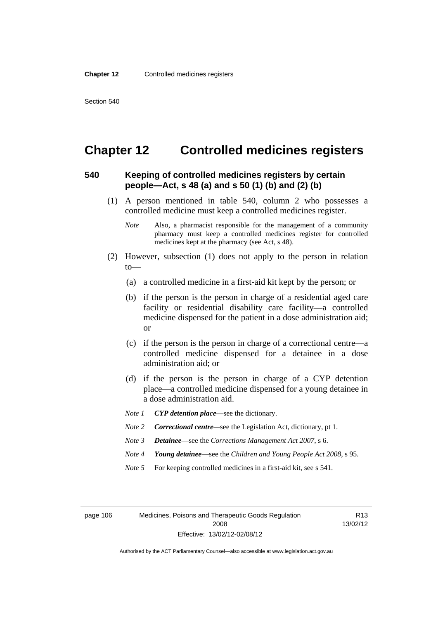# **Chapter 12 Controlled medicines registers**

# **540 Keeping of controlled medicines registers by certain people—Act, s 48 (a) and s 50 (1) (b) and (2) (b)**

- (1) A person mentioned in table 540, column 2 who possesses a controlled medicine must keep a controlled medicines register.
	- *Note* Also, a pharmacist responsible for the management of a community pharmacy must keep a controlled medicines register for controlled medicines kept at the pharmacy (see Act, s 48).
- (2) However, subsection (1) does not apply to the person in relation to—
	- (a) a controlled medicine in a first-aid kit kept by the person; or
	- (b) if the person is the person in charge of a residential aged care facility or residential disability care facility—a controlled medicine dispensed for the patient in a dose administration aid; or
	- (c) if the person is the person in charge of a correctional centre—a controlled medicine dispensed for a detainee in a dose administration aid; or
	- (d) if the person is the person in charge of a CYP detention place—a controlled medicine dispensed for a young detainee in a dose administration aid.
	- *Note 1 CYP detention place*—see the dictionary.
	- *Note 2 Correctional centre*—see the Legislation Act, dictionary, pt 1.
	- *Note 3 Detainee*—see the *Corrections Management Act 2007*, s 6.
	- *Note 4 Young detainee*—see the *Children and Young People Act 2008*, s 95.
	- *Note* 5 For keeping controlled medicines in a first-aid kit, see s 541.

page 106 Medicines, Poisons and Therapeutic Goods Regulation 2008 Effective: 13/02/12-02/08/12

R13 13/02/12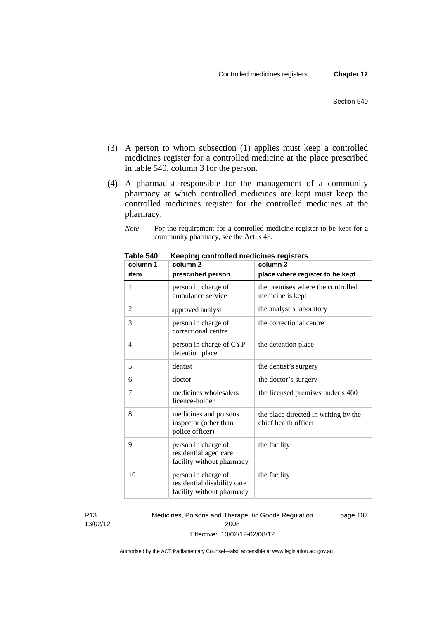- (3) A person to whom subsection (1) applies must keep a controlled medicines register for a controlled medicine at the place prescribed in table 540, column 3 for the person.
- (4) A pharmacist responsible for the management of a community pharmacy at which controlled medicines are kept must keep the controlled medicines register for the controlled medicines at the pharmacy.
	- *Note* For the requirement for a controlled medicine register to be kept for a community pharmacy, see the Act, s 48.

| column 1 | column 2                                                                        | column 3                                                     |
|----------|---------------------------------------------------------------------------------|--------------------------------------------------------------|
| item     | prescribed person                                                               | place where register to be kept                              |
| 1        | person in charge of<br>ambulance service                                        | the premises where the controlled<br>medicine is kept        |
| 2        | approved analyst                                                                | the analyst's laboratory                                     |
| 3        | person in charge of<br>correctional centre                                      | the correctional centre                                      |
| 4        | person in charge of CYP<br>detention place                                      | the detention place                                          |
| 5        | dentist                                                                         | the dentist's surgery                                        |
| 6        | doctor                                                                          | the doctor's surgery                                         |
| 7        | medicines wholesalers<br>licence-holder                                         | the licensed premises under s 460                            |
| 8        | medicines and poisons<br>inspector (other than<br>police officer)               | the place directed in writing by the<br>chief health officer |
| 9        | person in charge of<br>residential aged care<br>facility without pharmacy       | the facility                                                 |
| 10       | person in charge of<br>residential disability care<br>facility without pharmacy | the facility                                                 |

**Table 540 Keeping controlled medicines registers** 

R13 13/02/12 Medicines, Poisons and Therapeutic Goods Regulation 2008 Effective: 13/02/12-02/08/12 page 107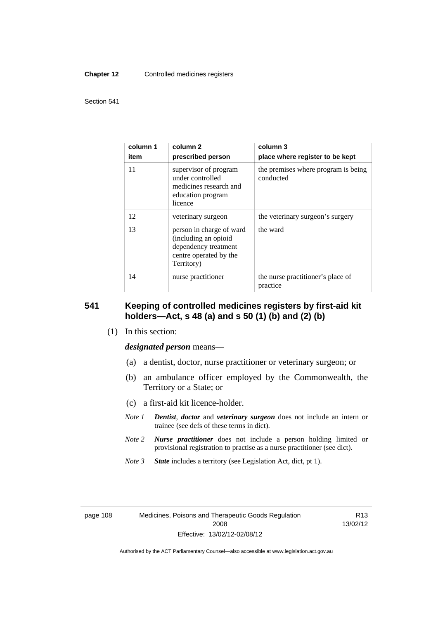#### **Chapter 12** Controlled medicines registers

#### Section 541

| column 1<br>item | column 2<br>prescribed person                                                                                    | column 3<br>place where register to be kept      |
|------------------|------------------------------------------------------------------------------------------------------------------|--------------------------------------------------|
| 11               | supervisor of program<br>under controlled<br>medicines research and<br>education program<br>licence              | the premises where program is being<br>conducted |
| 12               | veterinary surgeon                                                                                               | the veterinary surgeon's surgery                 |
| 13               | person in charge of ward<br>(including an opioid<br>dependency treatment<br>centre operated by the<br>Territory) | the ward                                         |
| 14               | nurse practitioner                                                                                               | the nurse practitioner's place of<br>practice    |

# **541 Keeping of controlled medicines registers by first-aid kit holders—Act, s 48 (a) and s 50 (1) (b) and (2) (b)**

(1) In this section:

*designated person* means—

- (a) a dentist, doctor, nurse practitioner or veterinary surgeon; or
- (b) an ambulance officer employed by the Commonwealth, the Territory or a State; or
- (c) a first-aid kit licence-holder.
- *Note 1 Dentist*, *doctor* and *veterinary surgeon* does not include an intern or trainee (see defs of these terms in dict).
- *Note 2 Nurse practitioner* does not include a person holding limited or provisional registration to practise as a nurse practitioner (see dict).
- *Note 3 State* includes a territory (see Legislation Act, dict, pt 1).

R13 13/02/12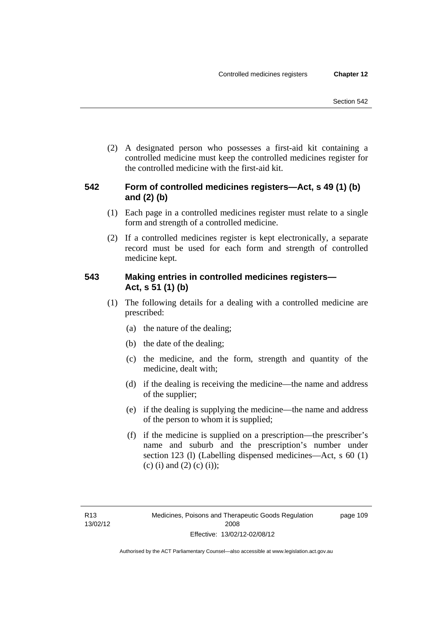(2) A designated person who possesses a first-aid kit containing a controlled medicine must keep the controlled medicines register for the controlled medicine with the first-aid kit.

# **542 Form of controlled medicines registers—Act, s 49 (1) (b) and (2) (b)**

- (1) Each page in a controlled medicines register must relate to a single form and strength of a controlled medicine.
- (2) If a controlled medicines register is kept electronically, a separate record must be used for each form and strength of controlled medicine kept.

# **543 Making entries in controlled medicines registers— Act, s 51 (1) (b)**

- (1) The following details for a dealing with a controlled medicine are prescribed:
	- (a) the nature of the dealing;
	- (b) the date of the dealing;
	- (c) the medicine, and the form, strength and quantity of the medicine, dealt with;
	- (d) if the dealing is receiving the medicine—the name and address of the supplier;
	- (e) if the dealing is supplying the medicine—the name and address of the person to whom it is supplied;
	- (f) if the medicine is supplied on a prescription—the prescriber's name and suburb and the prescription's number under section 123 (l) (Labelling dispensed medicines—Act, s 60 (1) (c) (i) and (2) (c) (i));

page 109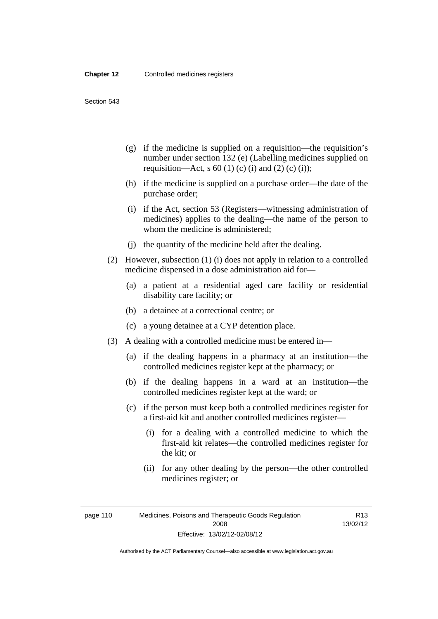Section 543

- (g) if the medicine is supplied on a requisition—the requisition's number under section 132 (e) (Labelling medicines supplied on requisition—Act, s 60 (1) (c) (i) and (2) (c) (i));
- (h) if the medicine is supplied on a purchase order—the date of the purchase order;
- (i) if the Act, section 53 (Registers—witnessing administration of medicines) applies to the dealing—the name of the person to whom the medicine is administered;
- (j) the quantity of the medicine held after the dealing.
- (2) However, subsection (1) (i) does not apply in relation to a controlled medicine dispensed in a dose administration aid for—
	- (a) a patient at a residential aged care facility or residential disability care facility; or
	- (b) a detainee at a correctional centre; or
	- (c) a young detainee at a CYP detention place.
- (3) A dealing with a controlled medicine must be entered in—
	- (a) if the dealing happens in a pharmacy at an institution—the controlled medicines register kept at the pharmacy; or
	- (b) if the dealing happens in a ward at an institution—the controlled medicines register kept at the ward; or
	- (c) if the person must keep both a controlled medicines register for a first-aid kit and another controlled medicines register—
		- (i) for a dealing with a controlled medicine to which the first-aid kit relates—the controlled medicines register for the kit; or
		- (ii) for any other dealing by the person—the other controlled medicines register; or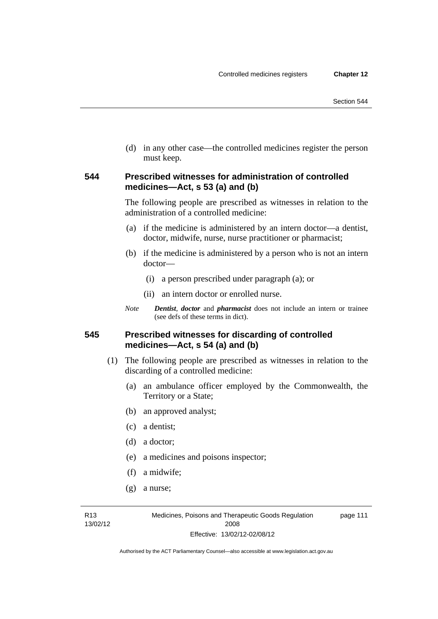(d) in any other case—the controlled medicines register the person must keep.

# **544 Prescribed witnesses for administration of controlled medicines—Act, s 53 (a) and (b)**

The following people are prescribed as witnesses in relation to the administration of a controlled medicine:

- (a) if the medicine is administered by an intern doctor—a dentist, doctor, midwife, nurse, nurse practitioner or pharmacist;
- (b) if the medicine is administered by a person who is not an intern doctor—
	- (i) a person prescribed under paragraph (a); or
	- (ii) an intern doctor or enrolled nurse.
- *Note Dentist*, *doctor* and *pharmacist* does not include an intern or trainee (see defs of these terms in dict).

# **545 Prescribed witnesses for discarding of controlled medicines—Act, s 54 (a) and (b)**

- (1) The following people are prescribed as witnesses in relation to the discarding of a controlled medicine:
	- (a) an ambulance officer employed by the Commonwealth, the Territory or a State;
	- (b) an approved analyst;
	- (c) a dentist;
	- (d) a doctor;
	- (e) a medicines and poisons inspector;
	- (f) a midwife;
	- (g) a nurse;

R13 13/02/12 page 111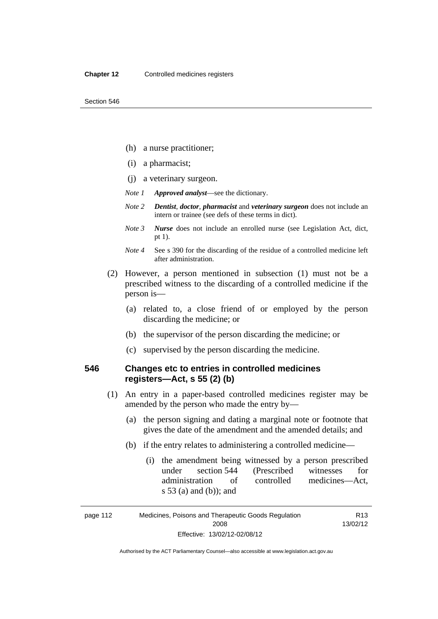- (h) a nurse practitioner;
- (i) a pharmacist;
- (j) a veterinary surgeon.
- *Note 1 Approved analyst*—see the dictionary.
- *Note 2 Dentist*, *doctor*, *pharmacist* and *veterinary surgeon* does not include an intern or trainee (see defs of these terms in dict).
- *Note 3 Nurse* does not include an enrolled nurse (see Legislation Act, dict, pt 1).
- *Note 4* See s 390 for the discarding of the residue of a controlled medicine left after administration.
- (2) However, a person mentioned in subsection (1) must not be a prescribed witness to the discarding of a controlled medicine if the person is—
	- (a) related to, a close friend of or employed by the person discarding the medicine; or
	- (b) the supervisor of the person discarding the medicine; or
	- (c) supervised by the person discarding the medicine.

# **546 Changes etc to entries in controlled medicines registers—Act, s 55 (2) (b)**

- (1) An entry in a paper-based controlled medicines register may be amended by the person who made the entry by—
	- (a) the person signing and dating a marginal note or footnote that gives the date of the amendment and the amended details; and
	- (b) if the entry relates to administering a controlled medicine—
		- (i) the amendment being witnessed by a person prescribed under section 544 (Prescribed witnesses for administration of controlled medicines—Act, s 53 (a) and (b)); and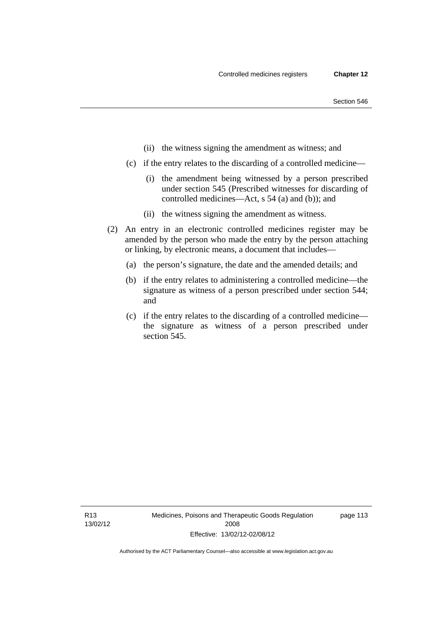- (ii) the witness signing the amendment as witness; and
- (c) if the entry relates to the discarding of a controlled medicine—
	- (i) the amendment being witnessed by a person prescribed under section 545 (Prescribed witnesses for discarding of controlled medicines—Act, s 54 (a) and (b)); and
	- (ii) the witness signing the amendment as witness.
- (2) An entry in an electronic controlled medicines register may be amended by the person who made the entry by the person attaching or linking, by electronic means, a document that includes—
	- (a) the person's signature, the date and the amended details; and
	- (b) if the entry relates to administering a controlled medicine—the signature as witness of a person prescribed under section 544; and
	- (c) if the entry relates to the discarding of a controlled medicine the signature as witness of a person prescribed under section 545.

R13 13/02/12 page 113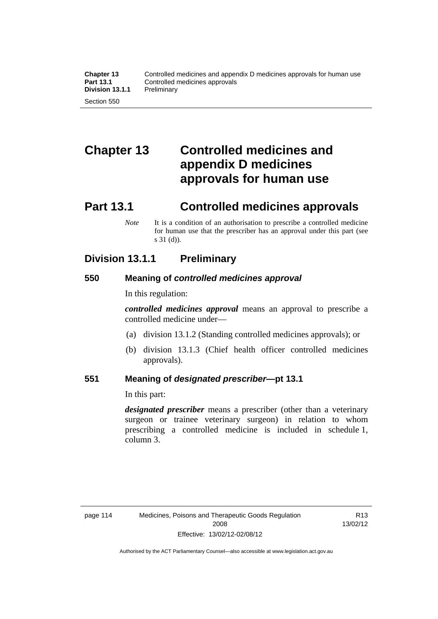# **Chapter 13 Controlled medicines and appendix D medicines approvals for human use**

# **Part 13.1 Controlled medicines approvals**

*Note* It is a condition of an authorisation to prescribe a controlled medicine for human use that the prescriber has an approval under this part (see s 31 (d)).

# **Division 13.1.1 Preliminary**

# **550 Meaning of** *controlled medicines approval*

In this regulation:

*controlled medicines approval* means an approval to prescribe a controlled medicine under—

- (a) division 13.1.2 (Standing controlled medicines approvals); or
- (b) division 13.1.3 (Chief health officer controlled medicines approvals).

# **551 Meaning of** *designated prescriber***—pt 13.1**

In this part:

*designated prescriber* means a prescriber (other than a veterinary surgeon or trainee veterinary surgeon) in relation to whom prescribing a controlled medicine is included in schedule 1, column 3.

R13 13/02/12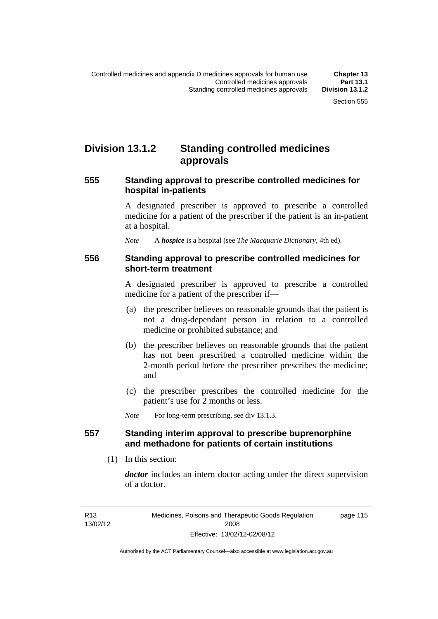# **Division 13.1.2 Standing controlled medicines approvals**

### **555 Standing approval to prescribe controlled medicines for hospital in-patients**

A designated prescriber is approved to prescribe a controlled medicine for a patient of the prescriber if the patient is an in-patient at a hospital.

*Note* A *hospice* is a hospital (see *The Macquarie Dictionary*, 4th ed).

### **556 Standing approval to prescribe controlled medicines for short-term treatment**

A designated prescriber is approved to prescribe a controlled medicine for a patient of the prescriber if—

- (a) the prescriber believes on reasonable grounds that the patient is not a drug-dependant person in relation to a controlled medicine or prohibited substance; and
- (b) the prescriber believes on reasonable grounds that the patient has not been prescribed a controlled medicine within the 2-month period before the prescriber prescribes the medicine; and
- (c) the prescriber prescribes the controlled medicine for the patient's use for 2 months or less.

*Note* For long-term prescribing, see div 13.1.3.

# **557 Standing interim approval to prescribe buprenorphine and methadone for patients of certain institutions**

(1) In this section:

*doctor* includes an intern doctor acting under the direct supervision of a doctor.

page 115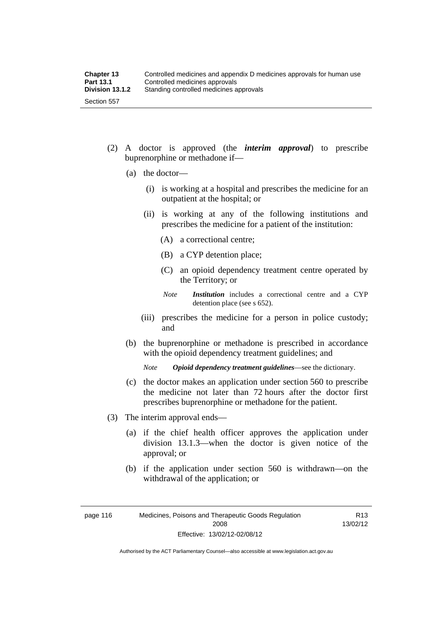- (2) A doctor is approved (the *interim approval*) to prescribe buprenorphine or methadone if—
	- (a) the doctor—
		- (i) is working at a hospital and prescribes the medicine for an outpatient at the hospital; or
		- (ii) is working at any of the following institutions and prescribes the medicine for a patient of the institution:
			- (A) a correctional centre;
			- (B) a CYP detention place;
			- (C) an opioid dependency treatment centre operated by the Territory; or
			- *Note Institution* includes a correctional centre and a CYP detention place (see s 652).
		- (iii) prescribes the medicine for a person in police custody; and
	- (b) the buprenorphine or methadone is prescribed in accordance with the opioid dependency treatment guidelines; and

*Note Opioid dependency treatment guidelines*—see the dictionary.

- (c) the doctor makes an application under section 560 to prescribe the medicine not later than 72 hours after the doctor first prescribes buprenorphine or methadone for the patient.
- (3) The interim approval ends—
	- (a) if the chief health officer approves the application under division 13.1.3—when the doctor is given notice of the approval; or
	- (b) if the application under section 560 is withdrawn—on the withdrawal of the application; or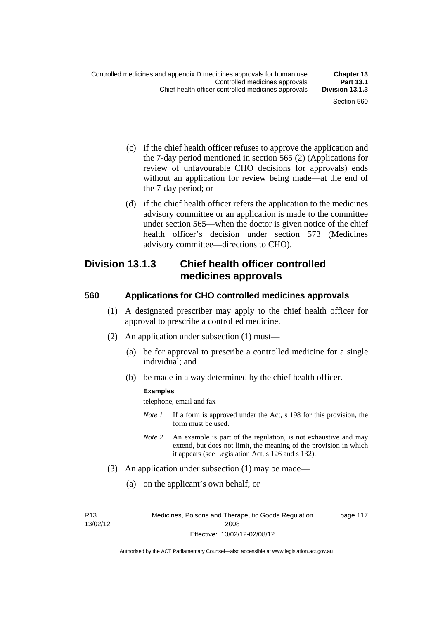- (c) if the chief health officer refuses to approve the application and the 7-day period mentioned in section 565 (2) (Applications for review of unfavourable CHO decisions for approvals) ends without an application for review being made—at the end of the 7-day period; or
- (d) if the chief health officer refers the application to the medicines advisory committee or an application is made to the committee under section 565—when the doctor is given notice of the chief health officer's decision under section 573 (Medicines advisory committee—directions to CHO).

# **Division 13.1.3 Chief health officer controlled medicines approvals**

# **560 Applications for CHO controlled medicines approvals**

- (1) A designated prescriber may apply to the chief health officer for approval to prescribe a controlled medicine.
- (2) An application under subsection (1) must—
	- (a) be for approval to prescribe a controlled medicine for a single individual; and
	- (b) be made in a way determined by the chief health officer.

#### **Examples**

telephone, email and fax

- *Note 1* If a form is approved under the Act, s 198 for this provision, the form must be used.
- *Note 2* An example is part of the regulation, is not exhaustive and may extend, but does not limit, the meaning of the provision in which it appears (see Legislation Act, s 126 and s 132).
- (3) An application under subsection (1) may be made—
	- (a) on the applicant's own behalf; or

R13 13/02/12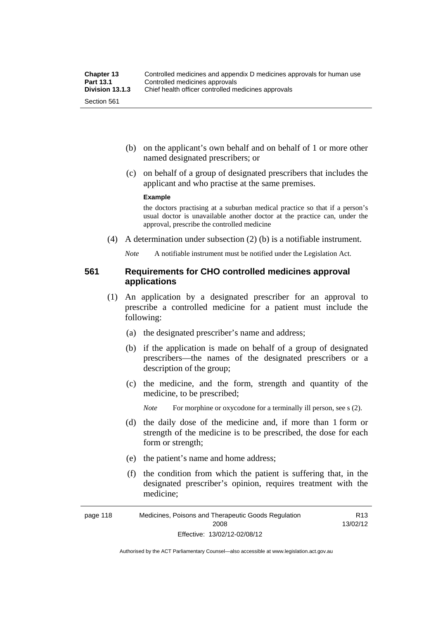- (b) on the applicant's own behalf and on behalf of 1 or more other named designated prescribers; or
- (c) on behalf of a group of designated prescribers that includes the applicant and who practise at the same premises.

#### **Example**

the doctors practising at a suburban medical practice so that if a person's usual doctor is unavailable another doctor at the practice can, under the approval, prescribe the controlled medicine

(4) A determination under subsection (2) (b) is a notifiable instrument.

*Note* A notifiable instrument must be notified under the Legislation Act.

### **561 Requirements for CHO controlled medicines approval applications**

- (1) An application by a designated prescriber for an approval to prescribe a controlled medicine for a patient must include the following:
	- (a) the designated prescriber's name and address;
	- (b) if the application is made on behalf of a group of designated prescribers—the names of the designated prescribers or a description of the group;
	- (c) the medicine, and the form, strength and quantity of the medicine, to be prescribed;

*Note* For morphine or oxycodone for a terminally ill person, see s (2).

- (d) the daily dose of the medicine and, if more than 1 form or strength of the medicine is to be prescribed, the dose for each form or strength;
- (e) the patient's name and home address;
- (f) the condition from which the patient is suffering that, in the designated prescriber's opinion, requires treatment with the medicine;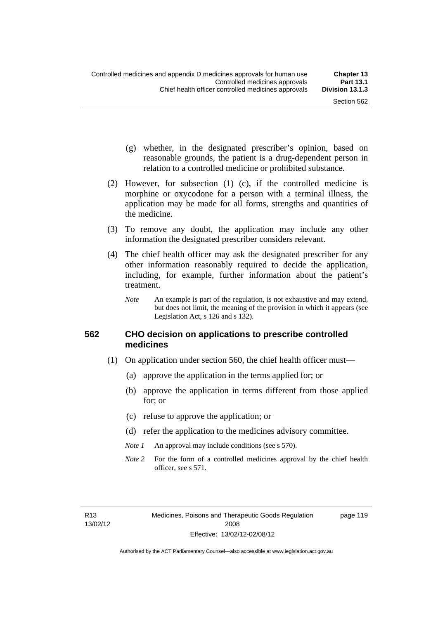- (g) whether, in the designated prescriber's opinion, based on reasonable grounds, the patient is a drug-dependent person in relation to a controlled medicine or prohibited substance.
- (2) However, for subsection (1) (c), if the controlled medicine is morphine or oxycodone for a person with a terminal illness, the application may be made for all forms, strengths and quantities of the medicine.
- (3) To remove any doubt, the application may include any other information the designated prescriber considers relevant.
- (4) The chief health officer may ask the designated prescriber for any other information reasonably required to decide the application, including, for example, further information about the patient's treatment.
	- *Note* An example is part of the regulation, is not exhaustive and may extend, but does not limit, the meaning of the provision in which it appears (see Legislation Act, s 126 and s 132).

### **562 CHO decision on applications to prescribe controlled medicines**

- (1) On application under section 560, the chief health officer must—
	- (a) approve the application in the terms applied for; or
	- (b) approve the application in terms different from those applied for; or
	- (c) refuse to approve the application; or
	- (d) refer the application to the medicines advisory committee.
	- *Note 1* An approval may include conditions (see s 570).
	- *Note* 2 For the form of a controlled medicines approval by the chief health officer, see s 571.

R13 13/02/12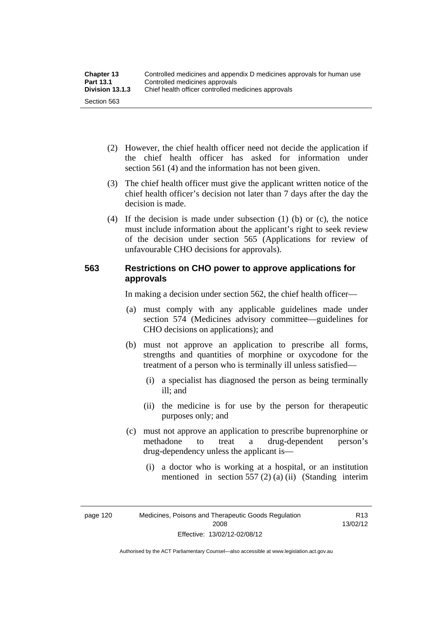| <b>Chapter 13</b> | Controlled medicines and appendix D medicines approvals for human use |  |
|-------------------|-----------------------------------------------------------------------|--|
| <b>Part 13.1</b>  | Controlled medicines approvals                                        |  |
| Division 13.1.3   | Chief health officer controlled medicines approvals                   |  |
| Section 563       |                                                                       |  |

- (2) However, the chief health officer need not decide the application if the chief health officer has asked for information under section 561 (4) and the information has not been given.
- (3) The chief health officer must give the applicant written notice of the chief health officer's decision not later than 7 days after the day the decision is made.
- (4) If the decision is made under subsection (1) (b) or (c), the notice must include information about the applicant's right to seek review of the decision under section 565 (Applications for review of unfavourable CHO decisions for approvals).

# **563 Restrictions on CHO power to approve applications for approvals**

In making a decision under section 562, the chief health officer—

- (a) must comply with any applicable guidelines made under section 574 (Medicines advisory committee—guidelines for CHO decisions on applications); and
- (b) must not approve an application to prescribe all forms, strengths and quantities of morphine or oxycodone for the treatment of a person who is terminally ill unless satisfied—
	- (i) a specialist has diagnosed the person as being terminally ill; and
	- (ii) the medicine is for use by the person for therapeutic purposes only; and
- (c) must not approve an application to prescribe buprenorphine or methadone to treat a drug-dependent person's drug-dependency unless the applicant is—
	- (i) a doctor who is working at a hospital, or an institution mentioned in section 557 (2) (a) (ii) (Standing interim

page 120 Medicines, Poisons and Therapeutic Goods Regulation 2008 Effective: 13/02/12-02/08/12

R13 13/02/12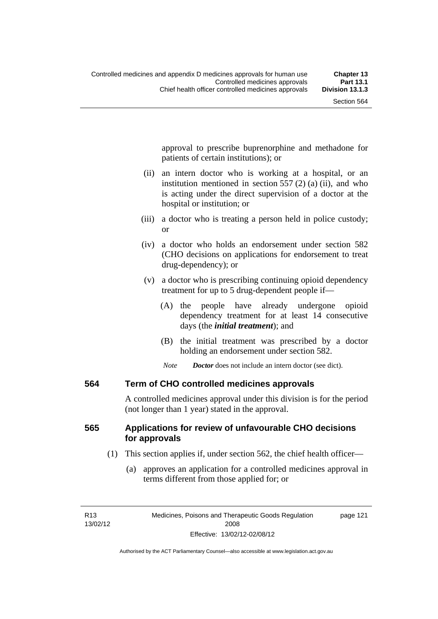approval to prescribe buprenorphine and methadone for patients of certain institutions); or

- (ii) an intern doctor who is working at a hospital, or an institution mentioned in section 557 (2) (a) (ii), and who is acting under the direct supervision of a doctor at the hospital or institution; or
- (iii) a doctor who is treating a person held in police custody; or
- (iv) a doctor who holds an endorsement under section 582 (CHO decisions on applications for endorsement to treat drug-dependency); or
- (v) a doctor who is prescribing continuing opioid dependency treatment for up to 5 drug-dependent people if—
	- (A) the people have already undergone opioid dependency treatment for at least 14 consecutive days (the *initial treatment*); and
	- (B) the initial treatment was prescribed by a doctor holding an endorsement under section 582.
	- *Note Doctor* does not include an intern doctor (see dict).

## **564 Term of CHO controlled medicines approvals**

A controlled medicines approval under this division is for the period (not longer than 1 year) stated in the approval.

## **565 Applications for review of unfavourable CHO decisions for approvals**

- (1) This section applies if, under section 562, the chief health officer—
	- (a) approves an application for a controlled medicines approval in terms different from those applied for; or

page 121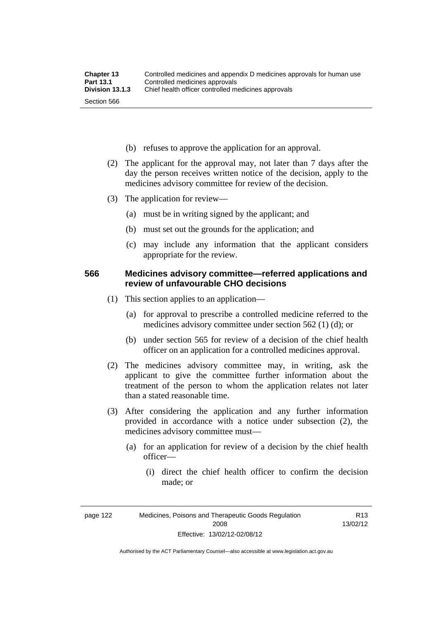- (b) refuses to approve the application for an approval.
- (2) The applicant for the approval may, not later than 7 days after the day the person receives written notice of the decision, apply to the medicines advisory committee for review of the decision.
- (3) The application for review—
	- (a) must be in writing signed by the applicant; and
	- (b) must set out the grounds for the application; and
	- (c) may include any information that the applicant considers appropriate for the review.

## **566 Medicines advisory committee—referred applications and review of unfavourable CHO decisions**

- (1) This section applies to an application—
	- (a) for approval to prescribe a controlled medicine referred to the medicines advisory committee under section 562 (1) (d); or
	- (b) under section 565 for review of a decision of the chief health officer on an application for a controlled medicines approval.
- (2) The medicines advisory committee may, in writing, ask the applicant to give the committee further information about the treatment of the person to whom the application relates not later than a stated reasonable time.
- (3) After considering the application and any further information provided in accordance with a notice under subsection (2), the medicines advisory committee must—
	- (a) for an application for review of a decision by the chief health officer—
		- (i) direct the chief health officer to confirm the decision made; or

R13 13/02/12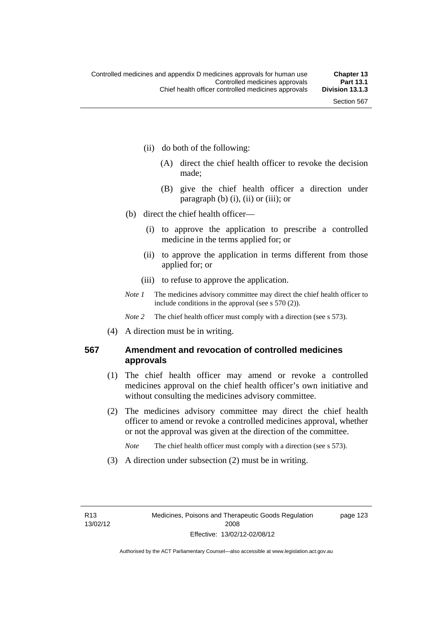page 123

- (ii) do both of the following:
	- (A) direct the chief health officer to revoke the decision made;
	- (B) give the chief health officer a direction under paragraph  $(b)$   $(i)$ ,  $(ii)$  or  $(iii)$ ; or
- (b) direct the chief health officer—
	- (i) to approve the application to prescribe a controlled medicine in the terms applied for; or
	- (ii) to approve the application in terms different from those applied for; or
	- (iii) to refuse to approve the application.
- *Note 1* The medicines advisory committee may direct the chief health officer to include conditions in the approval (see s 570 (2)).

*Note* 2 The chief health officer must comply with a direction (see s 573).

(4) A direction must be in writing.

## **567 Amendment and revocation of controlled medicines approvals**

- (1) The chief health officer may amend or revoke a controlled medicines approval on the chief health officer's own initiative and without consulting the medicines advisory committee.
- (2) The medicines advisory committee may direct the chief health officer to amend or revoke a controlled medicines approval, whether or not the approval was given at the direction of the committee.

*Note* The chief health officer must comply with a direction (see s 573).

(3) A direction under subsection (2) must be in writing.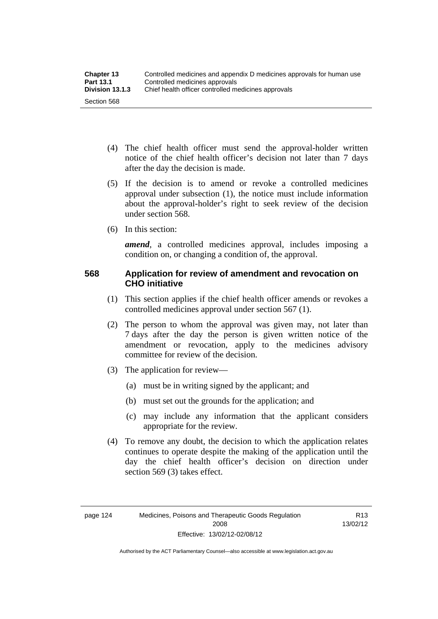- (4) The chief health officer must send the approval-holder written notice of the chief health officer's decision not later than 7 days after the day the decision is made.
- (5) If the decision is to amend or revoke a controlled medicines approval under subsection (1), the notice must include information about the approval-holder's right to seek review of the decision under section 568.
- (6) In this section:

*amend*, a controlled medicines approval, includes imposing a condition on, or changing a condition of, the approval.

## **568 Application for review of amendment and revocation on CHO initiative**

- (1) This section applies if the chief health officer amends or revokes a controlled medicines approval under section 567 (1).
- (2) The person to whom the approval was given may, not later than 7 days after the day the person is given written notice of the amendment or revocation, apply to the medicines advisory committee for review of the decision.
- (3) The application for review—
	- (a) must be in writing signed by the applicant; and
	- (b) must set out the grounds for the application; and
	- (c) may include any information that the applicant considers appropriate for the review.
- (4) To remove any doubt, the decision to which the application relates continues to operate despite the making of the application until the day the chief health officer's decision on direction under section 569 (3) takes effect.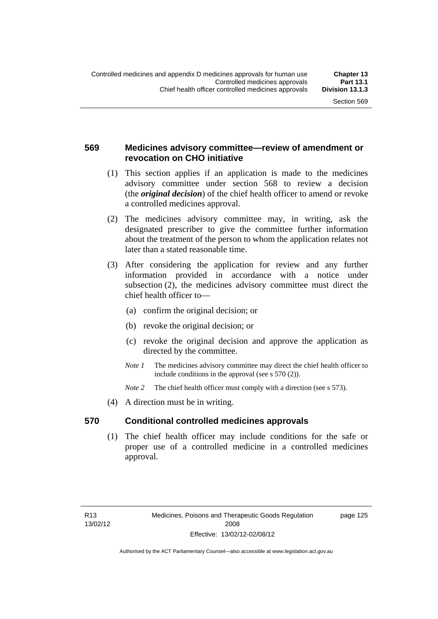## **569 Medicines advisory committee—review of amendment or revocation on CHO initiative**

- (1) This section applies if an application is made to the medicines advisory committee under section 568 to review a decision (the *original decision*) of the chief health officer to amend or revoke a controlled medicines approval.
- (2) The medicines advisory committee may, in writing, ask the designated prescriber to give the committee further information about the treatment of the person to whom the application relates not later than a stated reasonable time.
- (3) After considering the application for review and any further information provided in accordance with a notice under subsection (2), the medicines advisory committee must direct the chief health officer to—
	- (a) confirm the original decision; or
	- (b) revoke the original decision; or
	- (c) revoke the original decision and approve the application as directed by the committee.
	- *Note 1* The medicines advisory committee may direct the chief health officer to include conditions in the approval (see s 570 (2)).
	- *Note* 2 The chief health officer must comply with a direction (see s 573).
- (4) A direction must be in writing.

## **570 Conditional controlled medicines approvals**

(1) The chief health officer may include conditions for the safe or proper use of a controlled medicine in a controlled medicines approval.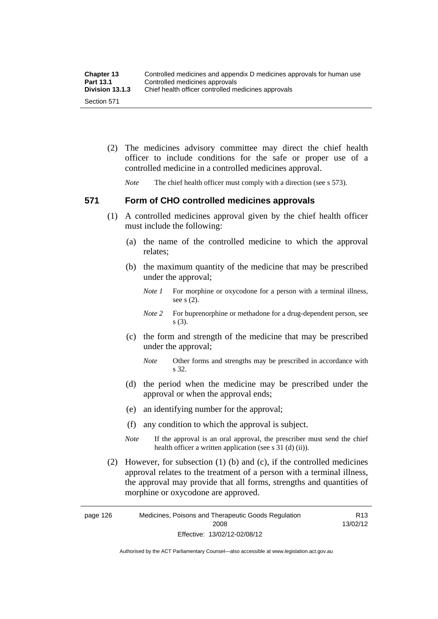| <b>Chapter 13</b> | Controlled medicines and appendix D medicines approvals for human use |
|-------------------|-----------------------------------------------------------------------|
| <b>Part 13.1</b>  | Controlled medicines approvals                                        |
| Division 13.1.3   | Chief health officer controlled medicines approvals                   |
| Section 571       |                                                                       |

 (2) The medicines advisory committee may direct the chief health officer to include conditions for the safe or proper use of a controlled medicine in a controlled medicines approval.

*Note* The chief health officer must comply with a direction (see s 573).

## **571 Form of CHO controlled medicines approvals**

- (1) A controlled medicines approval given by the chief health officer must include the following:
	- (a) the name of the controlled medicine to which the approval relates;
	- (b) the maximum quantity of the medicine that may be prescribed under the approval;
		- *Note 1* For morphine or oxycodone for a person with a terminal illness, see s (2).
		- *Note* 2 For buprenorphine or methadone for a drug-dependent person, see s (3).
	- (c) the form and strength of the medicine that may be prescribed under the approval;
		- *Note* Other forms and strengths may be prescribed in accordance with s 32.
	- (d) the period when the medicine may be prescribed under the approval or when the approval ends;
	- (e) an identifying number for the approval;
	- (f) any condition to which the approval is subject.
	- *Note* If the approval is an oral approval, the prescriber must send the chief health officer a written application (see s  $31$  (d) (ii)).
- (2) However, for subsection (1) (b) and (c), if the controlled medicines approval relates to the treatment of a person with a terminal illness, the approval may provide that all forms, strengths and quantities of morphine or oxycodone are approved.

page 126 Medicines, Poisons and Therapeutic Goods Regulation 2008 Effective: 13/02/12-02/08/12 R13 13/02/12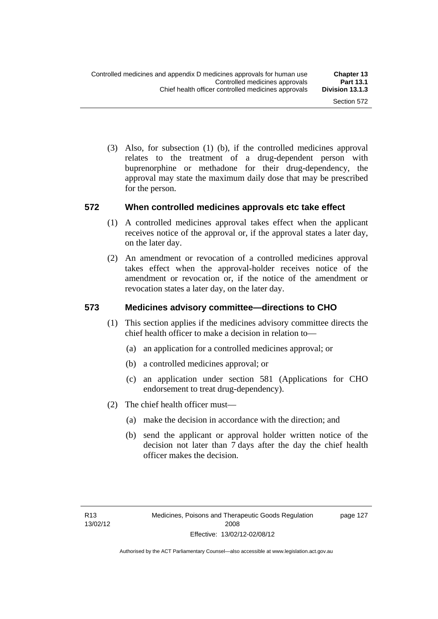(3) Also, for subsection (1) (b), if the controlled medicines approval relates to the treatment of a drug-dependent person with buprenorphine or methadone for their drug-dependency, the approval may state the maximum daily dose that may be prescribed for the person.

## **572 When controlled medicines approvals etc take effect**

- (1) A controlled medicines approval takes effect when the applicant receives notice of the approval or, if the approval states a later day, on the later day.
- (2) An amendment or revocation of a controlled medicines approval takes effect when the approval-holder receives notice of the amendment or revocation or, if the notice of the amendment or revocation states a later day, on the later day.

## **573 Medicines advisory committee—directions to CHO**

- (1) This section applies if the medicines advisory committee directs the chief health officer to make a decision in relation to—
	- (a) an application for a controlled medicines approval; or
	- (b) a controlled medicines approval; or
	- (c) an application under section 581 (Applications for CHO endorsement to treat drug-dependency).
- (2) The chief health officer must—
	- (a) make the decision in accordance with the direction; and
	- (b) send the applicant or approval holder written notice of the decision not later than 7 days after the day the chief health officer makes the decision.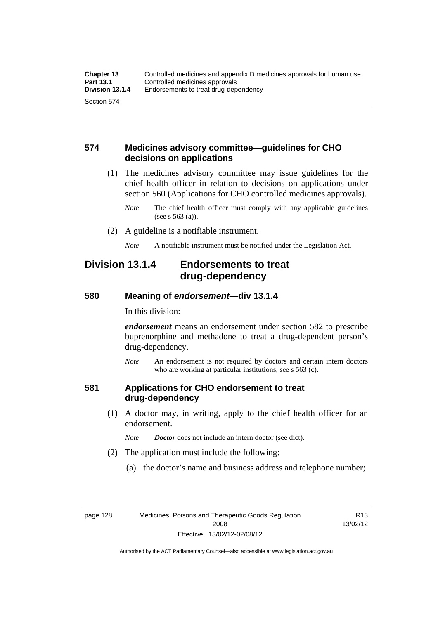## **574 Medicines advisory committee—guidelines for CHO decisions on applications**

 (1) The medicines advisory committee may issue guidelines for the chief health officer in relation to decisions on applications under section 560 (Applications for CHO controlled medicines approvals).

- (2) A guideline is a notifiable instrument.
	- *Note* A notifiable instrument must be notified under the Legislation Act.

## **Division 13.1.4 Endorsements to treat drug-dependency**

## **580 Meaning of** *endorsement***—div 13.1.4**

In this division:

*endorsement* means an endorsement under section 582 to prescribe buprenorphine and methadone to treat a drug-dependent person's drug-dependency.

*Note* An endorsement is not required by doctors and certain intern doctors who are working at particular institutions, see s 563 (c).

## **581 Applications for CHO endorsement to treat drug-dependency**

 (1) A doctor may, in writing, apply to the chief health officer for an endorsement.

*Note Doctor* does not include an intern doctor (see dict).

- (2) The application must include the following:
	- (a) the doctor's name and business address and telephone number;

*Note* The chief health officer must comply with any applicable guidelines (see s 563 (a)).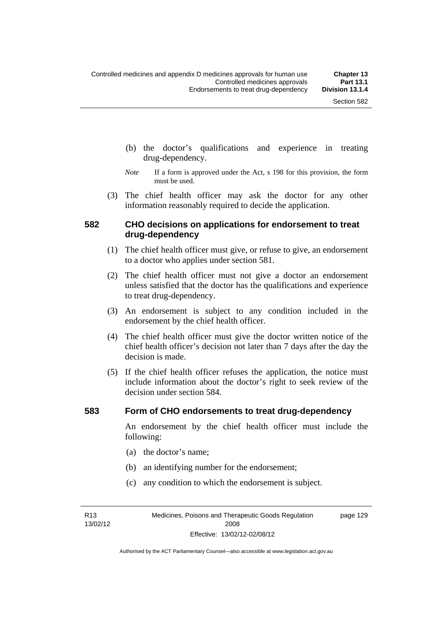- (b) the doctor's qualifications and experience in treating drug-dependency.
- *Note* If a form is approved under the Act, s 198 for this provision, the form must be used.
- (3) The chief health officer may ask the doctor for any other information reasonably required to decide the application.

## **582 CHO decisions on applications for endorsement to treat drug-dependency**

- (1) The chief health officer must give, or refuse to give, an endorsement to a doctor who applies under section 581.
- (2) The chief health officer must not give a doctor an endorsement unless satisfied that the doctor has the qualifications and experience to treat drug-dependency.
- (3) An endorsement is subject to any condition included in the endorsement by the chief health officer.
- (4) The chief health officer must give the doctor written notice of the chief health officer's decision not later than 7 days after the day the decision is made.
- (5) If the chief health officer refuses the application, the notice must include information about the doctor's right to seek review of the decision under section 584.

#### **583 Form of CHO endorsements to treat drug-dependency**

An endorsement by the chief health officer must include the following:

- (a) the doctor's name;
- (b) an identifying number for the endorsement;
- (c) any condition to which the endorsement is subject.

R13 13/02/12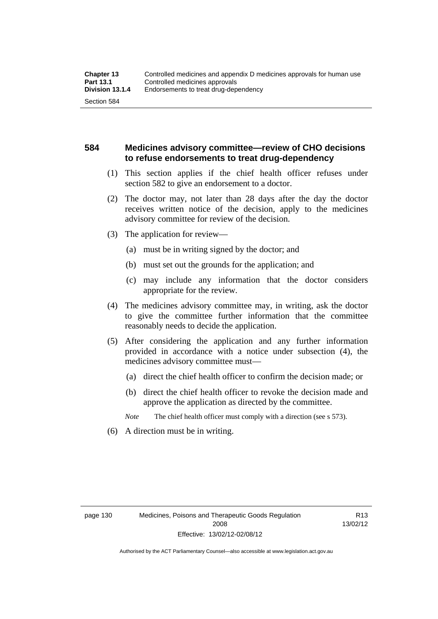## **584 Medicines advisory committee—review of CHO decisions to refuse endorsements to treat drug-dependency**

- (1) This section applies if the chief health officer refuses under section 582 to give an endorsement to a doctor.
- (2) The doctor may, not later than 28 days after the day the doctor receives written notice of the decision, apply to the medicines advisory committee for review of the decision.
- (3) The application for review—
	- (a) must be in writing signed by the doctor; and
	- (b) must set out the grounds for the application; and
	- (c) may include any information that the doctor considers appropriate for the review.
- (4) The medicines advisory committee may, in writing, ask the doctor to give the committee further information that the committee reasonably needs to decide the application.
- (5) After considering the application and any further information provided in accordance with a notice under subsection (4), the medicines advisory committee must—
	- (a) direct the chief health officer to confirm the decision made; or
	- (b) direct the chief health officer to revoke the decision made and approve the application as directed by the committee.

*Note* The chief health officer must comply with a direction (see s 573).

(6) A direction must be in writing.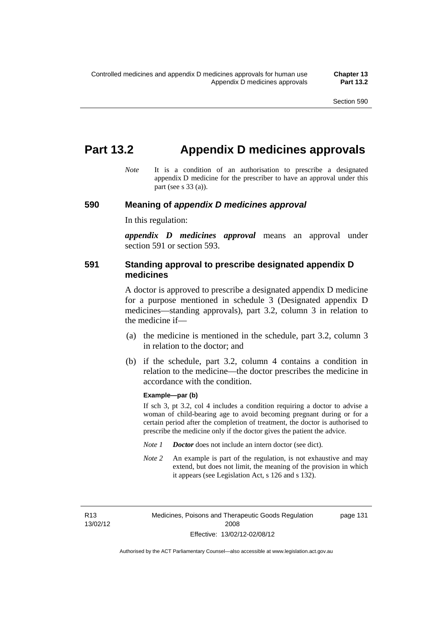# **Part 13.2 Appendix D medicines approvals**

*Note* It is a condition of an authorisation to prescribe a designated appendix D medicine for the prescriber to have an approval under this part (see s 33 (a)).

#### **590 Meaning of** *appendix D medicines approval*

In this regulation:

*appendix D medicines approval* means an approval under section 591 or section 593.

## **591 Standing approval to prescribe designated appendix D medicines**

A doctor is approved to prescribe a designated appendix D medicine for a purpose mentioned in schedule 3 (Designated appendix D medicines—standing approvals), part 3.2, column 3 in relation to the medicine if—

- (a) the medicine is mentioned in the schedule, part 3.2, column 3 in relation to the doctor; and
- (b) if the schedule, part 3.2, column 4 contains a condition in relation to the medicine—the doctor prescribes the medicine in accordance with the condition.

#### **Example—par (b)**

If sch 3, pt 3.2, col 4 includes a condition requiring a doctor to advise a woman of child-bearing age to avoid becoming pregnant during or for a certain period after the completion of treatment, the doctor is authorised to prescribe the medicine only if the doctor gives the patient the advice.

- *Note 1 Doctor* does not include an intern doctor (see dict).
- *Note 2* An example is part of the regulation, is not exhaustive and may extend, but does not limit, the meaning of the provision in which it appears (see Legislation Act, s 126 and s 132).

R13 13/02/12 page 131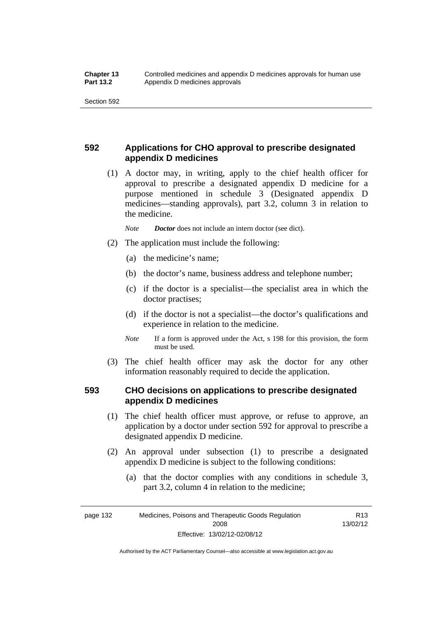## **592 Applications for CHO approval to prescribe designated appendix D medicines**

 (1) A doctor may, in writing, apply to the chief health officer for approval to prescribe a designated appendix D medicine for a purpose mentioned in schedule 3 (Designated appendix D medicines—standing approvals), part 3.2, column 3 in relation to the medicine.

*Note Doctor* does not include an intern doctor (see dict).

- (2) The application must include the following:
	- (a) the medicine's name;
	- (b) the doctor's name, business address and telephone number;
	- (c) if the doctor is a specialist—the specialist area in which the doctor practises;
	- (d) if the doctor is not a specialist—the doctor's qualifications and experience in relation to the medicine.
	- *Note* If a form is approved under the Act, s 198 for this provision, the form must be used.
- (3) The chief health officer may ask the doctor for any other information reasonably required to decide the application.

## **593 CHO decisions on applications to prescribe designated appendix D medicines**

- (1) The chief health officer must approve, or refuse to approve, an application by a doctor under section 592 for approval to prescribe a designated appendix D medicine.
- (2) An approval under subsection (1) to prescribe a designated appendix D medicine is subject to the following conditions:
	- (a) that the doctor complies with any conditions in schedule 3, part 3.2, column 4 in relation to the medicine;

R13 13/02/12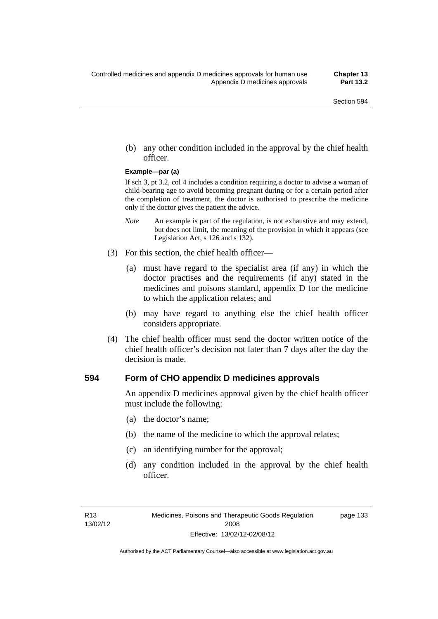(b) any other condition included in the approval by the chief health officer.

#### **Example—par (a)**

If sch 3, pt 3.2, col 4 includes a condition requiring a doctor to advise a woman of child-bearing age to avoid becoming pregnant during or for a certain period after the completion of treatment, the doctor is authorised to prescribe the medicine only if the doctor gives the patient the advice.

- *Note* An example is part of the regulation, is not exhaustive and may extend, but does not limit, the meaning of the provision in which it appears (see Legislation Act, s 126 and s 132).
- (3) For this section, the chief health officer—
	- (a) must have regard to the specialist area (if any) in which the doctor practises and the requirements (if any) stated in the medicines and poisons standard, appendix D for the medicine to which the application relates; and
	- (b) may have regard to anything else the chief health officer considers appropriate.
- (4) The chief health officer must send the doctor written notice of the chief health officer's decision not later than 7 days after the day the decision is made.

#### **594 Form of CHO appendix D medicines approvals**

An appendix D medicines approval given by the chief health officer must include the following:

- (a) the doctor's name;
- (b) the name of the medicine to which the approval relates;
- (c) an identifying number for the approval;
- (d) any condition included in the approval by the chief health officer.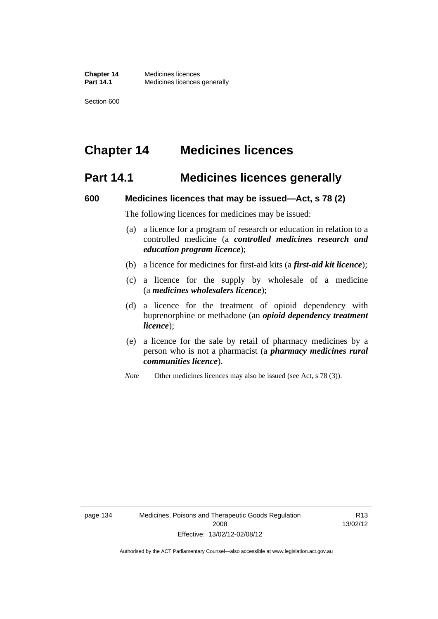# **Chapter 14 Medicines licences**

## **Part 14.1 Medicines licences generally**

#### **600 Medicines licences that may be issued—Act, s 78 (2)**

The following licences for medicines may be issued:

- (a) a licence for a program of research or education in relation to a controlled medicine (a *controlled medicines research and education program licence*);
- (b) a licence for medicines for first-aid kits (a *first-aid kit licence*);
- (c) a licence for the supply by wholesale of a medicine (a *medicines wholesalers licence*);
- (d) a licence for the treatment of opioid dependency with buprenorphine or methadone (an *opioid dependency treatment licence*);
- (e) a licence for the sale by retail of pharmacy medicines by a person who is not a pharmacist (a *pharmacy medicines rural communities licence*).
- *Note* Other medicines licences may also be issued (see Act, s 78 (3)).

R13 13/02/12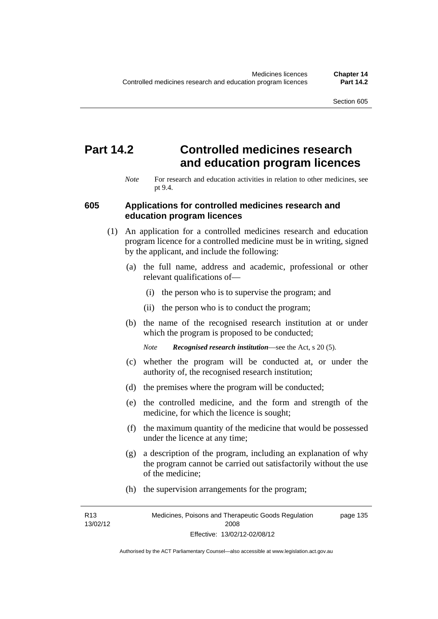# **Part 14.2 Controlled medicines research and education program licences**

*Note* For research and education activities in relation to other medicines, see pt 9.4.

## **605 Applications for controlled medicines research and education program licences**

- (1) An application for a controlled medicines research and education program licence for a controlled medicine must be in writing, signed by the applicant, and include the following:
	- (a) the full name, address and academic, professional or other relevant qualifications of—
		- (i) the person who is to supervise the program; and
		- (ii) the person who is to conduct the program;
	- (b) the name of the recognised research institution at or under which the program is proposed to be conducted;
		- *Note Recognised research institution*—see the Act, s 20 (5).
	- (c) whether the program will be conducted at, or under the authority of, the recognised research institution;
	- (d) the premises where the program will be conducted;
	- (e) the controlled medicine, and the form and strength of the medicine, for which the licence is sought;
	- (f) the maximum quantity of the medicine that would be possessed under the licence at any time;
	- (g) a description of the program, including an explanation of why the program cannot be carried out satisfactorily without the use of the medicine;
	- (h) the supervision arrangements for the program;

R13 13/02/12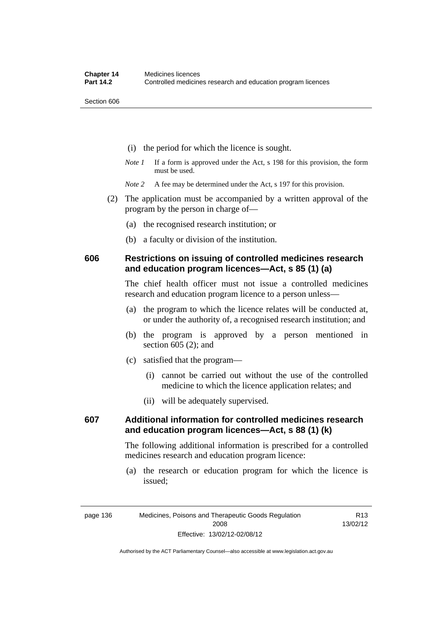- (i) the period for which the licence is sought.
- *Note 1* If a form is approved under the Act, s 198 for this provision, the form must be used.
- *Note* 2 A fee may be determined under the Act, s 197 for this provision.
- (2) The application must be accompanied by a written approval of the program by the person in charge of—
	- (a) the recognised research institution; or
	- (b) a faculty or division of the institution.

## **606 Restrictions on issuing of controlled medicines research and education program licences—Act, s 85 (1) (a)**

The chief health officer must not issue a controlled medicines research and education program licence to a person unless—

- (a) the program to which the licence relates will be conducted at, or under the authority of, a recognised research institution; and
- (b) the program is approved by a person mentioned in section 605 (2); and
- (c) satisfied that the program—
	- (i) cannot be carried out without the use of the controlled medicine to which the licence application relates; and
	- (ii) will be adequately supervised.

## **607 Additional information for controlled medicines research and education program licences—Act, s 88 (1) (k)**

The following additional information is prescribed for a controlled medicines research and education program licence:

 (a) the research or education program for which the licence is issued;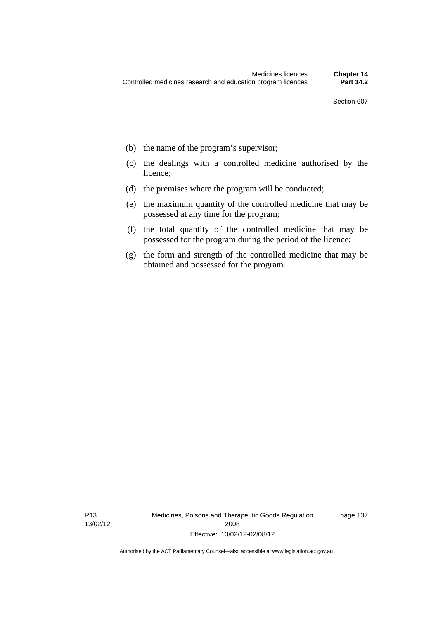- (b) the name of the program's supervisor;
- (c) the dealings with a controlled medicine authorised by the licence;
- (d) the premises where the program will be conducted;
- (e) the maximum quantity of the controlled medicine that may be possessed at any time for the program;
- (f) the total quantity of the controlled medicine that may be possessed for the program during the period of the licence;
- (g) the form and strength of the controlled medicine that may be obtained and possessed for the program.

page 137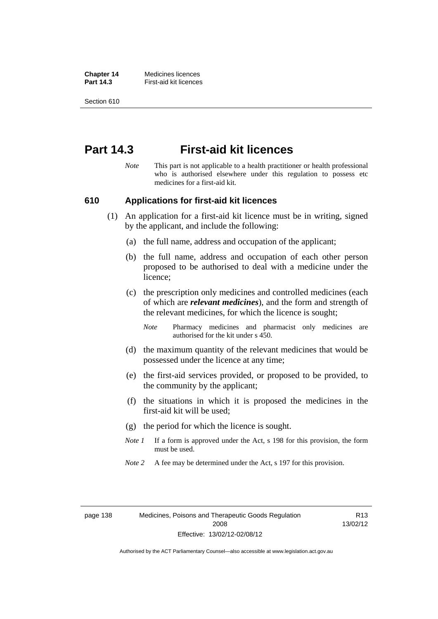**Chapter 14** Medicines licences **Part 14.3 First-aid kit licences** 

Section 610

## **Part 14.3 First-aid kit licences**

*Note* This part is not applicable to a health practitioner or health professional who is authorised elsewhere under this regulation to possess etc medicines for a first-aid kit.

#### **610 Applications for first-aid kit licences**

- (1) An application for a first-aid kit licence must be in writing, signed by the applicant, and include the following:
	- (a) the full name, address and occupation of the applicant;
	- (b) the full name, address and occupation of each other person proposed to be authorised to deal with a medicine under the licence;
	- (c) the prescription only medicines and controlled medicines (each of which are *relevant medicines*), and the form and strength of the relevant medicines, for which the licence is sought;

*Note* Pharmacy medicines and pharmacist only medicines are authorised for the kit under s 450.

- (d) the maximum quantity of the relevant medicines that would be possessed under the licence at any time;
- (e) the first-aid services provided, or proposed to be provided, to the community by the applicant;
- (f) the situations in which it is proposed the medicines in the first-aid kit will be used;
- (g) the period for which the licence is sought.
- *Note 1* If a form is approved under the Act, s 198 for this provision, the form must be used.
- *Note 2* A fee may be determined under the Act, s 197 for this provision.

R13 13/02/12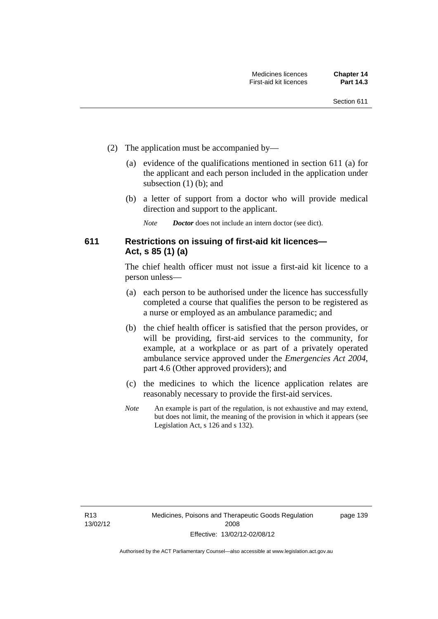- (2) The application must be accompanied by—
	- (a) evidence of the qualifications mentioned in section 611 (a) for the applicant and each person included in the application under subsection (1) (b); and
	- (b) a letter of support from a doctor who will provide medical direction and support to the applicant.
		- *Note Doctor* does not include an intern doctor (see dict).

## **611 Restrictions on issuing of first-aid kit licences— Act, s 85 (1) (a)**

The chief health officer must not issue a first-aid kit licence to a person unless—

- (a) each person to be authorised under the licence has successfully completed a course that qualifies the person to be registered as a nurse or employed as an ambulance paramedic; and
- (b) the chief health officer is satisfied that the person provides, or will be providing, first-aid services to the community, for example, at a workplace or as part of a privately operated ambulance service approved under the *Emergencies Act 2004*, part 4.6 (Other approved providers); and
- (c) the medicines to which the licence application relates are reasonably necessary to provide the first-aid services.
- *Note* An example is part of the regulation, is not exhaustive and may extend, but does not limit, the meaning of the provision in which it appears (see Legislation Act, s 126 and s 132).

page 139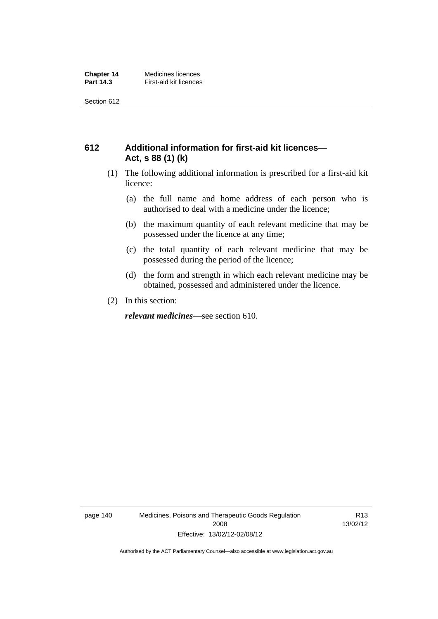## **612 Additional information for first-aid kit licences— Act, s 88 (1) (k)**

- (1) The following additional information is prescribed for a first-aid kit licence:
	- (a) the full name and home address of each person who is authorised to deal with a medicine under the licence;
	- (b) the maximum quantity of each relevant medicine that may be possessed under the licence at any time;
	- (c) the total quantity of each relevant medicine that may be possessed during the period of the licence;
	- (d) the form and strength in which each relevant medicine may be obtained, possessed and administered under the licence.
- (2) In this section:

*relevant medicines*—see section 610.

page 140 Medicines, Poisons and Therapeutic Goods Regulation 2008 Effective: 13/02/12-02/08/12

R13 13/02/12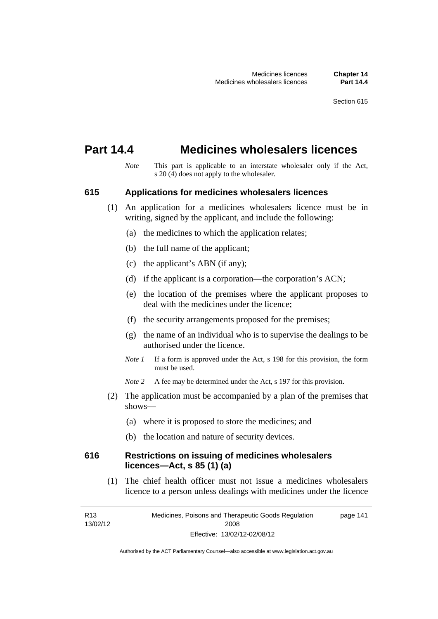## **Part 14.4 Medicines wholesalers licences**

*Note* This part is applicable to an interstate wholesaler only if the Act, s  $20(4)$  does not apply to the wholesaler.

#### **615 Applications for medicines wholesalers licences**

- (1) An application for a medicines wholesalers licence must be in writing, signed by the applicant, and include the following:
	- (a) the medicines to which the application relates;
	- (b) the full name of the applicant;
	- (c) the applicant's ABN (if any);
	- (d) if the applicant is a corporation—the corporation's ACN;
	- (e) the location of the premises where the applicant proposes to deal with the medicines under the licence;
	- (f) the security arrangements proposed for the premises;
	- (g) the name of an individual who is to supervise the dealings to be authorised under the licence.
	- *Note 1* If a form is approved under the Act, s 198 for this provision, the form must be used.
	- *Note* 2 A fee may be determined under the Act, s 197 for this provision.
- (2) The application must be accompanied by a plan of the premises that shows—
	- (a) where it is proposed to store the medicines; and
	- (b) the location and nature of security devices.

## **616 Restrictions on issuing of medicines wholesalers licences—Act, s 85 (1) (a)**

 (1) The chief health officer must not issue a medicines wholesalers licence to a person unless dealings with medicines under the licence

R13 13/02/12 Medicines, Poisons and Therapeutic Goods Regulation 2008 Effective: 13/02/12-02/08/12 page 141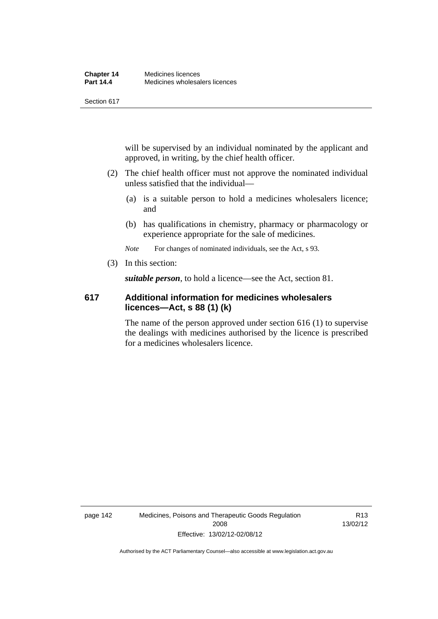will be supervised by an individual nominated by the applicant and approved, in writing, by the chief health officer.

- (2) The chief health officer must not approve the nominated individual unless satisfied that the individual—
	- (a) is a suitable person to hold a medicines wholesalers licence; and
	- (b) has qualifications in chemistry, pharmacy or pharmacology or experience appropriate for the sale of medicines.

*Note* For changes of nominated individuals, see the Act, s 93.

(3) In this section:

*suitable person*, to hold a licence—see the Act, section 81.

## **617 Additional information for medicines wholesalers licences—Act, s 88 (1) (k)**

The name of the person approved under section 616 (1) to supervise the dealings with medicines authorised by the licence is prescribed for a medicines wholesalers licence.

R13 13/02/12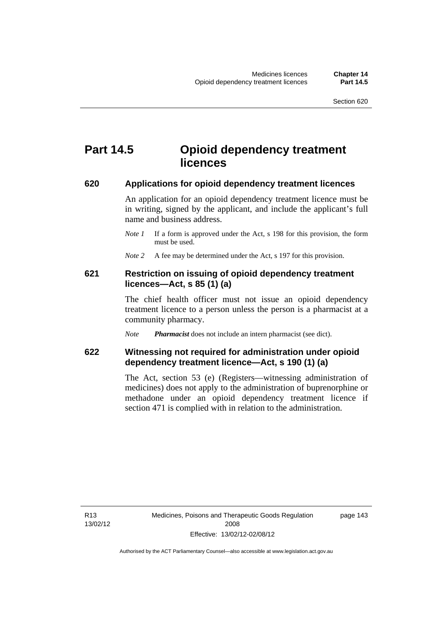# **Part 14.5 Opioid dependency treatment licences**

#### **620 Applications for opioid dependency treatment licences**

An application for an opioid dependency treatment licence must be in writing, signed by the applicant, and include the applicant's full name and business address.

- *Note 1* If a form is approved under the Act, s 198 for this provision, the form must be used.
- *Note 2* A fee may be determined under the Act, s 197 for this provision.

## **621 Restriction on issuing of opioid dependency treatment licences—Act, s 85 (1) (a)**

The chief health officer must not issue an opioid dependency treatment licence to a person unless the person is a pharmacist at a community pharmacy.

*Note Pharmacist* does not include an intern pharmacist (see dict).

## **622 Witnessing not required for administration under opioid dependency treatment licence—Act, s 190 (1) (a)**

The Act, section 53 (e) (Registers—witnessing administration of medicines) does not apply to the administration of buprenorphine or methadone under an opioid dependency treatment licence if section 471 is complied with in relation to the administration.

R13 13/02/12 page 143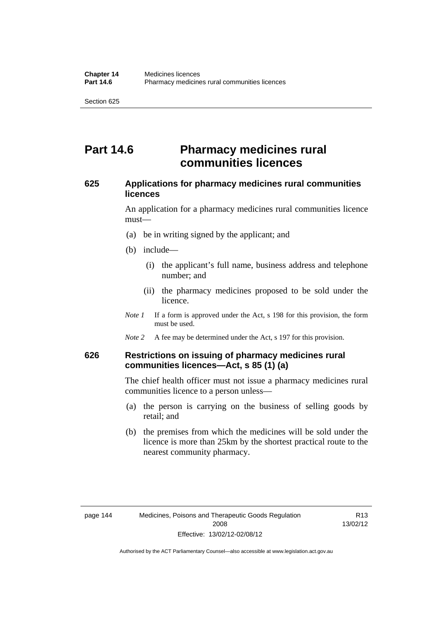# **Part 14.6 Pharmacy medicines rural communities licences**

## **625 Applications for pharmacy medicines rural communities licences**

An application for a pharmacy medicines rural communities licence must—

- (a) be in writing signed by the applicant; and
- (b) include—
	- (i) the applicant's full name, business address and telephone number; and
	- (ii) the pharmacy medicines proposed to be sold under the licence.
- *Note 1* If a form is approved under the Act, s 198 for this provision, the form must be used.
- *Note 2* A fee may be determined under the Act, s 197 for this provision.

## **626 Restrictions on issuing of pharmacy medicines rural communities licences—Act, s 85 (1) (a)**

The chief health officer must not issue a pharmacy medicines rural communities licence to a person unless—

- (a) the person is carrying on the business of selling goods by retail; and
- (b) the premises from which the medicines will be sold under the licence is more than 25km by the shortest practical route to the nearest community pharmacy.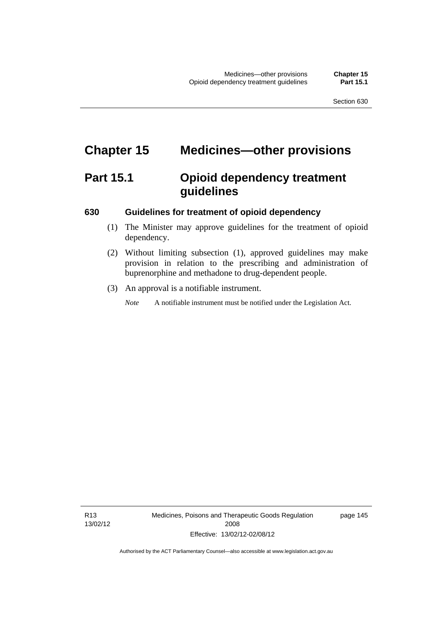# **Chapter 15 Medicines—other provisions**

# **Part 15.1 Opioid dependency treatment guidelines**

## **630 Guidelines for treatment of opioid dependency**

- (1) The Minister may approve guidelines for the treatment of opioid dependency.
- (2) Without limiting subsection (1), approved guidelines may make provision in relation to the prescribing and administration of buprenorphine and methadone to drug-dependent people.
- (3) An approval is a notifiable instrument.

*Note* A notifiable instrument must be notified under the Legislation Act.

R13 13/02/12 Medicines, Poisons and Therapeutic Goods Regulation 2008 Effective: 13/02/12-02/08/12

page 145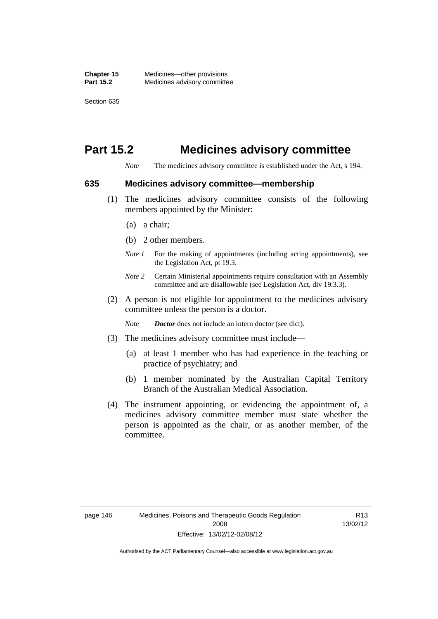# **Part 15.2 Medicines advisory committee**

*Note* The medicines advisory committee is established under the Act, s 194.

#### **635 Medicines advisory committee—membership**

- (1) The medicines advisory committee consists of the following members appointed by the Minister:
	- (a) a chair;
	- (b) 2 other members.
	- *Note 1* For the making of appointments (including acting appointments), see the Legislation Act, pt 19.3.
	- *Note 2* Certain Ministerial appointments require consultation with an Assembly committee and are disallowable (see Legislation Act, div 19.3.3).
- (2) A person is not eligible for appointment to the medicines advisory committee unless the person is a doctor.

*Note Doctor* does not include an intern doctor (see dict).

- (3) The medicines advisory committee must include—
	- (a) at least 1 member who has had experience in the teaching or practice of psychiatry; and
	- (b) 1 member nominated by the Australian Capital Territory Branch of the Australian Medical Association.
- (4) The instrument appointing, or evidencing the appointment of, a medicines advisory committee member must state whether the person is appointed as the chair, or as another member, of the committee.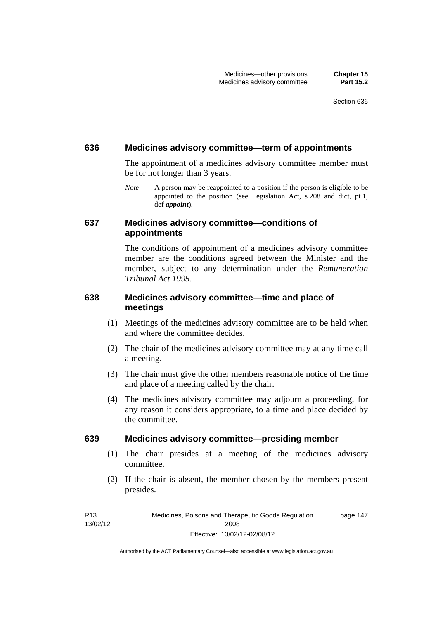#### **636 Medicines advisory committee—term of appointments**

The appointment of a medicines advisory committee member must be for not longer than 3 years.

*Note* A person may be reappointed to a position if the person is eligible to be appointed to the position (see Legislation Act, s 208 and dict, pt 1, def *appoint*).

## **637 Medicines advisory committee—conditions of appointments**

The conditions of appointment of a medicines advisory committee member are the conditions agreed between the Minister and the member, subject to any determination under the *Remuneration Tribunal Act 1995*.

## **638 Medicines advisory committee—time and place of meetings**

- (1) Meetings of the medicines advisory committee are to be held when and where the committee decides.
- (2) The chair of the medicines advisory committee may at any time call a meeting.
- (3) The chair must give the other members reasonable notice of the time and place of a meeting called by the chair.
- (4) The medicines advisory committee may adjourn a proceeding, for any reason it considers appropriate, to a time and place decided by the committee.

## **639 Medicines advisory committee—presiding member**

- (1) The chair presides at a meeting of the medicines advisory committee.
- (2) If the chair is absent, the member chosen by the members present presides.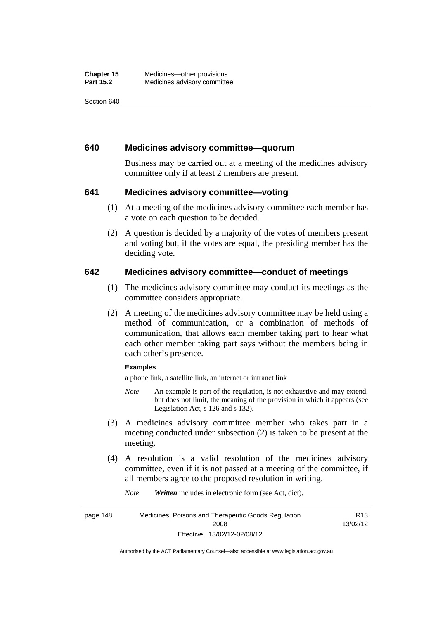## **640 Medicines advisory committee—quorum**

Business may be carried out at a meeting of the medicines advisory committee only if at least 2 members are present.

## **641 Medicines advisory committee—voting**

- (1) At a meeting of the medicines advisory committee each member has a vote on each question to be decided.
- (2) A question is decided by a majority of the votes of members present and voting but, if the votes are equal, the presiding member has the deciding vote.

## **642 Medicines advisory committee—conduct of meetings**

- (1) The medicines advisory committee may conduct its meetings as the committee considers appropriate.
- (2) A meeting of the medicines advisory committee may be held using a method of communication, or a combination of methods of communication, that allows each member taking part to hear what each other member taking part says without the members being in each other's presence.

#### **Examples**

a phone link, a satellite link, an internet or intranet link

- *Note* An example is part of the regulation, is not exhaustive and may extend, but does not limit, the meaning of the provision in which it appears (see Legislation Act, s 126 and s 132).
- (3) A medicines advisory committee member who takes part in a meeting conducted under subsection (2) is taken to be present at the meeting.
- (4) A resolution is a valid resolution of the medicines advisory committee, even if it is not passed at a meeting of the committee, if all members agree to the proposed resolution in writing.

*Note Written* includes in electronic form (see Act, dict).

page 148 Medicines, Poisons and Therapeutic Goods Regulation 2008 Effective: 13/02/12-02/08/12 R13 13/02/12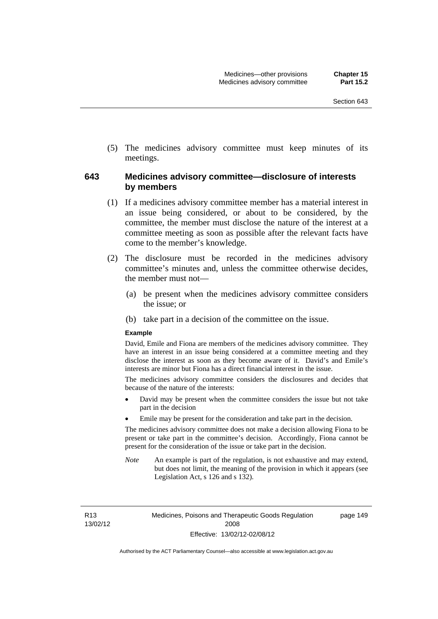(5) The medicines advisory committee must keep minutes of its meetings.

## **643 Medicines advisory committee—disclosure of interests by members**

- (1) If a medicines advisory committee member has a material interest in an issue being considered, or about to be considered, by the committee, the member must disclose the nature of the interest at a committee meeting as soon as possible after the relevant facts have come to the member's knowledge.
- (2) The disclosure must be recorded in the medicines advisory committee's minutes and, unless the committee otherwise decides, the member must not—
	- (a) be present when the medicines advisory committee considers the issue; or
	- (b) take part in a decision of the committee on the issue.

#### **Example**

David, Emile and Fiona are members of the medicines advisory committee. They have an interest in an issue being considered at a committee meeting and they disclose the interest as soon as they become aware of it. David's and Emile's interests are minor but Fiona has a direct financial interest in the issue.

The medicines advisory committee considers the disclosures and decides that because of the nature of the interests:

- David may be present when the committee considers the issue but not take part in the decision
- Emile may be present for the consideration and take part in the decision.

The medicines advisory committee does not make a decision allowing Fiona to be present or take part in the committee's decision. Accordingly, Fiona cannot be present for the consideration of the issue or take part in the decision.

*Note* An example is part of the regulation, is not exhaustive and may extend, but does not limit, the meaning of the provision in which it appears (see Legislation Act, s 126 and s 132).

R13 13/02/12 page 149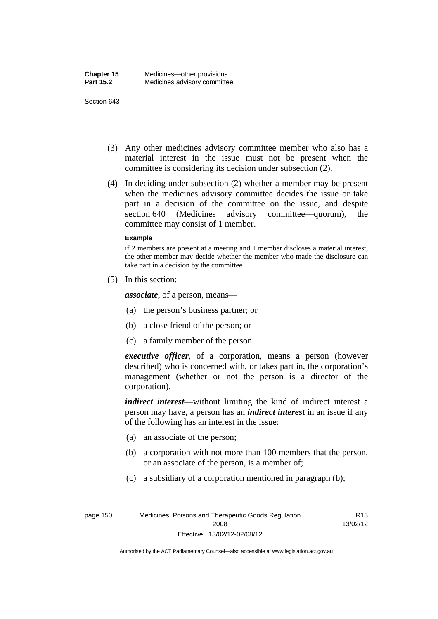- (3) Any other medicines advisory committee member who also has a material interest in the issue must not be present when the committee is considering its decision under subsection (2).
- (4) In deciding under subsection (2) whether a member may be present when the medicines advisory committee decides the issue or take part in a decision of the committee on the issue, and despite section 640 (Medicines advisory committee—quorum), the committee may consist of 1 member.

#### **Example**

if 2 members are present at a meeting and 1 member discloses a material interest, the other member may decide whether the member who made the disclosure can take part in a decision by the committee

(5) In this section:

*associate*, of a person, means—

- (a) the person's business partner; or
- (b) a close friend of the person; or
- (c) a family member of the person.

*executive officer*, of a corporation, means a person (however described) who is concerned with, or takes part in, the corporation's management (whether or not the person is a director of the corporation).

*indirect interest*—without limiting the kind of indirect interest a person may have, a person has an *indirect interest* in an issue if any of the following has an interest in the issue:

- (a) an associate of the person;
- (b) a corporation with not more than 100 members that the person, or an associate of the person, is a member of;
- (c) a subsidiary of a corporation mentioned in paragraph (b);

R13 13/02/12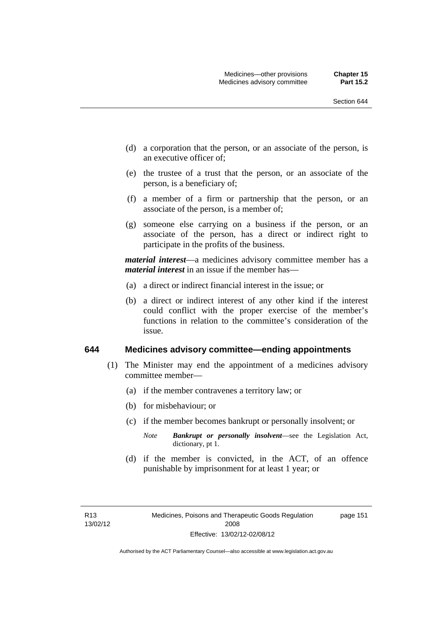- (d) a corporation that the person, or an associate of the person, is an executive officer of;
- (e) the trustee of a trust that the person, or an associate of the person, is a beneficiary of;
- (f) a member of a firm or partnership that the person, or an associate of the person, is a member of;
- (g) someone else carrying on a business if the person, or an associate of the person, has a direct or indirect right to participate in the profits of the business.

*material interest*—a medicines advisory committee member has a *material interest* in an issue if the member has—

- (a) a direct or indirect financial interest in the issue; or
- (b) a direct or indirect interest of any other kind if the interest could conflict with the proper exercise of the member's functions in relation to the committee's consideration of the issue.

#### **644 Medicines advisory committee—ending appointments**

- (1) The Minister may end the appointment of a medicines advisory committee member—
	- (a) if the member contravenes a territory law; or
	- (b) for misbehaviour; or
	- (c) if the member becomes bankrupt or personally insolvent; or
		- *Note Bankrupt or personally insolvent*—see the Legislation Act, dictionary, pt 1.
	- (d) if the member is convicted, in the ACT, of an offence punishable by imprisonment for at least 1 year; or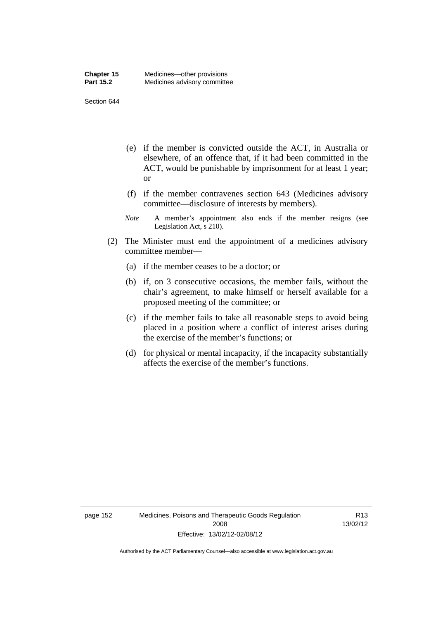- (e) if the member is convicted outside the ACT, in Australia or elsewhere, of an offence that, if it had been committed in the ACT, would be punishable by imprisonment for at least 1 year; or
- (f) if the member contravenes section 643 (Medicines advisory committee—disclosure of interests by members).
- *Note* A member's appointment also ends if the member resigns (see Legislation Act, s 210).
- (2) The Minister must end the appointment of a medicines advisory committee member—
	- (a) if the member ceases to be a doctor; or
	- (b) if, on 3 consecutive occasions, the member fails, without the chair's agreement, to make himself or herself available for a proposed meeting of the committee; or
	- (c) if the member fails to take all reasonable steps to avoid being placed in a position where a conflict of interest arises during the exercise of the member's functions; or
	- (d) for physical or mental incapacity, if the incapacity substantially affects the exercise of the member's functions.

R13 13/02/12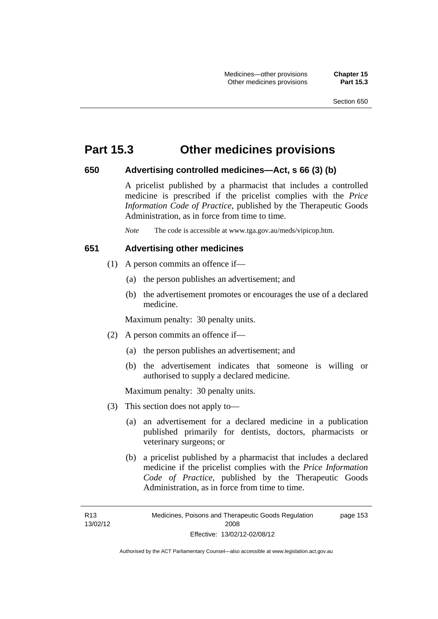## **Part 15.3 Other medicines provisions**

## **650 Advertising controlled medicines—Act, s 66 (3) (b)**

A pricelist published by a pharmacist that includes a controlled medicine is prescribed if the pricelist complies with the *Price Information Code of Practice*, published by the Therapeutic Goods Administration, as in force from time to time.

*Note* The code is accessible at www.tga.gov.au/meds/vipicop.htm.

## **651 Advertising other medicines**

- (1) A person commits an offence if—
	- (a) the person publishes an advertisement; and
	- (b) the advertisement promotes or encourages the use of a declared medicine.

Maximum penalty: 30 penalty units.

- (2) A person commits an offence if—
	- (a) the person publishes an advertisement; and
	- (b) the advertisement indicates that someone is willing or authorised to supply a declared medicine.

Maximum penalty: 30 penalty units.

- (3) This section does not apply to—
	- (a) an advertisement for a declared medicine in a publication published primarily for dentists, doctors, pharmacists or veterinary surgeons; or
	- (b) a pricelist published by a pharmacist that includes a declared medicine if the pricelist complies with the *Price Information Code of Practice*, published by the Therapeutic Goods Administration, as in force from time to time.

R13 13/02/12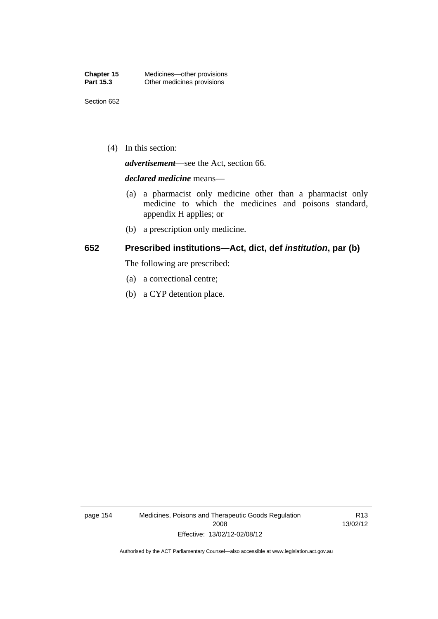(4) In this section:

*advertisement*—see the Act, section 66.

#### *declared medicine* means—

- (a) a pharmacist only medicine other than a pharmacist only medicine to which the medicines and poisons standard, appendix H applies; or
- (b) a prescription only medicine.

## **652 Prescribed institutions—Act, dict, def** *institution***, par (b)**

The following are prescribed:

- (a) a correctional centre;
- (b) a CYP detention place.

page 154 Medicines, Poisons and Therapeutic Goods Regulation 2008 Effective: 13/02/12-02/08/12

R13 13/02/12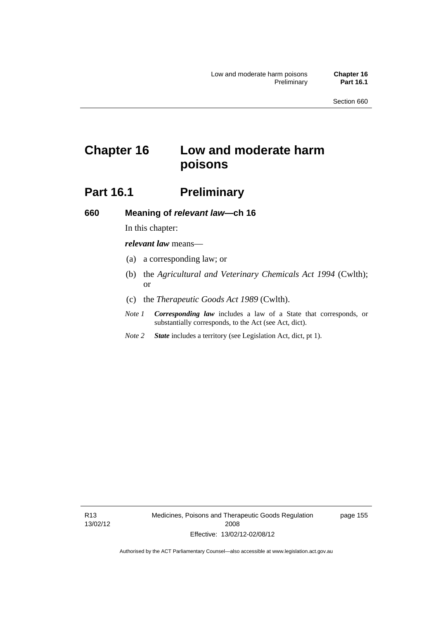# **Chapter 16 Low and moderate harm poisons**

# **Part 16.1** Preliminary

**660 Meaning of** *relevant law***—ch 16** 

# In this chapter:

*relevant law* means—

- (a) a corresponding law; or
- (b) the *Agricultural and Veterinary Chemicals Act 1994* (Cwlth); or
- (c) the *Therapeutic Goods Act 1989* (Cwlth).
- *Note 1 Corresponding law* includes a law of a State that corresponds, or substantially corresponds, to the Act (see Act, dict).
- *Note 2 State* includes a territory (see Legislation Act, dict, pt 1).

R13 13/02/12 Medicines, Poisons and Therapeutic Goods Regulation 2008 Effective: 13/02/12-02/08/12

page 155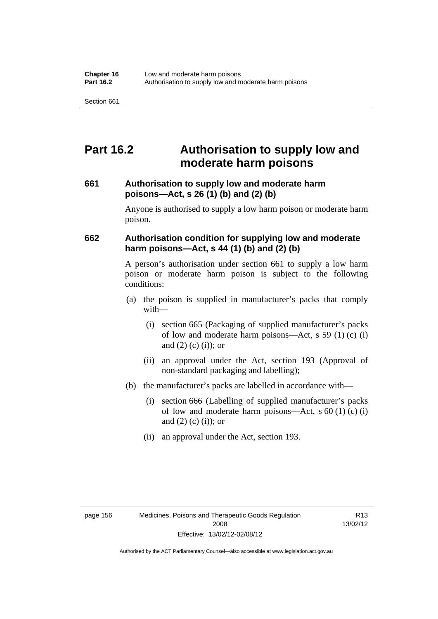# **Part 16.2 Authorisation to supply low and moderate harm poisons**

## **661 Authorisation to supply low and moderate harm poisons—Act, s 26 (1) (b) and (2) (b)**

Anyone is authorised to supply a low harm poison or moderate harm poison.

## **662 Authorisation condition for supplying low and moderate harm poisons—Act, s 44 (1) (b) and (2) (b)**

A person's authorisation under section 661 to supply a low harm poison or moderate harm poison is subject to the following conditions:

- (a) the poison is supplied in manufacturer's packs that comply with—
	- (i) section 665 (Packaging of supplied manufacturer's packs of low and moderate harm poisons—Act, s  $59(1)(c)$  (i) and  $(2)$  (c) (i)); or
	- (ii) an approval under the Act, section 193 (Approval of non-standard packaging and labelling);
- (b) the manufacturer's packs are labelled in accordance with—
	- (i) section 666 (Labelling of supplied manufacturer's packs of low and moderate harm poisons—Act, s  $60(1)(c)(i)$ and  $(2)$   $(c)$   $(i)$ ; or
	- (ii) an approval under the Act, section 193.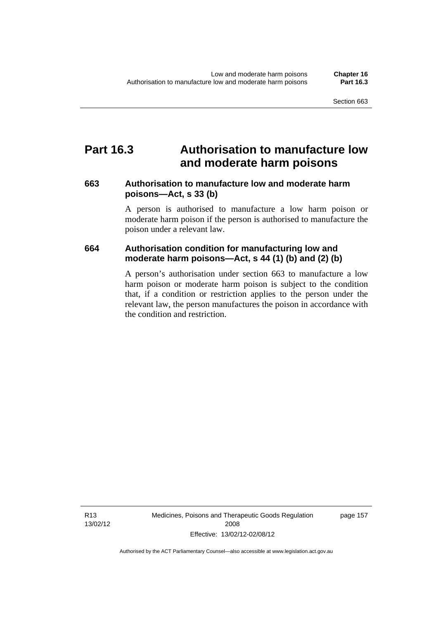### **Part 16.3 Authorisation to manufacture low and moderate harm poisons**

### **663 Authorisation to manufacture low and moderate harm poisons—Act, s 33 (b)**

A person is authorised to manufacture a low harm poison or moderate harm poison if the person is authorised to manufacture the poison under a relevant law.

### **664 Authorisation condition for manufacturing low and moderate harm poisons—Act, s 44 (1) (b) and (2) (b)**

A person's authorisation under section 663 to manufacture a low harm poison or moderate harm poison is subject to the condition that, if a condition or restriction applies to the person under the relevant law, the person manufactures the poison in accordance with the condition and restriction.

page 157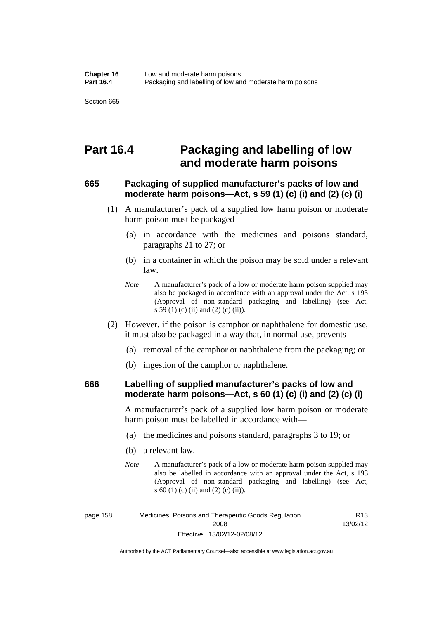### **Part 16.4 Packaging and labelling of low and moderate harm poisons**

### **665 Packaging of supplied manufacturer's packs of low and moderate harm poisons—Act, s 59 (1) (c) (i) and (2) (c) (i)**

- (1) A manufacturer's pack of a supplied low harm poison or moderate harm poison must be packaged—
	- (a) in accordance with the medicines and poisons standard, paragraphs 21 to 27; or
	- (b) in a container in which the poison may be sold under a relevant law.
	- *Note* A manufacturer's pack of a low or moderate harm poison supplied may also be packaged in accordance with an approval under the Act, s 193 (Approval of non-standard packaging and labelling) (see Act, s 59 (1) (c) (ii) and (2) (c) (ii)).
- (2) However, if the poison is camphor or naphthalene for domestic use, it must also be packaged in a way that, in normal use, prevents—
	- (a) removal of the camphor or naphthalene from the packaging; or
	- (b) ingestion of the camphor or naphthalene.

### **666 Labelling of supplied manufacturer's packs of low and moderate harm poisons—Act, s 60 (1) (c) (i) and (2) (c) (i)**

A manufacturer's pack of a supplied low harm poison or moderate harm poison must be labelled in accordance with—

- (a) the medicines and poisons standard, paragraphs 3 to 19; or
- (b) a relevant law.
- *Note* A manufacturer's pack of a low or moderate harm poison supplied may also be labelled in accordance with an approval under the Act, s 193 (Approval of non-standard packaging and labelling) (see Act, s 60 (1) (c) (ii) and (2) (c) (ii)).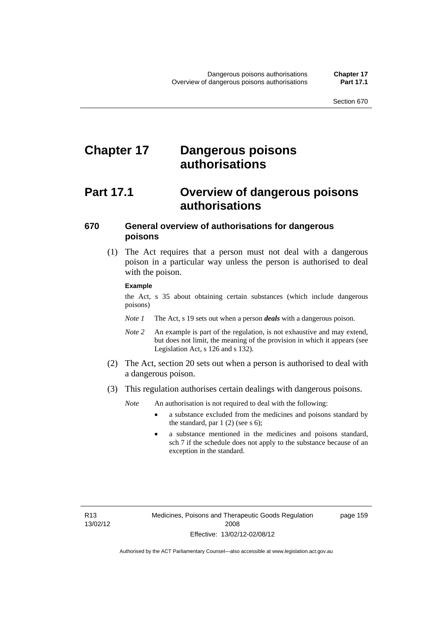# **Chapter 17 Dangerous poisons authorisations**

## **Part 17.1 Overview of dangerous poisons authorisations**

### **670 General overview of authorisations for dangerous poisons**

 (1) The Act requires that a person must not deal with a dangerous poison in a particular way unless the person is authorised to deal with the poison.

#### **Example**

the Act, s 35 about obtaining certain substances (which include dangerous poisons)

- *Note 1* The Act, s 19 sets out when a person *deals* with a dangerous poison.
- *Note 2* An example is part of the regulation, is not exhaustive and may extend, but does not limit, the meaning of the provision in which it appears (see Legislation Act, s 126 and s 132).
- (2) The Act, section 20 sets out when a person is authorised to deal with a dangerous poison.
- (3) This regulation authorises certain dealings with dangerous poisons.

*Note* An authorisation is not required to deal with the following:

- a substance excluded from the medicines and poisons standard by the standard, par  $1(2)$  (see s 6);
- a substance mentioned in the medicines and poisons standard, sch 7 if the schedule does not apply to the substance because of an exception in the standard.

R13 13/02/12 page 159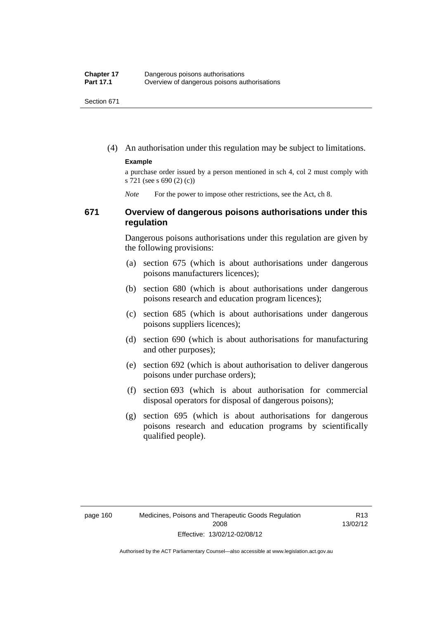(4) An authorisation under this regulation may be subject to limitations.

#### **Example**

a purchase order issued by a person mentioned in sch 4, col 2 must comply with s 721 (see s 690 (2) (c))

*Note* For the power to impose other restrictions, see the Act, ch 8.

### **671 Overview of dangerous poisons authorisations under this regulation**

Dangerous poisons authorisations under this regulation are given by the following provisions:

- (a) section 675 (which is about authorisations under dangerous poisons manufacturers licences);
- (b) section 680 (which is about authorisations under dangerous poisons research and education program licences);
- (c) section 685 (which is about authorisations under dangerous poisons suppliers licences);
- (d) section 690 (which is about authorisations for manufacturing and other purposes);
- (e) section 692 (which is about authorisation to deliver dangerous poisons under purchase orders);
- (f) section 693 (which is about authorisation for commercial disposal operators for disposal of dangerous poisons);
- (g) section 695 (which is about authorisations for dangerous poisons research and education programs by scientifically qualified people).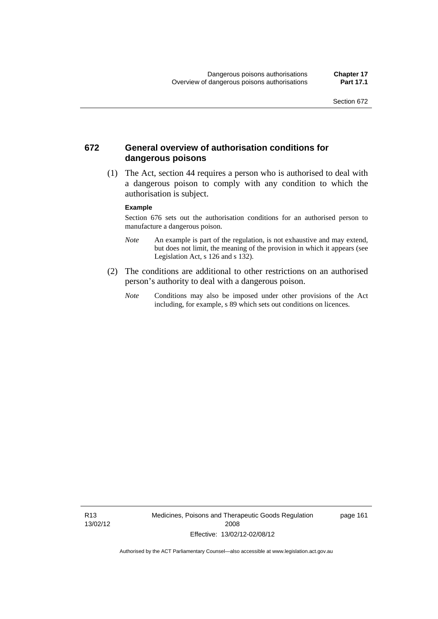### **672 General overview of authorisation conditions for dangerous poisons**

 (1) The Act, section 44 requires a person who is authorised to deal with a dangerous poison to comply with any condition to which the authorisation is subject.

#### **Example**

Section 676 sets out the authorisation conditions for an authorised person to manufacture a dangerous poison.

- *Note* An example is part of the regulation, is not exhaustive and may extend, but does not limit, the meaning of the provision in which it appears (see Legislation Act, s  $126$  and s  $132$ ).
- (2) The conditions are additional to other restrictions on an authorised person's authority to deal with a dangerous poison.
	- *Note* Conditions may also be imposed under other provisions of the Act including, for example, s 89 which sets out conditions on licences.

R13 13/02/12 Medicines, Poisons and Therapeutic Goods Regulation 2008 Effective: 13/02/12-02/08/12

page 161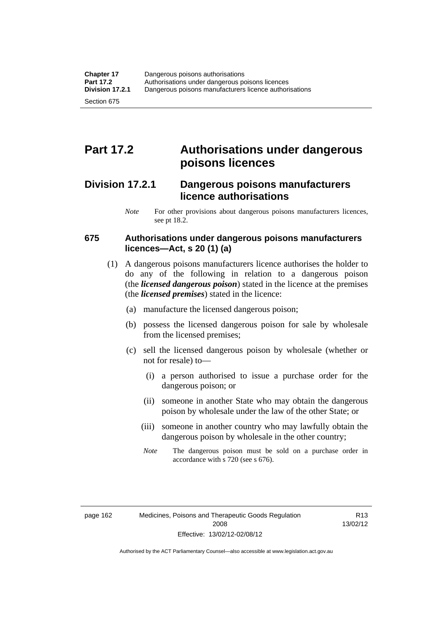# **Part 17.2 Authorisations under dangerous poisons licences**

### **Division 17.2.1 Dangerous poisons manufacturers licence authorisations**

*Note* For other provisions about dangerous poisons manufacturers licences, see pt 18.2.

### **675 Authorisations under dangerous poisons manufacturers licences—Act, s 20 (1) (a)**

- (1) A dangerous poisons manufacturers licence authorises the holder to do any of the following in relation to a dangerous poison (the *licensed dangerous poison*) stated in the licence at the premises (the *licensed premises*) stated in the licence:
	- (a) manufacture the licensed dangerous poison;
	- (b) possess the licensed dangerous poison for sale by wholesale from the licensed premises;
	- (c) sell the licensed dangerous poison by wholesale (whether or not for resale) to—
		- (i) a person authorised to issue a purchase order for the dangerous poison; or
		- (ii) someone in another State who may obtain the dangerous poison by wholesale under the law of the other State; or
		- (iii) someone in another country who may lawfully obtain the dangerous poison by wholesale in the other country;
		- *Note* The dangerous poison must be sold on a purchase order in accordance with s 720 (see s 676).

R13 13/02/12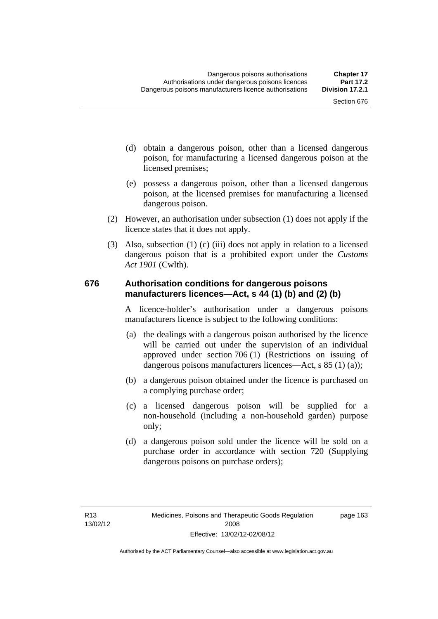- (d) obtain a dangerous poison, other than a licensed dangerous poison, for manufacturing a licensed dangerous poison at the licensed premises;
- (e) possess a dangerous poison, other than a licensed dangerous poison, at the licensed premises for manufacturing a licensed dangerous poison.
- (2) However, an authorisation under subsection (1) does not apply if the licence states that it does not apply.
- (3) Also, subsection (1) (c) (iii) does not apply in relation to a licensed dangerous poison that is a prohibited export under the *Customs Act 1901* (Cwlth).

### **676 Authorisation conditions for dangerous poisons manufacturers licences—Act, s 44 (1) (b) and (2) (b)**

A licence-holder's authorisation under a dangerous poisons manufacturers licence is subject to the following conditions:

- (a) the dealings with a dangerous poison authorised by the licence will be carried out under the supervision of an individual approved under section 706 (1) (Restrictions on issuing of dangerous poisons manufacturers licences—Act, s 85 (1) (a));
- (b) a dangerous poison obtained under the licence is purchased on a complying purchase order;
- (c) a licensed dangerous poison will be supplied for a non-household (including a non-household garden) purpose only;
- (d) a dangerous poison sold under the licence will be sold on a purchase order in accordance with section 720 (Supplying dangerous poisons on purchase orders);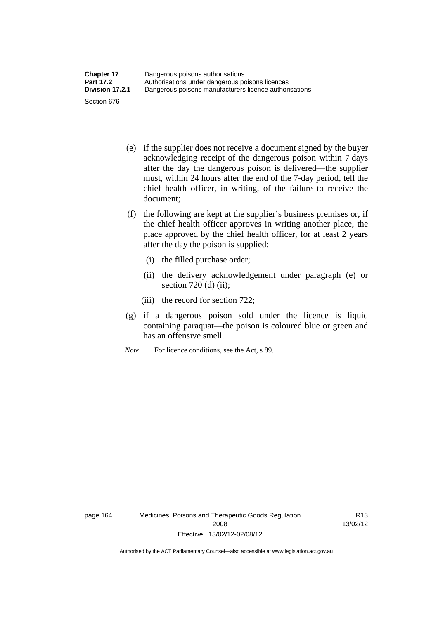- (e) if the supplier does not receive a document signed by the buyer acknowledging receipt of the dangerous poison within 7 days after the day the dangerous poison is delivered—the supplier must, within 24 hours after the end of the 7-day period, tell the chief health officer, in writing, of the failure to receive the document;
- (f) the following are kept at the supplier's business premises or, if the chief health officer approves in writing another place, the place approved by the chief health officer, for at least 2 years after the day the poison is supplied:
	- (i) the filled purchase order;
	- (ii) the delivery acknowledgement under paragraph (e) or section 720 (d) (ii);
	- (iii) the record for section 722;
- (g) if a dangerous poison sold under the licence is liquid containing paraquat—the poison is coloured blue or green and has an offensive smell.
- *Note* For licence conditions, see the Act, s 89.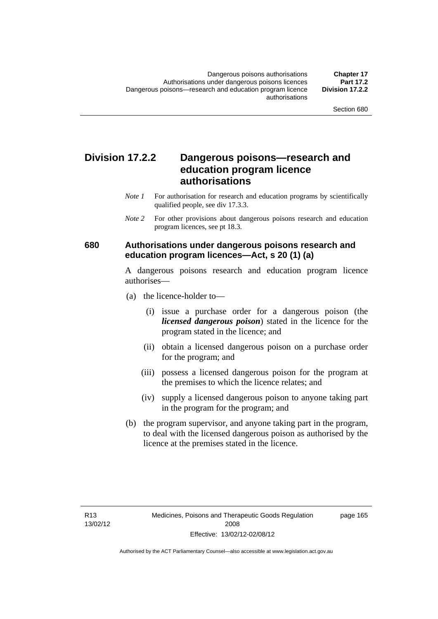### **Division 17.2.2 Dangerous poisons—research and education program licence authorisations**

- *Note 1* For authorisation for research and education programs by scientifically qualified people, see div 17.3.3.
- *Note 2* For other provisions about dangerous poisons research and education program licences, see pt 18.3.

### **680 Authorisations under dangerous poisons research and education program licences—Act, s 20 (1) (a)**

A dangerous poisons research and education program licence authorises—

- (a) the licence-holder to—
	- (i) issue a purchase order for a dangerous poison (the *licensed dangerous poison*) stated in the licence for the program stated in the licence; and
	- (ii) obtain a licensed dangerous poison on a purchase order for the program; and
	- (iii) possess a licensed dangerous poison for the program at the premises to which the licence relates; and
	- (iv) supply a licensed dangerous poison to anyone taking part in the program for the program; and
- (b) the program supervisor, and anyone taking part in the program, to deal with the licensed dangerous poison as authorised by the licence at the premises stated in the licence.

page 165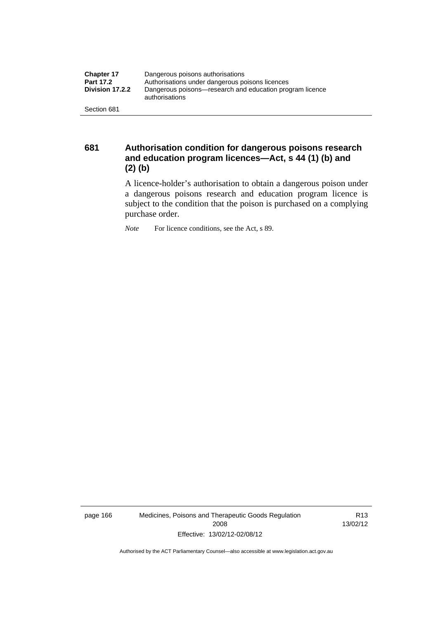| <b>Chapter 17</b> | Dangerous poisons authorisations                                           |  |
|-------------------|----------------------------------------------------------------------------|--|
| <b>Part 17.2</b>  | Authorisations under dangerous poisons licences                            |  |
| Division 17.2.2   | Dangerous poisons—research and education program licence<br>authorisations |  |
| Section 681       |                                                                            |  |

**681 Authorisation condition for dangerous poisons research and education program licences—Act, s 44 (1) (b) and (2) (b)** 

A licence-holder's authorisation to obtain a dangerous poison under a dangerous poisons research and education program licence is subject to the condition that the poison is purchased on a complying purchase order.

*Note* For licence conditions, see the Act, s 89.

page 166 Medicines, Poisons and Therapeutic Goods Regulation 2008 Effective: 13/02/12-02/08/12

R13 13/02/12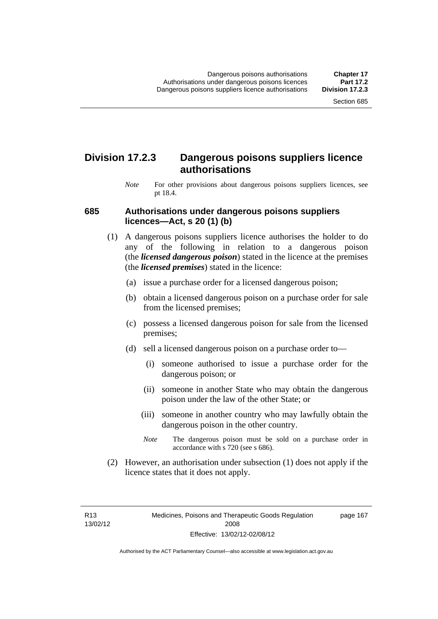### **Division 17.2.3 Dangerous poisons suppliers licence authorisations**

*Note* For other provisions about dangerous poisons suppliers licences, see pt 18.4.

#### **685 Authorisations under dangerous poisons suppliers licences—Act, s 20 (1) (b)**

- (1) A dangerous poisons suppliers licence authorises the holder to do any of the following in relation to a dangerous poison (the *licensed dangerous poison*) stated in the licence at the premises (the *licensed premises*) stated in the licence:
	- (a) issue a purchase order for a licensed dangerous poison;
	- (b) obtain a licensed dangerous poison on a purchase order for sale from the licensed premises;
	- (c) possess a licensed dangerous poison for sale from the licensed premises;
	- (d) sell a licensed dangerous poison on a purchase order to—
		- (i) someone authorised to issue a purchase order for the dangerous poison; or
		- (ii) someone in another State who may obtain the dangerous poison under the law of the other State; or
		- (iii) someone in another country who may lawfully obtain the dangerous poison in the other country.
		- *Note* The dangerous poison must be sold on a purchase order in accordance with s 720 (see s 686).
- (2) However, an authorisation under subsection (1) does not apply if the licence states that it does not apply.

R13 13/02/12 page 167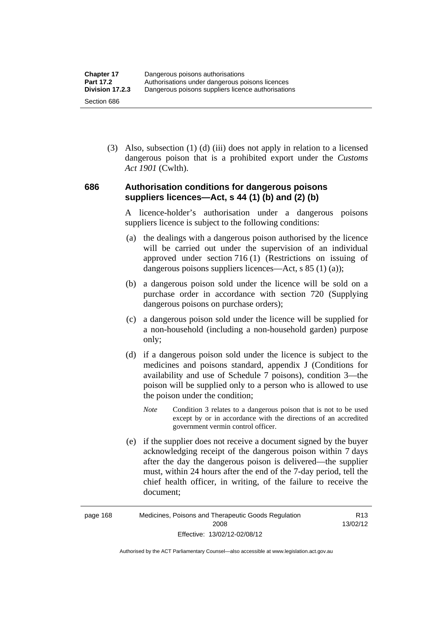(3) Also, subsection (1) (d) (iii) does not apply in relation to a licensed dangerous poison that is a prohibited export under the *Customs Act 1901* (Cwlth).

### **686 Authorisation conditions for dangerous poisons suppliers licences—Act, s 44 (1) (b) and (2) (b)**

A licence-holder's authorisation under a dangerous poisons suppliers licence is subject to the following conditions:

- (a) the dealings with a dangerous poison authorised by the licence will be carried out under the supervision of an individual approved under section 716 (1) (Restrictions on issuing of dangerous poisons suppliers licences—Act, s 85 (1) (a));
- (b) a dangerous poison sold under the licence will be sold on a purchase order in accordance with section 720 (Supplying dangerous poisons on purchase orders);
- (c) a dangerous poison sold under the licence will be supplied for a non-household (including a non-household garden) purpose only;
- (d) if a dangerous poison sold under the licence is subject to the medicines and poisons standard, appendix J (Conditions for availability and use of Schedule 7 poisons), condition 3—the poison will be supplied only to a person who is allowed to use the poison under the condition;
	- *Note* Condition 3 relates to a dangerous poison that is not to be used except by or in accordance with the directions of an accredited government vermin control officer.
- (e) if the supplier does not receive a document signed by the buyer acknowledging receipt of the dangerous poison within 7 days after the day the dangerous poison is delivered—the supplier must, within 24 hours after the end of the 7-day period, tell the chief health officer, in writing, of the failure to receive the document;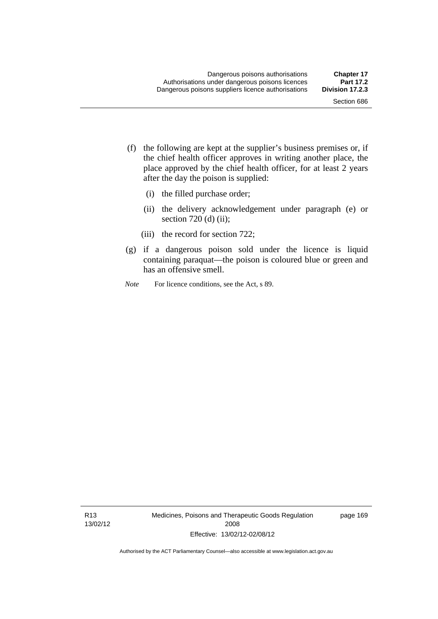- (f) the following are kept at the supplier's business premises or, if the chief health officer approves in writing another place, the place approved by the chief health officer, for at least 2 years after the day the poison is supplied:
	- (i) the filled purchase order;
	- (ii) the delivery acknowledgement under paragraph (e) or section 720 (d) (ii);
	- (iii) the record for section 722;
- (g) if a dangerous poison sold under the licence is liquid containing paraquat—the poison is coloured blue or green and has an offensive smell.
- *Note* For licence conditions, see the Act, s 89.

R13 13/02/12 Medicines, Poisons and Therapeutic Goods Regulation 2008 Effective: 13/02/12-02/08/12

page 169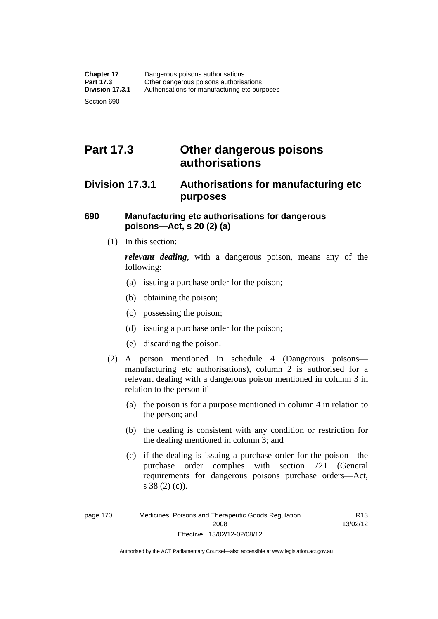# **Part 17.3 Other dangerous poisons authorisations**

### **Division 17.3.1 Authorisations for manufacturing etc purposes**

### **690 Manufacturing etc authorisations for dangerous poisons—Act, s 20 (2) (a)**

(1) In this section:

*relevant dealing*, with a dangerous poison, means any of the following:

- (a) issuing a purchase order for the poison;
- (b) obtaining the poison;
- (c) possessing the poison;
- (d) issuing a purchase order for the poison;
- (e) discarding the poison.
- (2) A person mentioned in schedule 4 (Dangerous poisons manufacturing etc authorisations), column 2 is authorised for a relevant dealing with a dangerous poison mentioned in column 3 in relation to the person if—
	- (a) the poison is for a purpose mentioned in column 4 in relation to the person; and
	- (b) the dealing is consistent with any condition or restriction for the dealing mentioned in column 3; and
	- (c) if the dealing is issuing a purchase order for the poison—the purchase order complies with section 721 (General requirements for dangerous poisons purchase orders—Act, s 38 (2) (c)).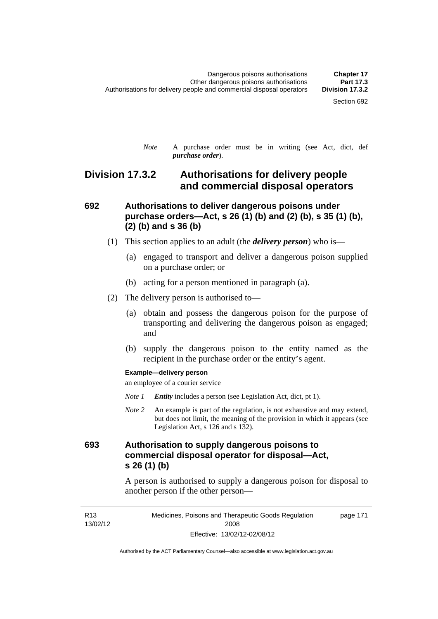*Note* A purchase order must be in writing (see Act, dict, def *purchase order*).

### **Division 17.3.2 Authorisations for delivery people and commercial disposal operators**

### **692 Authorisations to deliver dangerous poisons under purchase orders—Act, s 26 (1) (b) and (2) (b), s 35 (1) (b), (2) (b) and s 36 (b)**

- (1) This section applies to an adult (the *delivery person*) who is—
	- (a) engaged to transport and deliver a dangerous poison supplied on a purchase order; or
	- (b) acting for a person mentioned in paragraph (a).
- (2) The delivery person is authorised to—
	- (a) obtain and possess the dangerous poison for the purpose of transporting and delivering the dangerous poison as engaged; and
	- (b) supply the dangerous poison to the entity named as the recipient in the purchase order or the entity's agent.

#### **Example—delivery person**

an employee of a courier service

- *Note 1 Entity* includes a person (see Legislation Act, dict, pt 1).
- *Note 2* An example is part of the regulation, is not exhaustive and may extend, but does not limit, the meaning of the provision in which it appears (see Legislation Act, s 126 and s 132).

### **693 Authorisation to supply dangerous poisons to commercial disposal operator for disposal—Act, s 26 (1) (b)**

A person is authorised to supply a dangerous poison for disposal to another person if the other person—

R13 13/02/12 Medicines, Poisons and Therapeutic Goods Regulation 2008 Effective: 13/02/12-02/08/12 page 171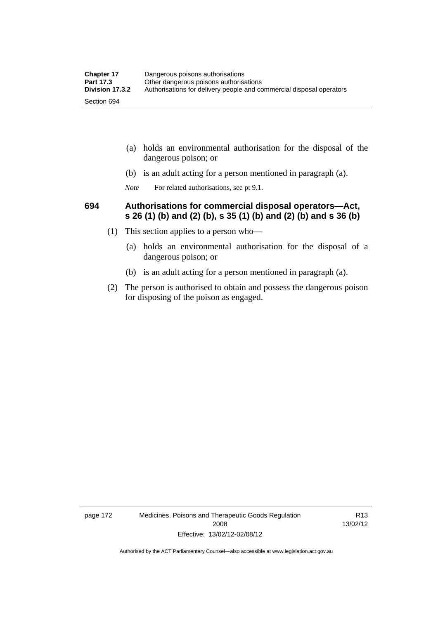| <b>Chapter 17</b> | Dangerous poisons authorisations                                     |  |
|-------------------|----------------------------------------------------------------------|--|
| <b>Part 17.3</b>  | Other dangerous poisons authorisations                               |  |
| Division 17.3.2   | Authorisations for delivery people and commercial disposal operators |  |
| Section 694       |                                                                      |  |

- (a) holds an environmental authorisation for the disposal of the dangerous poison; or
- (b) is an adult acting for a person mentioned in paragraph (a).
- *Note* For related authorisations, see pt 9.1.

### **694 Authorisations for commercial disposal operators—Act, s 26 (1) (b) and (2) (b), s 35 (1) (b) and (2) (b) and s 36 (b)**

- (1) This section applies to a person who—
	- (a) holds an environmental authorisation for the disposal of a dangerous poison; or
	- (b) is an adult acting for a person mentioned in paragraph (a).
- (2) The person is authorised to obtain and possess the dangerous poison for disposing of the poison as engaged.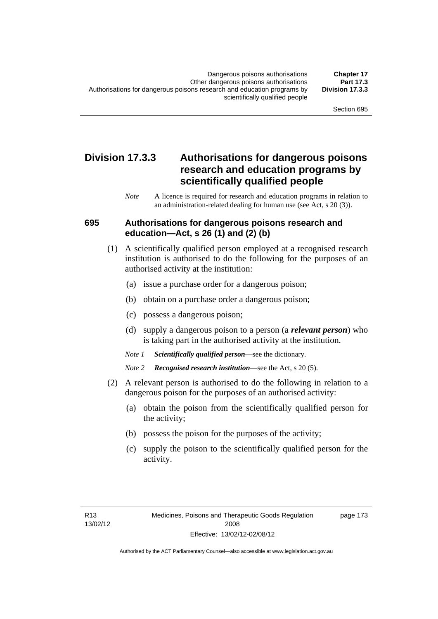### **Division 17.3.3 Authorisations for dangerous poisons research and education programs by scientifically qualified people**

*Note* A licence is required for research and education programs in relation to an administration-related dealing for human use (see Act, s 20 (3)).

#### **695 Authorisations for dangerous poisons research and education—Act, s 26 (1) and (2) (b)**

- (1) A scientifically qualified person employed at a recognised research institution is authorised to do the following for the purposes of an authorised activity at the institution:
	- (a) issue a purchase order for a dangerous poison;
	- (b) obtain on a purchase order a dangerous poison;
	- (c) possess a dangerous poison;
	- (d) supply a dangerous poison to a person (a *relevant person*) who is taking part in the authorised activity at the institution.
	- *Note 1 Scientifically qualified person*—see the dictionary.
	- *Note 2 Recognised research institution*—see the Act, s 20 (5).
- (2) A relevant person is authorised to do the following in relation to a dangerous poison for the purposes of an authorised activity:
	- (a) obtain the poison from the scientifically qualified person for the activity;
	- (b) possess the poison for the purposes of the activity;
	- (c) supply the poison to the scientifically qualified person for the activity.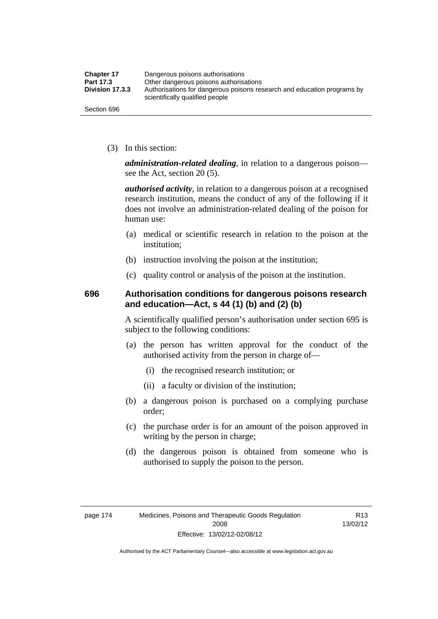| <b>Chapter 17</b> | Dangerous poisons authorisations                                                                           |  |
|-------------------|------------------------------------------------------------------------------------------------------------|--|
| Part 17.3         | Other dangerous poisons authorisations                                                                     |  |
| Division 17.3.3   | Authorisations for dangerous poisons research and education programs by<br>scientifically qualified people |  |
| Section 696       |                                                                                                            |  |

(3) In this section:

*administration-related dealing*, in relation to a dangerous poison see the Act, section 20 (5).

*authorised activity*, in relation to a dangerous poison at a recognised research institution, means the conduct of any of the following if it does not involve an administration-related dealing of the poison for human use:

- (a) medical or scientific research in relation to the poison at the institution;
- (b) instruction involving the poison at the institution;
- (c) quality control or analysis of the poison at the institution.

### **696 Authorisation conditions for dangerous poisons research and education—Act, s 44 (1) (b) and (2) (b)**

A scientifically qualified person's authorisation under section 695 is subject to the following conditions:

- (a) the person has written approval for the conduct of the authorised activity from the person in charge of—
	- (i) the recognised research institution; or
	- (ii) a faculty or division of the institution;
- (b) a dangerous poison is purchased on a complying purchase order;
- (c) the purchase order is for an amount of the poison approved in writing by the person in charge;
- (d) the dangerous poison is obtained from someone who is authorised to supply the poison to the person.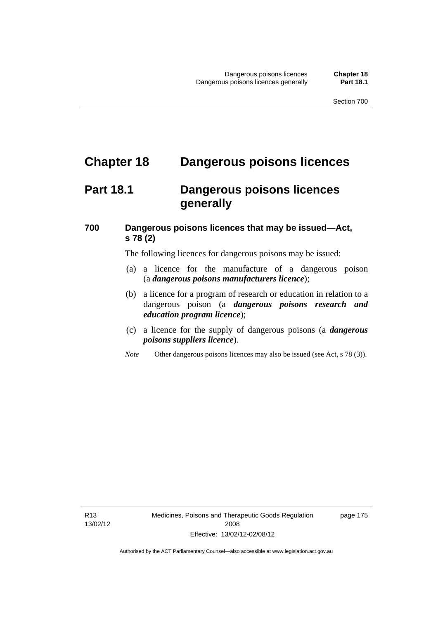# **Chapter 18 Dangerous poisons licences**

## **Part 18.1 Dangerous poisons licences generally**

### **700 Dangerous poisons licences that may be issued—Act, s 78 (2)**

The following licences for dangerous poisons may be issued:

- (a) a licence for the manufacture of a dangerous poison (a *dangerous poisons manufacturers licence*);
- (b) a licence for a program of research or education in relation to a dangerous poison (a *dangerous poisons research and education program licence*);
- (c) a licence for the supply of dangerous poisons (a *dangerous poisons suppliers licence*).
- *Note* Other dangerous poisons licences may also be issued (see Act, s 78 (3)).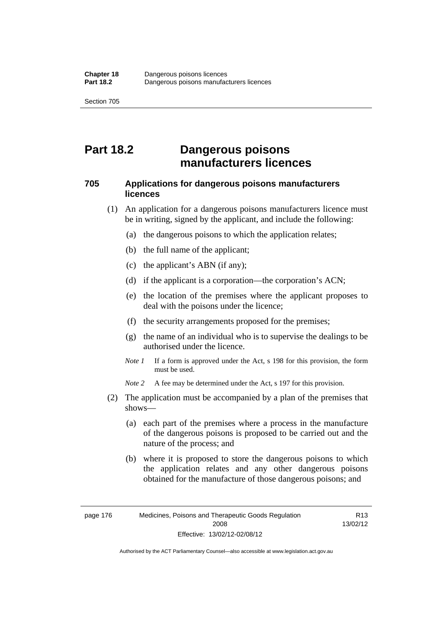## **Part 18.2 Dangerous poisons manufacturers licences**

### **705 Applications for dangerous poisons manufacturers licences**

- (1) An application for a dangerous poisons manufacturers licence must be in writing, signed by the applicant, and include the following:
	- (a) the dangerous poisons to which the application relates;
	- (b) the full name of the applicant;
	- (c) the applicant's ABN (if any);
	- (d) if the applicant is a corporation—the corporation's ACN;
	- (e) the location of the premises where the applicant proposes to deal with the poisons under the licence;
	- (f) the security arrangements proposed for the premises;
	- (g) the name of an individual who is to supervise the dealings to be authorised under the licence.
	- *Note 1* If a form is approved under the Act, s 198 for this provision, the form must be used.

*Note 2* A fee may be determined under the Act, s 197 for this provision.

- (2) The application must be accompanied by a plan of the premises that shows—
	- (a) each part of the premises where a process in the manufacture of the dangerous poisons is proposed to be carried out and the nature of the process; and
	- (b) where it is proposed to store the dangerous poisons to which the application relates and any other dangerous poisons obtained for the manufacture of those dangerous poisons; and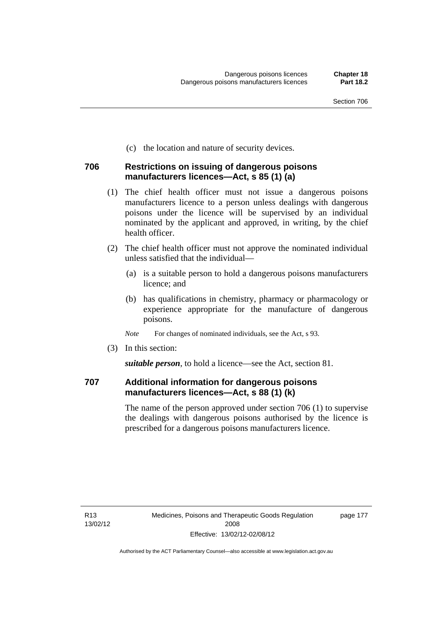(c) the location and nature of security devices.

### **706 Restrictions on issuing of dangerous poisons manufacturers licences—Act, s 85 (1) (a)**

- (1) The chief health officer must not issue a dangerous poisons manufacturers licence to a person unless dealings with dangerous poisons under the licence will be supervised by an individual nominated by the applicant and approved, in writing, by the chief health officer.
- (2) The chief health officer must not approve the nominated individual unless satisfied that the individual—
	- (a) is a suitable person to hold a dangerous poisons manufacturers licence; and
	- (b) has qualifications in chemistry, pharmacy or pharmacology or experience appropriate for the manufacture of dangerous poisons.
	- *Note* For changes of nominated individuals, see the Act, s 93.
- (3) In this section:

*suitable person*, to hold a licence—see the Act, section 81.

### **707 Additional information for dangerous poisons manufacturers licences—Act, s 88 (1) (k)**

The name of the person approved under section 706 (1) to supervise the dealings with dangerous poisons authorised by the licence is prescribed for a dangerous poisons manufacturers licence.

page 177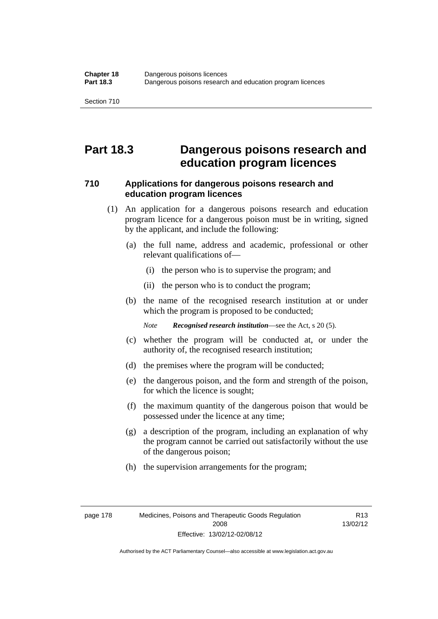## **Part 18.3 Dangerous poisons research and education program licences**

### **710 Applications for dangerous poisons research and education program licences**

- (1) An application for a dangerous poisons research and education program licence for a dangerous poison must be in writing, signed by the applicant, and include the following:
	- (a) the full name, address and academic, professional or other relevant qualifications of—
		- (i) the person who is to supervise the program; and
		- (ii) the person who is to conduct the program;
	- (b) the name of the recognised research institution at or under which the program is proposed to be conducted;

*Note Recognised research institution*—see the Act, s 20 (5).

- (c) whether the program will be conducted at, or under the authority of, the recognised research institution;
- (d) the premises where the program will be conducted;
- (e) the dangerous poison, and the form and strength of the poison, for which the licence is sought;
- (f) the maximum quantity of the dangerous poison that would be possessed under the licence at any time;
- (g) a description of the program, including an explanation of why the program cannot be carried out satisfactorily without the use of the dangerous poison;
- (h) the supervision arrangements for the program;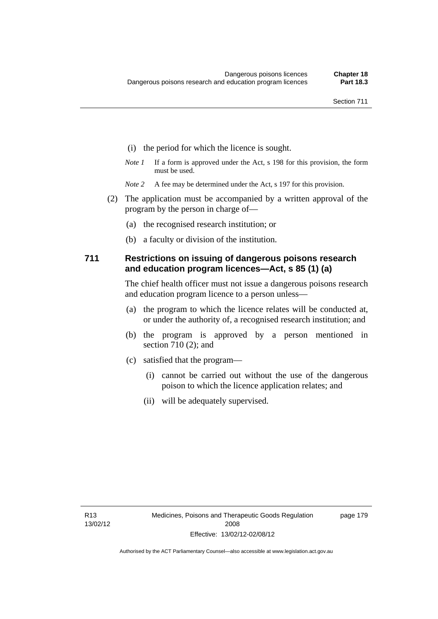- (i) the period for which the licence is sought.
- *Note 1* If a form is approved under the Act, s 198 for this provision, the form must be used.
- *Note* 2 A fee may be determined under the Act, s 197 for this provision.
- (2) The application must be accompanied by a written approval of the program by the person in charge of—
	- (a) the recognised research institution; or
	- (b) a faculty or division of the institution.

### **711 Restrictions on issuing of dangerous poisons research and education program licences—Act, s 85 (1) (a)**

The chief health officer must not issue a dangerous poisons research and education program licence to a person unless—

- (a) the program to which the licence relates will be conducted at, or under the authority of, a recognised research institution; and
- (b) the program is approved by a person mentioned in section 710 (2); and
- (c) satisfied that the program—
	- (i) cannot be carried out without the use of the dangerous poison to which the licence application relates; and
	- (ii) will be adequately supervised.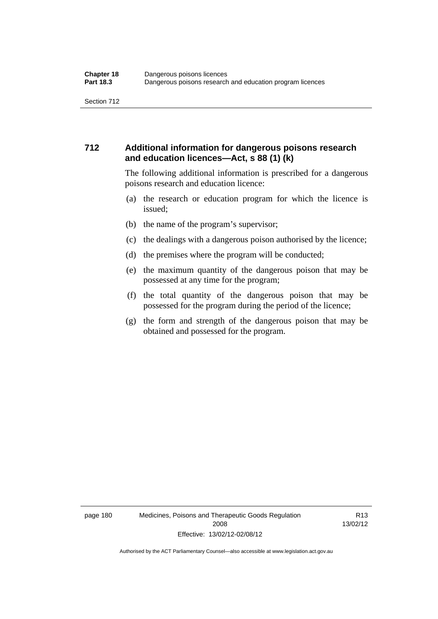### **712 Additional information for dangerous poisons research and education licences—Act, s 88 (1) (k)**

The following additional information is prescribed for a dangerous poisons research and education licence:

- (a) the research or education program for which the licence is issued;
- (b) the name of the program's supervisor;
- (c) the dealings with a dangerous poison authorised by the licence;
- (d) the premises where the program will be conducted;
- (e) the maximum quantity of the dangerous poison that may be possessed at any time for the program;
- (f) the total quantity of the dangerous poison that may be possessed for the program during the period of the licence;
- (g) the form and strength of the dangerous poison that may be obtained and possessed for the program.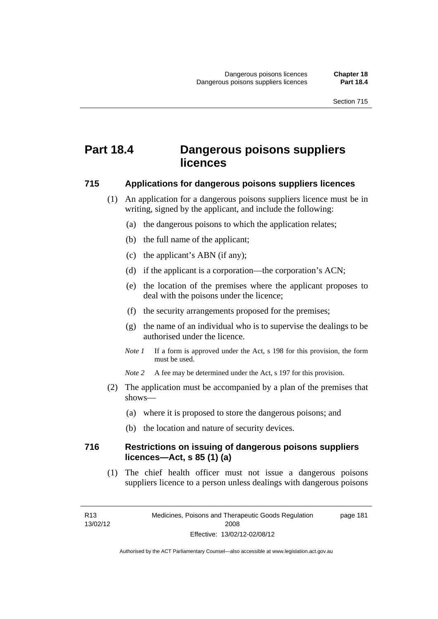# **Part 18.4 Dangerous poisons suppliers licences**

#### **715 Applications for dangerous poisons suppliers licences**

- (1) An application for a dangerous poisons suppliers licence must be in writing, signed by the applicant, and include the following:
	- (a) the dangerous poisons to which the application relates;
	- (b) the full name of the applicant;
	- (c) the applicant's ABN (if any);
	- (d) if the applicant is a corporation—the corporation's ACN;
	- (e) the location of the premises where the applicant proposes to deal with the poisons under the licence;
	- (f) the security arrangements proposed for the premises;
	- (g) the name of an individual who is to supervise the dealings to be authorised under the licence.
	- *Note 1* If a form is approved under the Act, s 198 for this provision, the form must be used.
	- *Note* 2 A fee may be determined under the Act, s 197 for this provision.
- (2) The application must be accompanied by a plan of the premises that shows—
	- (a) where it is proposed to store the dangerous poisons; and
	- (b) the location and nature of security devices.

### **716 Restrictions on issuing of dangerous poisons suppliers licences—Act, s 85 (1) (a)**

(1) The chief health officer must not issue a dangerous poisons suppliers licence to a person unless dealings with dangerous poisons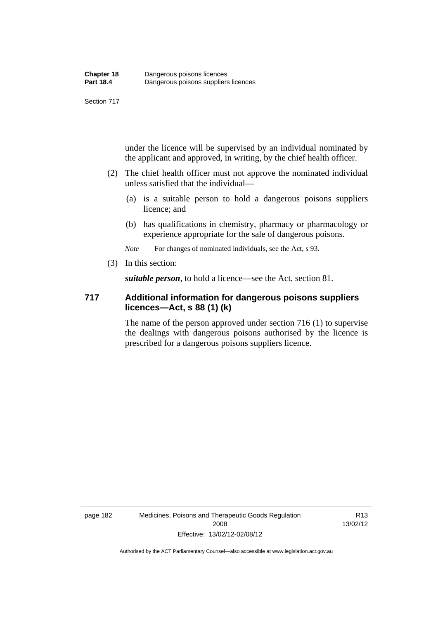under the licence will be supervised by an individual nominated by the applicant and approved, in writing, by the chief health officer.

- (2) The chief health officer must not approve the nominated individual unless satisfied that the individual—
	- (a) is a suitable person to hold a dangerous poisons suppliers licence; and
	- (b) has qualifications in chemistry, pharmacy or pharmacology or experience appropriate for the sale of dangerous poisons.

*Note* For changes of nominated individuals, see the Act, s 93.

(3) In this section:

*suitable person*, to hold a licence—see the Act, section 81.

### **717 Additional information for dangerous poisons suppliers licences—Act, s 88 (1) (k)**

The name of the person approved under section 716 (1) to supervise the dealings with dangerous poisons authorised by the licence is prescribed for a dangerous poisons suppliers licence.

R13 13/02/12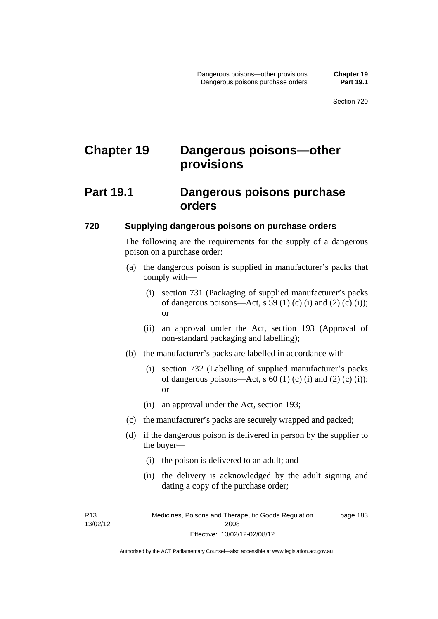# **Chapter 19 Dangerous poisons—other provisions**

### **Part 19.1 Dangerous poisons purchase orders**

#### **720 Supplying dangerous poisons on purchase orders**

The following are the requirements for the supply of a dangerous poison on a purchase order:

- (a) the dangerous poison is supplied in manufacturer's packs that comply with—
	- (i) section 731 (Packaging of supplied manufacturer's packs of dangerous poisons—Act, s 59 (1) (c) (i) and (2) (c) (i)); or
	- (ii) an approval under the Act, section 193 (Approval of non-standard packaging and labelling);
- (b) the manufacturer's packs are labelled in accordance with—
	- (i) section 732 (Labelling of supplied manufacturer's packs of dangerous poisons—Act,  $s$  60 (1) (c) (i) and (2) (c) (i)); or
	- (ii) an approval under the Act, section 193;
- (c) the manufacturer's packs are securely wrapped and packed;
- (d) if the dangerous poison is delivered in person by the supplier to the buyer—
	- (i) the poison is delivered to an adult; and
	- (ii) the delivery is acknowledged by the adult signing and dating a copy of the purchase order;

R13 13/02/12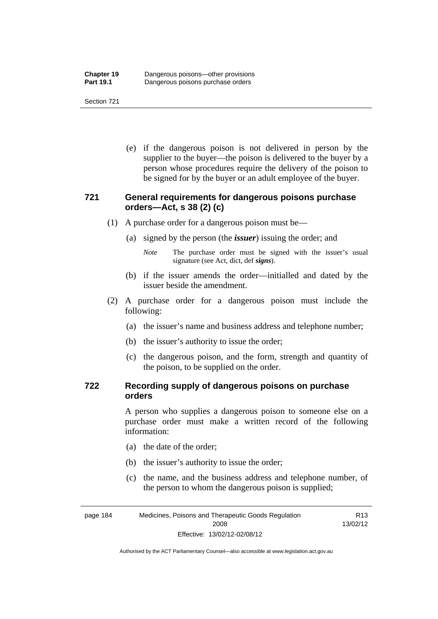(e) if the dangerous poison is not delivered in person by the supplier to the buyer—the poison is delivered to the buyer by a person whose procedures require the delivery of the poison to be signed for by the buyer or an adult employee of the buyer.

### **721 General requirements for dangerous poisons purchase orders—Act, s 38 (2) (c)**

- (1) A purchase order for a dangerous poison must be—
	- (a) signed by the person (the *issuer*) issuing the order; and
		- *Note* The purchase order must be signed with the issuer's usual signature (see Act, dict, def *signs*).
	- (b) if the issuer amends the order—initialled and dated by the issuer beside the amendment.
- (2) A purchase order for a dangerous poison must include the following:
	- (a) the issuer's name and business address and telephone number;
	- (b) the issuer's authority to issue the order;
	- (c) the dangerous poison, and the form, strength and quantity of the poison, to be supplied on the order.

### **722 Recording supply of dangerous poisons on purchase orders**

A person who supplies a dangerous poison to someone else on a purchase order must make a written record of the following information:

- (a) the date of the order;
- (b) the issuer's authority to issue the order;
- (c) the name, and the business address and telephone number, of the person to whom the dangerous poison is supplied;

R13

page 184 Medicines, Poisons and Therapeutic Goods Regulation 2008 Effective: 13/02/12-02/08/12 13/02/12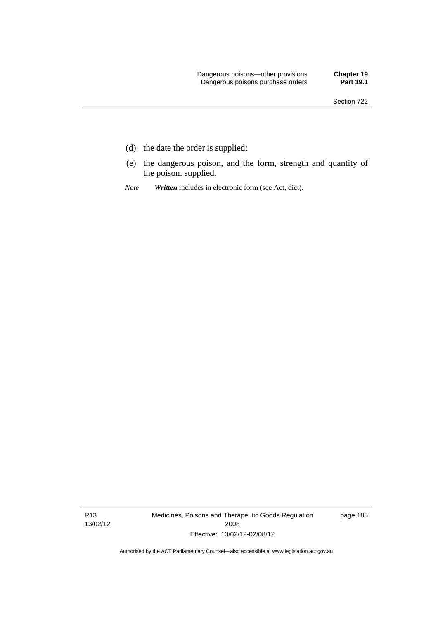- (d) the date the order is supplied;
- (e) the dangerous poison, and the form, strength and quantity of the poison, supplied.
- *Note Written* includes in electronic form (see Act, dict).

R13 13/02/12 Medicines, Poisons and Therapeutic Goods Regulation 2008 Effective: 13/02/12-02/08/12

page 185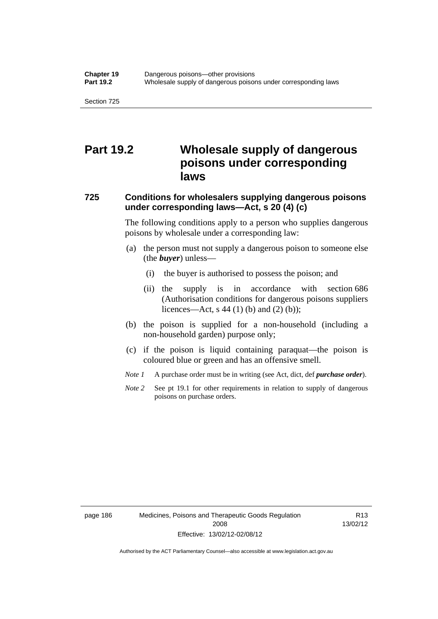## **Part 19.2 Wholesale supply of dangerous poisons under corresponding laws**

### **725 Conditions for wholesalers supplying dangerous poisons under corresponding laws—Act, s 20 (4) (c)**

The following conditions apply to a person who supplies dangerous poisons by wholesale under a corresponding law:

- (a) the person must not supply a dangerous poison to someone else (the *buyer*) unless—
	- (i) the buyer is authorised to possess the poison; and
	- (ii) the supply is in accordance with section 686 (Authorisation conditions for dangerous poisons suppliers licences—Act, s 44 (1) (b) and (2) (b));
- (b) the poison is supplied for a non-household (including a non-household garden) purpose only;
- (c) if the poison is liquid containing paraquat—the poison is coloured blue or green and has an offensive smell.
- *Note 1* A purchase order must be in writing (see Act, dict, def *purchase order*).
- *Note* 2 See pt 19.1 for other requirements in relation to supply of dangerous poisons on purchase orders.

page 186 Medicines, Poisons and Therapeutic Goods Regulation 2008 Effective: 13/02/12-02/08/12

R13 13/02/12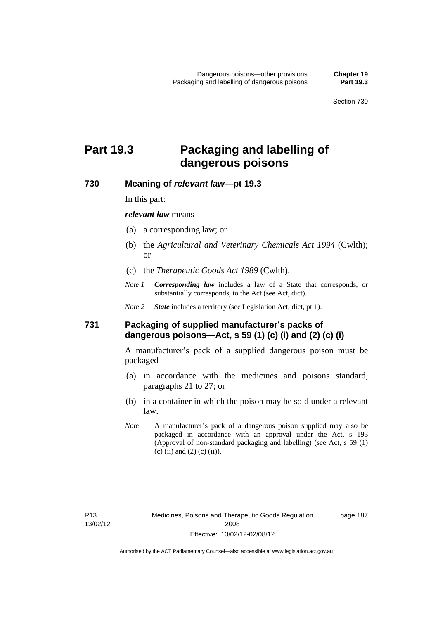# **Part 19.3 Packaging and labelling of dangerous poisons**

### **730 Meaning of** *relevant law***—pt 19.3**

In this part:

*relevant law* means—

- (a) a corresponding law; or
- (b) the *Agricultural and Veterinary Chemicals Act 1994* (Cwlth); or
- (c) the *Therapeutic Goods Act 1989* (Cwlth).
- *Note 1 Corresponding law* includes a law of a State that corresponds, or substantially corresponds, to the Act (see Act, dict).

*Note 2 State* includes a territory (see Legislation Act, dict, pt 1).

#### **731 Packaging of supplied manufacturer's packs of dangerous poisons—Act, s 59 (1) (c) (i) and (2) (c) (i)**

A manufacturer's pack of a supplied dangerous poison must be packaged—

- (a) in accordance with the medicines and poisons standard, paragraphs 21 to 27; or
- (b) in a container in which the poison may be sold under a relevant law.
- *Note* A manufacturer's pack of a dangerous poison supplied may also be packaged in accordance with an approval under the Act, s 193 (Approval of non-standard packaging and labelling) (see Act, s 59 (1)  $(c)$  (ii) and (2) (c) (ii)).

page 187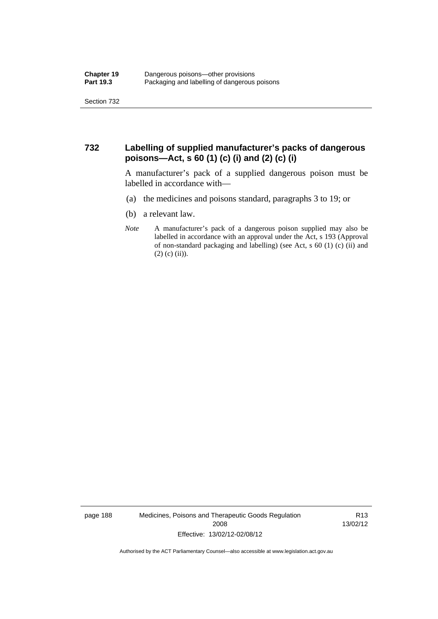### **732 Labelling of supplied manufacturer's packs of dangerous poisons—Act, s 60 (1) (c) (i) and (2) (c) (i)**

A manufacturer's pack of a supplied dangerous poison must be labelled in accordance with—

- (a) the medicines and poisons standard, paragraphs 3 to 19; or
- (b) a relevant law.
- *Note* A manufacturer's pack of a dangerous poison supplied may also be labelled in accordance with an approval under the Act, s 193 (Approval of non-standard packaging and labelling) (see Act, s 60 (1) (c) (ii) and  $(2)$  (c) (ii)).

page 188 Medicines, Poisons and Therapeutic Goods Regulation 2008 Effective: 13/02/12-02/08/12

R13 13/02/12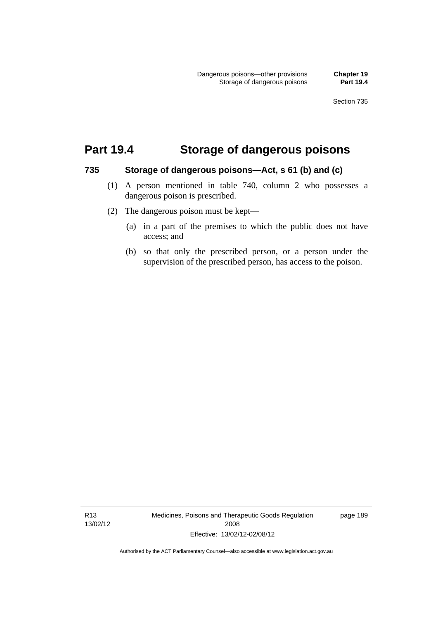## **Part 19.4 Storage of dangerous poisons**

#### **735 Storage of dangerous poisons—Act, s 61 (b) and (c)**

- (1) A person mentioned in table 740, column 2 who possesses a dangerous poison is prescribed.
- (2) The dangerous poison must be kept—
	- (a) in a part of the premises to which the public does not have access; and
	- (b) so that only the prescribed person, or a person under the supervision of the prescribed person, has access to the poison.

R13 13/02/12 Medicines, Poisons and Therapeutic Goods Regulation 2008 Effective: 13/02/12-02/08/12

page 189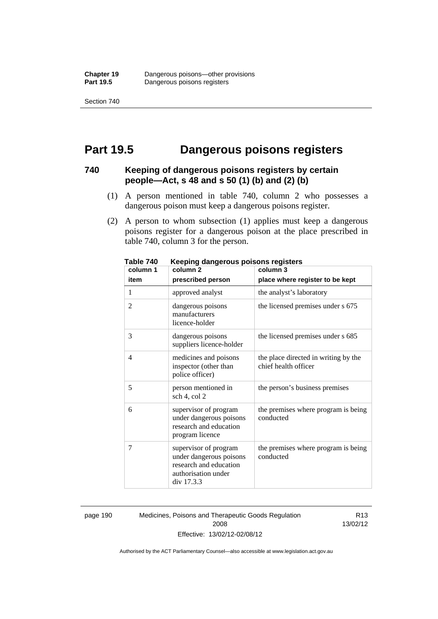## **Part 19.5 Dangerous poisons registers**

### **740 Keeping of dangerous poisons registers by certain people—Act, s 48 and s 50 (1) (b) and (2) (b)**

- (1) A person mentioned in table 740, column 2 who possesses a dangerous poison must keep a dangerous poisons register.
- (2) A person to whom subsection (1) applies must keep a dangerous poisons register for a dangerous poison at the place prescribed in table 740, column 3 for the person.

| 1 ANIC 140<br>column 1 | <u>Reepiriy dariyerous poisons registers</u><br>column <sub>2</sub>                                             | column 3                                                     |
|------------------------|-----------------------------------------------------------------------------------------------------------------|--------------------------------------------------------------|
| item                   | prescribed person                                                                                               | place where register to be kept                              |
| 1                      | approved analyst                                                                                                | the analyst's laboratory                                     |
| $\overline{2}$         | dangerous poisons<br>manufacturers<br>licence-holder                                                            | the licensed premises under s 675                            |
| 3                      | dangerous poisons<br>suppliers licence-holder                                                                   | the licensed premises under s 685                            |
| 4                      | medicines and poisons<br>inspector (other than<br>police officer)                                               | the place directed in writing by the<br>chief health officer |
| 5                      | person mentioned in<br>sch 4, col 2                                                                             | the person's business premises                               |
| 6                      | supervisor of program<br>under dangerous poisons<br>research and education<br>program licence                   | the premises where program is being<br>conducted             |
| 7                      | supervisor of program<br>under dangerous poisons<br>research and education<br>authorisation under<br>div 17.3.3 | the premises where program is being<br>conducted             |

**Table 740 Keeping dangerous poisons registers** 

page 190 Medicines, Poisons and Therapeutic Goods Regulation 2008 Effective: 13/02/12-02/08/12

R13 13/02/12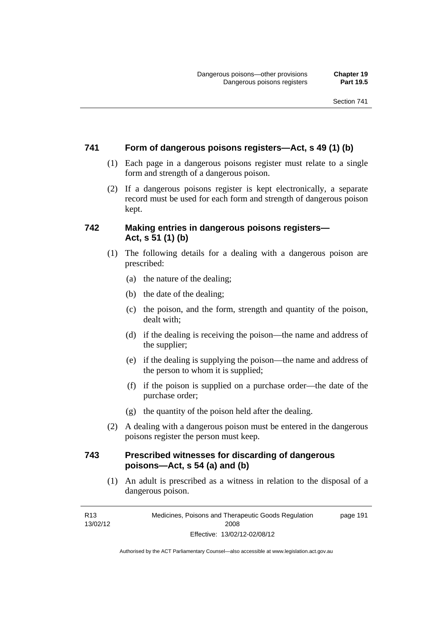### **741 Form of dangerous poisons registers—Act, s 49 (1) (b)**

- (1) Each page in a dangerous poisons register must relate to a single form and strength of a dangerous poison.
- (2) If a dangerous poisons register is kept electronically, a separate record must be used for each form and strength of dangerous poison kept.

### **742 Making entries in dangerous poisons registers— Act, s 51 (1) (b)**

- (1) The following details for a dealing with a dangerous poison are prescribed:
	- (a) the nature of the dealing;
	- (b) the date of the dealing;
	- (c) the poison, and the form, strength and quantity of the poison, dealt with;
	- (d) if the dealing is receiving the poison—the name and address of the supplier;
	- (e) if the dealing is supplying the poison—the name and address of the person to whom it is supplied;
	- (f) if the poison is supplied on a purchase order—the date of the purchase order;
	- (g) the quantity of the poison held after the dealing.
- (2) A dealing with a dangerous poison must be entered in the dangerous poisons register the person must keep.

### **743 Prescribed witnesses for discarding of dangerous poisons—Act, s 54 (a) and (b)**

 (1) An adult is prescribed as a witness in relation to the disposal of a dangerous poison.

R13 13/02/12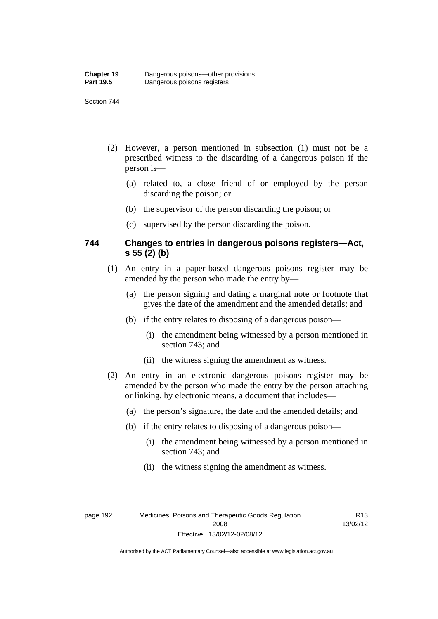- (2) However, a person mentioned in subsection (1) must not be a prescribed witness to the discarding of a dangerous poison if the person is—
	- (a) related to, a close friend of or employed by the person discarding the poison; or
	- (b) the supervisor of the person discarding the poison; or
	- (c) supervised by the person discarding the poison.

### **744 Changes to entries in dangerous poisons registers—Act, s 55 (2) (b)**

- (1) An entry in a paper-based dangerous poisons register may be amended by the person who made the entry by—
	- (a) the person signing and dating a marginal note or footnote that gives the date of the amendment and the amended details; and
	- (b) if the entry relates to disposing of a dangerous poison—
		- (i) the amendment being witnessed by a person mentioned in section 743; and
		- (ii) the witness signing the amendment as witness.
- (2) An entry in an electronic dangerous poisons register may be amended by the person who made the entry by the person attaching or linking, by electronic means, a document that includes—
	- (a) the person's signature, the date and the amended details; and
	- (b) if the entry relates to disposing of a dangerous poison—
		- (i) the amendment being witnessed by a person mentioned in section 743; and
		- (ii) the witness signing the amendment as witness.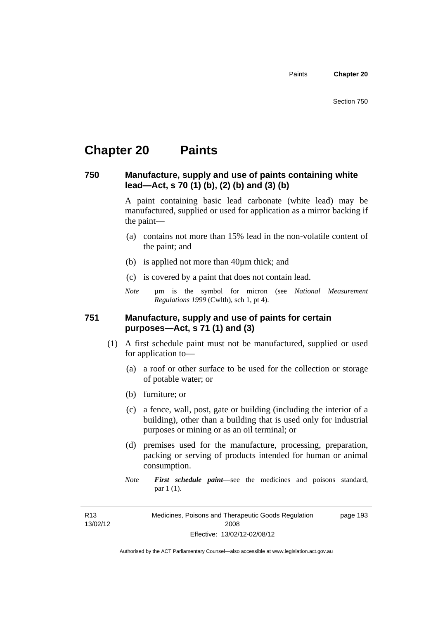### **Chapter 20 Paints**

#### **750 Manufacture, supply and use of paints containing white lead—Act, s 70 (1) (b), (2) (b) and (3) (b)**

A paint containing basic lead carbonate (white lead) may be manufactured, supplied or used for application as a mirror backing if the paint—

- (a) contains not more than 15% lead in the non-volatile content of the paint; and
- (b) is applied not more than 40µm thick; and
- (c) is covered by a paint that does not contain lead.
- *Note* µm is the symbol for micron (see *National Measurement Regulations 1999* (Cwlth), sch 1, pt 4).

#### **751 Manufacture, supply and use of paints for certain purposes—Act, s 71 (1) and (3)**

- (1) A first schedule paint must not be manufactured, supplied or used for application to—
	- (a) a roof or other surface to be used for the collection or storage of potable water; or
	- (b) furniture; or
	- (c) a fence, wall, post, gate or building (including the interior of a building), other than a building that is used only for industrial purposes or mining or as an oil terminal; or
	- (d) premises used for the manufacture, processing, preparation, packing or serving of products intended for human or animal consumption.
	- *Note First schedule paint*—see the medicines and poisons standard, par 1 (1).

R13 13/02/12 Medicines, Poisons and Therapeutic Goods Regulation 2008 Effective: 13/02/12-02/08/12 page 193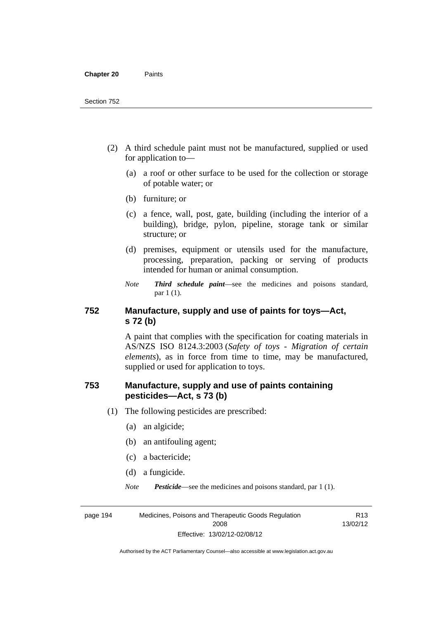- (2) A third schedule paint must not be manufactured, supplied or used for application to—
	- (a) a roof or other surface to be used for the collection or storage of potable water; or
	- (b) furniture; or
	- (c) a fence, wall, post, gate, building (including the interior of a building), bridge, pylon, pipeline, storage tank or similar structure; or
	- (d) premises, equipment or utensils used for the manufacture, processing, preparation, packing or serving of products intended for human or animal consumption.
	- *Note Third schedule paint*—see the medicines and poisons standard, par 1 (1).

#### **752 Manufacture, supply and use of paints for toys—Act, s 72 (b)**

A paint that complies with the specification for coating materials in AS/NZS ISO 8124.3:2003 (*Safety of toys - Migration of certain elements*), as in force from time to time, may be manufactured, supplied or used for application to toys.

#### **753 Manufacture, supply and use of paints containing pesticides—Act, s 73 (b)**

- (1) The following pesticides are prescribed:
	- (a) an algicide;
	- (b) an antifouling agent;
	- (c) a bactericide;
	- (d) a fungicide.
	- *Note Pesticide*—see the medicines and poisons standard, par 1 (1).

R13

page 194 Medicines, Poisons and Therapeutic Goods Regulation 2008 Effective: 13/02/12-02/08/12 13/02/12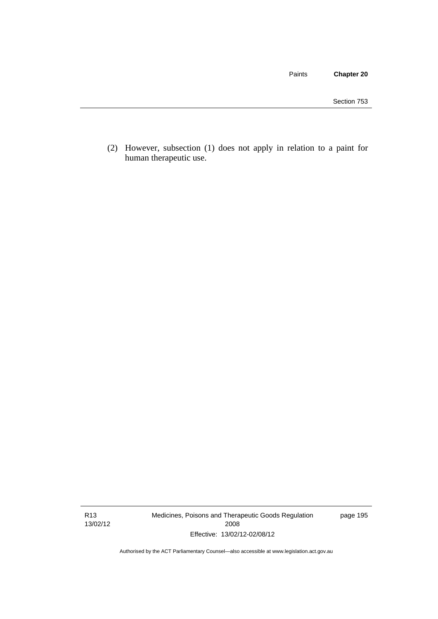Paints **Chapter 20**

 (2) However, subsection (1) does not apply in relation to a paint for human therapeutic use.

R13 13/02/12 Medicines, Poisons and Therapeutic Goods Regulation 2008 Effective: 13/02/12-02/08/12

page 195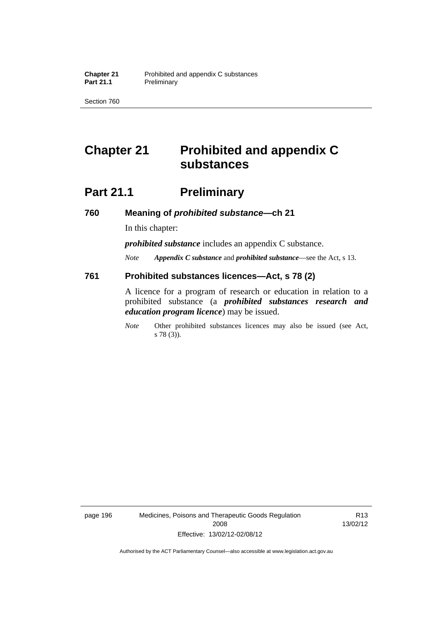Section 760

### **Chapter 21 Prohibited and appendix C substances**

### **Part 21.1** Preliminary

**760 Meaning of** *prohibited substance***—ch 21** 

In this chapter:

*prohibited substance* includes an appendix C substance.

*Note Appendix C substance* and *prohibited substance*—see the Act, s 13.

#### **761 Prohibited substances licences—Act, s 78 (2)**

A licence for a program of research or education in relation to a prohibited substance (a *prohibited substances research and education program licence*) may be issued.

*Note* Other prohibited substances licences may also be issued (see Act, s 78 (3)).

page 196 Medicines, Poisons and Therapeutic Goods Regulation 2008 Effective: 13/02/12-02/08/12

R13 13/02/12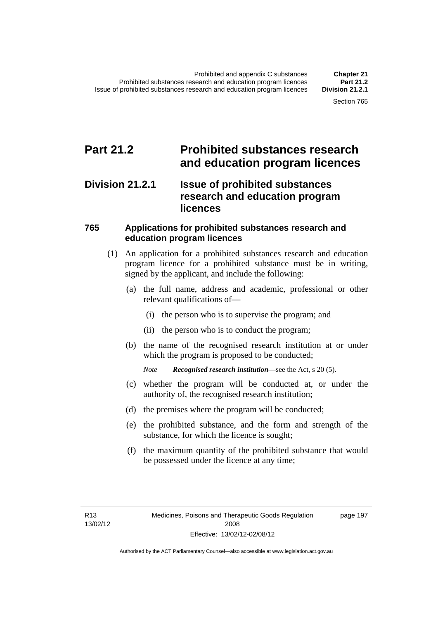### **Part 21.2 Prohibited substances research and education program licences**

#### **Division 21.2.1 Issue of prohibited substances research and education program licences**

#### **765 Applications for prohibited substances research and education program licences**

- (1) An application for a prohibited substances research and education program licence for a prohibited substance must be in writing, signed by the applicant, and include the following:
	- (a) the full name, address and academic, professional or other relevant qualifications of—
		- (i) the person who is to supervise the program; and
		- (ii) the person who is to conduct the program;
	- (b) the name of the recognised research institution at or under which the program is proposed to be conducted;
		- *Note Recognised research institution*—see the Act, s 20 (5).
	- (c) whether the program will be conducted at, or under the authority of, the recognised research institution;
	- (d) the premises where the program will be conducted;
	- (e) the prohibited substance, and the form and strength of the substance, for which the licence is sought;
	- (f) the maximum quantity of the prohibited substance that would be possessed under the licence at any time;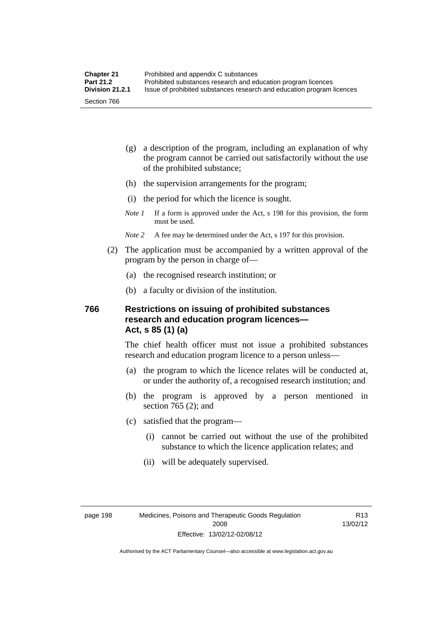- (g) a description of the program, including an explanation of why the program cannot be carried out satisfactorily without the use of the prohibited substance;
- (h) the supervision arrangements for the program;
- (i) the period for which the licence is sought.
- *Note 1* If a form is approved under the Act, s 198 for this provision, the form must be used.
- *Note 2* A fee may be determined under the Act, s 197 for this provision.
- (2) The application must be accompanied by a written approval of the program by the person in charge of—
	- (a) the recognised research institution; or
	- (b) a faculty or division of the institution.

#### **766 Restrictions on issuing of prohibited substances research and education program licences— Act, s 85 (1) (a)**

The chief health officer must not issue a prohibited substances research and education program licence to a person unless—

- (a) the program to which the licence relates will be conducted at, or under the authority of, a recognised research institution; and
- (b) the program is approved by a person mentioned in section 765 (2); and
- (c) satisfied that the program—
	- (i) cannot be carried out without the use of the prohibited substance to which the licence application relates; and
	- (ii) will be adequately supervised.

R13 13/02/12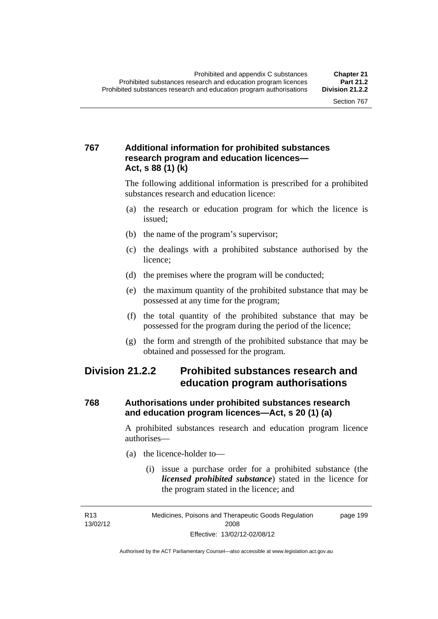#### **767 Additional information for prohibited substances research program and education licences— Act, s 88 (1) (k)**

The following additional information is prescribed for a prohibited substances research and education licence:

- (a) the research or education program for which the licence is issued;
- (b) the name of the program's supervisor;
- (c) the dealings with a prohibited substance authorised by the licence;
- (d) the premises where the program will be conducted;
- (e) the maximum quantity of the prohibited substance that may be possessed at any time for the program;
- (f) the total quantity of the prohibited substance that may be possessed for the program during the period of the licence;
- (g) the form and strength of the prohibited substance that may be obtained and possessed for the program.

### **Division 21.2.2 Prohibited substances research and education program authorisations**

#### **768 Authorisations under prohibited substances research and education program licences—Act, s 20 (1) (a)**

A prohibited substances research and education program licence authorises—

- (a) the licence-holder to—
	- (i) issue a purchase order for a prohibited substance (the *licensed prohibited substance*) stated in the licence for the program stated in the licence; and

R13 13/02/12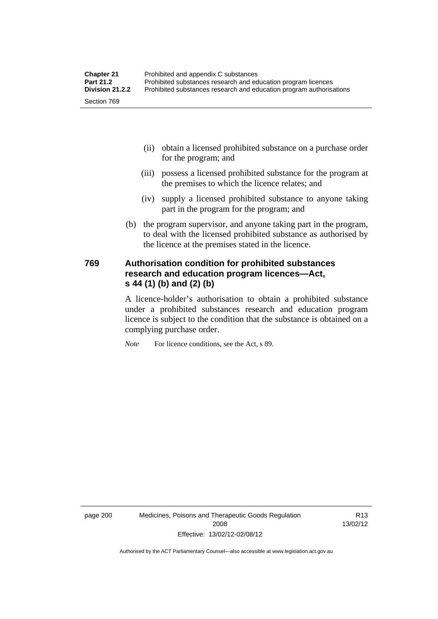- (ii) obtain a licensed prohibited substance on a purchase order for the program; and
- (iii) possess a licensed prohibited substance for the program at the premises to which the licence relates; and
- (iv) supply a licensed prohibited substance to anyone taking part in the program for the program; and
- (b) the program supervisor, and anyone taking part in the program, to deal with the licensed prohibited substance as authorised by the licence at the premises stated in the licence.

#### **769 Authorisation condition for prohibited substances research and education program licences—Act, s 44 (1) (b) and (2) (b)**

A licence-holder's authorisation to obtain a prohibited substance under a prohibited substances research and education program licence is subject to the condition that the substance is obtained on a complying purchase order.

*Note* For licence conditions, see the Act, s 89.

page 200 Medicines, Poisons and Therapeutic Goods Regulation 2008 Effective: 13/02/12-02/08/12

R13 13/02/12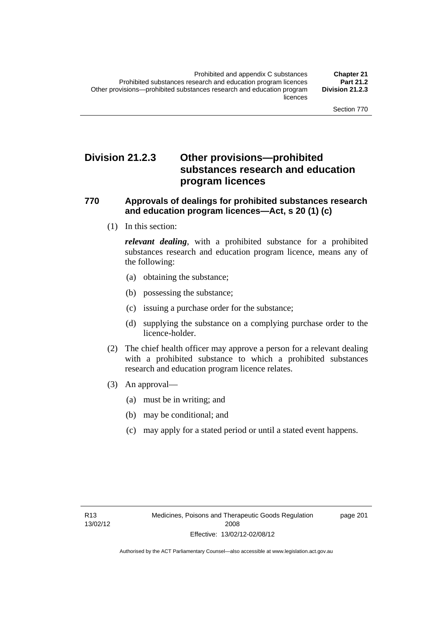### **Division 21.2.3 Other provisions—prohibited substances research and education program licences**

#### **770 Approvals of dealings for prohibited substances research and education program licences—Act, s 20 (1) (c)**

(1) In this section:

*relevant dealing*, with a prohibited substance for a prohibited substances research and education program licence, means any of the following:

- (a) obtaining the substance;
- (b) possessing the substance;
- (c) issuing a purchase order for the substance;
- (d) supplying the substance on a complying purchase order to the licence-holder.
- (2) The chief health officer may approve a person for a relevant dealing with a prohibited substance to which a prohibited substances research and education program licence relates.
- (3) An approval—
	- (a) must be in writing; and
	- (b) may be conditional; and
	- (c) may apply for a stated period or until a stated event happens.

page 201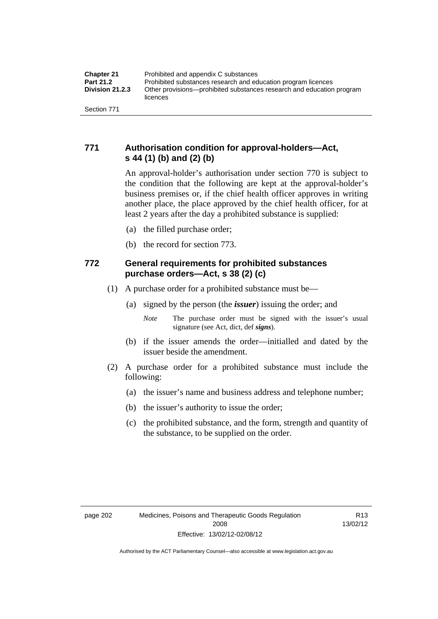#### **771 Authorisation condition for approval-holders—Act, s 44 (1) (b) and (2) (b)**

An approval-holder's authorisation under section 770 is subject to the condition that the following are kept at the approval-holder's business premises or, if the chief health officer approves in writing another place, the place approved by the chief health officer, for at least 2 years after the day a prohibited substance is supplied:

- (a) the filled purchase order;
- (b) the record for section 773.

#### **772 General requirements for prohibited substances purchase orders—Act, s 38 (2) (c)**

- (1) A purchase order for a prohibited substance must be—
	- (a) signed by the person (the *issuer*) issuing the order; and
		- *Note* The purchase order must be signed with the issuer's usual signature (see Act, dict, def *signs*).
	- (b) if the issuer amends the order—initialled and dated by the issuer beside the amendment.
- (2) A purchase order for a prohibited substance must include the following:
	- (a) the issuer's name and business address and telephone number;
	- (b) the issuer's authority to issue the order;
	- (c) the prohibited substance, and the form, strength and quantity of the substance, to be supplied on the order.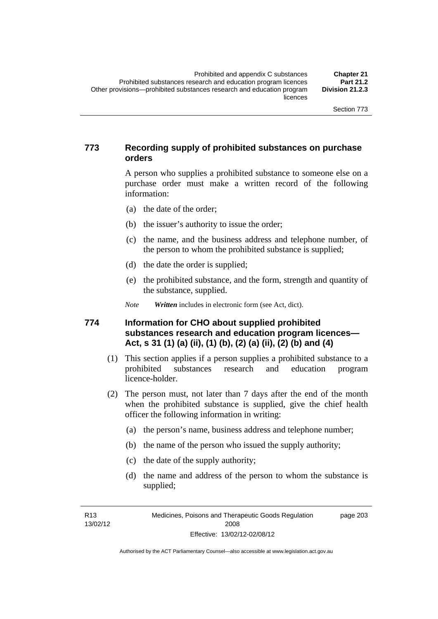#### **773 Recording supply of prohibited substances on purchase orders**

A person who supplies a prohibited substance to someone else on a purchase order must make a written record of the following information:

- (a) the date of the order;
- (b) the issuer's authority to issue the order;
- (c) the name, and the business address and telephone number, of the person to whom the prohibited substance is supplied;
- (d) the date the order is supplied;
- (e) the prohibited substance, and the form, strength and quantity of the substance, supplied.

*Note Written* includes in electronic form (see Act, dict).

#### **774 Information for CHO about supplied prohibited substances research and education program licences— Act, s 31 (1) (a) (ii), (1) (b), (2) (a) (ii), (2) (b) and (4)**

- (1) This section applies if a person supplies a prohibited substance to a prohibited substances research and education program licence-holder.
- (2) The person must, not later than 7 days after the end of the month when the prohibited substance is supplied, give the chief health officer the following information in writing:
	- (a) the person's name, business address and telephone number;
	- (b) the name of the person who issued the supply authority;
	- (c) the date of the supply authority;
	- (d) the name and address of the person to whom the substance is supplied;

R13 13/02/12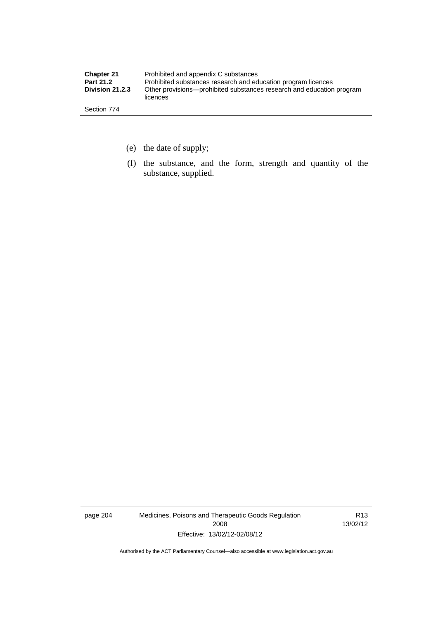| <b>Chapter 21</b>      | Prohibited and appendix C substances                                              |
|------------------------|-----------------------------------------------------------------------------------|
| <b>Part 21.2</b>       | Prohibited substances research and education program licences                     |
| <b>Division 21.2.3</b> | Other provisions—prohibited substances research and education program<br>licences |
| Section 774            |                                                                                   |

- (e) the date of supply;
- (f) the substance, and the form, strength and quantity of the substance, supplied.

page 204 Medicines, Poisons and Therapeutic Goods Regulation 2008 Effective: 13/02/12-02/08/12

R13 13/02/12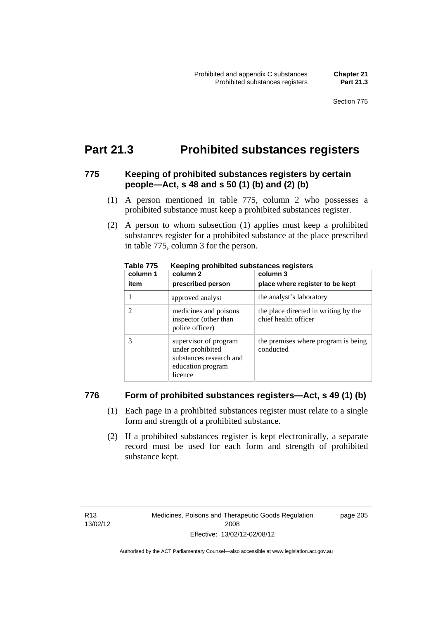### **Part 21.3 Prohibited substances registers**

#### **775 Keeping of prohibited substances registers by certain people—Act, s 48 and s 50 (1) (b) and (2) (b)**

- (1) A person mentioned in table 775, column 2 who possesses a prohibited substance must keep a prohibited substances register.
- (2) A person to whom subsection (1) applies must keep a prohibited substances register for a prohibited substance at the place prescribed in table 775, column 3 for the person.

| column 1 | .<br>column 2                                                                                        | column 3                                                     |
|----------|------------------------------------------------------------------------------------------------------|--------------------------------------------------------------|
| item     | prescribed person                                                                                    | place where register to be kept                              |
|          | approved analyst                                                                                     | the analyst's laboratory                                     |
|          | medicines and poisons<br>inspector (other than<br>police officer)                                    | the place directed in writing by the<br>chief health officer |
|          | supervisor of program<br>under prohibited<br>substances research and<br>education program<br>licence | the premises where program is being<br>conducted             |

**Table 775 Keeping prohibited substances registers** 

#### **776 Form of prohibited substances registers—Act, s 49 (1) (b)**

- (1) Each page in a prohibited substances register must relate to a single form and strength of a prohibited substance.
- (2) If a prohibited substances register is kept electronically, a separate record must be used for each form and strength of prohibited substance kept.

page 205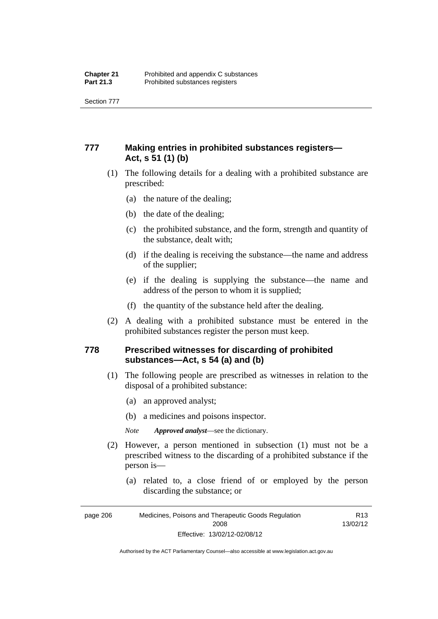Section 777

#### **777 Making entries in prohibited substances registers— Act, s 51 (1) (b)**

- (1) The following details for a dealing with a prohibited substance are prescribed:
	- (a) the nature of the dealing;
	- (b) the date of the dealing;
	- (c) the prohibited substance, and the form, strength and quantity of the substance, dealt with;
	- (d) if the dealing is receiving the substance—the name and address of the supplier;
	- (e) if the dealing is supplying the substance—the name and address of the person to whom it is supplied;
	- (f) the quantity of the substance held after the dealing.
- (2) A dealing with a prohibited substance must be entered in the prohibited substances register the person must keep.

#### **778 Prescribed witnesses for discarding of prohibited substances—Act, s 54 (a) and (b)**

- (1) The following people are prescribed as witnesses in relation to the disposal of a prohibited substance:
	- (a) an approved analyst;
	- (b) a medicines and poisons inspector.

*Note Approved analyst*—see the dictionary.

- (2) However, a person mentioned in subsection (1) must not be a prescribed witness to the discarding of a prohibited substance if the person is—
	- (a) related to, a close friend of or employed by the person discarding the substance; or

Authorised by the ACT Parliamentary Counsel—also accessible at www.legislation.act.gov.au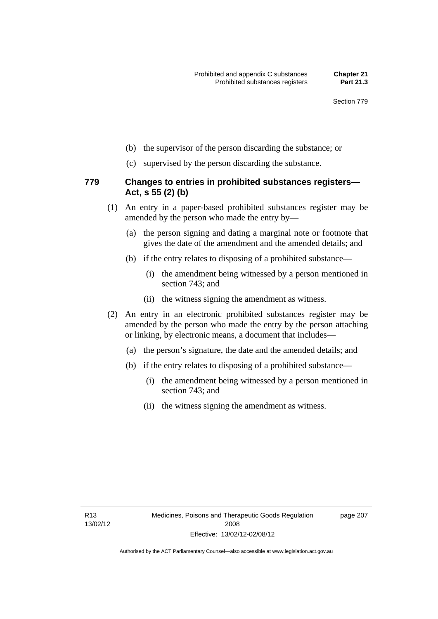- (b) the supervisor of the person discarding the substance; or
- (c) supervised by the person discarding the substance.

#### **779 Changes to entries in prohibited substances registers— Act, s 55 (2) (b)**

- (1) An entry in a paper-based prohibited substances register may be amended by the person who made the entry by—
	- (a) the person signing and dating a marginal note or footnote that gives the date of the amendment and the amended details; and
	- (b) if the entry relates to disposing of a prohibited substance—
		- (i) the amendment being witnessed by a person mentioned in section 743; and
		- (ii) the witness signing the amendment as witness.
- (2) An entry in an electronic prohibited substances register may be amended by the person who made the entry by the person attaching or linking, by electronic means, a document that includes—
	- (a) the person's signature, the date and the amended details; and
	- (b) if the entry relates to disposing of a prohibited substance—
		- (i) the amendment being witnessed by a person mentioned in section 743; and
		- (ii) the witness signing the amendment as witness.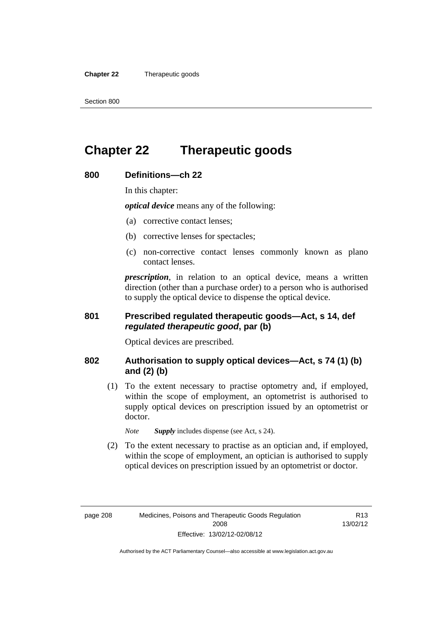**Chapter 22** Therapeutic goods

### **Chapter 22 Therapeutic goods**

#### **800 Definitions—ch 22**

In this chapter:

*optical device* means any of the following:

- (a) corrective contact lenses;
- (b) corrective lenses for spectacles;
- (c) non-corrective contact lenses commonly known as plano contact lenses.

*prescription*, in relation to an optical device, means a written direction (other than a purchase order) to a person who is authorised to supply the optical device to dispense the optical device.

#### **801 Prescribed regulated therapeutic goods—Act, s 14, def**  *regulated therapeutic good***, par (b)**

Optical devices are prescribed.

#### **802 Authorisation to supply optical devices—Act, s 74 (1) (b) and (2) (b)**

 (1) To the extent necessary to practise optometry and, if employed, within the scope of employment, an optometrist is authorised to supply optical devices on prescription issued by an optometrist or doctor.

*Note Supply* includes dispense (see Act, s 24).

 (2) To the extent necessary to practise as an optician and, if employed, within the scope of employment, an optician is authorised to supply optical devices on prescription issued by an optometrist or doctor.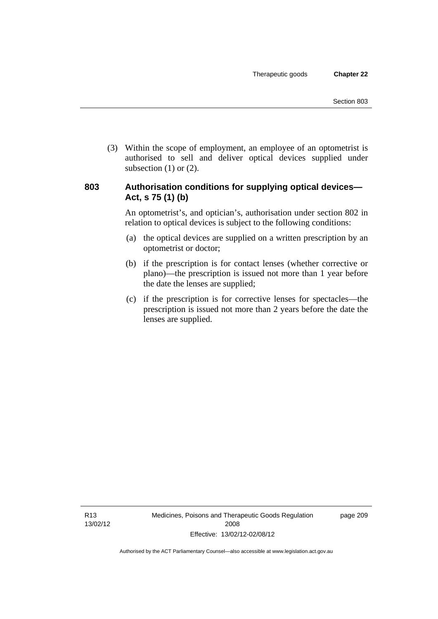(3) Within the scope of employment, an employee of an optometrist is authorised to sell and deliver optical devices supplied under subsection  $(1)$  or  $(2)$ .

#### **803 Authorisation conditions for supplying optical devices— Act, s 75 (1) (b)**

An optometrist's, and optician's, authorisation under section 802 in relation to optical devices is subject to the following conditions:

- (a) the optical devices are supplied on a written prescription by an optometrist or doctor;
- (b) if the prescription is for contact lenses (whether corrective or plano)—the prescription is issued not more than 1 year before the date the lenses are supplied;
- (c) if the prescription is for corrective lenses for spectacles—the prescription is issued not more than 2 years before the date the lenses are supplied.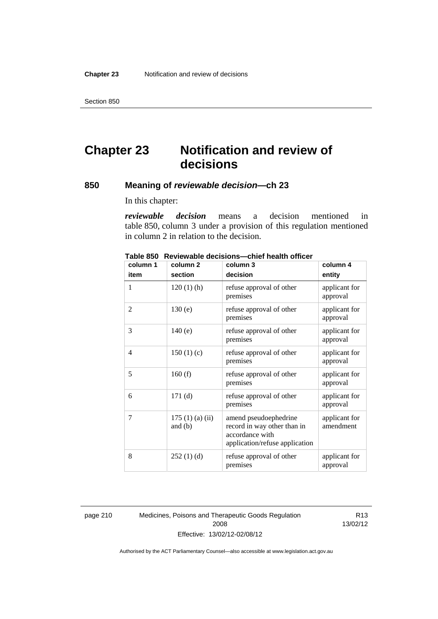Section 850

## **Chapter 23 Notification and review of decisions**

#### **850 Meaning of** *reviewable decision—***ch 23**

In this chapter:

*reviewable decision* means a decision mentioned in table 850, column 3 under a provision of this regulation mentioned in column 2 in relation to the decision.

| column 1       | column <sub>2</sub>        | column 3                                                                                                  | column 4                   |
|----------------|----------------------------|-----------------------------------------------------------------------------------------------------------|----------------------------|
| item           | section                    | decision                                                                                                  | entity                     |
| 1              | $120(1)$ (h)               | refuse approval of other<br>premises                                                                      | applicant for<br>approval  |
| 2              | 130(e)                     | refuse approval of other<br>premises                                                                      | applicant for<br>approval  |
| 3              | 140(e)                     | refuse approval of other<br>premises                                                                      | applicant for<br>approval  |
| $\overline{4}$ | 150(1)(c)                  | refuse approval of other<br>premises                                                                      | applicant for<br>approval  |
| 5              | 160(f)                     | refuse approval of other<br>premises                                                                      | applicant for<br>approval  |
| 6              | 171(d)                     | refuse approval of other<br>premises                                                                      | applicant for<br>approval  |
| 7              | 175(1)(a)(ii)<br>and $(b)$ | amend pseudoephedrine<br>record in way other than in<br>accordance with<br>application/refuse application | applicant for<br>amendment |
| 8              | 252(1)(d)                  | refuse approval of other<br>premises                                                                      | applicant for<br>approval  |

**Table 850 Reviewable decisions—chief health officer** 

page 210 Medicines, Poisons and Therapeutic Goods Regulation 2008 Effective: 13/02/12-02/08/12

R13 13/02/12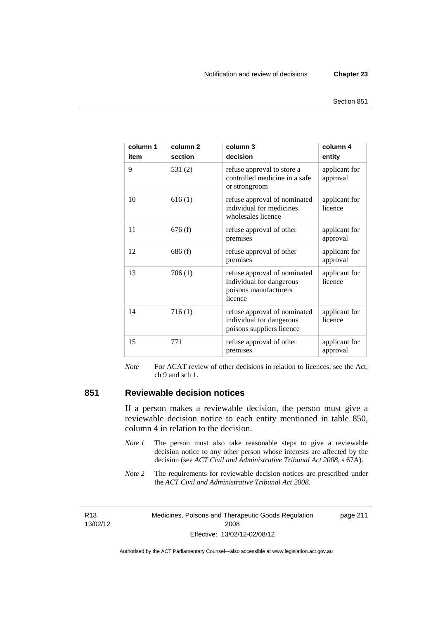| column 1<br>item | column <sub>2</sub><br>section | column 3<br>decision                                                                         | column 4<br>entity        |
|------------------|--------------------------------|----------------------------------------------------------------------------------------------|---------------------------|
| 9                | 531(2)                         | refuse approval to store a<br>controlled medicine in a safe<br>or strongroom                 | applicant for<br>approval |
| 10               | 616(1)                         | refuse approval of nominated<br>individual for medicines<br>wholesales licence               | applicant for<br>licence  |
| 11               | 676(f)                         | refuse approval of other<br>premises                                                         | applicant for<br>approval |
| 12               | 686(f)                         | refuse approval of other<br>premises                                                         | applicant for<br>approval |
| 13               | 706(1)                         | refuse approval of nominated<br>individual for dangerous<br>poisons manufacturers<br>licence | applicant for<br>licence  |
| 14               | 716(1)                         | refuse approval of nominated<br>individual for dangerous<br>poisons suppliers licence        | applicant for<br>licence  |
| 15               | 771                            | refuse approval of other<br>premises                                                         | applicant for<br>approval |

*Note* For ACAT review of other decisions in relation to licences, see the Act, ch 9 and sch 1.

#### **851 Reviewable decision notices**

If a person makes a reviewable decision, the person must give a reviewable decision notice to each entity mentioned in table 850, column 4 in relation to the decision.

- *Note 1* The person must also take reasonable steps to give a reviewable decision notice to any other person whose interests are affected by the decision (see *ACT Civil and Administrative Tribunal Act 2008*, s 67A).
- *Note* 2 The requirements for reviewable decision notices are prescribed under the *ACT Civil and Administrative Tribunal Act 2008*.

R13 13/02/12 Medicines, Poisons and Therapeutic Goods Regulation 2008 Effective: 13/02/12-02/08/12 page 211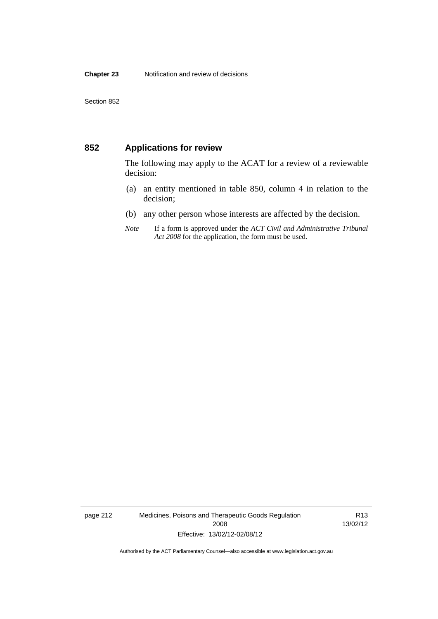#### **852 Applications for review**

The following may apply to the ACAT for a review of a reviewable decision:

- (a) an entity mentioned in table 850, column 4 in relation to the decision;
- (b) any other person whose interests are affected by the decision.
- *Note* If a form is approved under the *ACT Civil and Administrative Tribunal Act 2008* for the application, the form must be used.

page 212 Medicines, Poisons and Therapeutic Goods Regulation 2008 Effective: 13/02/12-02/08/12

R13 13/02/12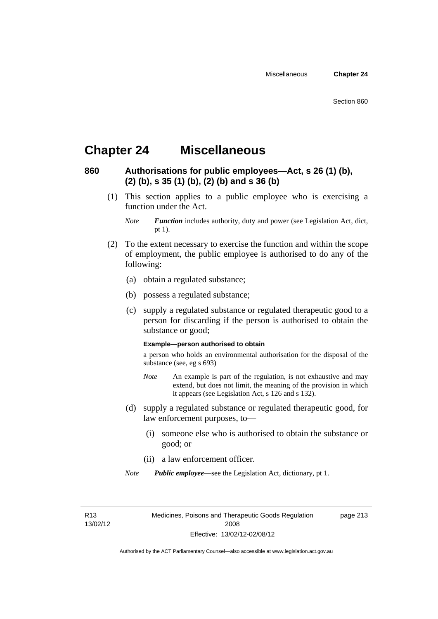### **Chapter 24 Miscellaneous**

#### **860 Authorisations for public employees—Act, s 26 (1) (b), (2) (b), s 35 (1) (b), (2) (b) and s 36 (b)**

 (1) This section applies to a public employee who is exercising a function under the Act.

- (2) To the extent necessary to exercise the function and within the scope of employment, the public employee is authorised to do any of the following:
	- (a) obtain a regulated substance;
	- (b) possess a regulated substance;
	- (c) supply a regulated substance or regulated therapeutic good to a person for discarding if the person is authorised to obtain the substance or good;

#### **Example—person authorised to obtain**

a person who holds an environmental authorisation for the disposal of the substance (see, eg s 693)

- *Note* An example is part of the regulation, is not exhaustive and may extend, but does not limit, the meaning of the provision in which it appears (see Legislation Act, s 126 and s 132).
- (d) supply a regulated substance or regulated therapeutic good, for law enforcement purposes, to—
	- (i) someone else who is authorised to obtain the substance or good; or
	- (ii) a law enforcement officer.

*Note Public employee*—see the Legislation Act, dictionary, pt 1.

R13 13/02/12 Medicines, Poisons and Therapeutic Goods Regulation 2008 Effective: 13/02/12-02/08/12

page 213

*Note Function* includes authority, duty and power (see Legislation Act, dict, pt 1).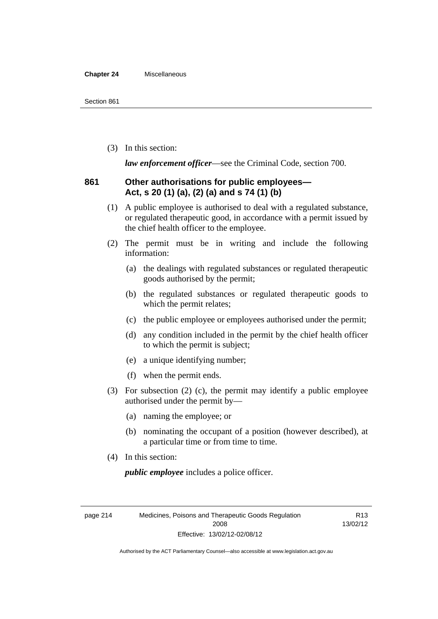#### **Chapter 24** Miscellaneous

(3) In this section:

*law enforcement officer*—see the Criminal Code, section 700.

#### **861 Other authorisations for public employees— Act, s 20 (1) (a), (2) (a) and s 74 (1) (b)**

- (1) A public employee is authorised to deal with a regulated substance, or regulated therapeutic good, in accordance with a permit issued by the chief health officer to the employee.
- (2) The permit must be in writing and include the following information:
	- (a) the dealings with regulated substances or regulated therapeutic goods authorised by the permit;
	- (b) the regulated substances or regulated therapeutic goods to which the permit relates;
	- (c) the public employee or employees authorised under the permit;
	- (d) any condition included in the permit by the chief health officer to which the permit is subject;
	- (e) a unique identifying number;
	- (f) when the permit ends.
- (3) For subsection (2) (c), the permit may identify a public employee authorised under the permit by—
	- (a) naming the employee; or
	- (b) nominating the occupant of a position (however described), at a particular time or from time to time.
- (4) In this section:

*public employee* includes a police officer.

page 214 Medicines, Poisons and Therapeutic Goods Regulation 2008 Effective: 13/02/12-02/08/12

R13 13/02/12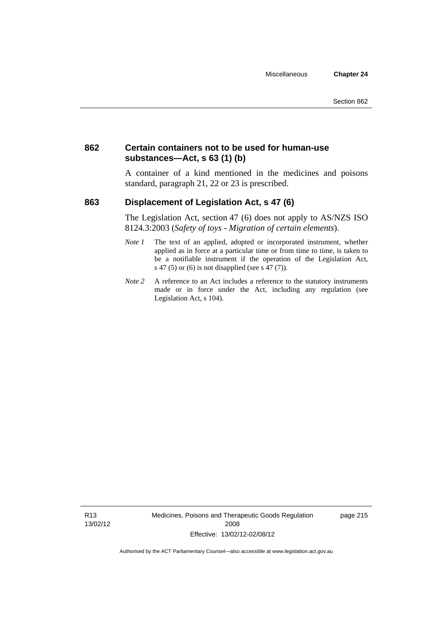#### **862 Certain containers not to be used for human-use substances—Act, s 63 (1) (b)**

A container of a kind mentioned in the medicines and poisons standard, paragraph 21, 22 or 23 is prescribed.

#### **863 Displacement of Legislation Act, s 47 (6)**

The Legislation Act, section 47 (6) does not apply to AS/NZS ISO 8124.3:2003 (*Safety of toys - Migration of certain elements*).

- *Note 1* The text of an applied, adopted or incorporated instrument, whether applied as in force at a particular time or from time to time, is taken to be a notifiable instrument if the operation of the Legislation Act, s 47 (5) or (6) is not disapplied (see s 47 (7)).
- *Note 2* A reference to an Act includes a reference to the statutory instruments made or in force under the Act, including any regulation (see Legislation Act, s 104).

R13 13/02/12 Medicines, Poisons and Therapeutic Goods Regulation 2008 Effective: 13/02/12-02/08/12

page 215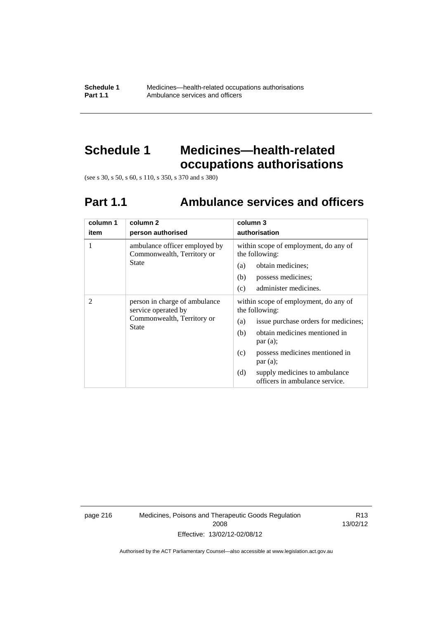**Schedule 1** Medicines—health-related occupations authorisations<br>**Part 1.1** Ambulance services and officers Ambulance services and officers

### **Schedule 1 Medicines—health-related occupations authorisations**

(see s 30, s 50, s 60, s 110, s 350, s 370 and s 380)

### **Part 1.1 Ambulance services and officers**

| column 1<br>item | column 2<br>person authorised                                                                      | column 3<br>authorisation                                                                                                                                                                                                                                                               |
|------------------|----------------------------------------------------------------------------------------------------|-----------------------------------------------------------------------------------------------------------------------------------------------------------------------------------------------------------------------------------------------------------------------------------------|
| 1                | ambulance officer employed by<br>Commonwealth, Territory or<br>State                               | within scope of employment, do any of<br>the following:<br>obtain medicines;<br>(a)<br>(b)<br>possess medicines;<br>administer medicines.<br>(c)                                                                                                                                        |
| 2                | person in charge of ambulance<br>service operated by<br>Commonwealth, Territory or<br><b>State</b> | within scope of employment, do any of<br>the following:<br>issue purchase orders for medicines;<br>(a)<br>obtain medicines mentioned in<br>(b)<br>par(a);<br>possess medicines mentioned in<br>(c)<br>par(a);<br>(d)<br>supply medicines to ambulance<br>officers in ambulance service. |

page 216 Medicines, Poisons and Therapeutic Goods Regulation 2008 Effective: 13/02/12-02/08/12

R13 13/02/12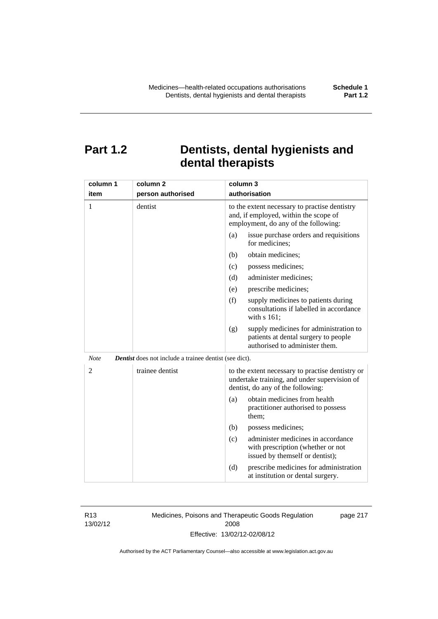### **Part 1.2 Dentists, dental hygienists and dental therapists**

| column 1       | column <sub>2</sub>                                           | column 3                                                                                                                              |  |
|----------------|---------------------------------------------------------------|---------------------------------------------------------------------------------------------------------------------------------------|--|
| item           | person authorised                                             | authorisation                                                                                                                         |  |
| 1              | dentist                                                       | to the extent necessary to practise dentistry<br>and, if employed, within the scope of<br>employment, do any of the following:        |  |
|                |                                                               | (a)<br>issue purchase orders and requisitions<br>for medicines;                                                                       |  |
|                |                                                               | obtain medicines;<br>(b)                                                                                                              |  |
|                |                                                               | (c)<br>possess medicines;                                                                                                             |  |
|                |                                                               | (d)<br>administer medicines;                                                                                                          |  |
|                |                                                               | prescribe medicines;<br>(e)                                                                                                           |  |
|                |                                                               | (f)<br>supply medicines to patients during<br>consultations if labelled in accordance<br>with s 161;                                  |  |
|                |                                                               | supply medicines for administration to<br>(g)<br>patients at dental surgery to people<br>authorised to administer them.               |  |
| <b>Note</b>    | <b>Dentist</b> does not include a trainee dentist (see dict). |                                                                                                                                       |  |
| $\overline{2}$ | trainee dentist                                               | to the extent necessary to practise dentistry or<br>undertake training, and under supervision of<br>dentist, do any of the following: |  |
|                |                                                               | obtain medicines from health<br>(a)<br>practitioner authorised to possess<br>them:                                                    |  |
|                |                                                               | (b)<br>possess medicines;                                                                                                             |  |
|                |                                                               | administer medicines in accordance<br>(c)<br>with prescription (whether or not<br>issued by themself or dentist);                     |  |
|                |                                                               | (d)<br>prescribe medicines for administration<br>at institution or dental surgery.                                                    |  |

R13 13/02/12 Medicines, Poisons and Therapeutic Goods Regulation 2008 Effective: 13/02/12-02/08/12

page 217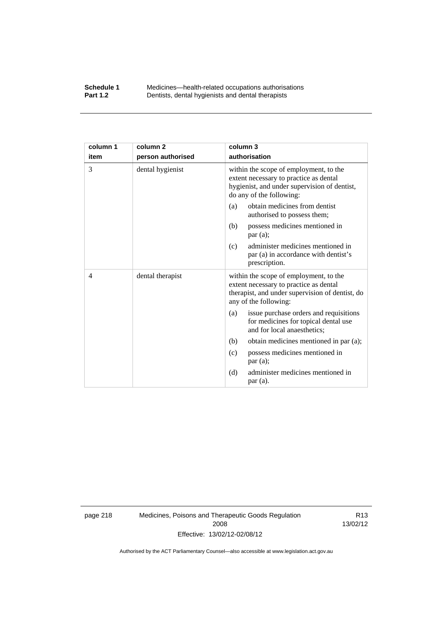#### **Schedule 1** Medicines—health-related occupations authorisations<br>**Part 1.2** Dentists, dental hygienists and dental therapists **Part 1.2** Dentists, dental hygienists and dental therapists

| column 1 | column <sub>2</sub> | column 3                                                                                                                                                     |
|----------|---------------------|--------------------------------------------------------------------------------------------------------------------------------------------------------------|
| item     | person authorised   | authorisation                                                                                                                                                |
| 3        | dental hygienist    | within the scope of employment, to the<br>extent necessary to practice as dental<br>hygienist, and under supervision of dentist,<br>do any of the following: |
|          |                     | obtain medicines from dentist<br>(a)<br>authorised to possess them;                                                                                          |
|          |                     | possess medicines mentioned in<br>(b)<br>par(a);                                                                                                             |
|          |                     | administer medicines mentioned in<br>(c)<br>par (a) in accordance with dentist's<br>prescription.                                                            |
| 4        | dental therapist    | within the scope of employment, to the<br>extent necessary to practice as dental<br>therapist, and under supervision of dentist, do<br>any of the following: |
|          |                     | issue purchase orders and requisitions<br>(a)<br>for medicines for topical dental use<br>and for local anaesthetics;                                         |
|          |                     | obtain medicines mentioned in par (a);<br>(b)                                                                                                                |
|          |                     | possess medicines mentioned in<br>(c)<br>par(a);                                                                                                             |
|          |                     | administer medicines mentioned in<br>(d)<br>par (a).                                                                                                         |

page 218 Medicines, Poisons and Therapeutic Goods Regulation 2008 Effective: 13/02/12-02/08/12

R13 13/02/12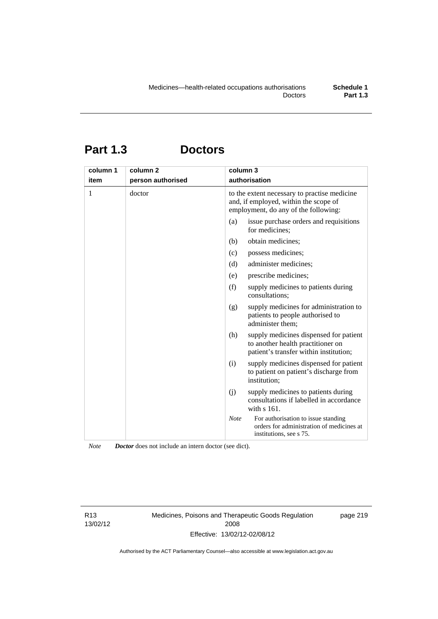# **Part 1.3 Doctors**

| column 1 | column <sub>2</sub> | column 3                                                                      |                                                                                                                       |
|----------|---------------------|-------------------------------------------------------------------------------|-----------------------------------------------------------------------------------------------------------------------|
| item     | person authorised   | authorisation                                                                 |                                                                                                                       |
| 1        | doctor              | and, if employed, within the scope of<br>employment, do any of the following: | to the extent necessary to practise medicine                                                                          |
|          |                     | (a)<br>for medicines;                                                         | issue purchase orders and requisitions                                                                                |
|          |                     | obtain medicines;<br>(b)                                                      |                                                                                                                       |
|          |                     | (c)<br>possess medicines;                                                     |                                                                                                                       |
|          |                     | (d)<br>administer medicines;                                                  |                                                                                                                       |
|          |                     | prescribe medicines;<br>(e)                                                   |                                                                                                                       |
|          |                     | (f)<br>consultations;                                                         | supply medicines to patients during                                                                                   |
|          |                     | (g)<br>administer them;                                                       | supply medicines for administration to<br>patients to people authorised to                                            |
|          |                     | (h)                                                                           | supply medicines dispensed for patient<br>to another health practitioner on<br>patient's transfer within institution; |
|          |                     | (i)<br>institution:                                                           | supply medicines dispensed for patient<br>to patient on patient's discharge from                                      |
|          |                     | (j)<br>with $s$ 161.                                                          | supply medicines to patients during<br>consultations if labelled in accordance                                        |
|          |                     | <b>Note</b><br>institutions, see s 75.                                        | For authorisation to issue standing<br>orders for administration of medicines at                                      |

*Note Doctor* does not include an intern doctor (see dict).

R13 13/02/12 Medicines, Poisons and Therapeutic Goods Regulation 2008 Effective: 13/02/12-02/08/12

page 219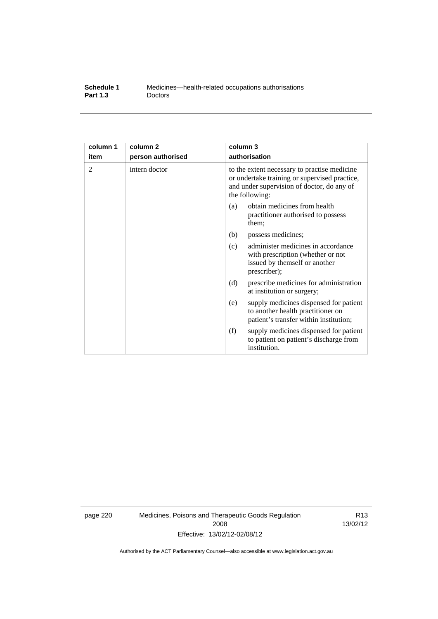| Schedule 1      | Medicines—health-related occupations authorisations |
|-----------------|-----------------------------------------------------|
| <b>Part 1.3</b> | <b>Doctors</b>                                      |

| column 1 | column <sub>2</sub> | column 3                                                                                                                                                      |  |
|----------|---------------------|---------------------------------------------------------------------------------------------------------------------------------------------------------------|--|
| item     | person authorised   | authorisation                                                                                                                                                 |  |
| 2        | intern doctor       | to the extent necessary to practise medicine<br>or undertake training or supervised practice,<br>and under supervision of doctor, do any of<br>the following: |  |
|          |                     | obtain medicines from health<br>(a)<br>practitioner authorised to possess<br>them:                                                                            |  |
|          |                     | (b)<br>possess medicines;                                                                                                                                     |  |
|          |                     | administer medicines in accordance<br>(c)<br>with prescription (whether or not<br>issued by themself or another<br>prescriber);                               |  |
|          |                     | (d)<br>prescribe medicines for administration<br>at institution or surgery;                                                                                   |  |
|          |                     | supply medicines dispensed for patient<br>(e)<br>to another health practitioner on<br>patient's transfer within institution;                                  |  |
|          |                     | (f)<br>supply medicines dispensed for patient<br>to patient on patient's discharge from<br>institution.                                                       |  |

page 220 Medicines, Poisons and Therapeutic Goods Regulation 2008 Effective: 13/02/12-02/08/12

R13 13/02/12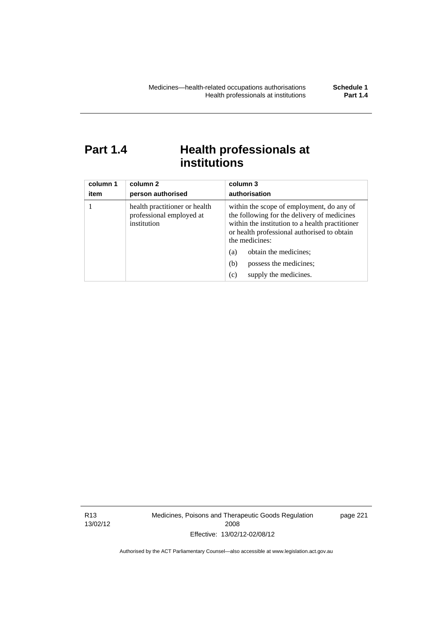### Part 1.4 **Health professionals at institutions**

| column 1<br>item | column 2<br>person authorised                                            | column 3<br>authorisation                                                                                                                                                                                    |
|------------------|--------------------------------------------------------------------------|--------------------------------------------------------------------------------------------------------------------------------------------------------------------------------------------------------------|
|                  | health practitioner or health<br>professional employed at<br>institution | within the scope of employment, do any of<br>the following for the delivery of medicines<br>within the institution to a health practitioner<br>or health professional authorised to obtain<br>the medicines: |
|                  |                                                                          | obtain the medicines;<br>(a)                                                                                                                                                                                 |
|                  |                                                                          | possess the medicines;<br>(b)                                                                                                                                                                                |
|                  |                                                                          | supply the medicines.<br>(c)                                                                                                                                                                                 |

R13 13/02/12 Medicines, Poisons and Therapeutic Goods Regulation 2008 Effective: 13/02/12-02/08/12

page 221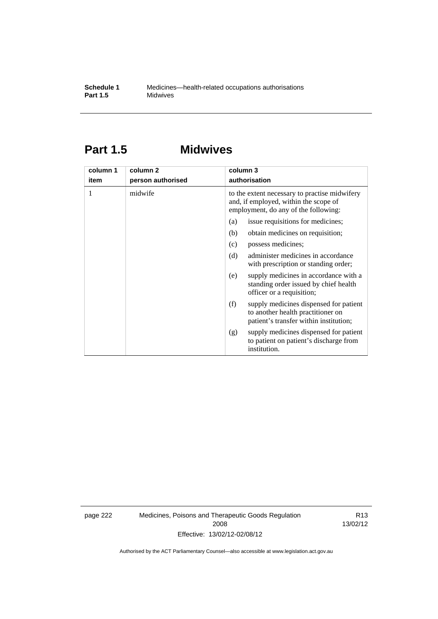### **Part 1.5 Midwives**

| column 1 | column 2          | column 3                                                                                                                       |  |
|----------|-------------------|--------------------------------------------------------------------------------------------------------------------------------|--|
| item     | person authorised | authorisation                                                                                                                  |  |
| 1        | midwife           | to the extent necessary to practise midwifery<br>and, if employed, within the scope of<br>employment, do any of the following: |  |
|          |                   | issue requisitions for medicines;<br>(a)                                                                                       |  |
|          |                   | (b)<br>obtain medicines on requisition;                                                                                        |  |
|          |                   | possess medicines;<br>(c)                                                                                                      |  |
|          |                   | administer medicines in accordance<br>(d)<br>with prescription or standing order;                                              |  |
|          |                   | supply medicines in accordance with a<br>(e)<br>standing order issued by chief health<br>officer or a requisition;             |  |
|          |                   | supply medicines dispensed for patient<br>(f)<br>to another health practitioner on<br>patient's transfer within institution;   |  |
|          |                   | supply medicines dispensed for patient<br>(g)<br>to patient on patient's discharge from<br>institution.                        |  |

page 222 Medicines, Poisons and Therapeutic Goods Regulation 2008 Effective: 13/02/12-02/08/12

R13 13/02/12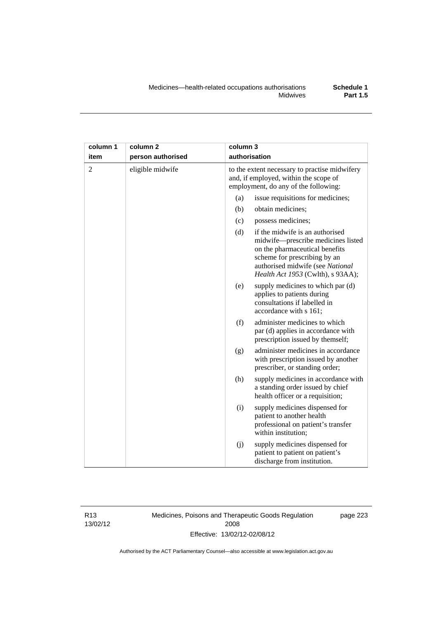| column 1       | column <sub>2</sub> | column 3 |                                                                                                                                                                                                                  |
|----------------|---------------------|----------|------------------------------------------------------------------------------------------------------------------------------------------------------------------------------------------------------------------|
| item           | person authorised   |          | authorisation                                                                                                                                                                                                    |
| $\overline{2}$ | eligible midwife    |          | to the extent necessary to practise midwifery<br>and, if employed, within the scope of<br>employment, do any of the following:                                                                                   |
|                |                     | (a)      | issue requisitions for medicines;                                                                                                                                                                                |
|                |                     | (b)      | obtain medicines;                                                                                                                                                                                                |
|                |                     | (c)      | possess medicines;                                                                                                                                                                                               |
|                |                     | (d)      | if the midwife is an authorised<br>midwife-prescribe medicines listed<br>on the pharmaceutical benefits<br>scheme for prescribing by an<br>authorised midwife (see National<br>Health Act 1953 (Cwlth), s 93AA); |
|                |                     | (e)      | supply medicines to which par (d)<br>applies to patients during<br>consultations if labelled in<br>accordance with s 161;                                                                                        |
|                |                     | (f)      | administer medicines to which<br>par (d) applies in accordance with<br>prescription issued by themself;                                                                                                          |
|                |                     | (g)      | administer medicines in accordance<br>with prescription issued by another<br>prescriber, or standing order;                                                                                                      |
|                |                     | (h)      | supply medicines in accordance with<br>a standing order issued by chief<br>health officer or a requisition;                                                                                                      |
|                |                     | (i)      | supply medicines dispensed for<br>patient to another health<br>professional on patient's transfer<br>within institution;                                                                                         |
|                |                     | (j)      | supply medicines dispensed for<br>patient to patient on patient's<br>discharge from institution.                                                                                                                 |

R13 13/02/12 Medicines, Poisons and Therapeutic Goods Regulation 2008 Effective: 13/02/12-02/08/12

page 223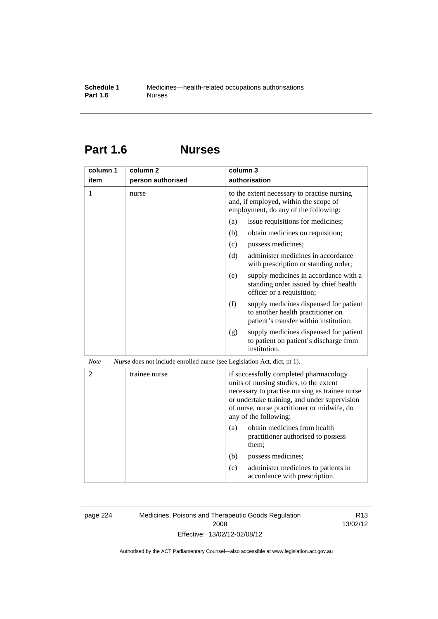### **Part 1.6 Nurses**

| column 1       | column 2                                                                        | column 3                                                                                                                                                                                                                                                    |
|----------------|---------------------------------------------------------------------------------|-------------------------------------------------------------------------------------------------------------------------------------------------------------------------------------------------------------------------------------------------------------|
| item           | person authorised                                                               | authorisation                                                                                                                                                                                                                                               |
| $\mathbf{1}$   | nurse                                                                           | to the extent necessary to practise nursing<br>and, if employed, within the scope of<br>employment, do any of the following:                                                                                                                                |
|                |                                                                                 | issue requisitions for medicines;<br>(a)                                                                                                                                                                                                                    |
|                |                                                                                 | (b)<br>obtain medicines on requisition;                                                                                                                                                                                                                     |
|                |                                                                                 | (c)<br>possess medicines;                                                                                                                                                                                                                                   |
|                |                                                                                 | administer medicines in accordance<br>(d)<br>with prescription or standing order;                                                                                                                                                                           |
|                |                                                                                 | (e)<br>supply medicines in accordance with a<br>standing order issued by chief health<br>officer or a requisition;                                                                                                                                          |
|                |                                                                                 | (f)<br>supply medicines dispensed for patient<br>to another health practitioner on<br>patient's transfer within institution;                                                                                                                                |
|                |                                                                                 | supply medicines dispensed for patient<br>(g)<br>to patient on patient's discharge from<br>institution.                                                                                                                                                     |
| <b>Note</b>    | <i>Nurse</i> does not include enrolled nurse (see Legislation Act, dict, pt 1). |                                                                                                                                                                                                                                                             |
| $\overline{2}$ | trainee nurse                                                                   | if successfully completed pharmacology<br>units of nursing studies, to the extent<br>necessary to practise nursing as trainee nurse<br>or undertake training, and under supervision<br>of nurse, nurse practitioner or midwife, do<br>any of the following: |
|                |                                                                                 | obtain medicines from health<br>(a)<br>practitioner authorised to possess<br>them;                                                                                                                                                                          |
|                |                                                                                 | (b)<br>possess medicines;                                                                                                                                                                                                                                   |
|                |                                                                                 | (c)<br>administer medicines to patients in<br>accordance with prescription.                                                                                                                                                                                 |

page 224 Medicines, Poisons and Therapeutic Goods Regulation 2008 Effective: 13/02/12-02/08/12

R13 13/02/12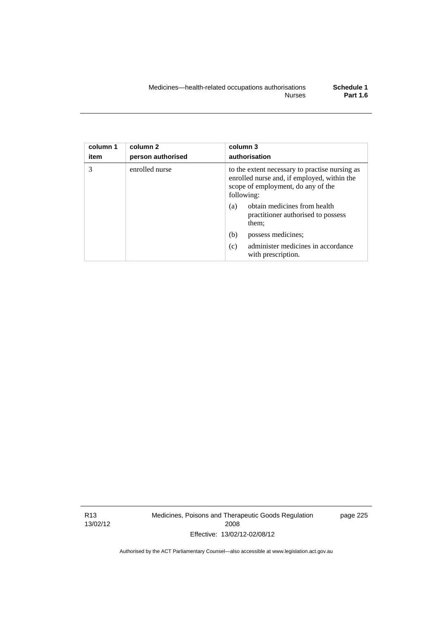| column 1<br>item | column <sub>2</sub><br>person authorised | column 3<br>authorisation                                                                                                                         |
|------------------|------------------------------------------|---------------------------------------------------------------------------------------------------------------------------------------------------|
| 3                | enrolled nurse                           | to the extent necessary to practise nursing as<br>enrolled nurse and, if employed, within the<br>scope of employment, do any of the<br>following: |
|                  |                                          | obtain medicines from health<br>(a)<br>practitioner authorised to possess<br>them;                                                                |
|                  |                                          | (b)<br>possess medicines;                                                                                                                         |
|                  |                                          | administer medicines in accordance<br>(c)<br>with prescription.                                                                                   |

R13 13/02/12 Medicines, Poisons and Therapeutic Goods Regulation 2008 Effective: 13/02/12-02/08/12

page 225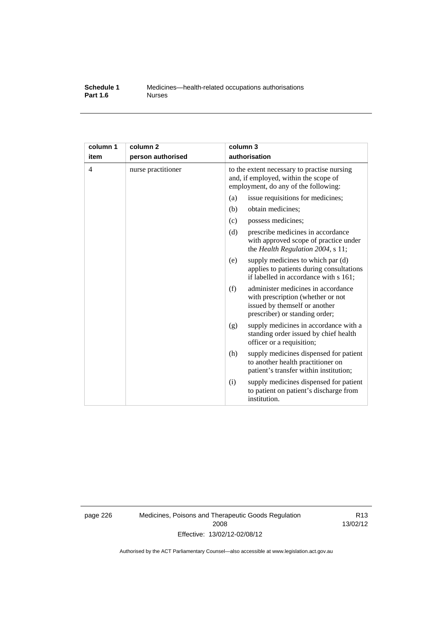#### **Schedule 1** Medicines—health-related occupations authorisations<br>**Part 1.6** Murses **Part 1.6**

| column 1<br>item | column <sub>2</sub><br>person authorised | column 3<br>authorisation                                                                                                                         |
|------------------|------------------------------------------|---------------------------------------------------------------------------------------------------------------------------------------------------|
| $\overline{4}$   | nurse practitioner                       | to the extent necessary to practise nursing<br>and, if employed, within the scope of<br>employment, do any of the following:                      |
|                  |                                          | (a)<br>issue requisitions for medicines;                                                                                                          |
|                  |                                          | (b)<br>obtain medicines;                                                                                                                          |
|                  |                                          | possess medicines;<br>(c)                                                                                                                         |
|                  |                                          | (d)<br>prescribe medicines in accordance<br>with approved scope of practice under<br>the Health Regulation 2004, s 11;                            |
|                  |                                          | supply medicines to which par (d)<br>(e)<br>applies to patients during consultations<br>if labelled in accordance with s 161;                     |
|                  |                                          | (f)<br>administer medicines in accordance<br>with prescription (whether or not<br>issued by themself or another<br>prescriber) or standing order; |
|                  |                                          | supply medicines in accordance with a<br>(g)<br>standing order issued by chief health<br>officer or a requisition;                                |
|                  |                                          | (h)<br>supply medicines dispensed for patient<br>to another health practitioner on<br>patient's transfer within institution;                      |
|                  |                                          | supply medicines dispensed for patient<br>(i)<br>to patient on patient's discharge from<br>institution.                                           |

page 226 Medicines, Poisons and Therapeutic Goods Regulation 2008 Effective: 13/02/12-02/08/12

R13 13/02/12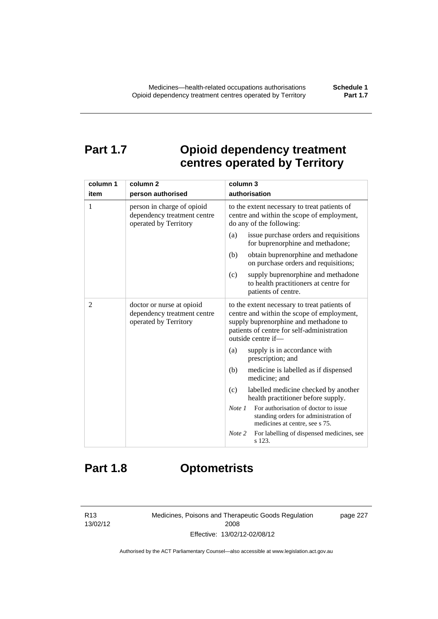## **Part 1.7 Opioid dependency treatment centres operated by Territory**

| column 1       | column <sub>2</sub>                                                                | column 3                                                                                                                                                                                                |  |
|----------------|------------------------------------------------------------------------------------|---------------------------------------------------------------------------------------------------------------------------------------------------------------------------------------------------------|--|
| item           | person authorised                                                                  | authorisation                                                                                                                                                                                           |  |
| 1              | person in charge of opioid<br>dependency treatment centre<br>operated by Territory | to the extent necessary to treat patients of<br>centre and within the scope of employment,<br>do any of the following:                                                                                  |  |
|                |                                                                                    | issue purchase orders and requisitions<br>(a)<br>for buprenorphine and methadone;                                                                                                                       |  |
|                |                                                                                    | obtain buprenorphine and methadone<br>(b)<br>on purchase orders and requisitions;                                                                                                                       |  |
|                |                                                                                    | (c)<br>supply buprenorphine and methadone<br>to health practitioners at centre for<br>patients of centre.                                                                                               |  |
| $\overline{c}$ | doctor or nurse at opioid<br>dependency treatment centre<br>operated by Territory  | to the extent necessary to treat patients of<br>centre and within the scope of employment,<br>supply buprenorphine and methadone to<br>patients of centre for self-administration<br>outside centre if- |  |
|                |                                                                                    | supply is in accordance with<br>(a)<br>prescription; and                                                                                                                                                |  |
|                |                                                                                    | (b)<br>medicine is labelled as if dispensed<br>medicine; and                                                                                                                                            |  |
|                |                                                                                    | (c)<br>labelled medicine checked by another<br>health practitioner before supply.                                                                                                                       |  |
|                |                                                                                    | For authorisation of doctor to issue<br>Note <sub>1</sub><br>standing orders for administration of<br>medicines at centre, see s 75.                                                                    |  |
|                |                                                                                    | For labelling of dispensed medicines, see<br>Note 2<br>s 123.                                                                                                                                           |  |

# **Part 1.8 Optometrists**

R13 13/02/12 Medicines, Poisons and Therapeutic Goods Regulation 2008 Effective: 13/02/12-02/08/12

page 227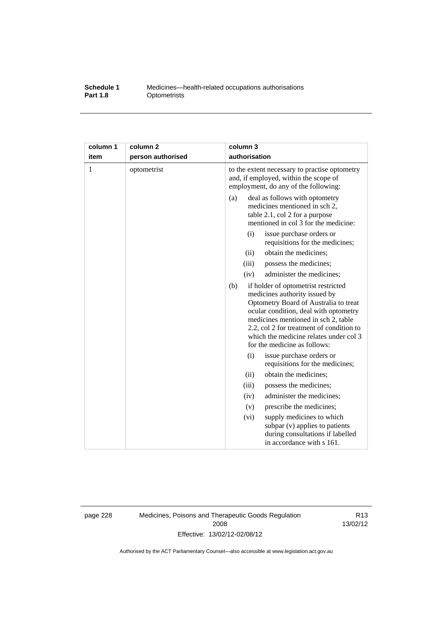#### **Schedule 1** Medicines—health-related occupations authorisations<br>**Part 1.8** Optometrists **Optometrists**

| column 1<br>item | column <sub>2</sub><br>person authorised | column 3<br>authorisation                                                                                                                                                                                                                                                                                                  |
|------------------|------------------------------------------|----------------------------------------------------------------------------------------------------------------------------------------------------------------------------------------------------------------------------------------------------------------------------------------------------------------------------|
| 1                | optometrist                              | to the extent necessary to practise optometry<br>and, if employed, within the scope of<br>employment, do any of the following:                                                                                                                                                                                             |
|                  |                                          | deal as follows with optometry<br>(a)<br>medicines mentioned in sch 2,<br>table 2.1, col 2 for a purpose<br>mentioned in col 3 for the medicine:                                                                                                                                                                           |
|                  |                                          | (i)<br>issue purchase orders or<br>requisitions for the medicines;                                                                                                                                                                                                                                                         |
|                  |                                          | obtain the medicines;<br>(ii)                                                                                                                                                                                                                                                                                              |
|                  |                                          | possess the medicines;<br>(iii)                                                                                                                                                                                                                                                                                            |
|                  |                                          | administer the medicines;<br>(iv)                                                                                                                                                                                                                                                                                          |
|                  |                                          | (b)<br>if holder of optometrist restricted<br>medicines authority issued by<br>Optometry Board of Australia to treat<br>ocular condition, deal with optometry<br>medicines mentioned in sch 2, table<br>2.2, col 2 for treatment of condition to<br>which the medicine relates under col 3<br>for the medicine as follows: |
|                  |                                          | (i)<br>issue purchase orders or<br>requisitions for the medicines;                                                                                                                                                                                                                                                         |
|                  |                                          | obtain the medicines;<br>(ii)                                                                                                                                                                                                                                                                                              |
|                  |                                          | (iii)<br>possess the medicines;                                                                                                                                                                                                                                                                                            |
|                  |                                          | administer the medicines;<br>(iv)                                                                                                                                                                                                                                                                                          |
|                  |                                          | prescribe the medicines;<br>(v)                                                                                                                                                                                                                                                                                            |
|                  |                                          | (vi)<br>supply medicines to which<br>subpar (v) applies to patients<br>during consultations if labelled<br>in accordance with s 161.                                                                                                                                                                                       |

page 228 Medicines, Poisons and Therapeutic Goods Regulation 2008 Effective: 13/02/12-02/08/12

R13 13/02/12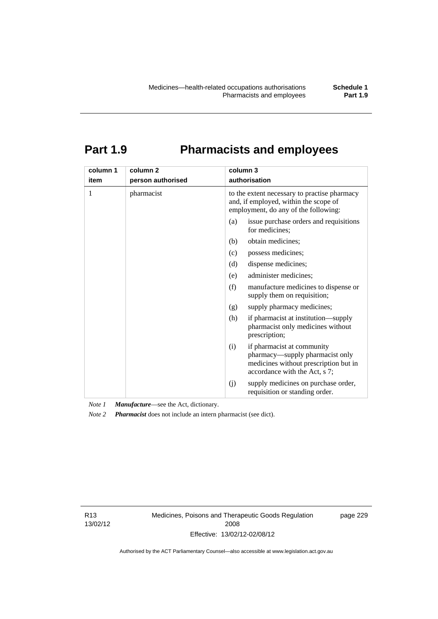# **Part 1.9 Pharmacists and employees**

| column 1<br>item | column <sub>2</sub><br>person authorised | column 3<br>authorisation                                                                                                                      |  |
|------------------|------------------------------------------|------------------------------------------------------------------------------------------------------------------------------------------------|--|
| 1                | pharmacist                               | to the extent necessary to practise pharmacy<br>and, if employed, within the scope of<br>employment, do any of the following:                  |  |
|                  |                                          | issue purchase orders and requisitions<br>(a)<br>for medicines;                                                                                |  |
|                  |                                          | obtain medicines;<br>(b)                                                                                                                       |  |
|                  |                                          | possess medicines;<br>(c)                                                                                                                      |  |
|                  |                                          | dispense medicines;<br>(d)                                                                                                                     |  |
|                  |                                          | administer medicines;<br>(e)                                                                                                                   |  |
|                  |                                          | (f)<br>manufacture medicines to dispense or<br>supply them on requisition;                                                                     |  |
|                  |                                          | supply pharmacy medicines;<br>(g)                                                                                                              |  |
|                  |                                          | (h)<br>if pharmacist at institution—supply<br>pharmacist only medicines without<br>prescription;                                               |  |
|                  |                                          | if pharmacist at community<br>(i)<br>pharmacy—supply pharmacist only<br>medicines without prescription but in<br>accordance with the Act, s 7; |  |
|                  |                                          | supply medicines on purchase order,<br>(j)<br>requisition or standing order.                                                                   |  |

*Note 1 Manufacture*—see the Act, dictionary.

*Note 2 Pharmacist* does not include an intern pharmacist (see dict).

R13 13/02/12 Medicines, Poisons and Therapeutic Goods Regulation 2008 Effective: 13/02/12-02/08/12

page 229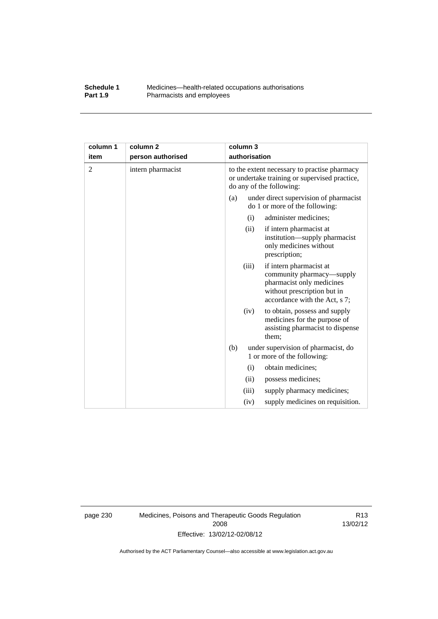### **Schedule 1** Medicines—health-related occupations authorisations<br>**Part 1.9** Pharmacists and employees Pharmacists and employees

| column 1       | column <sub>2</sub> |     | column 3      |                                                                                                                                                   |
|----------------|---------------------|-----|---------------|---------------------------------------------------------------------------------------------------------------------------------------------------|
| item           | person authorised   |     | authorisation |                                                                                                                                                   |
| $\overline{2}$ | intern pharmacist   |     |               | to the extent necessary to practise pharmacy<br>or undertake training or supervised practice,<br>do any of the following:                         |
|                |                     | (a) |               | under direct supervision of pharmacist<br>do 1 or more of the following:                                                                          |
|                |                     |     | (i)           | administer medicines;                                                                                                                             |
|                |                     |     | (ii)          | if intern pharmacist at<br>institution—supply pharmacist<br>only medicines without<br>prescription;                                               |
|                |                     |     | (iii)         | if intern pharmacist at<br>community pharmacy—supply<br>pharmacist only medicines<br>without prescription but in<br>accordance with the Act, s 7; |
|                |                     |     | (iv)          | to obtain, possess and supply<br>medicines for the purpose of<br>assisting pharmacist to dispense<br>them;                                        |
|                |                     | (b) |               | under supervision of pharmacist, do<br>1 or more of the following:                                                                                |
|                |                     |     | (i)           | obtain medicines;                                                                                                                                 |
|                |                     |     | (ii)          | possess medicines;                                                                                                                                |
|                |                     |     | (iii)         | supply pharmacy medicines;                                                                                                                        |
|                |                     |     | (iv)          | supply medicines on requisition.                                                                                                                  |

page 230 Medicines, Poisons and Therapeutic Goods Regulation 2008 Effective: 13/02/12-02/08/12

R13 13/02/12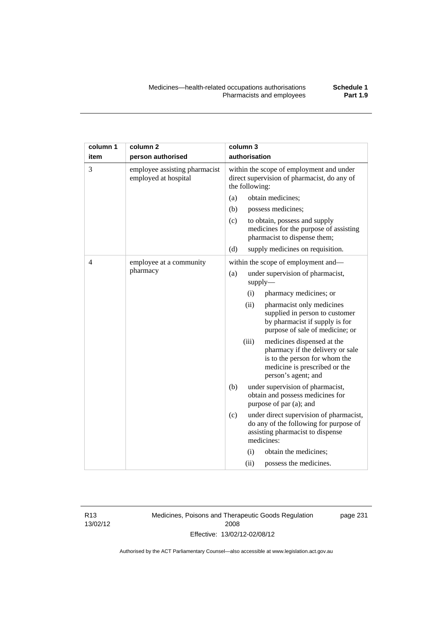| column 1       | column <sub>2</sub>                                   |     | column 3       |                                                                                                                                                         |
|----------------|-------------------------------------------------------|-----|----------------|---------------------------------------------------------------------------------------------------------------------------------------------------------|
| item           | person authorised                                     |     | authorisation  |                                                                                                                                                         |
| 3              | employee assisting pharmacist<br>employed at hospital |     | the following: | within the scope of employment and under<br>direct supervision of pharmacist, do any of                                                                 |
|                |                                                       | (a) |                | obtain medicines;                                                                                                                                       |
|                |                                                       | (b) |                | possess medicines;                                                                                                                                      |
|                |                                                       | (c) |                | to obtain, possess and supply<br>medicines for the purpose of assisting<br>pharmacist to dispense them;                                                 |
|                |                                                       | (d) |                | supply medicines on requisition.                                                                                                                        |
| $\overline{4}$ | employee at a community                               |     |                | within the scope of employment and-                                                                                                                     |
|                | pharmacy                                              | (a) |                | under supervision of pharmacist,<br>supply                                                                                                              |
|                |                                                       |     | (i)            | pharmacy medicines; or                                                                                                                                  |
|                |                                                       |     | (ii)           | pharmacist only medicines<br>supplied in person to customer<br>by pharmacist if supply is for<br>purpose of sale of medicine; or                        |
|                |                                                       |     | (iii)          | medicines dispensed at the<br>pharmacy if the delivery or sale<br>is to the person for whom the<br>medicine is prescribed or the<br>person's agent; and |
|                |                                                       | (b) |                | under supervision of pharmacist,<br>obtain and possess medicines for<br>purpose of par (a); and                                                         |
|                |                                                       | (c) |                | under direct supervision of pharmacist,<br>do any of the following for purpose of<br>assisting pharmacist to dispense<br>medicines:                     |
|                |                                                       |     | (i)            | obtain the medicines;                                                                                                                                   |
|                |                                                       |     | (ii)           | possess the medicines.                                                                                                                                  |

R13 13/02/12 Medicines, Poisons and Therapeutic Goods Regulation 2008 Effective: 13/02/12-02/08/12

page 231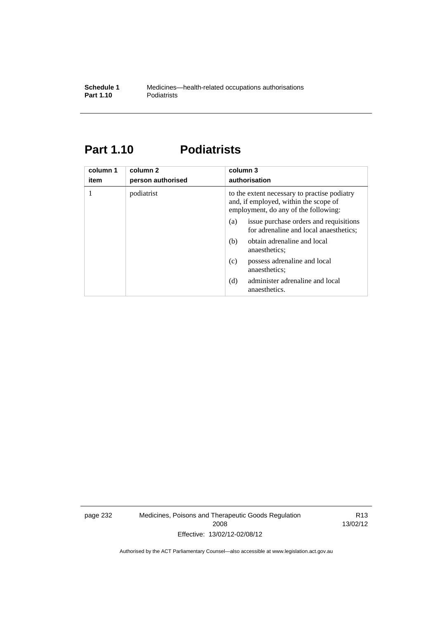## **Part 1.10 Podiatrists**

| column 1<br>item | column 2<br>person authorised | column 3<br>authorisation                                                                                                     |
|------------------|-------------------------------|-------------------------------------------------------------------------------------------------------------------------------|
|                  | podiatrist                    | to the extent necessary to practise podiatry<br>and, if employed, within the scope of<br>employment, do any of the following: |
|                  |                               | issue purchase orders and requisitions<br>(a)<br>for adrenaline and local anaesthetics;                                       |
|                  |                               | obtain adrenaline and local<br>(b)<br>anaesthetics:                                                                           |
|                  |                               | possess adrenaline and local<br>(c)<br>anaesthetics;                                                                          |
|                  |                               | administer adrenaline and local<br>(d)<br>anaesthetics.                                                                       |

page 232 Medicines, Poisons and Therapeutic Goods Regulation 2008 Effective: 13/02/12-02/08/12

R13 13/02/12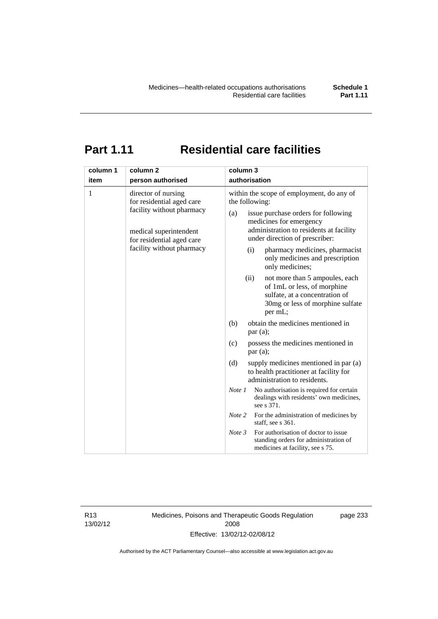# **Part 1.11 Residential care facilities**

| column 1  | column <sub>2</sub>                                                                                                                                                                    | column 3                                                                                                                                                                                                                                                                                                                                                                                                                                                                                                                                                                                         |
|-----------|----------------------------------------------------------------------------------------------------------------------------------------------------------------------------------------|--------------------------------------------------------------------------------------------------------------------------------------------------------------------------------------------------------------------------------------------------------------------------------------------------------------------------------------------------------------------------------------------------------------------------------------------------------------------------------------------------------------------------------------------------------------------------------------------------|
| item<br>1 | person authorised<br>director of nursing<br>for residential aged care<br>facility without pharmacy<br>medical superintendent<br>for residential aged care<br>facility without pharmacy | authorisation<br>within the scope of employment, do any of<br>the following:<br>issue purchase orders for following<br>(a)<br>medicines for emergency<br>administration to residents at facility<br>under direction of prescriber:<br>pharmacy medicines, pharmacist<br>(i)<br>only medicines and prescription<br>only medicines;<br>(ii)<br>not more than 5 ampoules, each<br>of 1mL or less, of morphine<br>sulfate, at a concentration of<br>30mg or less of morphine sulfate<br>per mL;<br>obtain the medicines mentioned in<br>(b)<br>par (a);<br>possess the medicines mentioned in<br>(c) |
|           |                                                                                                                                                                                        | par(a);<br>(d)<br>supply medicines mentioned in par (a)<br>to health practitioner at facility for<br>administration to residents.<br>Note 1<br>No authorisation is required for certain<br>dealings with residents' own medicines,<br>see s 371.<br>Note 2<br>For the administration of medicines by<br>staff, see s 361.<br>For authorisation of doctor to issue<br>Note 3<br>standing orders for administration of<br>medicines at facility, see s 75.                                                                                                                                         |

R13 13/02/12 Medicines, Poisons and Therapeutic Goods Regulation 2008 Effective: 13/02/12-02/08/12

page 233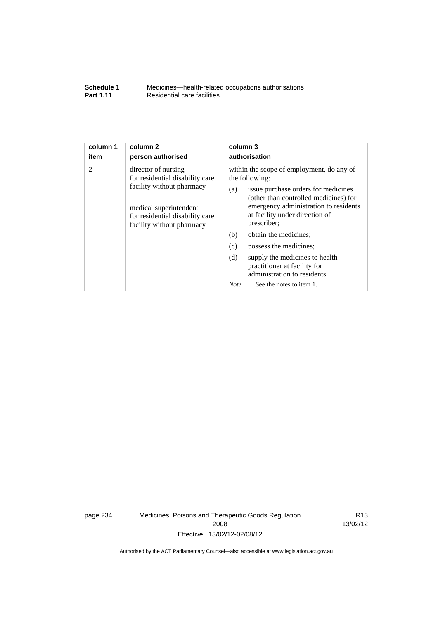### **Schedule 1** Medicines—health-related occupations authorisations<br>**Part 1.11** Residential care facilities **Residential care facilities**

| column 1  | column <sub>2</sub>                                                                                                                                                                                | column 3                                                                                                                                                                                                                                                                                      |
|-----------|----------------------------------------------------------------------------------------------------------------------------------------------------------------------------------------------------|-----------------------------------------------------------------------------------------------------------------------------------------------------------------------------------------------------------------------------------------------------------------------------------------------|
| item<br>2 | person authorised<br>director of nursing<br>for residential disability care<br>facility without pharmacy<br>medical superintendent<br>for residential disability care<br>facility without pharmacy | authorisation<br>within the scope of employment, do any of<br>the following:<br>issue purchase orders for medicines<br>(a)<br>(other than controlled medicines) for<br>emergency administration to residents<br>at facility under direction of<br>prescriber;<br>obtain the medicines;<br>(b) |
|           |                                                                                                                                                                                                    | (c)<br>possess the medicines;                                                                                                                                                                                                                                                                 |
|           |                                                                                                                                                                                                    | (d)<br>supply the medicines to health<br>practitioner at facility for<br>administration to residents.                                                                                                                                                                                         |
|           |                                                                                                                                                                                                    | <b>Note</b><br>See the notes to item 1.                                                                                                                                                                                                                                                       |

page 234 Medicines, Poisons and Therapeutic Goods Regulation 2008 Effective: 13/02/12-02/08/12

R13 13/02/12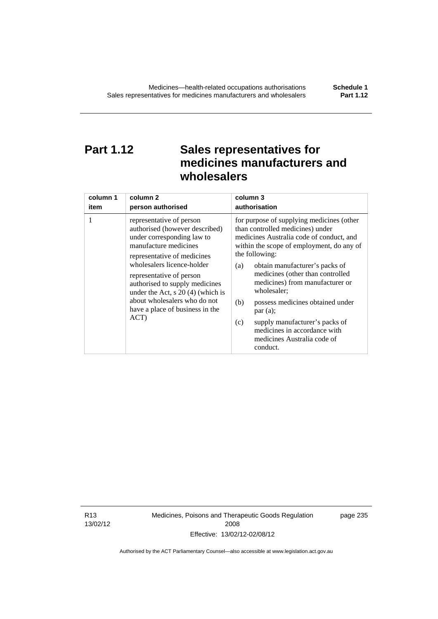# **Part 1.12 Sales representatives for medicines manufacturers and wholesalers**

| column 1 | column 2                                                                                                                                                                                                                                                                                                                                                       | column 3      |
|----------|----------------------------------------------------------------------------------------------------------------------------------------------------------------------------------------------------------------------------------------------------------------------------------------------------------------------------------------------------------------|---------------|
| item     | person authorised                                                                                                                                                                                                                                                                                                                                              | authorisation |
| 1        | representative of person<br>authorised (however described)<br>under corresponding law to<br>manufacture medicines<br>representative of medicines<br>wholesalers licence-holder<br>representative of person<br>authorised to supply medicines<br>under the Act, $s$ 20 (4) (which is<br>about wholesalers who do not<br>have a place of business in the<br>ACT) |               |

R13 13/02/12 Medicines, Poisons and Therapeutic Goods Regulation 2008 Effective: 13/02/12-02/08/12

page 235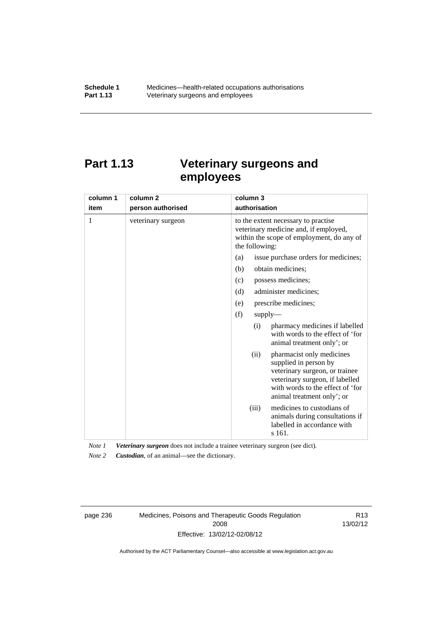# **Part 1.13 Veterinary surgeons and employees**

| column 1 | column <sub>2</sub> | column 3                                                                                                                                                                                          |
|----------|---------------------|---------------------------------------------------------------------------------------------------------------------------------------------------------------------------------------------------|
| item     | person authorised   | authorisation                                                                                                                                                                                     |
| 1        | veterinary surgeon  | to the extent necessary to practise<br>veterinary medicine and, if employed,<br>within the scope of employment, do any of<br>the following:                                                       |
|          |                     | issue purchase orders for medicines;<br>(a)                                                                                                                                                       |
|          |                     | (b)<br>obtain medicines;                                                                                                                                                                          |
|          |                     | possess medicines;<br>(c)                                                                                                                                                                         |
|          |                     | administer medicines;<br>(d)                                                                                                                                                                      |
|          |                     | prescribe medicines;<br>(e)                                                                                                                                                                       |
|          |                     | (f)<br>supply                                                                                                                                                                                     |
|          |                     | pharmacy medicines if labelled<br>(i)<br>with words to the effect of 'for<br>animal treatment only'; or                                                                                           |
|          |                     | pharmacist only medicines<br>(ii)<br>supplied in person by<br>veterinary surgeon, or trainee<br>veterinary surgeon, if labelled<br>with words to the effect of 'for<br>animal treatment only'; or |
|          |                     | medicines to custodians of<br>(iii)<br>animals during consultations if<br>labelled in accordance with<br>s 161.                                                                                   |

*Note 1 Veterinary surgeon* does not include a trainee veterinary surgeon (see dict).

*Note 2 Custodian*, of an animal—see the dictionary.

page 236 Medicines, Poisons and Therapeutic Goods Regulation 2008 Effective: 13/02/12-02/08/12

R13 13/02/12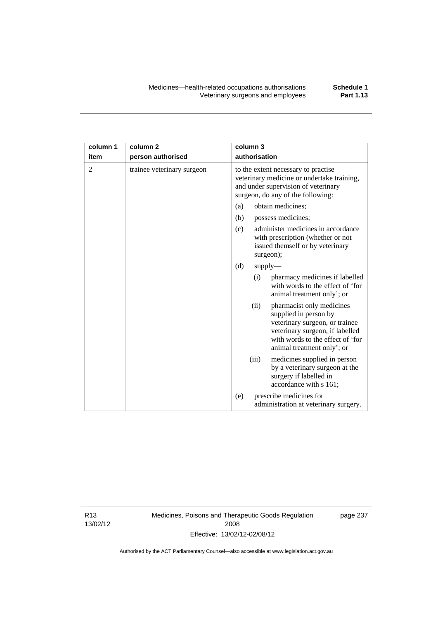| column 1       | column <sub>2</sub>        | column 3                                                                                                                                                                                          |
|----------------|----------------------------|---------------------------------------------------------------------------------------------------------------------------------------------------------------------------------------------------|
| item           | person authorised          | authorisation                                                                                                                                                                                     |
| $\overline{2}$ | trainee veterinary surgeon | to the extent necessary to practise<br>veterinary medicine or undertake training,<br>and under supervision of veterinary<br>surgeon, do any of the following:                                     |
|                |                            | (a)<br>obtain medicines:                                                                                                                                                                          |
|                |                            | (b)<br>possess medicines;                                                                                                                                                                         |
|                |                            | administer medicines in accordance<br>(c)<br>with prescription (whether or not<br>issued themself or by veterinary<br>surgeon);                                                                   |
|                |                            | (d)<br>supply                                                                                                                                                                                     |
|                |                            | pharmacy medicines if labelled<br>(i)<br>with words to the effect of 'for<br>animal treatment only'; or                                                                                           |
|                |                            | (ii)<br>pharmacist only medicines<br>supplied in person by<br>veterinary surgeon, or trainee<br>veterinary surgeon, if labelled<br>with words to the effect of 'for<br>animal treatment only'; or |
|                |                            | (iii)<br>medicines supplied in person<br>by a veterinary surgeon at the<br>surgery if labelled in<br>accordance with s 161;                                                                       |
|                |                            | prescribe medicines for<br>(e)<br>administration at veterinary surgery.                                                                                                                           |

R13 13/02/12 Medicines, Poisons and Therapeutic Goods Regulation 2008 Effective: 13/02/12-02/08/12

page 237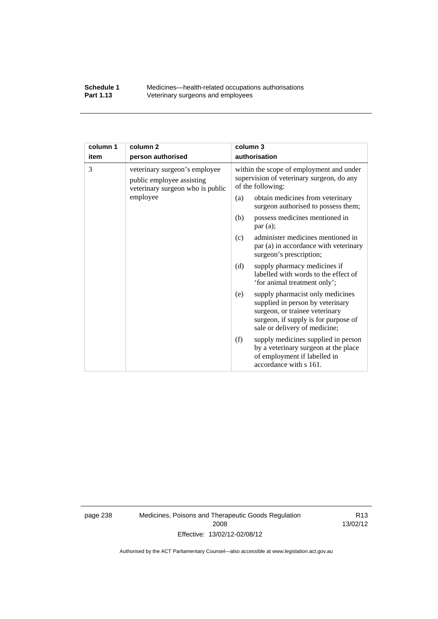### **Schedule 1** Medicines—health-related occupations authorisations<br>**Part 1.13** Veterinary surgeons and employees Veterinary surgeons and employees

| column 1                                                                                            | column <sub>2</sub>                                                                                        | column 3                                                                                                                                                                               |
|-----------------------------------------------------------------------------------------------------|------------------------------------------------------------------------------------------------------------|----------------------------------------------------------------------------------------------------------------------------------------------------------------------------------------|
| item                                                                                                | person authorised                                                                                          | authorisation                                                                                                                                                                          |
| 3<br>veterinary surgeon's employee<br>public employee assisting<br>veterinary surgeon who is public | within the scope of employment and under<br>supervision of veterinary surgeon, do any<br>of the following: |                                                                                                                                                                                        |
|                                                                                                     | employee                                                                                                   | obtain medicines from veterinary<br>(a)<br>surgeon authorised to possess them;                                                                                                         |
|                                                                                                     |                                                                                                            | possess medicines mentioned in<br>(b)<br>par(a);                                                                                                                                       |
|                                                                                                     |                                                                                                            | administer medicines mentioned in<br>(c)<br>par (a) in accordance with veterinary<br>surgeon's prescription;                                                                           |
|                                                                                                     |                                                                                                            | (d)<br>supply pharmacy medicines if<br>labelled with words to the effect of<br>'for animal treatment only';                                                                            |
|                                                                                                     |                                                                                                            | supply pharmacist only medicines<br>(e)<br>supplied in person by veterinary<br>surgeon, or trainee veterinary<br>surgeon, if supply is for purpose of<br>sale or delivery of medicine; |
|                                                                                                     |                                                                                                            | supply medicines supplied in person<br>(f)<br>by a veterinary surgeon at the place<br>of employment if labelled in<br>accordance with s 161.                                           |

page 238 Medicines, Poisons and Therapeutic Goods Regulation 2008 Effective: 13/02/12-02/08/12

R13 13/02/12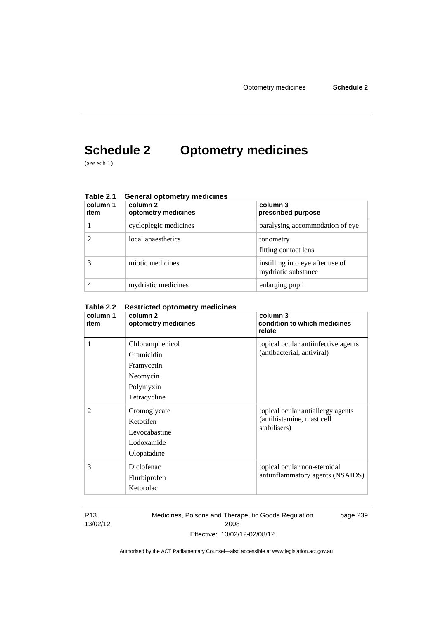# **Schedule 2 Optometry medicines**

(see sch 1)

| Table 2.T<br>column 1<br>item | OBHETAL OPIOTHELLY THEQICITIES<br>column 2<br>optometry medicines | column 3<br>prescribed purpose                          |
|-------------------------------|-------------------------------------------------------------------|---------------------------------------------------------|
|                               | cycloplegic medicines                                             | paralysing accommodation of eye                         |
|                               | local anaesthetics                                                | tonometry<br>fitting contact lens                       |
|                               | miotic medicines                                                  | instilling into eye after use of<br>mydriatic substance |
|                               | mydriatic medicines                                               | enlarging pupil                                         |

## **Table 2.1 General optometry medicines**

#### **Table 2.2 Restricted optometry medicines**

| column 1<br>item | column 2<br>optometry medicines                                                      | column 3<br>condition to which medicines<br>relate                             |
|------------------|--------------------------------------------------------------------------------------|--------------------------------------------------------------------------------|
| 1                | Chloramphenicol<br>Gramicidin<br>Framycetin<br>Neomycin<br>Polymyxin<br>Tetracycline | topical ocular antiinfective agents<br>(antibacterial, antiviral)              |
| $\overline{2}$   | Cromoglycate<br>Ketotifen<br>Levocabastine<br>Lodoxamide<br>Olopatadine              | topical ocular antiallergy agents<br>(antihistamine, mast cell<br>stabilisers) |
| 3                | Diclofenac<br>Flurbiprofen<br>Ketorolac                                              | topical ocular non-steroidal<br>antiinflammatory agents (NSAIDS)               |

R13 13/02/12 Medicines, Poisons and Therapeutic Goods Regulation 2008 Effective: 13/02/12-02/08/12 page 239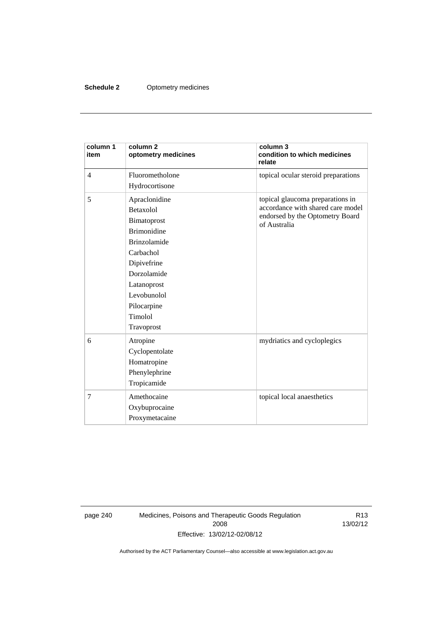### **Schedule 2** Optometry medicines

| column 1<br>item | column <sub>2</sub><br>optometry medicines | column 3<br>condition to which medicines<br>relate                   |
|------------------|--------------------------------------------|----------------------------------------------------------------------|
| $\overline{4}$   | Fluorometholone                            | topical ocular steroid preparations                                  |
|                  | Hydrocortisone                             |                                                                      |
| 5                | Apraclonidine                              | topical glaucoma preparations in                                     |
|                  | <b>Betaxolol</b>                           | accordance with shared care model<br>endorsed by the Optometry Board |
|                  | Bimatoprost                                | of Australia                                                         |
|                  | <b>Brimonidine</b>                         |                                                                      |
|                  | <b>Brinzolamide</b>                        |                                                                      |
|                  | Carbachol                                  |                                                                      |
|                  | Dipivefrine                                |                                                                      |
|                  | Dorzolamide                                |                                                                      |
|                  | Latanoprost                                |                                                                      |
|                  | Levobunolol                                |                                                                      |
|                  | Pilocarpine                                |                                                                      |
|                  | Timolol                                    |                                                                      |
|                  | Travoprost                                 |                                                                      |
| 6                | Atropine                                   | mydriatics and cycloplegics                                          |
|                  | Cyclopentolate                             |                                                                      |
|                  | Homatropine                                |                                                                      |
|                  | Phenylephrine                              |                                                                      |
|                  | Tropicamide                                |                                                                      |
| 7                | Amethocaine                                | topical local anaesthetics                                           |
|                  | Oxybuprocaine                              |                                                                      |
|                  | Proxymetacaine                             |                                                                      |

page 240 Medicines, Poisons and Therapeutic Goods Regulation 2008 Effective: 13/02/12-02/08/12

R13 13/02/12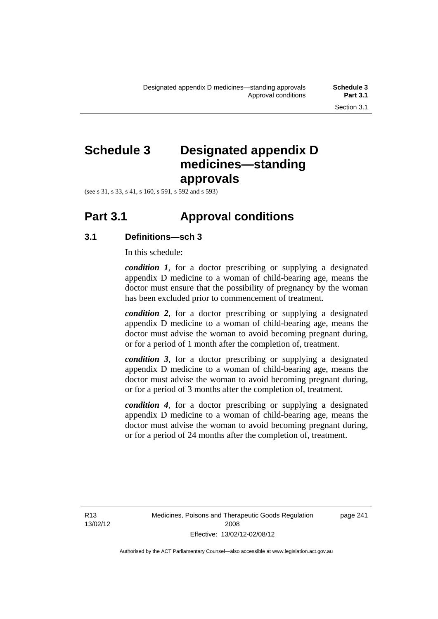# **Schedule 3 Designated appendix D medicines—standing approvals**

(see s 31, s 33, s 41, s 160, s 591, s 592 and s 593)

## **Part 3.1 Approval conditions**

## **3.1 Definitions—sch 3**

In this schedule:

*condition 1*, for a doctor prescribing or supplying a designated appendix D medicine to a woman of child-bearing age, means the doctor must ensure that the possibility of pregnancy by the woman has been excluded prior to commencement of treatment.

*condition 2*, for a doctor prescribing or supplying a designated appendix D medicine to a woman of child-bearing age, means the doctor must advise the woman to avoid becoming pregnant during, or for a period of 1 month after the completion of, treatment.

*condition 3*, for a doctor prescribing or supplying a designated appendix D medicine to a woman of child-bearing age, means the doctor must advise the woman to avoid becoming pregnant during, or for a period of 3 months after the completion of, treatment.

*condition 4*, for a doctor prescribing or supplying a designated appendix D medicine to a woman of child-bearing age, means the doctor must advise the woman to avoid becoming pregnant during, or for a period of 24 months after the completion of, treatment.

R13 13/02/12 page 241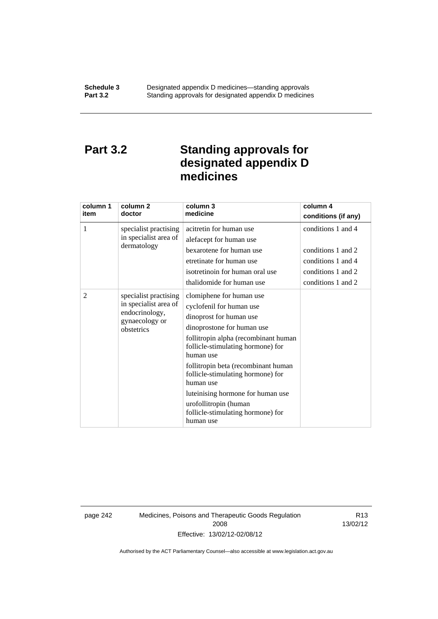## **Part 3.2 Standing approvals for designated appendix D medicines**

| column 1<br>item | column 2<br>doctor                                                                               | column 3<br>medicine                                                                                                                                                                                                                                                                                                                                                                                | column 4<br>conditions (if any)                                                                            |
|------------------|--------------------------------------------------------------------------------------------------|-----------------------------------------------------------------------------------------------------------------------------------------------------------------------------------------------------------------------------------------------------------------------------------------------------------------------------------------------------------------------------------------------------|------------------------------------------------------------------------------------------------------------|
| 1                | specialist practising<br>in specialist area of<br>dermatology                                    | acitretin for human use<br>alefacept for human use<br>bexarotene for human use<br>etretinate for human use<br>isotretinoin for human oral use<br>thalidomide for human use                                                                                                                                                                                                                          | conditions 1 and 4<br>conditions 1 and 2<br>conditions 1 and 4<br>conditions 1 and 2<br>conditions 1 and 2 |
| 2                | specialist practising<br>in specialist area of<br>endocrinology,<br>gynaecology or<br>obstetrics | clomiphene for human use<br>cyclofenil for human use<br>dinoprost for human use<br>dinoprostone for human use<br>follitropin alpha (recombinant human<br>follicle-stimulating hormone) for<br>human use<br>follitropin beta (recombinant human<br>follicle-stimulating hormone) for<br>human use<br>luteinising hormone for human use<br>urofollitropin (human<br>follicle-stimulating hormone) for |                                                                                                            |

page 242 Medicines, Poisons and Therapeutic Goods Regulation 2008 Effective: 13/02/12-02/08/12

R13 13/02/12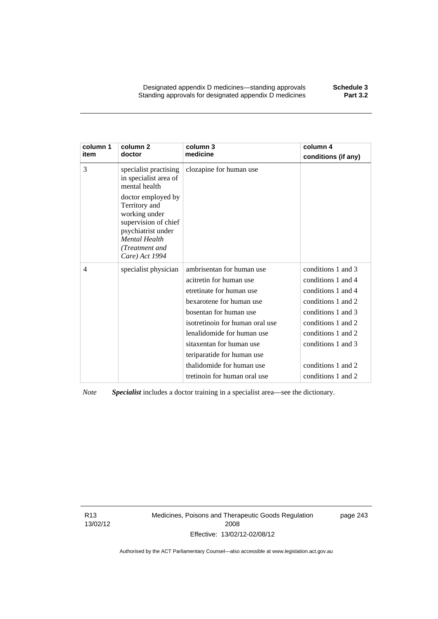Designated appendix D medicines—standing approvals **Schedule 3** Standing approvals for designated appendix D medicines

| column 1<br>item | column <sub>2</sub><br>doctor                                                                                                                                  | column 3<br>medicine            | column 4<br>conditions (if any) |
|------------------|----------------------------------------------------------------------------------------------------------------------------------------------------------------|---------------------------------|---------------------------------|
| 3                | specialist practising<br>in specialist area of<br>mental health                                                                                                | clozapine for human use         |                                 |
|                  | doctor employed by<br>Territory and<br>working under<br>supervision of chief<br>psychiatrist under<br><b>Mental Health</b><br>(Treatment and<br>Care) Act 1994 |                                 |                                 |
| 4                | specialist physician                                                                                                                                           | ambrisentan for human use       | conditions 1 and 3              |
|                  |                                                                                                                                                                | acitretin for human use         | conditions 1 and 4              |
|                  |                                                                                                                                                                | etretinate for human use        | conditions 1 and 4              |
|                  |                                                                                                                                                                | bexarotene for human use        | conditions 1 and 2              |
|                  |                                                                                                                                                                | bosentan for human use          | conditions 1 and 3              |
|                  |                                                                                                                                                                | isotretinoin for human oral use | conditions 1 and 2              |
|                  |                                                                                                                                                                | lenalidomide for human use      | conditions 1 and 2              |
|                  |                                                                                                                                                                | sitaxentan for human use        | conditions 1 and 3              |
|                  |                                                                                                                                                                | teriparatide for human use      |                                 |
|                  |                                                                                                                                                                | thalidomide for human use       | conditions 1 and 2              |
|                  |                                                                                                                                                                | tretinoin for human oral use    | conditions 1 and 2              |

*Note Specialist* includes a doctor training in a specialist area—see the dictionary.

R13 13/02/12 Medicines, Poisons and Therapeutic Goods Regulation 2008 Effective: 13/02/12-02/08/12

page 243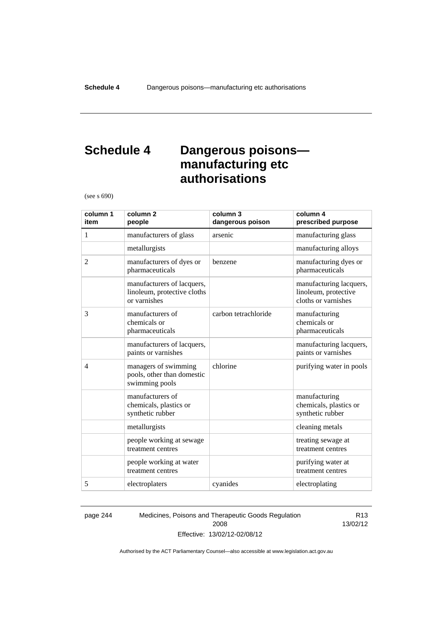## **Schedule 4 Dangerous poisons manufacturing etc authorisations**

(see s 690)

| column 1<br>item | column <sub>2</sub><br>people                                             | column 3<br>dangerous poison | column 4<br>prescribed purpose                                         |
|------------------|---------------------------------------------------------------------------|------------------------------|------------------------------------------------------------------------|
| 1                | manufacturers of glass                                                    | arsenic                      | manufacturing glass                                                    |
|                  | metallurgists                                                             |                              | manufacturing alloys                                                   |
| $\overline{2}$   | manufacturers of dyes or<br>pharmaceuticals                               | benzene                      | manufacturing dyes or<br>pharmaceuticals                               |
|                  | manufacturers of lacquers,<br>linoleum, protective cloths<br>or varnishes |                              | manufacturing lacquers,<br>linoleum, protective<br>cloths or varnishes |
| 3                | manufacturers of<br>chemicals or<br>pharmaceuticals                       | carbon tetrachloride         | manufacturing<br>chemicals or<br>pharmaceuticals                       |
|                  | manufacturers of lacquers,<br>paints or varnishes                         |                              | manufacturing lacquers,<br>paints or varnishes                         |
| $\overline{4}$   | managers of swimming<br>pools, other than domestic<br>swimming pools      | chlorine                     | purifying water in pools                                               |
|                  | manufacturers of<br>chemicals, plastics or<br>synthetic rubber            |                              | manufacturing<br>chemicals, plastics or<br>synthetic rubber            |
|                  | metallurgists                                                             |                              | cleaning metals                                                        |
|                  | people working at sewage<br>treatment centres                             |                              | treating sewage at<br>treatment centres                                |
|                  | people working at water<br>treatment centres                              |                              | purifying water at<br>treatment centres                                |
| 5                | electroplaters                                                            | cyanides                     | electroplating                                                         |

page 244 Medicines, Poisons and Therapeutic Goods Regulation 2008 Effective: 13/02/12-02/08/12

R13 13/02/12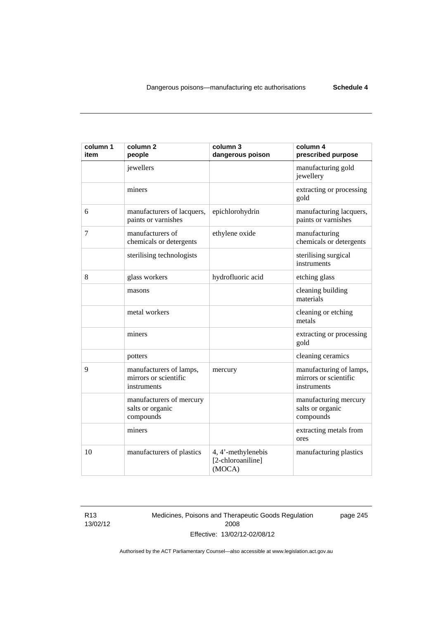| column 1<br>item | column <sub>2</sub><br>people                                   | column 3<br>dangerous poison                      | column 4<br>prescribed purpose                                  |
|------------------|-----------------------------------------------------------------|---------------------------------------------------|-----------------------------------------------------------------|
|                  | jewellers                                                       |                                                   | manufacturing gold<br>jewellery                                 |
|                  | miners                                                          |                                                   | extracting or processing<br>gold                                |
| 6                | manufacturers of lacquers,<br>paints or varnishes               | epichlorohydrin                                   | manufacturing lacquers,<br>paints or varnishes                  |
| 7                | manufacturers of<br>chemicals or detergents                     | ethylene oxide                                    | manufacturing<br>chemicals or detergents                        |
|                  | sterilising technologists                                       |                                                   | sterilising surgical<br>instruments                             |
| 8                | glass workers                                                   | hydrofluoric acid                                 | etching glass                                                   |
|                  | masons                                                          |                                                   | cleaning building<br>materials                                  |
|                  | metal workers                                                   |                                                   | cleaning or etching<br>metals                                   |
|                  | miners                                                          |                                                   | extracting or processing<br>gold                                |
|                  | potters                                                         |                                                   | cleaning ceramics                                               |
| 9                | manufacturers of lamps,<br>mirrors or scientific<br>instruments | mercury                                           | manufacturing of lamps,<br>mirrors or scientific<br>instruments |
|                  | manufacturers of mercury<br>salts or organic<br>compounds       |                                                   | manufacturing mercury<br>salts or organic<br>compounds          |
|                  | miners                                                          |                                                   | extracting metals from<br>ores                                  |
| 10               | manufacturers of plastics                                       | 4, 4'-methylenebis<br>[2-chloroaniline]<br>(MOCA) | manufacturing plastics                                          |

R13 13/02/12 Medicines, Poisons and Therapeutic Goods Regulation 2008 Effective: 13/02/12-02/08/12

page 245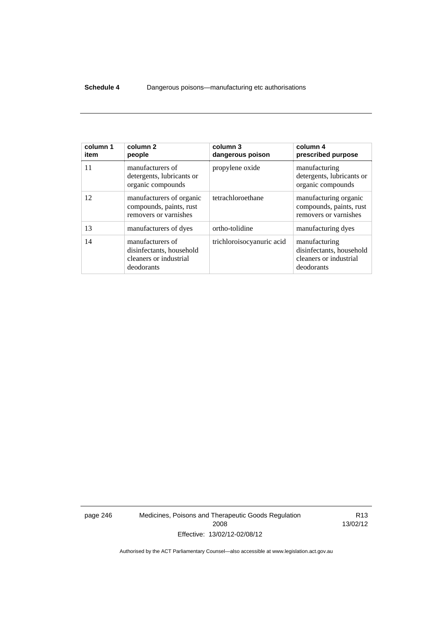### **Schedule 4** Dangerous poisons—manufacturing etc authorisations

| column 1<br>item | column 2<br>people                                                                   | column 3<br>dangerous poison | column 4<br>prescribed purpose                                                    |
|------------------|--------------------------------------------------------------------------------------|------------------------------|-----------------------------------------------------------------------------------|
| 11               | manufacturers of<br>detergents, lubricants or<br>organic compounds                   | propylene oxide              | manufacturing<br>detergents, lubricants or<br>organic compounds                   |
| 12               | manufacturers of organic<br>compounds, paints, rust<br>removers or varnishes         | tetrachloroethane            | manufacturing organic<br>compounds, paints, rust<br>removers or varnishes         |
| 13               | manufacturers of dyes                                                                | ortho-tolidine               | manufacturing dyes                                                                |
| 14               | manufacturers of<br>disinfectants, household<br>cleaners or industrial<br>deodorants | trichloroisocyanuric acid    | manufacturing<br>disinfectants, household<br>cleaners or industrial<br>deodorants |

page 246 Medicines, Poisons and Therapeutic Goods Regulation 2008 Effective: 13/02/12-02/08/12

R13 13/02/12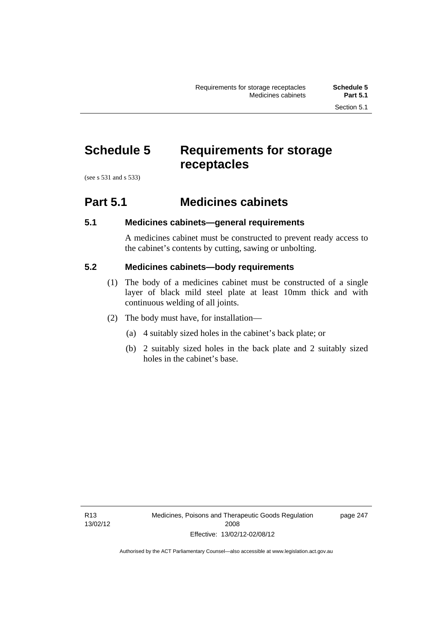# **Schedule 5 Requirements for storage receptacles**

(see s 531 and s 533)

## **Part 5.1 Medicines cabinets**

## **5.1 Medicines cabinets—general requirements**

A medicines cabinet must be constructed to prevent ready access to the cabinet's contents by cutting, sawing or unbolting.

## **5.2 Medicines cabinets—body requirements**

- (1) The body of a medicines cabinet must be constructed of a single layer of black mild steel plate at least 10mm thick and with continuous welding of all joints.
- (2) The body must have, for installation—
	- (a) 4 suitably sized holes in the cabinet's back plate; or
	- (b) 2 suitably sized holes in the back plate and 2 suitably sized holes in the cabinet's base.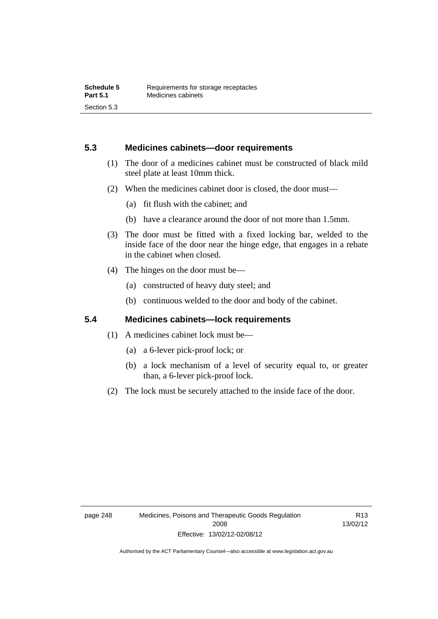### **5.3 Medicines cabinets—door requirements**

- (1) The door of a medicines cabinet must be constructed of black mild steel plate at least 10mm thick.
- (2) When the medicines cabinet door is closed, the door must—
	- (a) fit flush with the cabinet; and
	- (b) have a clearance around the door of not more than 1.5mm.
- (3) The door must be fitted with a fixed locking bar, welded to the inside face of the door near the hinge edge, that engages in a rebate in the cabinet when closed.
- (4) The hinges on the door must be—
	- (a) constructed of heavy duty steel; and
	- (b) continuous welded to the door and body of the cabinet.

### **5.4 Medicines cabinets—lock requirements**

- (1) A medicines cabinet lock must be—
	- (a) a 6-lever pick-proof lock; or
	- (b) a lock mechanism of a level of security equal to, or greater than, a 6-lever pick-proof lock.
- (2) The lock must be securely attached to the inside face of the door.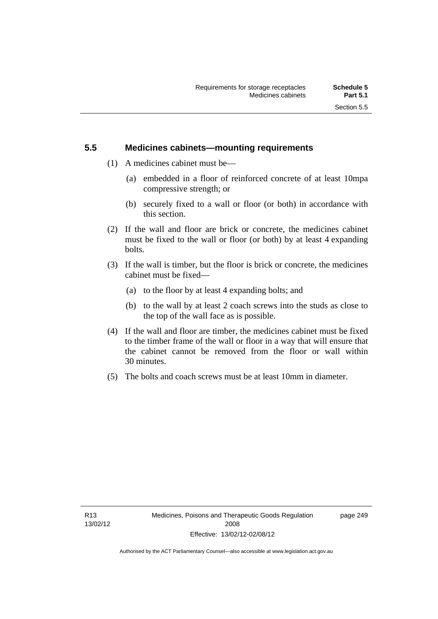## **5.5 Medicines cabinets—mounting requirements**

- (1) A medicines cabinet must be—
	- (a) embedded in a floor of reinforced concrete of at least 10mpa compressive strength; or
	- (b) securely fixed to a wall or floor (or both) in accordance with this section.
- (2) If the wall and floor are brick or concrete, the medicines cabinet must be fixed to the wall or floor (or both) by at least 4 expanding bolts.
- (3) If the wall is timber, but the floor is brick or concrete, the medicines cabinet must be fixed—
	- (a) to the floor by at least 4 expanding bolts; and
	- (b) to the wall by at least 2 coach screws into the studs as close to the top of the wall face as is possible.
- (4) If the wall and floor are timber, the medicines cabinet must be fixed to the timber frame of the wall or floor in a way that will ensure that the cabinet cannot be removed from the floor or wall within 30 minutes.
- (5) The bolts and coach screws must be at least 10mm in diameter.

page 249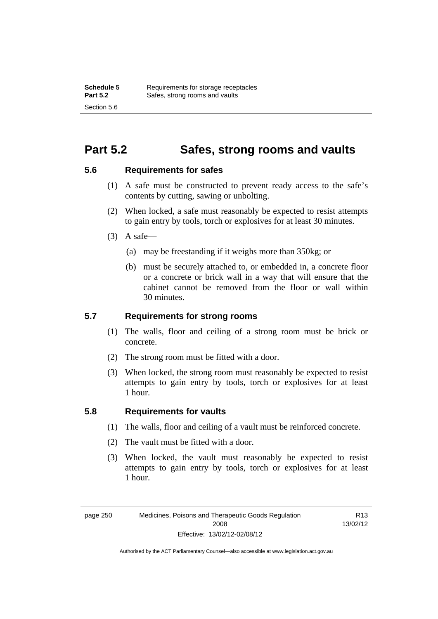## **Part 5.2 Safes, strong rooms and vaults**

### **5.6 Requirements for safes**

- (1) A safe must be constructed to prevent ready access to the safe's contents by cutting, sawing or unbolting.
- (2) When locked, a safe must reasonably be expected to resist attempts to gain entry by tools, torch or explosives for at least 30 minutes.
- $(3)$  A safe-
	- (a) may be freestanding if it weighs more than 350kg; or
	- (b) must be securely attached to, or embedded in, a concrete floor or a concrete or brick wall in a way that will ensure that the cabinet cannot be removed from the floor or wall within 30 minutes.

## **5.7 Requirements for strong rooms**

- (1) The walls, floor and ceiling of a strong room must be brick or concrete.
- (2) The strong room must be fitted with a door.
- (3) When locked, the strong room must reasonably be expected to resist attempts to gain entry by tools, torch or explosives for at least 1 hour.

## **5.8 Requirements for vaults**

- (1) The walls, floor and ceiling of a vault must be reinforced concrete.
- (2) The vault must be fitted with a door.
- (3) When locked, the vault must reasonably be expected to resist attempts to gain entry by tools, torch or explosives for at least 1 hour.

R13 13/02/12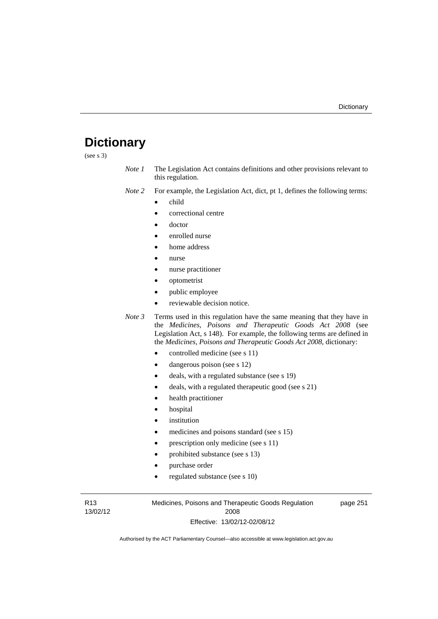# **Dictionary**

(see s 3)

- *Note 1* The Legislation Act contains definitions and other provisions relevant to this regulation.
- *Note 2* For example, the Legislation Act, dict, pt 1, defines the following terms:
	- child
	- correctional centre
	- doctor
	- enrolled nurse
	- home address
	- nurse
	- nurse practitioner
	- optometrist
	- public employee
	- reviewable decision notice.
- *Note 3* Terms used in this regulation have the same meaning that they have in the *Medicines, Poisons and Therapeutic Goods Act 2008* (see Legislation Act, s 148). For example, the following terms are defined in the *Medicines, Poisons and Therapeutic Goods Act 2008*, dictionary:
	- controlled medicine (see s 11)
	- dangerous poison (see s 12)
	- deals, with a regulated substance (see s 19)
	- deals, with a regulated therapeutic good (see s 21)
	- health practitioner
	- hospital
	- institution
	- medicines and poisons standard (see s 15)
	- prescription only medicine (see s 11)
	- prohibited substance (see s 13)
	- purchase order
	- regulated substance (see s 10)

R13 13/02/12 Medicines, Poisons and Therapeutic Goods Regulation 2008 Effective: 13/02/12-02/08/12

page 251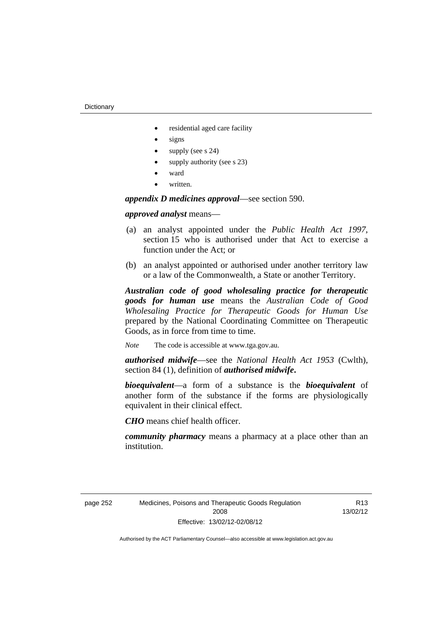- residential aged care facility
- signs
- supply (see s 24)
- supply authority (see s 23)
- ward
- written.

*appendix D medicines approval*—see section 590.

### *approved analyst* means—

- (a) an analyst appointed under the *Public Health Act 1997*, section 15 who is authorised under that Act to exercise a function under the Act; or
- (b) an analyst appointed or authorised under another territory law or a law of the Commonwealth, a State or another Territory.

*Australian code of good wholesaling practice for therapeutic goods for human use* means the *Australian Code of Good Wholesaling Practice for Therapeutic Goods for Human Use*  prepared by the National Coordinating Committee on Therapeutic Goods, as in force from time to time.

*Note* The code is accessible at www.tga.gov.au.

*authorised midwife*—see the *National Health Act 1953* (Cwlth), section 84 (1), definition of *authorised midwife***.**

*bioequivalent*—a form of a substance is the *bioequivalent* of another form of the substance if the forms are physiologically equivalent in their clinical effect.

*CHO* means chief health officer.

*community pharmacy* means a pharmacy at a place other than an institution.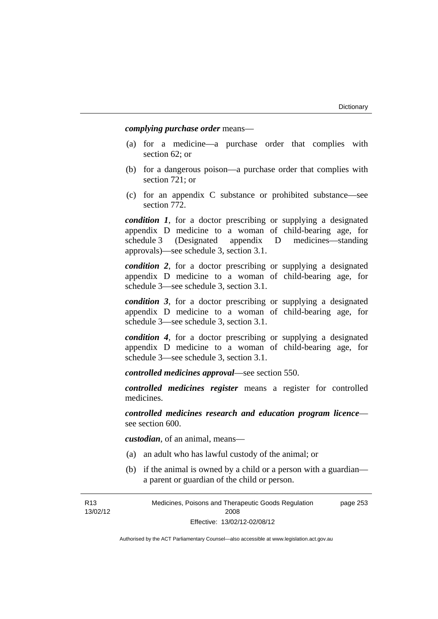*complying purchase order* means—

- (a) for a medicine—a purchase order that complies with section 62; or
- (b) for a dangerous poison—a purchase order that complies with section 721; or
- (c) for an appendix C substance or prohibited substance—see section 772.

*condition 1*, for a doctor prescribing or supplying a designated appendix D medicine to a woman of child-bearing age, for schedule 3 (Designated appendix D medicines—standing approvals)—see schedule 3, section 3.1.

*condition 2*, for a doctor prescribing or supplying a designated appendix D medicine to a woman of child-bearing age, for schedule 3—see schedule 3, section 3.1.

*condition 3*, for a doctor prescribing or supplying a designated appendix D medicine to a woman of child-bearing age, for schedule 3—see schedule 3, section 3.1.

*condition 4*, for a doctor prescribing or supplying a designated appendix D medicine to a woman of child-bearing age, for schedule 3—see schedule 3, section 3.1.

*controlled medicines approval*—see section 550.

*controlled medicines register* means a register for controlled medicines.

*controlled medicines research and education program licence* see section 600.

*custodian*, of an animal, means—

- (a) an adult who has lawful custody of the animal; or
- (b) if the animal is owned by a child or a person with a guardian a parent or guardian of the child or person.

R13 13/02/12 Medicines, Poisons and Therapeutic Goods Regulation 2008 Effective: 13/02/12-02/08/12 page 253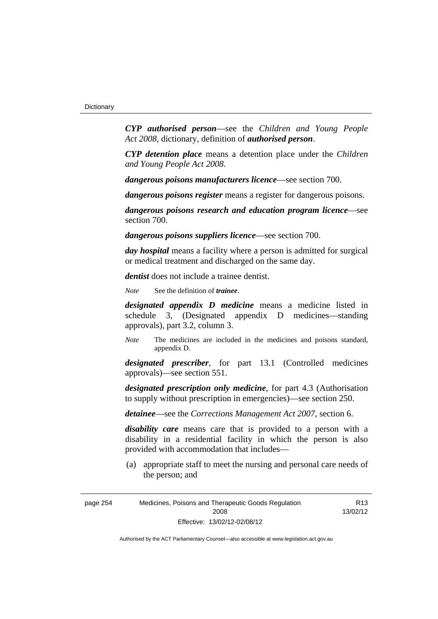*CYP authorised person*—see the *Children and Young People Act 2008*, dictionary, definition of *authorised person*.

*CYP detention place* means a detention place under the *Children and Young People Act 2008*.

*dangerous poisons manufacturers licence*—see section 700.

*dangerous poisons register* means a register for dangerous poisons.

*dangerous poisons research and education program licence*—see section 700.

*dangerous poisons suppliers licence*—see section 700.

*day hospital* means a facility where a person is admitted for surgical or medical treatment and discharged on the same day.

*dentist* does not include a trainee dentist.

*Note* See the definition of *trainee*.

*designated appendix D medicine* means a medicine listed in schedule 3, (Designated appendix D medicines—standing approvals), part 3.2, column 3.

*Note* The medicines are included in the medicines and poisons standard, appendix D.

*designated prescriber*, for part 13.1 (Controlled medicines approvals)—see section 551.

*designated prescription only medicine*, for part 4.3 (Authorisation to supply without prescription in emergencies)—see section 250.

*detainee*—see the *Corrections Management Act 2007*, section 6.

*disability care* means care that is provided to a person with a disability in a residential facility in which the person is also provided with accommodation that includes—

 (a) appropriate staff to meet the nursing and personal care needs of the person; and

R13 13/02/12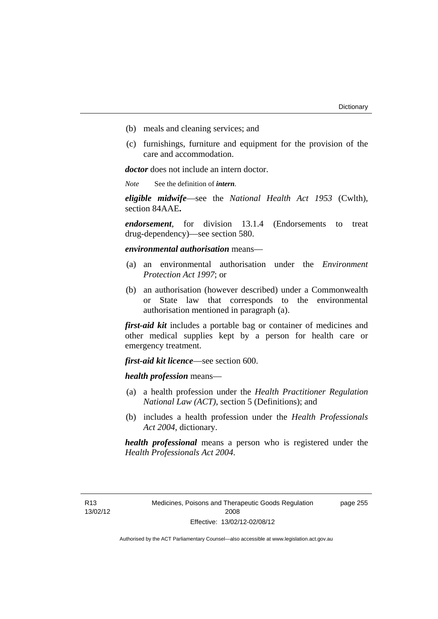- (b) meals and cleaning services; and
- (c) furnishings, furniture and equipment for the provision of the care and accommodation.

*doctor* does not include an intern doctor.

*Note* See the definition of *intern*.

*eligible midwife*—see the *National Health Act 1953* (Cwlth), section 84AAE**.**

*endorsement*, for division 13.1.4 (Endorsements to treat drug-dependency)—see section 580.

*environmental authorisation* means—

- (a) an environmental authorisation under the *Environment Protection Act 1997*; or
- (b) an authorisation (however described) under a Commonwealth or State law that corresponds to the environmental authorisation mentioned in paragraph (a).

*first-aid kit* includes a portable bag or container of medicines and other medical supplies kept by a person for health care or emergency treatment.

*first-aid kit licence*—see section 600.

*health profession* means—

- (a) a health profession under the *Health Practitioner Regulation National Law (ACT)*, section 5 (Definitions); and
- (b) includes a health profession under the *Health Professionals Act 2004*, dictionary.

*health professional* means a person who is registered under the *Health Professionals Act 2004*.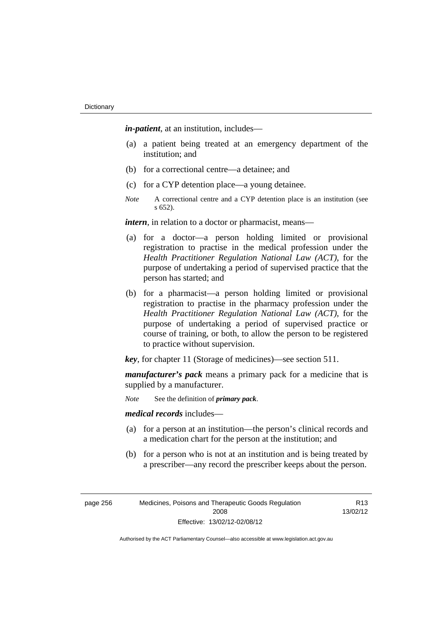*in-patient*, at an institution, includes—

- (a) a patient being treated at an emergency department of the institution; and
- (b) for a correctional centre—a detainee; and
- (c) for a CYP detention place—a young detainee.
- *Note* A correctional centre and a CYP detention place is an institution (see s 652).

*intern*, in relation to a doctor or pharmacist, means—

- (a) for a doctor—a person holding limited or provisional registration to practise in the medical profession under the *Health Practitioner Regulation National Law (ACT)*, for the purpose of undertaking a period of supervised practice that the person has started; and
- (b) for a pharmacist—a person holding limited or provisional registration to practise in the pharmacy profession under the *Health Practitioner Regulation National Law (ACT)*, for the purpose of undertaking a period of supervised practice or course of training, or both, to allow the person to be registered to practice without supervision.

*key*, for chapter 11 (Storage of medicines)—see section 511.

*manufacturer's pack* means a primary pack for a medicine that is supplied by a manufacturer.

*Note* See the definition of *primary pack*.

*medical records* includes—

- (a) for a person at an institution—the person's clinical records and a medication chart for the person at the institution; and
- (b) for a person who is not at an institution and is being treated by a prescriber—any record the prescriber keeps about the person.

| page 256 | Medicines, Poisons and Therapeutic Goods Regulation |
|----------|-----------------------------------------------------|
|          | 2008                                                |
|          | Effective: 13/02/12-02/08/12                        |

R13 13/02/12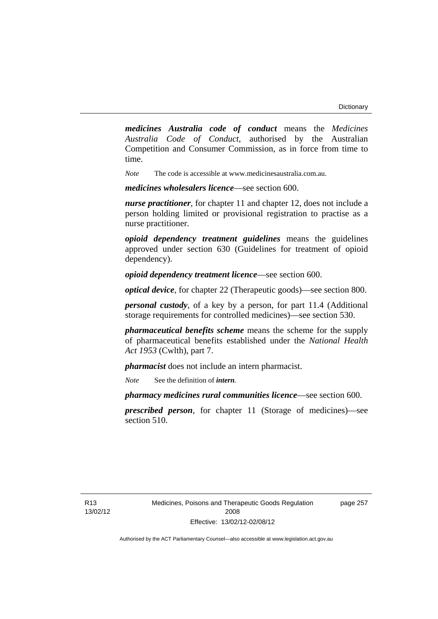*medicines Australia code of conduct* means the *Medicines Australia Code of Conduct*, authorised by the Australian Competition and Consumer Commission, as in force from time to time.

*Note* The code is accessible at www.medicinesaustralia.com.au.

*medicines wholesalers licence*—see section 600.

*nurse practitioner*, for chapter 11 and chapter 12, does not include a person holding limited or provisional registration to practise as a nurse practitioner.

*opioid dependency treatment guidelines* means the guidelines approved under section 630 (Guidelines for treatment of opioid dependency).

*opioid dependency treatment licence*—see section 600.

*optical device*, for chapter 22 (Therapeutic goods)—see section 800.

*personal custody*, of a key by a person, for part 11.4 (Additional storage requirements for controlled medicines)—see section 530.

*pharmaceutical benefits scheme* means the scheme for the supply of pharmaceutical benefits established under the *National Health Act 1953* (Cwlth), part 7.

*pharmacist* does not include an intern pharmacist.

*Note* See the definition of *intern*.

*pharmacy medicines rural communities licence*—see section 600.

*prescribed person*, for chapter 11 (Storage of medicines)—see section 510.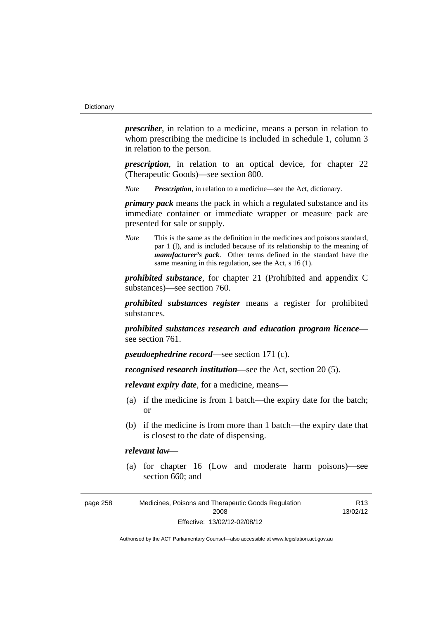*prescriber*, in relation to a medicine, means a person in relation to whom prescribing the medicine is included in schedule 1, column 3 in relation to the person.

*prescription*, in relation to an optical device, for chapter 22 (Therapeutic Goods)—see section 800.

*Note Prescription*, in relation to a medicine—see the Act, dictionary.

*primary pack* means the pack in which a regulated substance and its immediate container or immediate wrapper or measure pack are presented for sale or supply.

*Note* This is the same as the definition in the medicines and poisons standard, par 1 (l), and is included because of its relationship to the meaning of *manufacturer's pack*. Other terms defined in the standard have the same meaning in this regulation, see the Act, s 16 (1).

*prohibited substance*, for chapter 21 (Prohibited and appendix C substances)—see section 760.

*prohibited substances register* means a register for prohibited substances.

*prohibited substances research and education program licence* see section 761.

*pseudoephedrine record*—see section 171 (c).

*recognised research institution*—see the Act, section 20 (5).

*relevant expiry date*, for a medicine, means—

- (a) if the medicine is from 1 batch—the expiry date for the batch; or
- (b) if the medicine is from more than 1 batch—the expiry date that is closest to the date of dispensing.

### *relevant law*—

 (a) for chapter 16 (Low and moderate harm poisons)—see section 660; and

| page 258 | Medicines, Poisons and Therapeutic Goods Regulation | R <sub>13</sub> |
|----------|-----------------------------------------------------|-----------------|
|          | 2008                                                | 13/02/12        |
|          | Effective: 13/02/12-02/08/12                        |                 |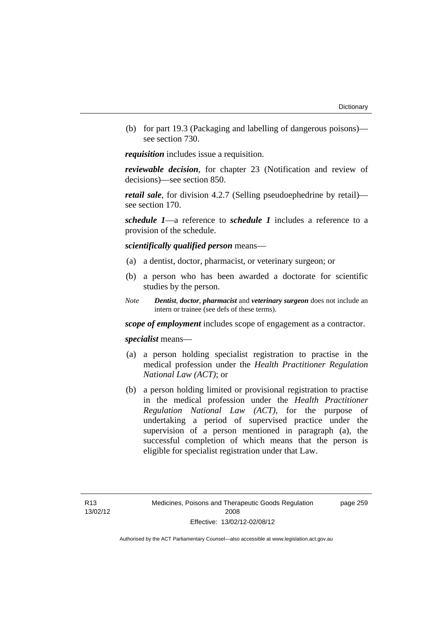(b) for part 19.3 (Packaging and labelling of dangerous poisons) see section 730.

*requisition* includes issue a requisition.

*reviewable decision*, for chapter 23 (Notification and review of decisions)—see section 850.

*retail sale*, for division 4.2.7 (Selling pseudoephedrine by retail) see section 170.

*schedule 1*—a reference to *schedule 1* includes a reference to a provision of the schedule.

*scientifically qualified person* means—

- (a) a dentist, doctor, pharmacist, or veterinary surgeon; or
- (b) a person who has been awarded a doctorate for scientific studies by the person.
- *Note Dentist*, *doctor*, *pharmacist* and *veterinary surgeon* does not include an intern or trainee (see defs of these terms).

*scope of employment* includes scope of engagement as a contractor.

*specialist* means—

- (a) a person holding specialist registration to practise in the medical profession under the *Health Practitioner Regulation National Law (ACT)*; or
- (b) a person holding limited or provisional registration to practise in the medical profession under the *Health Practitioner Regulation National Law (ACT)*, for the purpose of undertaking a period of supervised practice under the supervision of a person mentioned in paragraph (a), the successful completion of which means that the person is eligible for specialist registration under that Law.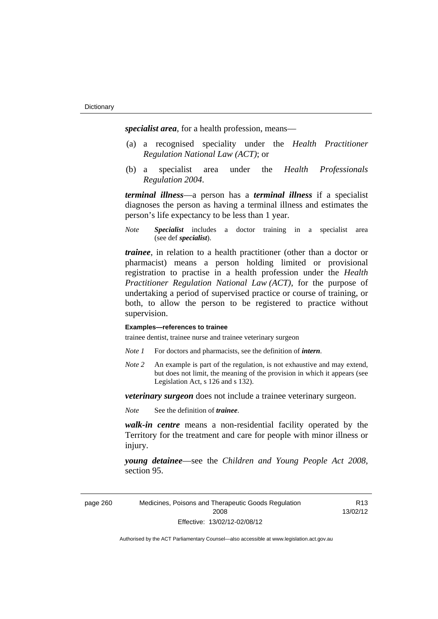*specialist area*, for a health profession, means—

- (a) a recognised speciality under the *Health Practitioner Regulation National Law (ACT)*; or
- (b) a specialist area under the *Health Professionals Regulation 2004*.

*terminal illness*—a person has a *terminal illness* if a specialist diagnoses the person as having a terminal illness and estimates the person's life expectancy to be less than 1 year.

*Note Specialist* includes a doctor training in a specialist area (see def *specialist*).

*trainee*, in relation to a health practitioner (other than a doctor or pharmacist) means a person holding limited or provisional registration to practise in a health profession under the *Health Practitioner Regulation National Law (ACT)*, for the purpose of undertaking a period of supervised practice or course of training, or both, to allow the person to be registered to practice without supervision.

#### **Examples—references to trainee**

trainee dentist, trainee nurse and trainee veterinary surgeon

- *Note 1* For doctors and pharmacists, see the definition of *intern*.
- *Note 2* An example is part of the regulation, is not exhaustive and may extend, but does not limit, the meaning of the provision in which it appears (see Legislation Act, s 126 and s 132).

*veterinary surgeon* does not include a trainee veterinary surgeon.

*Note* See the definition of *trainee*.

*walk-in centre* means a non-residential facility operated by the Territory for the treatment and care for people with minor illness or injury.

*young detainee*—see the *Children and Young People Act 2008*, section 95.

page 260 Medicines, Poisons and Therapeutic Goods Regulation 2008 Effective: 13/02/12-02/08/12

R13 13/02/12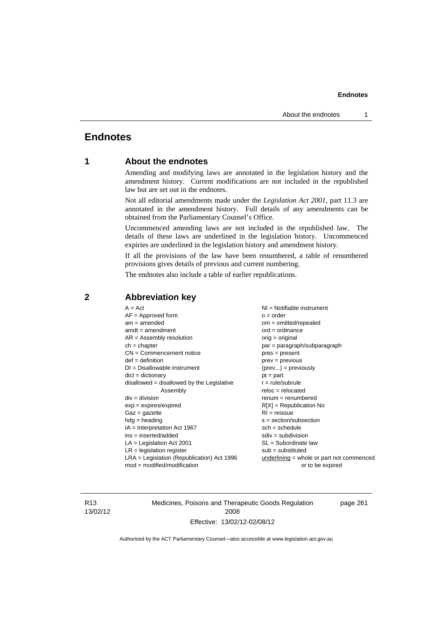## **Endnotes**

## **1 About the endnotes**

Amending and modifying laws are annotated in the legislation history and the amendment history. Current modifications are not included in the republished law but are set out in the endnotes.

Not all editorial amendments made under the *Legislation Act 2001*, part 11.3 are annotated in the amendment history. Full details of any amendments can be obtained from the Parliamentary Counsel's Office.

Uncommenced amending laws are not included in the republished law. The details of these laws are underlined in the legislation history. Uncommenced expiries are underlined in the legislation history and amendment history.

If all the provisions of the law have been renumbered, a table of renumbered provisions gives details of previous and current numbering.

The endnotes also include a table of earlier republications.

| $LR =$ legislation register<br>$sub =$ substituted<br>$LRA =$ Legislation (Republication) Act 1996<br>$underlining = whole or part not commenced$<br>$mod = modified/modification$<br>or to be expired |
|--------------------------------------------------------------------------------------------------------------------------------------------------------------------------------------------------------|
|--------------------------------------------------------------------------------------------------------------------------------------------------------------------------------------------------------|

### **2 Abbreviation key**

R13 13/02/12 Medicines, Poisons and Therapeutic Goods Regulation 2008 Effective: 13/02/12-02/08/12

page 261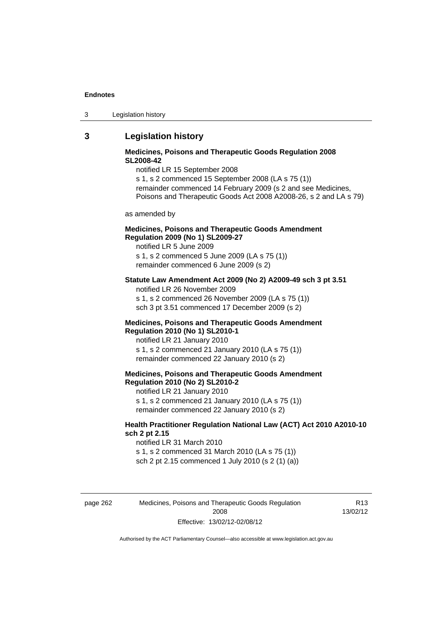3 Legislation history

## **3 Legislation history**

### **Medicines, Poisons and Therapeutic Goods Regulation 2008 SL2008-42**

notified LR 15 September 2008

s 1, s 2 commenced 15 September 2008 (LA s 75 (1)) remainder commenced 14 February 2009 (s 2 and see Medicines, Poisons and Therapeutic Goods Act 2008 A2008-26, s 2 and LA s 79)

as amended by

### **Medicines, Poisons and Therapeutic Goods Amendment Regulation 2009 (No 1) SL2009-27**

notified LR 5 June 2009 s 1, s 2 commenced 5 June 2009 (LA s 75 (1)) remainder commenced 6 June 2009 (s 2)

#### **Statute Law Amendment Act 2009 (No 2) A2009-49 sch 3 pt 3.51**

notified LR 26 November 2009

s 1, s 2 commenced 26 November 2009 (LA s 75 (1))

sch 3 pt 3.51 commenced 17 December 2009 (s 2)

#### **Medicines, Poisons and Therapeutic Goods Amendment Regulation 2010 (No 1) SL2010-1**

notified LR 21 January 2010 s 1, s 2 commenced 21 January 2010 (LA s 75 (1)) remainder commenced 22 January 2010 (s 2)

#### **Medicines, Poisons and Therapeutic Goods Amendment Regulation 2010 (No 2) SL2010-2**

notified LR 21 January 2010 s 1, s 2 commenced 21 January 2010 (LA s 75 (1)) remainder commenced 22 January 2010 (s 2)

### **Health Practitioner Regulation National Law (ACT) Act 2010 A2010-10 sch 2 pt 2.15**

notified LR 31 March 2010 s 1, s 2 commenced 31 March 2010 (LA s 75 (1)) sch 2 pt 2.15 commenced 1 July 2010 (s 2 (1) (a))

page 262 Medicines, Poisons and Therapeutic Goods Regulation 2008 Effective: 13/02/12-02/08/12

R13 13/02/12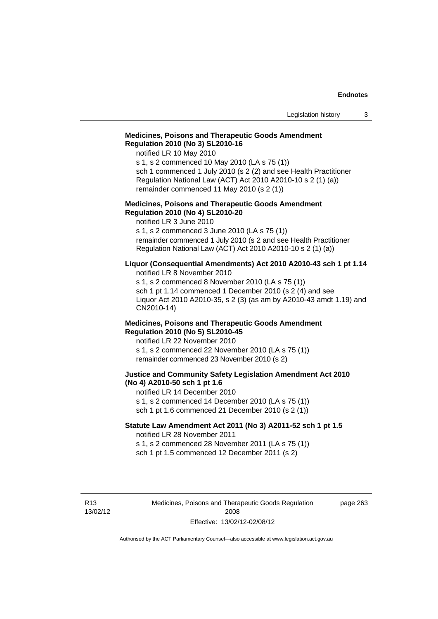### **Medicines, Poisons and Therapeutic Goods Amendment Regulation 2010 (No 3) SL2010-16**

notified LR 10 May 2010

s 1, s 2 commenced 10 May 2010 (LA s 75 (1)) sch 1 commenced 1 July 2010 (s 2 (2) and see Health Practitioner Regulation National Law (ACT) Act 2010 A2010-10 s 2 (1) (a)) remainder commenced 11 May 2010 (s 2 (1))

#### **Medicines, Poisons and Therapeutic Goods Amendment Regulation 2010 (No 4) SL2010-20**

notified LR 3 June 2010

s 1, s 2 commenced 3 June 2010 (LA s 75 (1)) remainder commenced 1 July 2010 (s 2 and see Health Practitioner Regulation National Law (ACT) Act 2010 A2010-10 s 2 (1) (a))

#### **Liquor (Consequential Amendments) Act 2010 A2010-43 sch 1 pt 1.14**

notified LR 8 November 2010

s 1, s 2 commenced 8 November 2010 (LA s 75 (1)) sch 1 pt 1.14 commenced 1 December 2010 (s 2 (4) and see Liquor Act 2010 A2010-35, s 2 (3) (as am by A2010-43 amdt 1.19) and CN2010-14)

#### **Medicines, Poisons and Therapeutic Goods Amendment Regulation 2010 (No 5) SL2010-45**

notified LR 22 November 2010 s 1, s 2 commenced 22 November 2010 (LA s 75 (1)) remainder commenced 23 November 2010 (s 2)

#### **Justice and Community Safety Legislation Amendment Act 2010 (No 4) A2010-50 sch 1 pt 1.6**

notified LR 14 December 2010 s 1, s 2 commenced 14 December 2010 (LA s 75 (1)) sch 1 pt 1.6 commenced 21 December 2010 (s 2 (1))

### **Statute Law Amendment Act 2011 (No 3) A2011-52 sch 1 pt 1.5**  notified LR 28 November 2011

s 1, s 2 commenced 28 November 2011 (LA s 75 (1)) sch 1 pt 1.5 commenced 12 December 2011 (s 2)

R13 13/02/12 page 263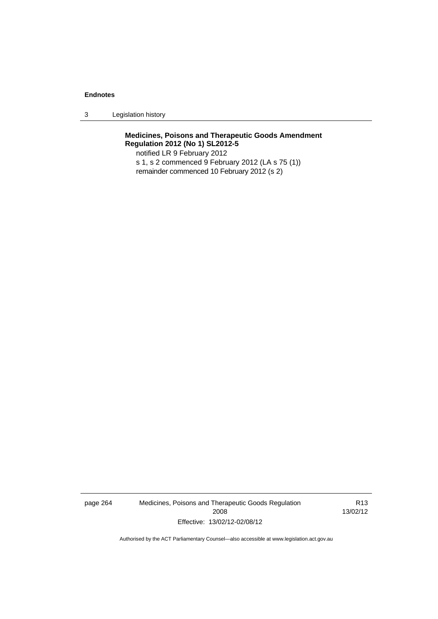3 Legislation history

**Medicines, Poisons and Therapeutic Goods Amendment Regulation 2012 (No 1) SL2012-5** 

notified LR 9 February 2012 s 1, s 2 commenced 9 February 2012 (LA s 75 (1)) remainder commenced 10 February 2012 (s 2)

page 264 Medicines, Poisons and Therapeutic Goods Regulation 2008 Effective: 13/02/12-02/08/12

R13 13/02/12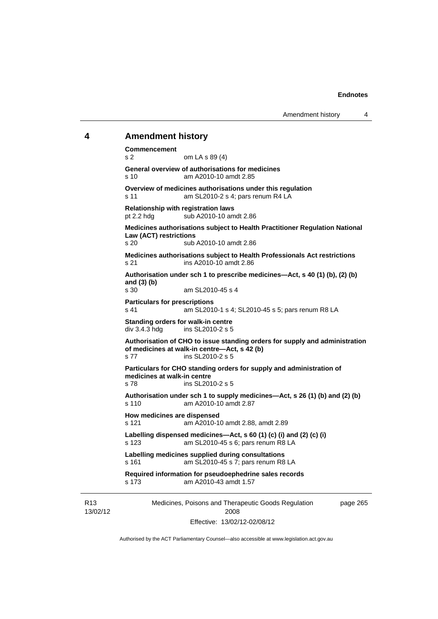# **4 Amendment history**

R13

13/02/12 Medicines, Poisons and Therapeutic Goods Regulation 2008 page 265 **Commencement**  s 2 om LA s 89 (4) **General overview of authorisations for medicines**  s 10 am A2010-10 amdt 2.85 **Overview of medicines authorisations under this regulation**  s 11 am SL2010-2 s 4; pars renum R4 LA **Relationship with registration laws**  pt 2.2 hdg sub A2010-10 amdt 2.86 **Medicines authorisations subject to Health Practitioner Regulation National Law (ACT) restrictions**  s 20 sub A2010-10 amdt 2.86 **Medicines authorisations subject to Health Professionals Act restrictions**  s 21 ins A2010-10 amdt 2.86 **Authorisation under sch 1 to prescribe medicines—Act, s 40 (1) (b), (2) (b) and (3) (b)**  s 30 am SL2010-45 s 4 **Particulars for prescriptions**  s 41 am SL2010-1 s 4; SL2010-45 s 5; pars renum R8 LA **Standing orders for walk-in centre**  div 3.4.3 hdg ins SL2010-2 s 5 **Authorisation of CHO to issue standing orders for supply and administration of medicines at walk-in centre—Act, s 42 (b)**  s 77 ins SL2010-2 s 5 **Particulars for CHO standing orders for supply and administration of medicines at walk-in centre**  s 78 ins SL2010-2 s 5 **Authorisation under sch 1 to supply medicines—Act, s 26 (1) (b) and (2) (b)**  s 110 am A2010-10 amdt 2.87 **How medicines are dispensed**  s 121 am A2010-10 amdt 2.88, amdt 2.89 **Labelling dispensed medicines—Act, s 60 (1) (c) (i) and (2) (c) (i)**  s 123 am SL2010-45 s 6; pars renum R8 LA **Labelling medicines supplied during consultations**  s 161 am SL2010-45 s 7; pars renum R8 LA **Required information for pseudoephedrine sales records**  s 173 am A2010-43 amdt 1.57

Effective: 13/02/12-02/08/12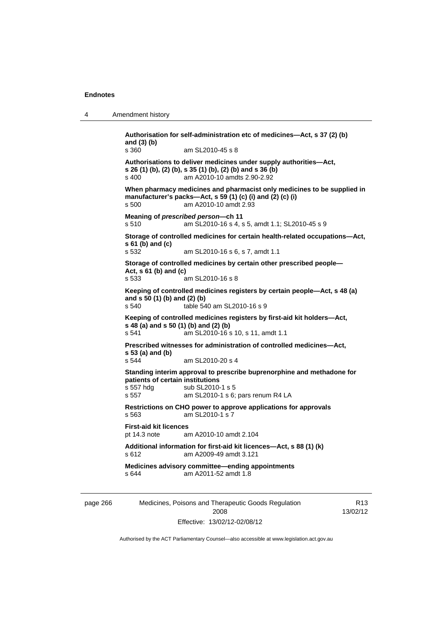4 Amendment history

page 266 Medicines, Poisons and Therapeutic Goods Regulation R13 **Authorisation for self-administration etc of medicines—Act, s 37 (2) (b) and (3) (b)**  s 360 am SL2010-45 s 8 **Authorisations to deliver medicines under supply authorities—Act, s 26 (1) (b), (2) (b), s 35 (1) (b), (2) (b) and s 36 (b)**  s 400 am A2010-10 amdts 2.90-2.92 **When pharmacy medicines and pharmacist only medicines to be supplied in manufacturer's packs—Act, s 59 (1) (c) (i) and (2) (c) (i)**  s 500 am A2010-10 amdt 2.93 **Meaning of** *prescribed person***—ch 11**  s 510 am SL2010-16 s 4, s 5, amdt 1.1; SL2010-45 s 9 **Storage of controlled medicines for certain health-related occupations—Act, s 61 (b) and (c)**  s 532 am SL2010-16 s 6, s 7, amdt 1.1 **Storage of controlled medicines by certain other prescribed people— Act, s 61 (b) and (c)**  s 533 am SL2010-16 s 8 **Keeping of controlled medicines registers by certain people—Act, s 48 (a) and s 50 (1) (b) and (2) (b)**  s 540 table 540 am SL2010-16 s 9 **Keeping of controlled medicines registers by first-aid kit holders—Act, s 48 (a) and s 50 (1) (b) and (2) (b)**  s 541 am SL2010-16 s 10, s 11, amdt 1.1 **Prescribed witnesses for administration of controlled medicines—Act, s 53 (a) and (b)**  s 544 am SL2010-20 s 4 **Standing interim approval to prescribe buprenorphine and methadone for patients of certain institutions**  s 557 hdg sub SL2010-1 s 5 s 557 am SL2010-1 s 6; pars renum R4 LA **Restrictions on CHO power to approve applications for approvals**  s 563 am SL2010-1 s 7 **First-aid kit licences**  pt 14.3 note am A2010-10 amdt 2.104 **Additional information for first-aid kit licences—Act, s 88 (1) (k)**  s 612 am A2009-49 amdt 3.121 **Medicines advisory committee—ending appointments**  s 644 am A2011-52 amdt 1.8

Effective: 13/02/12-02/08/12

2008

Authorised by the ACT Parliamentary Counsel—also accessible at www.legislation.act.gov.au

13/02/12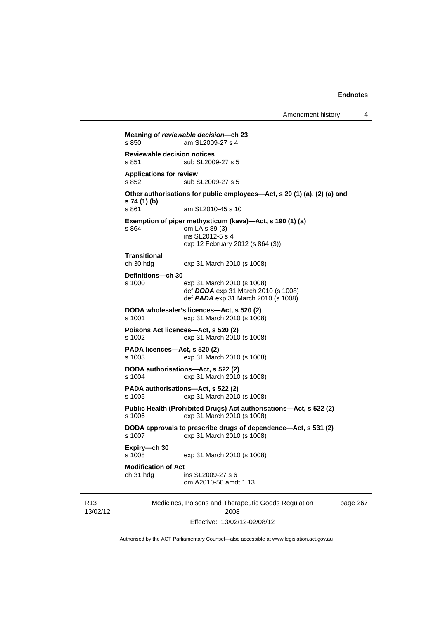Amendment history 4

```
Medicines, Poisons and Therapeutic Goods Regulation 
Meaning of reviewable decision—ch 23 
s 850 am SL2009-27 s 4 
Reviewable decision notices 
s 851 sub SL2009-27 s 5
Applications for review 
s 852 sub SL2009-27 s 5
Other authorisations for public employees—Act, s 20 (1) (a), (2) (a) and 
s 74 (1) (b) 
s 861 am SL2010-45 s 10
Exemption of piper methysticum (kava)—Act, s 190 (1) (a) 
s 864 om LA s 89 (3) 
                  ins SL2012-5 s 4 
                  exp 12 February 2012 (s 864 (3)) 
Transitional 
ch 30 hdg exp 31 March 2010 (s 1008) 
Definitions—ch 30 
s 1000 exp 31 March 2010 (s 1008) 
                  def DODA exp 31 March 2010 (s 1008) 
                 def PADA exp 31 March 2010 (s 1008)
DODA wholesaler's licences—Act, s 520 (2) s 1001
                 exp 31 March 2010 (s 1008)
Poisons Act licences—Act, s 520 (2) 
s 1002 exp 31 March 2010 (s 1008) 
PADA licences—Act, s 520 (2) 
                exp 31 March 2010 (s 1008)
DODA authorisations—Act, s 522 (2) 
s 1004 exp 31 March 2010 (s 1008) 
PADA authorisations—Act, s 522 (2) 
s 1005 exp 31 March 2010 (s 1008) 
Public Health (Prohibited Drugs) Act authorisations—Act, s 522 (2) 
s 1006 exp 31 March 2010 (s 1008) 
DODA approvals to prescribe drugs of dependence—Act, s 531 (2) 
s 1007 exp 31 March 2010 (s 1008) 
Expiry—ch 30 
s 1008 exp 31 March 2010 (s 1008) 
Modification of Act 
ch 31 hdg ins SL2009-27 s 6 
                  om A2010-50 amdt 1.13
```
R13 13/02/12

2008 Effective: 13/02/12-02/08/12 page 267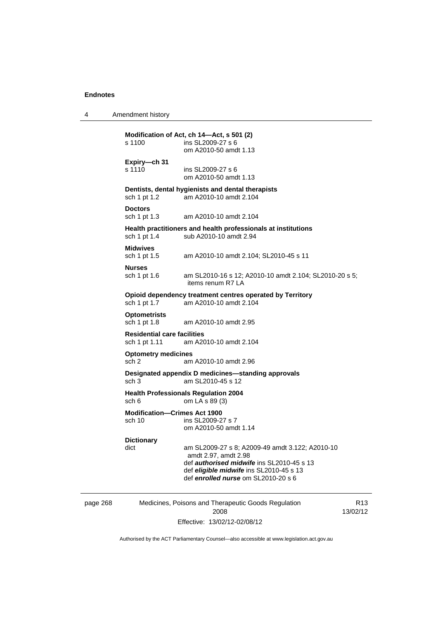4 Amendment history

| s 1100                                              | Modification of Act, ch 14-Act, s 501 (2)<br>ins SL2009-27 s 6<br>om A2010-50 amdt 1.13                                                                                                                |  |  |
|-----------------------------------------------------|--------------------------------------------------------------------------------------------------------------------------------------------------------------------------------------------------------|--|--|
| Expiry-ch 31<br>s 1110                              | ins SL2009-27 s 6<br>om A2010-50 amdt 1.13                                                                                                                                                             |  |  |
| sch 1 pt 1.2                                        | Dentists, dental hygienists and dental therapists<br>am A2010-10 amdt 2.104                                                                                                                            |  |  |
| <b>Doctors</b><br>sch 1 pt 1.3                      | am A2010-10 amdt 2.104                                                                                                                                                                                 |  |  |
| sch 1 pt 1.4                                        | Health practitioners and health professionals at institutions<br>sub A2010-10 amdt 2.94                                                                                                                |  |  |
| <b>Midwives</b><br>sch 1 pt 1.5                     | am A2010-10 amdt 2.104; SL2010-45 s 11                                                                                                                                                                 |  |  |
| <b>Nurses</b><br>sch 1 pt 1.6                       | am SL2010-16 s 12; A2010-10 amdt 2.104; SL2010-20 s 5;<br>items renum R7 LA                                                                                                                            |  |  |
| sch 1 pt 1.7                                        | Opioid dependency treatment centres operated by Territory<br>am A2010-10 amdt 2.104                                                                                                                    |  |  |
| <b>Optometrists</b><br>sch 1 pt 1.8                 | am A2010-10 amdt 2.95                                                                                                                                                                                  |  |  |
| <b>Residential care facilities</b><br>sch 1 pt 1.11 | am A2010-10 amdt 2.104                                                                                                                                                                                 |  |  |
| <b>Optometry medicines</b><br>sch 2                 | am A2010-10 amdt 2.96                                                                                                                                                                                  |  |  |
| sch 3                                               | Designated appendix D medicines-standing approvals<br>am SL2010-45 s 12                                                                                                                                |  |  |
| sch 6                                               | <b>Health Professionals Regulation 2004</b><br>om LA s 89 (3)                                                                                                                                          |  |  |
| <b>Modification-Crimes Act 1900</b><br>sch 10       | ins SL2009-27 s 7<br>om A2010-50 amdt 1.14                                                                                                                                                             |  |  |
| <b>Dictionary</b><br>dict                           | am SL2009-27 s 8; A2009-49 amdt 3.122; A2010-10<br>amdt 2.97, amdt 2.98<br>def authorised midwife ins SL2010-45 s 13<br>def eligible midwife ins SL2010-45 s 13<br>def enrolled nurse om SL2010-20 s 6 |  |  |

page 268 Medicines, Poisons and Therapeutic Goods Regulation 2008 Effective: 13/02/12-02/08/12

R13 13/02/12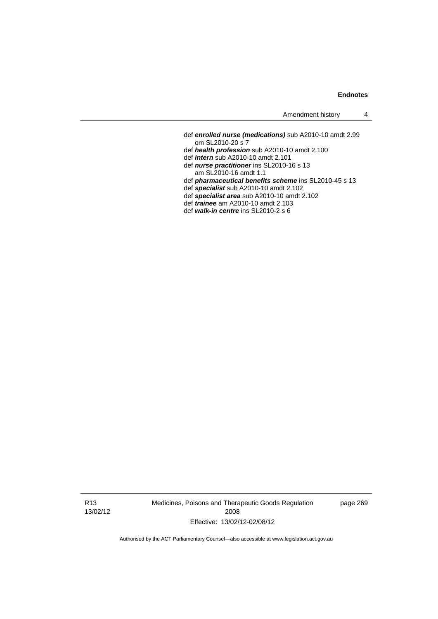- def *enrolled nurse (medications)* sub A2010-10 amdt 2.99 om SL2010-20 s 7 def *health profession* sub A2010-10 amdt 2.100
- def *intern* sub A2010-10 amdt 2.101
- def *nurse practitioner* ins SL2010-16 s 13
- am SL2010-16 amdt 1.1
- def *pharmaceutical benefits scheme* ins SL2010-45 s 13
- def *specialist* sub A2010-10 amdt 2.102
- def *specialist area* sub A2010-10 amdt 2.102
- def *trainee* am A2010-10 amdt 2.103
- def *walk-in centre* ins SL2010-2 s 6

R13 13/02/12 Medicines, Poisons and Therapeutic Goods Regulation 2008 Effective: 13/02/12-02/08/12

page 269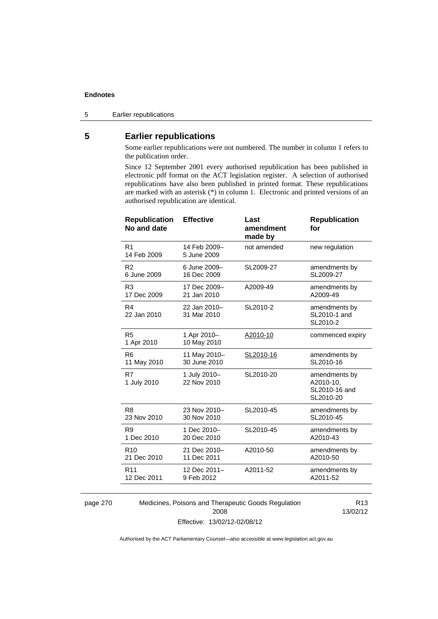5 Earlier republications

# **5 Earlier republications**

Some earlier republications were not numbered. The number in column 1 refers to the publication order.

Since 12 September 2001 every authorised republication has been published in electronic pdf format on the ACT legislation register. A selection of authorised republications have also been published in printed format. These republications are marked with an asterisk (\*) in column 1. Electronic and printed versions of an authorised republication are identical.

| <b>Republication</b><br>No and date | <b>Effective</b>            | Last<br>amendment<br>made by | <b>Republication</b><br>for                              |
|-------------------------------------|-----------------------------|------------------------------|----------------------------------------------------------|
| R <sub>1</sub><br>14 Feb 2009       | 14 Feb 2009-<br>5 June 2009 | not amended                  | new regulation                                           |
| R <sub>2</sub>                      | 6 June 2009-                | SL2009-27                    | amendments by                                            |
| 6 June 2009                         | 16 Dec 2009                 |                              | SL2009-27                                                |
| R <sub>3</sub>                      | 17 Dec 2009-                | A2009-49                     | amendments by                                            |
| 17 Dec 2009                         | 21 Jan 2010                 |                              | A2009-49                                                 |
| R4<br>22 Jan 2010                   | 22 Jan 2010-<br>31 Mar 2010 | SL2010-2                     | amendments by<br>SL2010-1 and<br>SL2010-2                |
| R <sub>5</sub><br>1 Apr 2010        | 1 Apr 2010-<br>10 May 2010  | A2010-10                     | commenced expiry                                         |
| R6                                  | 11 May 2010-                | SL2010-16                    | amendments by                                            |
| 11 May 2010                         | 30 June 2010                |                              | SL2010-16                                                |
| R7<br>1 July 2010                   | 1 July 2010-<br>22 Nov 2010 | SL2010-20                    | amendments by<br>A2010-10,<br>SL2010-16 and<br>SL2010-20 |
| R <sub>8</sub>                      | 23 Nov 2010-                | SL2010-45                    | amendments by                                            |
| 23 Nov 2010                         | 30 Nov 2010                 |                              | SL2010-45                                                |
| R <sub>9</sub>                      | 1 Dec 2010-                 | SL2010-45                    | amendments by                                            |
| 1 Dec 2010                          | 20 Dec 2010                 |                              | A2010-43                                                 |
| R <sub>10</sub>                     | 21 Dec 2010-                | A2010-50                     | amendments by                                            |
| 21 Dec 2010                         | 11 Dec 2011                 |                              | A2010-50                                                 |
| R <sub>11</sub>                     | 12 Dec 2011-                | A2011-52                     | amendments by                                            |
| 12 Dec 2011                         | 9 Feb 2012                  |                              | A2011-52                                                 |
|                                     |                             |                              |                                                          |

page 270 Medicines, Poisons and Therapeutic Goods Regulation 2008 Effective: 13/02/12-02/08/12

R13 13/02/12